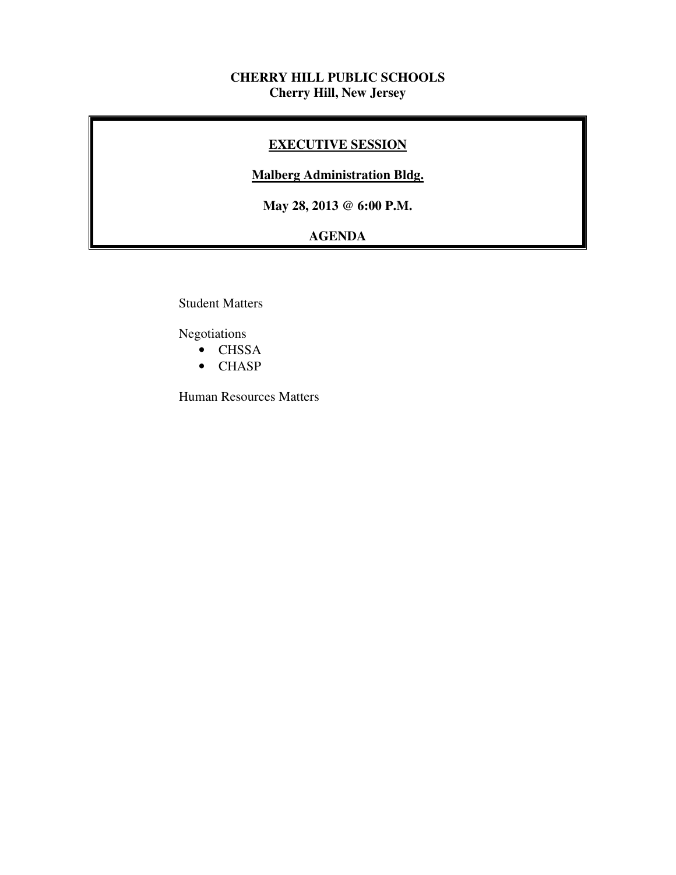## **CHERRY HILL PUBLIC SCHOOLS Cherry Hill, New Jersey**

## **EXECUTIVE SESSION**

## **Malberg Administration Bldg.**

 **May 28, 2013 @ 6:00 P.M.** 

# **AGENDA**

Student Matters

Negotiations

- CHSSA
- CHASP

Human Resources Matters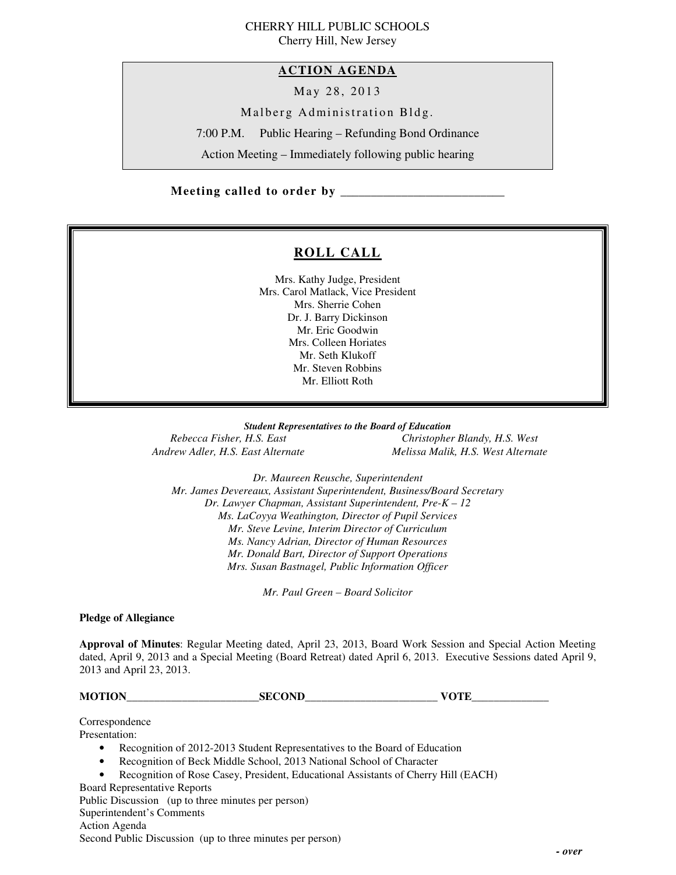# CHERRY HILL PUBLIC SCHOOLS

Cherry Hill, New Jersey

## **ACTION AGENDA**

May 28, 2013

Malberg Administration Bldg.

7:00 P.M. Public Hearing – Refunding Bond Ordinance

Action Meeting – Immediately following public hearing

## **Meeting called to order by \_\_\_\_\_\_\_\_\_\_\_\_\_\_\_\_\_\_\_\_\_\_\_\_\_\_\_**

## **ROLL CALL**

 Mrs. Kathy Judge, President Mrs. Carol Matlack, Vice President Mrs. Sherrie Cohen Dr. J. Barry Dickinson Mr. Eric Goodwin Mrs. Colleen Horiates Mr. Seth Klukoff Mr. Steven Robbins Mr. Elliott Roth

 *Student Representatives to the Board of Education*  **Rebecca Fisher, H.S. East Andrew Adler, H.S. East Alternate** 

*Rebecca Fisher, H.S. East Christopher Blandy, H.S. West Andrew Adler, H.S. East Alternate Melissa Malik, H.S. West Alternate* 

 *Dr. Maureen Reusche, Superintendent Mr. James Devereaux, Assistant Superintendent, Business/Board Secretary Dr. Lawyer Chapman, Assistant Superintendent, Pre-K – 12 Ms. LaCoyya Weathington, Director of Pupil Services Mr. Steve Levine, Interim Director of Curriculum Mr. Donald Bart, Director of Support Operations Mrs. Susan Bastnagel, Public Information Officer Ms. Nancy Adrian, Director of Human Resources* 

 *Mr. Paul Green – Board Solicitor* 

#### **Pledge of Allegiance**

 **Approval of Minutes**: Regular Meeting dated, April 23, 2013, Board Work Session and Special Action Meeting dated, April 9, 2013 and a Special Meeting (Board Retreat) dated April 6, 2013. Executive Sessions dated April 9, 2013 and April 23, 2013.

**MOTION** SECOND VOTE

Correspondence

Presentation:

- Presentation:<br>• Recognition of 2012-2013 Student Representatives to the Board of Education
	- Recognition of Beck Middle School, 2013 National School of Character
	- Recognition of Rose Casey, President, Educational Assistants of Cherry Hill (EACH)

 Board Representative Reports Public Discussion (up to three minutes per person) Superintendent's Comments Action Agenda Second Public Discussion (up to three minutes per person)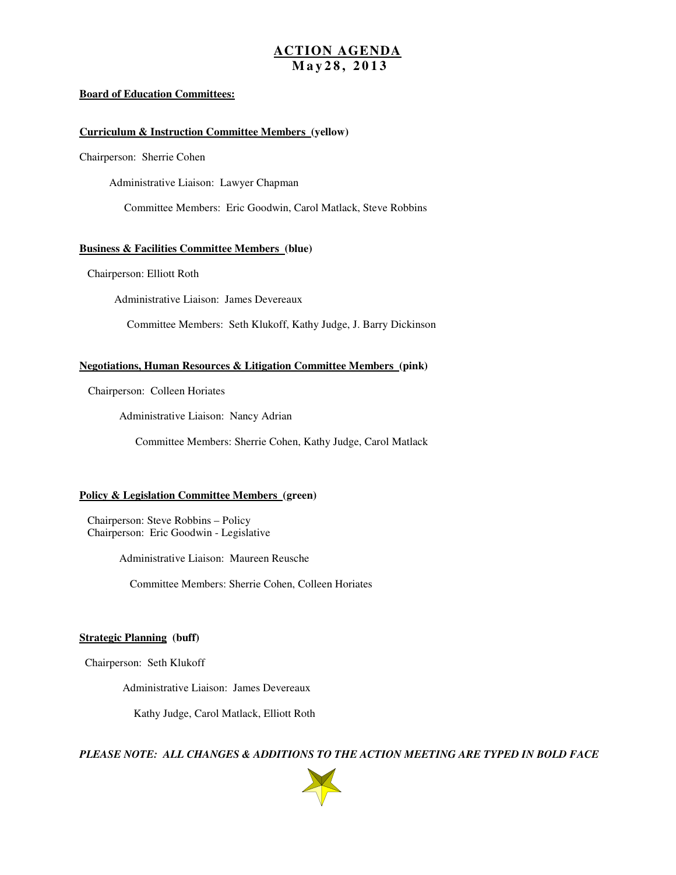#### **ACTION AGENDA M a y 2 8 , 2 0 1 3**

#### **Board of Education Committees:**

#### **Curriculum & Instruction Committee Members (yellow)**

Chairperson: Sherrie Cohen

Administrative Liaison: Lawyer Chapman

Committee Members: Eric Goodwin, Carol Matlack, Steve Robbins

#### **Business & Facilities Committee Members (blue)**

Chairperson: Elliott Roth

Administrative Liaison: James Devereaux

Committee Members: Seth Klukoff, Kathy Judge, J. Barry Dickinson

#### **Negotiations, Human Resources & Litigation Committee Members (pink)**

Chairperson: Colleen Horiates

Administrative Liaison: Nancy Adrian

Committee Members: Sherrie Cohen, Kathy Judge, Carol Matlack

#### **Policy & Legislation Committee Members (green)**

 Chairperson: Steve Robbins – Policy Chairperson: Eric Goodwin - Legislative

Administrative Liaison: Maureen Reusche

Committee Members: Sherrie Cohen, Colleen Horiates

#### **Strategic Planning (buff)**

Chairperson: Seth Klukoff

Administrative Liaison: James Devereaux

Kathy Judge, Carol Matlack, Elliott Roth

 *PLEASE NOTE: ALL CHANGES & ADDITIONS TO THE ACTION MEETING ARE TYPED IN BOLD FACE* 

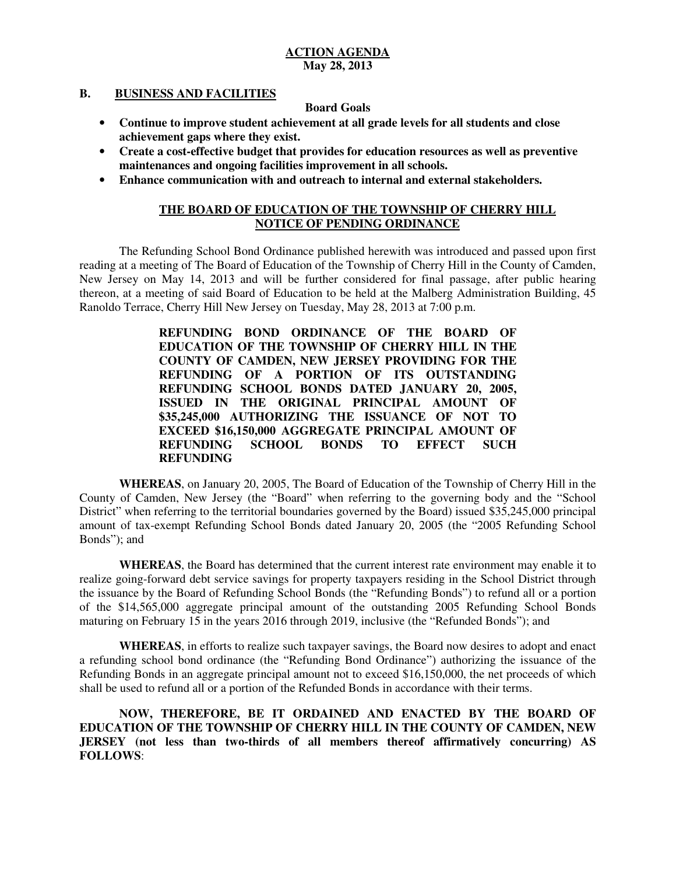#### **B**. **BUSINESS AND FACILITIES**

### **Board Goals**

- • **Continue to improve student achievement at all grade levels for all students and close achievement gaps where they exist.**
- **•** Create a cost-effective budget that provides for education resources as well as preventive  **maintenances and ongoing facilities improvement in all schools.**
- • **Enhance communication with and outreach to internal and external stakeholders.**

### **THE BOARD OF EDUCATION OF THE TOWNSHIP OF CHERRY HILL NOTICE OF PENDING ORDINANCE**

 The Refunding School Bond Ordinance published herewith was introduced and passed upon first reading at a meeting of The Board of Education of the Township of Cherry Hill in the County of Camden, New Jersey on May 14, 2013 and will be further considered for final passage, after public hearing thereon, at a meeting of said Board of Education to be held at the Malberg Administration Building, 45 Ranoldo Terrace, Cherry Hill New Jersey on Tuesday, May 28, 2013 at 7:00 p.m.

> **REFUNDING BOND ORDINANCE OF THE BOARD OF EDUCATION OF THE TOWNSHIP OF CHERRY HILL IN THE COUNTY OF CAMDEN, NEW JERSEY PROVIDING FOR THE REFUNDING OF A PORTION OF ITS OUTSTANDING REFUNDING SCHOOL BONDS DATED JANUARY 20, 2005, ISSUED IN THE ORIGINAL PRINCIPAL AMOUNT OF \$35,245,000 AUTHORIZING THE ISSUANCE OF NOT TO EXCEED \$16,150,000 AGGREGATE PRINCIPAL AMOUNT OF REFUNDING SCHOOL BONDS TO EFFECT SUCH REFUNDING**

 **WHEREAS**, on January 20, 2005, The Board of Education of the Township of Cherry Hill in the County of Camden, New Jersey (the "Board" when referring to the governing body and the "School District" when referring to the territorial boundaries governed by the Board) issued \$35,245,000 principal amount of tax-exempt Refunding School Bonds dated January 20, 2005 (the "2005 Refunding School Bonds"); and

 **WHEREAS**, the Board has determined that the current interest rate environment may enable it to realize going-forward debt service savings for property taxpayers residing in the School District through the issuance by the Board of Refunding School Bonds (the "Refunding Bonds") to refund all or a portion of the \$14,565,000 aggregate principal amount of the outstanding 2005 Refunding School Bonds maturing on February 15 in the years 2016 through 2019, inclusive (the "Refunded Bonds"); and

 **WHEREAS**, in efforts to realize such taxpayer savings, the Board now desires to adopt and enact a refunding school bond ordinance (the "Refunding Bond Ordinance") authorizing the issuance of the Refunding Bonds in an aggregate principal amount not to exceed \$16,150,000, the net proceeds of which shall be used to refund all or a portion of the Refunded Bonds in accordance with their terms.

 **NOW, THEREFORE, BE IT ORDAINED AND ENACTED BY THE BOARD OF EDUCATION OF THE TOWNSHIP OF CHERRY HILL IN THE COUNTY OF CAMDEN, NEW JERSEY (not less than two-thirds of all members thereof affirmatively concurring) AS FOLLOWS**: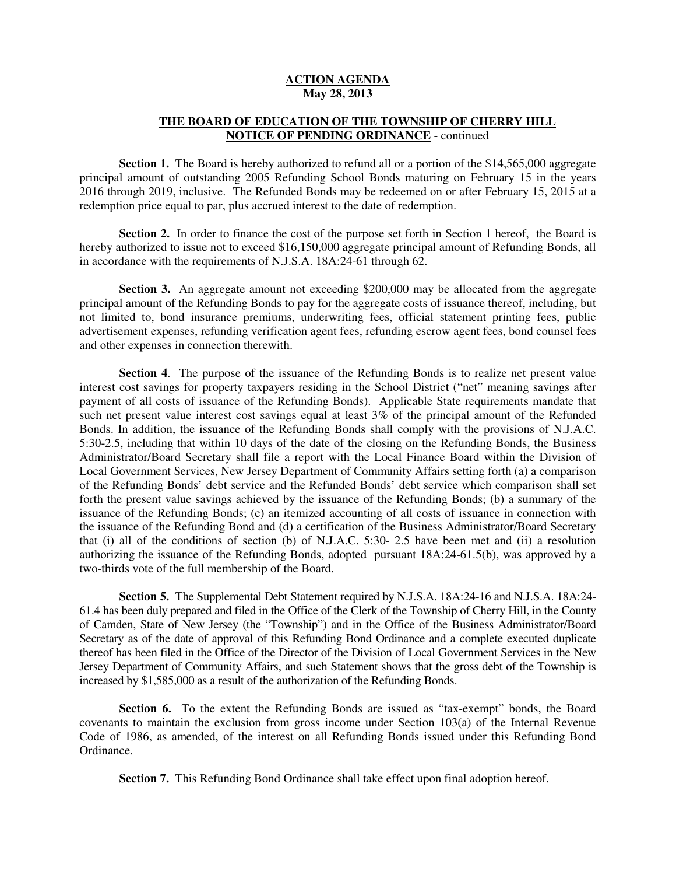#### **THE BOARD OF EDUCATION OF THE TOWNSHIP OF CHERRY HILL NOTICE OF PENDING ORDINANCE** - continued

 **Section 1.** The Board is hereby authorized to refund all or a portion of the \$14,565,000 aggregate principal amount of outstanding 2005 Refunding School Bonds maturing on February 15 in the years 2016 through 2019, inclusive. The Refunded Bonds may be redeemed on or after February 15, 2015 at a redemption price equal to par, plus accrued interest to the date of redemption.

Section 2. In order to finance the cost of the purpose set forth in Section 1 hereof, the Board is hereby authorized to issue not to exceed \$16,150,000 aggregate principal amount of Refunding Bonds, all in accordance with the requirements of N.J.S.A. 18A:24-61 through 62.

 **Section 3.** An aggregate amount not exceeding \$200,000 may be allocated from the aggregate principal amount of the Refunding Bonds to pay for the aggregate costs of issuance thereof, including, but not limited to, bond insurance premiums, underwriting fees, official statement printing fees, public advertisement expenses, refunding verification agent fees, refunding escrow agent fees, bond counsel fees and other expenses in connection therewith.

 **Section 4**. The purpose of the issuance of the Refunding Bonds is to realize net present value interest cost savings for property taxpayers residing in the School District ("net" meaning savings after payment of all costs of issuance of the Refunding Bonds). Applicable State requirements mandate that such net present value interest cost savings equal at least 3% of the principal amount of the Refunded Bonds. In addition, the issuance of the Refunding Bonds shall comply with the provisions of N.J.A.C. 5:30-2.5, including that within 10 days of the date of the closing on the Refunding Bonds, the Business Administrator/Board Secretary shall file a report with the Local Finance Board within the Division of Local Government Services, New Jersey Department of Community Affairs setting forth (a) a comparison of the Refunding Bonds' debt service and the Refunded Bonds' debt service which comparison shall set forth the present value savings achieved by the issuance of the Refunding Bonds; (b) a summary of the issuance of the Refunding Bonds; (c) an itemized accounting of all costs of issuance in connection with the issuance of the Refunding Bond and (d) a certification of the Business Administrator/Board Secretary that (i) all of the conditions of section (b) of N.J.A.C. 5:30- 2.5 have been met and (ii) a resolution authorizing the issuance of the Refunding Bonds, adopted pursuant 18A:24-61.5(b), was approved by a two-thirds vote of the full membership of the Board.

 **Section 5.** The Supplemental Debt Statement required by N.J.S.A. 18A:24-16 and N.J.S.A. 18A:24 61.4 has been duly prepared and filed in the Office of the Clerk of the Township of Cherry Hill, in the County of Camden, State of New Jersey (the "Township") and in the Office of the Business Administrator/Board Secretary as of the date of approval of this Refunding Bond Ordinance and a complete executed duplicate thereof has been filed in the Office of the Director of the Division of Local Government Services in the New Jersey Department of Community Affairs, and such Statement shows that the gross debt of the Township is increased by \$1,585,000 as a result of the authorization of the Refunding Bonds.

 **Section 6.** To the extent the Refunding Bonds are issued as "tax-exempt" bonds, the Board covenants to maintain the exclusion from gross income under Section 103(a) of the Internal Revenue Code of 1986, as amended, of the interest on all Refunding Bonds issued under this Refunding Bond Ordinance.

**Section 7.** This Refunding Bond Ordinance shall take effect upon final adoption hereof.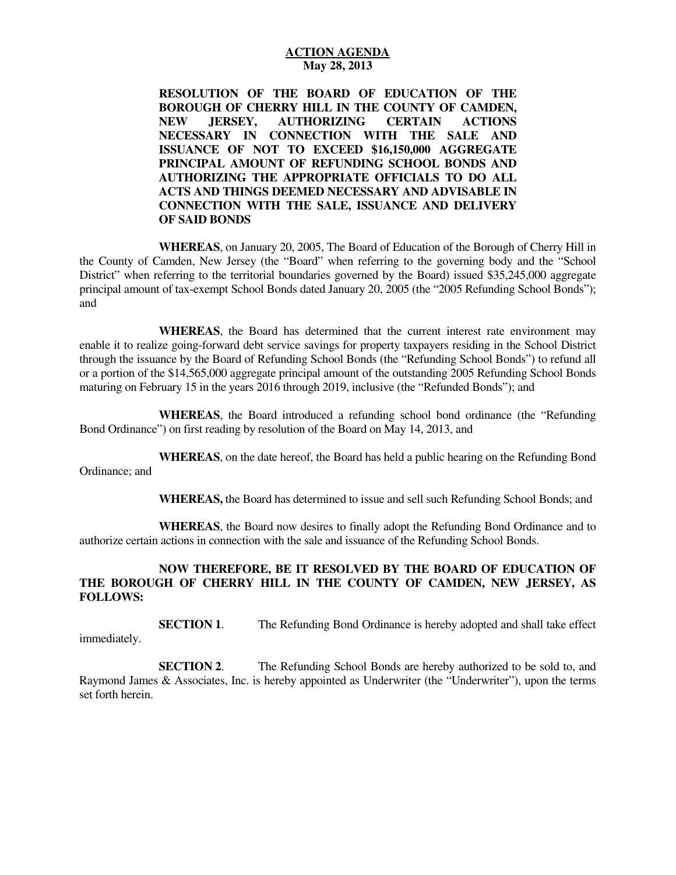**RESOLUTION OF THE BOARD OF EDUCATION OF THE BOROUGH OF CHERRY HILL IN THE COUNTY OF CAMDEN, NECESSARY IN CONNECTION WITH THE SALE AND ISSUANCE OF NOT TO EXCEED \$16,150,000 AGGREGATE PRINCIPAL AMOUNT OF REFUNDING SCHOOL BONDS AND AUTHORIZING THE APPROPRIATE OFFICIALS TO DO ALL ACTS AND THINGS DEEMED NECESSARY AND ADVISABLE IN CONNECTION WITH THE SALE, ISSUANCE AND DELIVERY OF SAID BONDS NEW JERSEY, AUTHORIZING CERTAIN ACTIONS** 

 **WHEREAS**, on January 20, 2005, The Board of Education of the Borough of Cherry Hill in the County of Camden, New Jersey (the "Board" when referring to the governing body and the "School District" when referring to the territorial boundaries governed by the Board) issued \$35,245,000 aggregate principal amount of tax-exempt School Bonds dated January 20, 2005 (the "2005 Refunding School Bonds"); and

 **WHEREAS**, the Board has determined that the current interest rate environment may enable it to realize going-forward debt service savings for property taxpayers residing in the School District through the issuance by the Board of Refunding School Bonds (the "Refunding School Bonds") to refund all or a portion of the \$14,565,000 aggregate principal amount of the outstanding 2005 Refunding School Bonds maturing on February 15 in the years 2016 through 2019, inclusive (the "Refunded Bonds"); and

 **WHEREAS**, the Board introduced a refunding school bond ordinance (the "Refunding Bond Ordinance") on first reading by resolution of the Board on May 14, 2013, and

 **WHEREAS**, on the date hereof, the Board has held a public hearing on the Refunding Bond Ordinance; and

**WHEREAS,** the Board has determined to issue and sell such Refunding School Bonds; and

 **WHEREAS**, the Board now desires to finally adopt the Refunding Bond Ordinance and to authorize certain actions in connection with the sale and issuance of the Refunding School Bonds.

#### **NOW THEREFORE, BE IT RESOLVED BY THE BOARD OF EDUCATION OF THE BOROUGH OF CHERRY HILL IN THE COUNTY OF CAMDEN, NEW JERSEY, AS FOLLOWS:**

**SECTION 1.** The Refunding Bond Ordinance is hereby adopted and shall take effect

immediately.

**SECTION 2.**  Raymond James & Associates, Inc. is hereby appointed as Underwriter (the "Underwriter"), upon the terms set forth herein. The Refunding School Bonds are hereby authorized to be sold to, and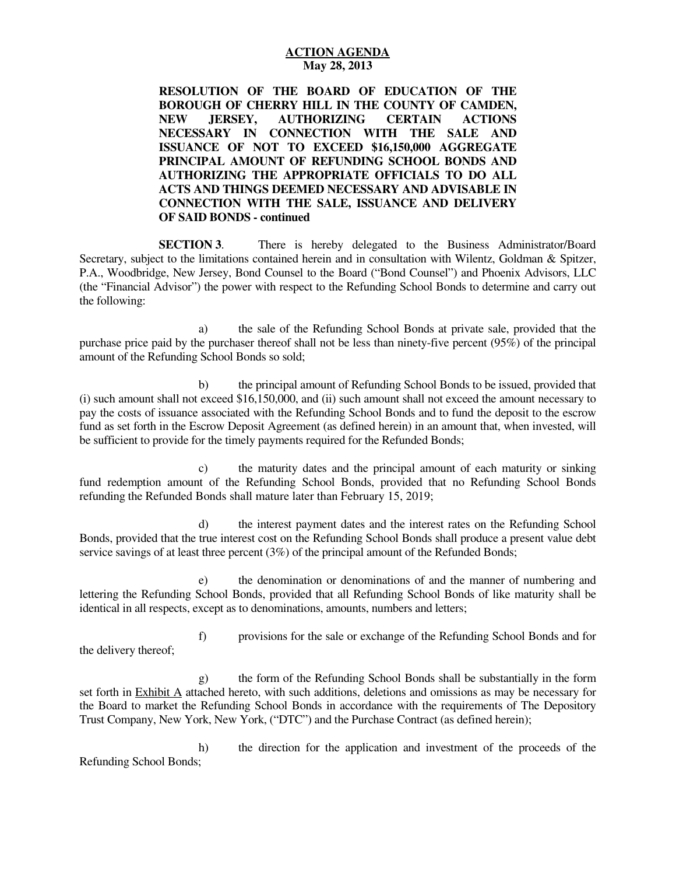**RESOLUTION OF THE BOARD OF EDUCATION OF THE BOROUGH OF CHERRY HILL IN THE COUNTY OF CAMDEN, NECESSARY IN CONNECTION WITH THE SALE AND ISSUANCE OF NOT TO EXCEED \$16,150,000 AGGREGATE PRINCIPAL AMOUNT OF REFUNDING SCHOOL BONDS AND AUTHORIZING THE APPROPRIATE OFFICIALS TO DO ALL ACTS AND THINGS DEEMED NECESSARY AND ADVISABLE IN CONNECTION WITH THE SALE, ISSUANCE AND DELIVERY OF SAID BONDS - continued NEW JERSEY, AUTHORIZING CERTAIN ACTIONS** 

**SECTION 3.**  Secretary, subject to the limitations contained herein and in consultation with Wilentz, Goldman & Spitzer, P.A., Woodbridge, New Jersey, Bond Counsel to the Board ("Bond Counsel") and Phoenix Advisors, LLC (the "Financial Advisor") the power with respect to the Refunding School Bonds to determine and carry out the following: There is hereby delegated to the Business Administrator/Board

 purchase price paid by the purchaser thereof shall not be less than ninety-five percent (95%) of the principal amount of the Refunding School Bonds so sold; a) the sale of the Refunding School Bonds at private sale, provided that the

 (i) such amount shall not exceed \$16,150,000, and (ii) such amount shall not exceed the amount necessary to pay the costs of issuance associated with the Refunding School Bonds and to fund the deposit to the escrow fund as set forth in the Escrow Deposit Agreement (as defined herein) in an amount that, when invested, will be sufficient to provide for the timely payments required for the Refunded Bonds; b) the principal amount of Refunding School Bonds to be issued, provided that

 fund redemption amount of the Refunding School Bonds, provided that no Refunding School Bonds refunding the Refunded Bonds shall mature later than February 15, 2019; c) the maturity dates and the principal amount of each maturity or sinking

 Bonds, provided that the true interest cost on the Refunding School Bonds shall produce a present value debt service savings of at least three percent (3%) of the principal amount of the Refunded Bonds; d) the interest payment dates and the interest rates on the Refunding School

 lettering the Refunding School Bonds, provided that all Refunding School Bonds of like maturity shall be identical in all respects, except as to denominations, amounts, numbers and letters; e) the denomination or denominations of and the manner of numbering and

 the delivery thereof; f) provisions for the sale or exchange of the Refunding School Bonds and for

set forth in **Exhibit A** attached hereto, with such additions, deletions and omissions as may be necessary for the Board to market the Refunding School Bonds in accordance with the requirements of The Depository Trust Company, New York, New York, ("DTC") and the Purchase Contract (as defined herein); g) the form of the Refunding School Bonds shall be substantially in the form

 Refunding School Bonds; h) the direction for the application and investment of the proceeds of the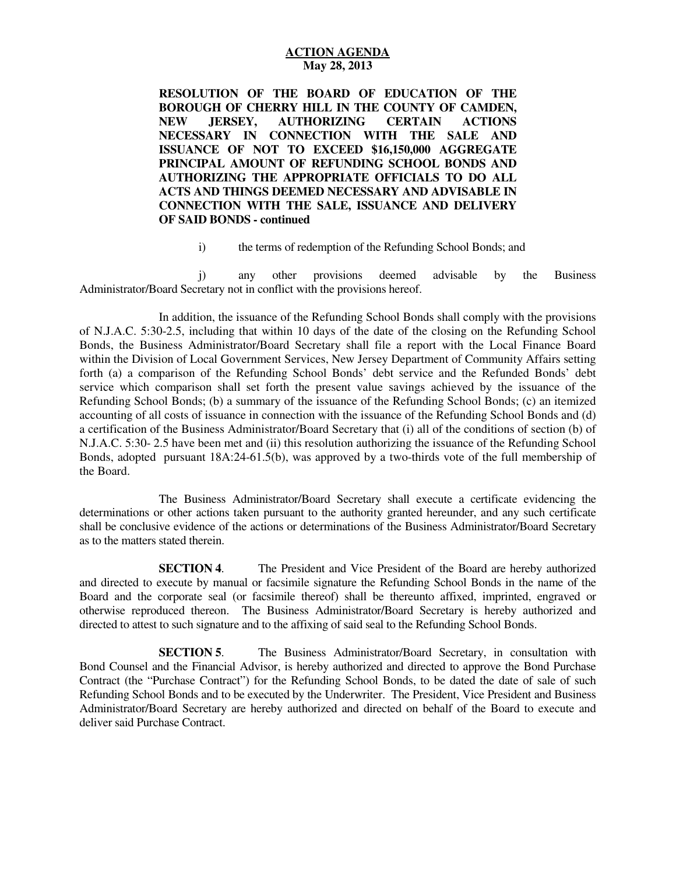**RESOLUTION OF THE BOARD OF EDUCATION OF THE BOROUGH OF CHERRY HILL IN THE COUNTY OF CAMDEN, NECESSARY IN CONNECTION WITH THE SALE AND ISSUANCE OF NOT TO EXCEED \$16,150,000 AGGREGATE PRINCIPAL AMOUNT OF REFUNDING SCHOOL BONDS AND AUTHORIZING THE APPROPRIATE OFFICIALS TO DO ALL ACTS AND THINGS DEEMED NECESSARY AND ADVISABLE IN CONNECTION WITH THE SALE, ISSUANCE AND DELIVERY OF SAID BONDS - continued NEW JERSEY, AUTHORIZING CERTAIN ACTIONS** 

i) the terms of redemption of the Refunding School Bonds; and

 Administrator/Board Secretary not in conflict with the provisions hereof. j) any other provisions deemed advisable by the Business

 of N.J.A.C. 5:30-2.5, including that within 10 days of the date of the closing on the Refunding School Bonds, the Business Administrator/Board Secretary shall file a report with the Local Finance Board within the Division of Local Government Services, New Jersey Department of Community Affairs setting forth (a) a comparison of the Refunding School Bonds' debt service and the Refunded Bonds' debt service which comparison shall set forth the present value savings achieved by the issuance of the Refunding School Bonds; (b) a summary of the issuance of the Refunding School Bonds; (c) an itemized accounting of all costs of issuance in connection with the issuance of the Refunding School Bonds and (d) a certification of the Business Administrator/Board Secretary that (i) all of the conditions of section (b) of N.J.A.C. 5:30- 2.5 have been met and (ii) this resolution authorizing the issuance of the Refunding School Bonds, adopted pursuant 18A:24-61.5(b), was approved by a two-thirds vote of the full membership of the Board. In addition, the issuance of the Refunding School Bonds shall comply with the provisions

 The Business Administrator/Board Secretary shall execute a certificate evidencing the determinations or other actions taken pursuant to the authority granted hereunder, and any such certificate shall be conclusive evidence of the actions or determinations of the Business Administrator/Board Secretary as to the matters stated therein.

**SECTION 4.**  and directed to execute by manual or facsimile signature the Refunding School Bonds in the name of the Board and the corporate seal (or facsimile thereof) shall be thereunto affixed, imprinted, engraved or otherwise reproduced thereon. The Business Administrator/Board Secretary is hereby authorized and directed to attest to such signature and to the affixing of said seal to the Refunding School Bonds. The President and Vice President of the Board are hereby authorized

**SECTION 5.**  Bond Counsel and the Financial Advisor, is hereby authorized and directed to approve the Bond Purchase Contract (the "Purchase Contract") for the Refunding School Bonds, to be dated the date of sale of such Refunding School Bonds and to be executed by the Underwriter. The President, Vice President and Business Administrator/Board Secretary are hereby authorized and directed on behalf of the Board to execute and deliver said Purchase Contract. The Business Administrator/Board Secretary, in consultation with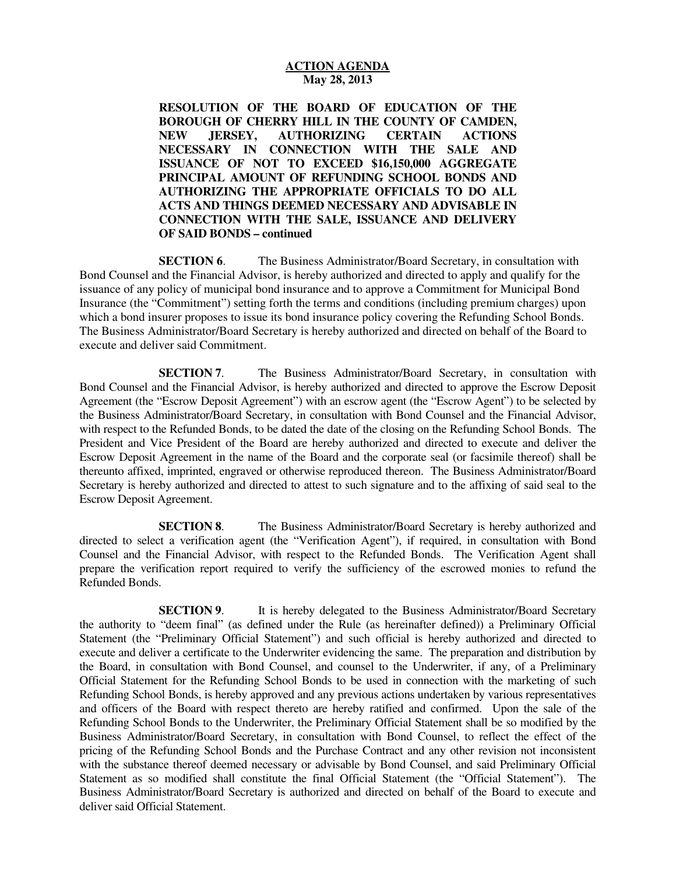**RESOLUTION OF THE BOARD OF EDUCATION OF THE BOROUGH OF CHERRY HILL IN THE COUNTY OF CAMDEN, NECESSARY IN CONNECTION WITH THE SALE AND ISSUANCE OF NOT TO EXCEED \$16,150,000 AGGREGATE PRINCIPAL AMOUNT OF REFUNDING SCHOOL BONDS AND AUTHORIZING THE APPROPRIATE OFFICIALS TO DO ALL ACTS AND THINGS DEEMED NECESSARY AND ADVISABLE IN CONNECTION WITH THE SALE, ISSUANCE AND DELIVERY OF SAID BONDS – continued NEW JERSEY, AUTHORIZING CERTAIN ACTIONS** 

**SECTION 6.**  Bond Counsel and the Financial Advisor, is hereby authorized and directed to apply and qualify for the issuance of any policy of municipal bond insurance and to approve a Commitment for Municipal Bond Insurance (the "Commitment") setting forth the terms and conditions (including premium charges) upon which a bond insurer proposes to issue its bond insurance policy covering the Refunding School Bonds. The Business Administrator/Board Secretary is hereby authorized and directed on behalf of the Board to execute and deliver said Commitment. The Business Administrator/Board Secretary, in consultation with

**SECTION 7.**  Bond Counsel and the Financial Advisor, is hereby authorized and directed to approve the Escrow Deposit Agreement (the "Escrow Deposit Agreement") with an escrow agent (the "Escrow Agent") to be selected by the Business Administrator/Board Secretary, in consultation with Bond Counsel and the Financial Advisor, with respect to the Refunded Bonds, to be dated the date of the closing on the Refunding School Bonds. The President and Vice President of the Board are hereby authorized and directed to execute and deliver the Escrow Deposit Agreement in the name of the Board and the corporate seal (or facsimile thereof) shall be thereunto affixed, imprinted, engraved or otherwise reproduced thereon. The Business Administrator/Board Secretary is hereby authorized and directed to attest to such signature and to the affixing of said seal to the Escrow Deposit Agreement. The Business Administrator/Board Secretary, in consultation with

**SECTION 8.**  directed to select a verification agent (the "Verification Agent"), if required, in consultation with Bond Counsel and the Financial Advisor, with respect to the Refunded Bonds. The Verification Agent shall prepare the verification report required to verify the sufficiency of the escrowed monies to refund the Refunded Bonds. The Business Administrator/Board Secretary is hereby authorized and

**SECTION 9.**  the authority to "deem final" (as defined under the Rule (as hereinafter defined)) a Preliminary Official Statement (the "Preliminary Official Statement") and such official is hereby authorized and directed to execute and deliver a certificate to the Underwriter evidencing the same. The preparation and distribution by the Board, in consultation with Bond Counsel, and counsel to the Underwriter, if any, of a Preliminary Official Statement for the Refunding School Bonds to be used in connection with the marketing of such Refunding School Bonds, is hereby approved and any previous actions undertaken by various representatives and officers of the Board with respect thereto are hereby ratified and confirmed. Upon the sale of the Refunding School Bonds to the Underwriter, the Preliminary Official Statement shall be so modified by the Business Administrator/Board Secretary, in consultation with Bond Counsel, to reflect the effect of the pricing of the Refunding School Bonds and the Purchase Contract and any other revision not inconsistent with the substance thereof deemed necessary or advisable by Bond Counsel, and said Preliminary Official Statement as so modified shall constitute the final Official Statement (the "Official Statement"). The Business Administrator/Board Secretary is authorized and directed on behalf of the Board to execute and deliver said Official Statement. It is hereby delegated to the Business Administrator/Board Secretary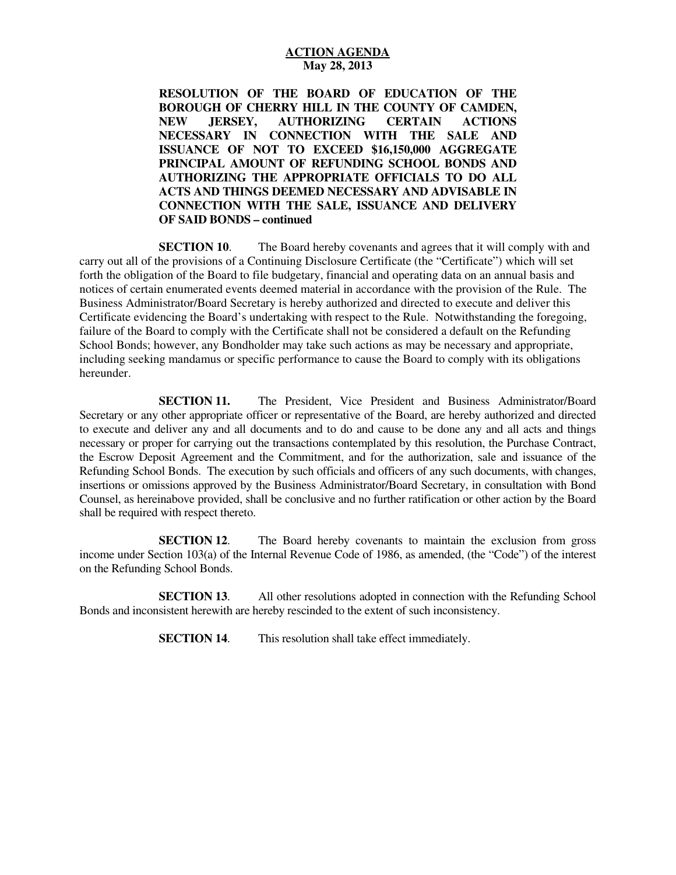**RESOLUTION OF THE BOARD OF EDUCATION OF THE BOROUGH OF CHERRY HILL IN THE COUNTY OF CAMDEN, NECESSARY IN CONNECTION WITH THE SALE AND ISSUANCE OF NOT TO EXCEED \$16,150,000 AGGREGATE PRINCIPAL AMOUNT OF REFUNDING SCHOOL BONDS AND AUTHORIZING THE APPROPRIATE OFFICIALS TO DO ALL ACTS AND THINGS DEEMED NECESSARY AND ADVISABLE IN CONNECTION WITH THE SALE, ISSUANCE AND DELIVERY OF SAID BONDS – continued NEW JERSEY, AUTHORIZING CERTAIN ACTIONS** 

**SECTION 10.**  carry out all of the provisions of a Continuing Disclosure Certificate (the "Certificate") which will set forth the obligation of the Board to file budgetary, financial and operating data on an annual basis and notices of certain enumerated events deemed material in accordance with the provision of the Rule. The Business Administrator/Board Secretary is hereby authorized and directed to execute and deliver this Certificate evidencing the Board's undertaking with respect to the Rule. Notwithstanding the foregoing, failure of the Board to comply with the Certificate shall not be considered a default on the Refunding School Bonds; however, any Bondholder may take such actions as may be necessary and appropriate, including seeking mandamus or specific performance to cause the Board to comply with its obligations The Board hereby covenants and agrees that it will comply with and hereunder.

**SECTION 11.**  Secretary or any other appropriate officer or representative of the Board, are hereby authorized and directed to execute and deliver any and all documents and to do and cause to be done any and all acts and things necessary or proper for carrying out the transactions contemplated by this resolution, the Purchase Contract, the Escrow Deposit Agreement and the Commitment, and for the authorization, sale and issuance of the Refunding School Bonds. The execution by such officials and officers of any such documents, with changes, insertions or omissions approved by the Business Administrator/Board Secretary, in consultation with Bond Counsel, as hereinabove provided, shall be conclusive and no further ratification or other action by the Board shall be required with respect thereto. The President, Vice President and Business Administrator/Board

**SECTION 12.**  income under Section 103(a) of the Internal Revenue Code of 1986, as amended, (the "Code") of the interest on the Refunding School Bonds. The Board hereby covenants to maintain the exclusion from gross

**SECTION 13.**  Bonds and inconsistent herewith are hereby rescinded to the extent of such inconsistency. All other resolutions adopted in connection with the Refunding School

> **SECTION 14.** This resolution shall take effect immediately.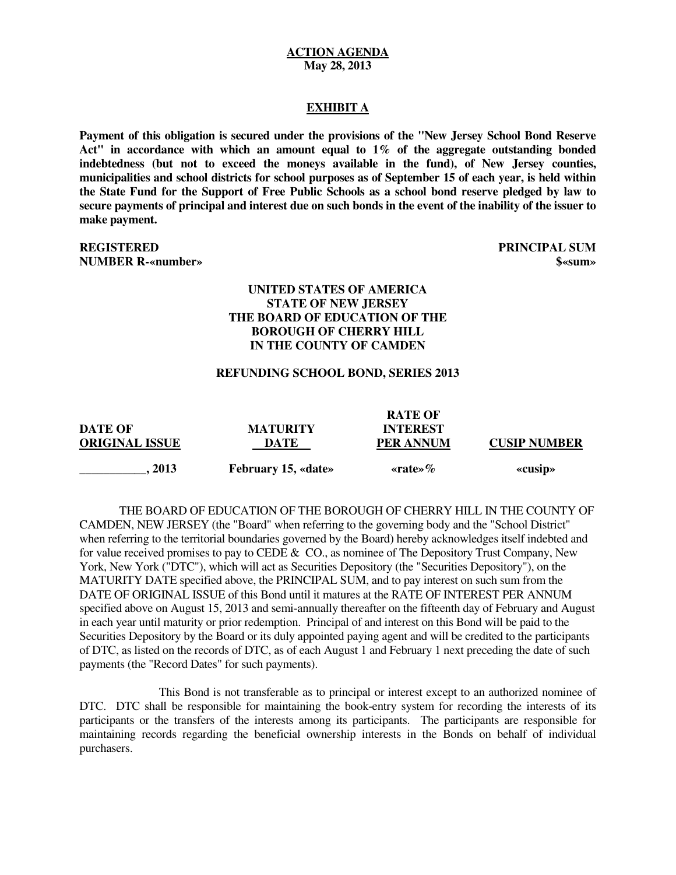#### **EXHIBIT A**

Payment of this obligation is secured under the provisions of the "New Jersey School Bond Reserve  **Act" in accordance with which an amount equal to 1% of the aggregate outstanding bonded indebtedness (but not to exceed the moneys available in the fund), of New Jersey counties, municipalities and school districts for school purposes as of September 15 of each year, is held within the State Fund for the Support of Free Public Schools as a school bond reserve pledged by law to secure payments of principal and interest due on such bonds in the event of the inability of the issuer to make payment.** 

**REGISTERED NUMBER R-«number»**  $\bullet$  **s**  $\bullet$  **s**  $\bullet$  **s**  $\bullet$  **s**  $\bullet$  **s**  $\bullet$  **s**  $\bullet$  **s**  $\bullet$  **s**  $\bullet$  **s**  $\bullet$  **s**  $\bullet$  **s**  $\bullet$  **s**  $\bullet$  **s**  $\bullet$  **s**  $\bullet$  **s**  $\bullet$  **s**  $\bullet$  **s**  $\bullet$  **s**  $\bullet$  **s**  $\bullet$  **s**  $\bullet$  **s**  $\bullet$  **s**  $\bullet$ 

**PRINCIPAL SUM** 

#### **UNITED STATES OF AMERICA STATE OF NEW JERSEY THE BOARD OF EDUCATION OF THE BOROUGH OF CHERRY HILL IN THE COUNTY OF CAMDEN**

#### **REFUNDING SCHOOL BOND, SERIES 2013**

**DATE OF ORIGINAL ISSUE DATE PER ANNUM CUSIP NUMBER RATE OF PER ANNUM**  $, 2013$ **DESCRIPTIVE INTEREST** February 15, «date» **«rate»** «rate» **«cusip»** 

 CAMDEN, NEW JERSEY (the "Board" when referring to the governing body and the "School District" when referring to the territorial boundaries governed by the Board) hereby acknowledges itself indebted and for value received promises to pay to CEDE & CO., as nominee of The Depository Trust Company, New York, New York ("DTC"), which will act as Securities Depository (the "Securities Depository"), on the MATURITY DATE specified above, the PRINCIPAL SUM, and to pay interest on such sum from the DATE OF ORIGINAL ISSUE of this Bond until it matures at the RATE OF INTEREST PER ANNUM specified above on August 15, 2013 and semi-annually thereafter on the fifteenth day of February and August in each year until maturity or prior redemption. Principal of and interest on this Bond will be paid to the Securities Depository by the Board or its duly appointed paying agent and will be credited to the participants of DTC, as listed on the records of DTC, as of each August 1 and February 1 next preceding the date of such payments (the "Record Dates" for such payments). THE BOARD OF EDUCATION OF THE BOROUGH OF CHERRY HILL IN THE COUNTY OF

 This Bond is not transferable as to principal or interest except to an authorized nominee of DTC. DTC shall be responsible for maintaining the book-entry system for recording the interests of its participants or the transfers of the interests among its participants. The participants are responsible for maintaining records regarding the beneficial ownership interests in the Bonds on behalf of individual purchasers.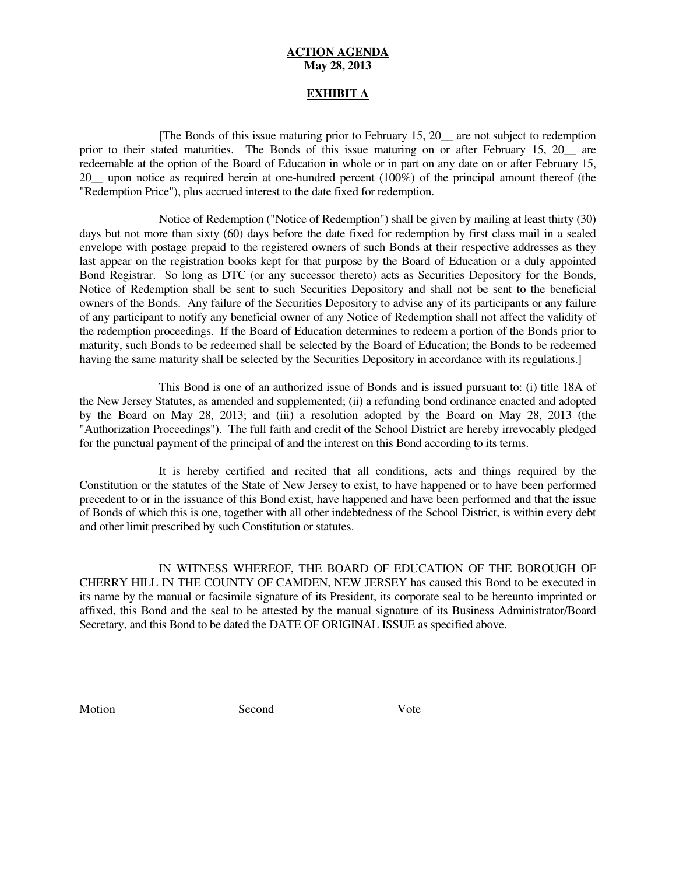### **EXHIBIT A**

 [The Bonds of this issue maturing prior to February 15, 20\_\_ are not subject to redemption prior to their stated maturities. The Bonds of this issue maturing on or after February 15, 20 are redeemable at the option of the Board of Education in whole or in part on any date on or after February 15, 20\_\_ upon notice as required herein at one-hundred percent (100%) of the principal amount thereof (the "Redemption Price"), plus accrued interest to the date fixed for redemption.

 Notice of Redemption ("Notice of Redemption") shall be given by mailing at least thirty (30) days but not more than sixty (60) days before the date fixed for redemption by first class mail in a sealed envelope with postage prepaid to the registered owners of such Bonds at their respective addresses as they last appear on the registration books kept for that purpose by the Board of Education or a duly appointed Bond Registrar. So long as DTC (or any successor thereto) acts as Securities Depository for the Bonds, Notice of Redemption shall be sent to such Securities Depository and shall not be sent to the beneficial owners of the Bonds. Any failure of the Securities Depository to advise any of its participants or any failure of any participant to notify any beneficial owner of any Notice of Redemption shall not affect the validity of the redemption proceedings. If the Board of Education determines to redeem a portion of the Bonds prior to maturity, such Bonds to be redeemed shall be selected by the Board of Education; the Bonds to be redeemed having the same maturity shall be selected by the Securities Depository in accordance with its regulations.]

 This Bond is one of an authorized issue of Bonds and is issued pursuant to: (i) title 18A of the New Jersey Statutes, as amended and supplemented; (ii) a refunding bond ordinance enacted and adopted by the Board on May 28, 2013; and (iii) a resolution adopted by the Board on May 28, 2013 (the "Authorization Proceedings"). The full faith and credit of the School District are hereby irrevocably pledged for the punctual payment of the principal of and the interest on this Bond according to its terms.

 It is hereby certified and recited that all conditions, acts and things required by the Constitution or the statutes of the State of New Jersey to exist, to have happened or to have been performed precedent to or in the issuance of this Bond exist, have happened and have been performed and that the issue of Bonds of which this is one, together with all other indebtedness of the School District, is within every debt and other limit prescribed by such Constitution or statutes.

 IN WITNESS WHEREOF, THE BOARD OF EDUCATION OF THE BOROUGH OF CHERRY HILL IN THE COUNTY OF CAMDEN, NEW JERSEY has caused this Bond to be executed in its name by the manual or facsimile signature of its President, its corporate seal to be hereunto imprinted or affixed, this Bond and the seal to be attested by the manual signature of its Business Administrator/Board Secretary, and this Bond to be dated the DATE OF ORIGINAL ISSUE as specified above.

Motion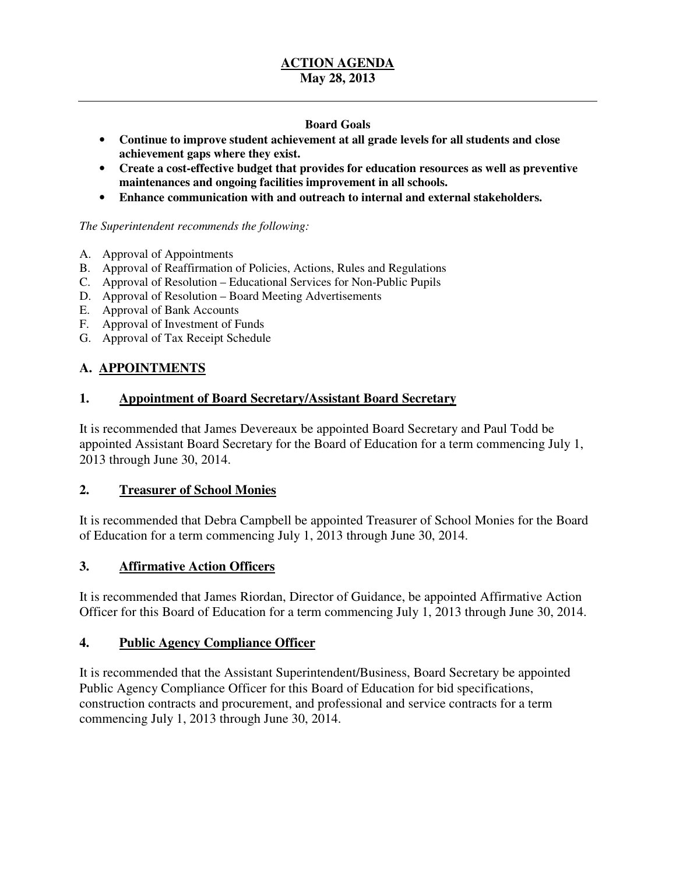## **Board Goals**

- • **Continue to improve student achievement at all grade levels for all students and close achievement gaps where they exist.**
- **•** Create a cost-effective budget that provides for education resources as well as preventive  **maintenances and ongoing facilities improvement in all schools.**
- • **Enhance communication with and outreach to internal and external stakeholders.**

#### *The Superintendent recommends the following:*

- A. Approval of Appointments
- B. Approval of Reaffirmation of Policies, Actions, Rules and Regulations
- C. Approval of Resolution Educational Services for Non-Public Pupils
- D. Approval of Resolution Board Meeting Advertisements
- E. Approval of Bank Accounts
- F. Approval of Investment of Funds
- G. Approval of Tax Receipt Schedule

# **A. APPOINTMENTS**

# **1. Appointment of Board Secretary/Assistant Board Secretary**

 It is recommended that James Devereaux be appointed Board Secretary and Paul Todd be appointed Assistant Board Secretary for the Board of Education for a term commencing July 1, 2013 through June 30, 2014.

## **2. Treasurer of School Monies**

 It is recommended that Debra Campbell be appointed Treasurer of School Monies for the Board of Education for a term commencing July 1, 2013 through June 30, 2014.

## **3. Affirmative Action Officers**

 It is recommended that James Riordan, Director of Guidance, be appointed Affirmative Action Officer for this Board of Education for a term commencing July 1, 2013 through June 30, 2014.

#### **Public Agency Compliance Officer**

 It is recommended that the Assistant Superintendent/Business, Board Secretary be appointed Public Agency Compliance Officer for this Board of Education for bid specifications, construction contracts and procurement, and professional and service contracts for a term commencing July 1, 2013 through June 30, 2014.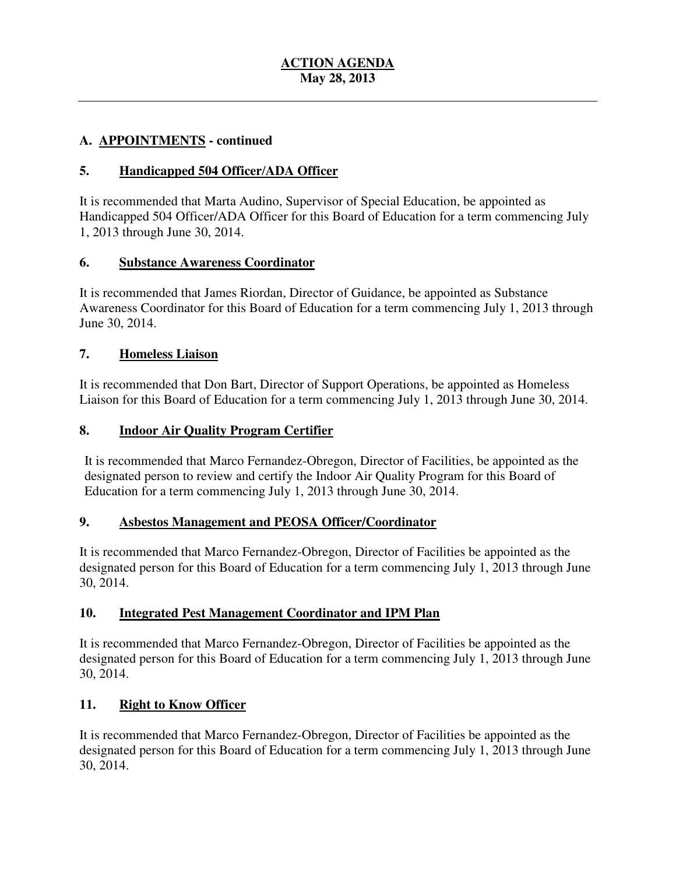## **A. APPOINTMENTS - continued**

## **5. Handicapped 504 Officer**/**ADA Officer**

 It is recommended that Marta Audino, Supervisor of Special Education, be appointed as Handicapped 504 Officer/ADA Officer for this Board of Education for a term commencing July 1, 2013 through June 30, 2014.

## **6. Substance Awareness Coordinator**

 It is recommended that James Riordan, Director of Guidance, be appointed as Substance Awareness Coordinator for this Board of Education for a term commencing July 1, 2013 through June 30, 2014.

## **7. Homeless Liaison**

 It is recommended that Don Bart, Director of Support Operations, be appointed as Homeless Liaison for this Board of Education for a term commencing July 1, 2013 through June 30, 2014.

#### **Indoor Air Quality Program Certifier**

 It is recommended that Marco Fernandez-Obregon, Director of Facilities, be appointed as the designated person to review and certify the Indoor Air Quality Program for this Board of Education for a term commencing July 1, 2013 through June 30, 2014.

## **9. Asbestos Management and PEOSA Officer/Coordinator**

 It is recommended that Marco Fernandez-Obregon, Director of Facilities be appointed as the designated person for this Board of Education for a term commencing July 1, 2013 through June 30, 2014.

## **10. Integrated Pest Management Coordinator and IPM Plan**

 It is recommended that Marco Fernandez-Obregon, Director of Facilities be appointed as the designated person for this Board of Education for a term commencing July 1, 2013 through June 30, 2014.

#### **11. Right to Know Officer**

 It is recommended that Marco Fernandez-Obregon, Director of Facilities be appointed as the designated person for this Board of Education for a term commencing July 1, 2013 through June 30, 2014.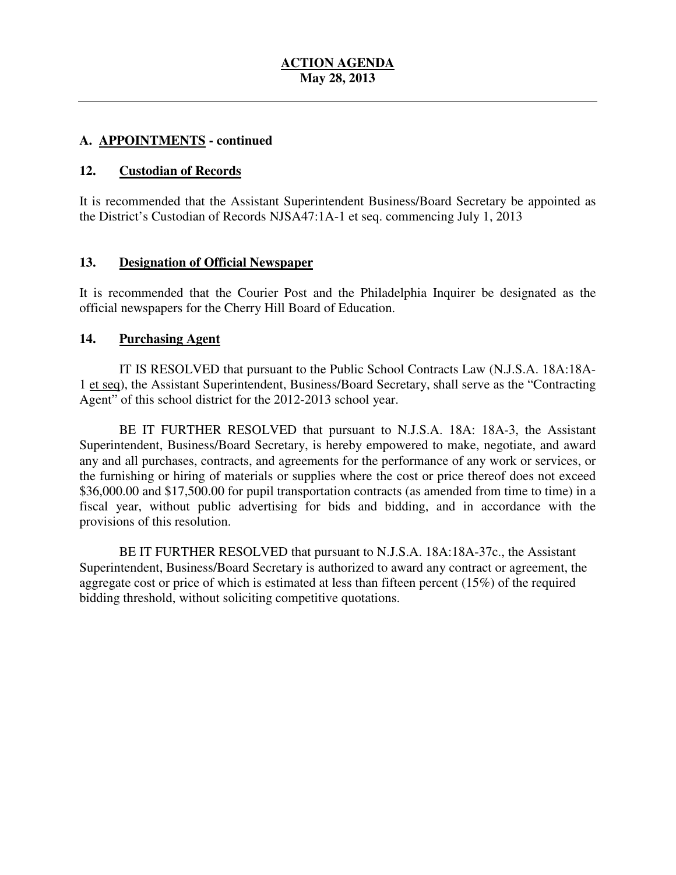## **A. APPOINTMENTS - continued**

#### $12.$ **12. Custodian of Records**

 It is recommended that the Assistant Superintendent Business/Board Secretary be appointed as the District's Custodian of Records NJSA47:1A-1 et seq. commencing July 1, 2013

## **13. Designation of Official Newspaper**

 It is recommended that the Courier Post and the Philadelphia Inquirer be designated as the official newspapers for the Cherry Hill Board of Education.

## 14. Purchasing Agent

 1 et seq), the Assistant Superintendent, Business/Board Secretary, shall serve as the "Contracting Agent" of this school district for the 2012-2013 school year. IT IS RESOLVED that pursuant to the Public School Contracts Law (N.J.S.A. 18A:18A-

 Superintendent, Business/Board Secretary, is hereby empowered to make, negotiate, and award any and all purchases, contracts, and agreements for the performance of any work or services, or the furnishing or hiring of materials or supplies where the cost or price thereof does not exceed \$36,000.00 and \$17,500.00 for pupil transportation contracts (as amended from time to time) in a fiscal year, without public advertising for bids and bidding, and in accordance with the provisions of this resolution. BE IT FURTHER RESOLVED that pursuant to N.J.S.A. 18A: 18A-3, the Assistant

 BE IT FURTHER RESOLVED that pursuant to N.J.S.A. 18A:18A-37c., the Assistant Superintendent, Business/Board Secretary is authorized to award any contract or agreement, the aggregate cost or price of which is estimated at less than fifteen percent (15%) of the required bidding threshold, without soliciting competitive quotations.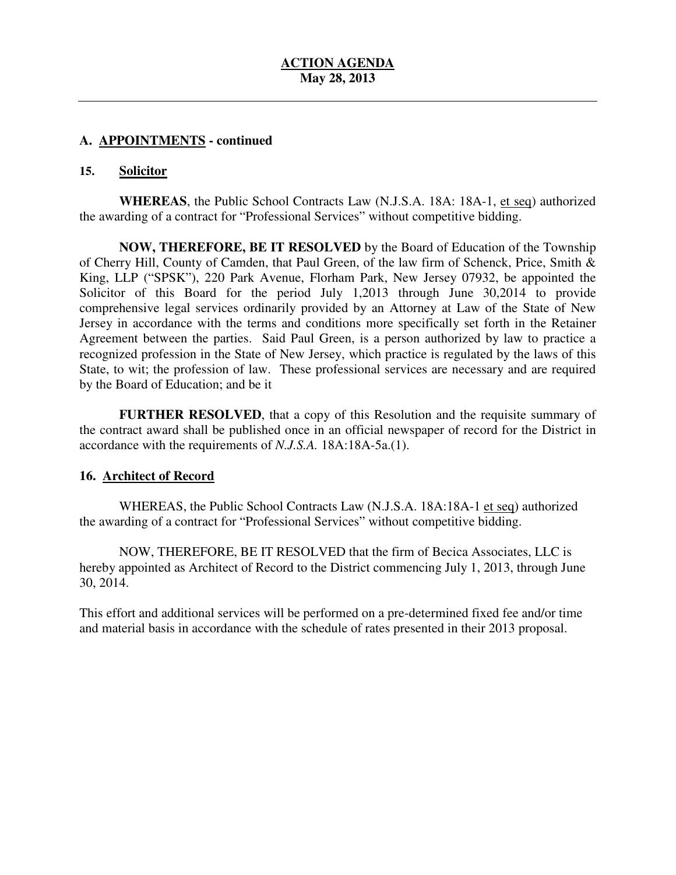## **A. APPOINTMENTS - continued**

#### **15. Solicitor**

 **WHEREAS**, the Public School Contracts Law (N.J.S.A. 18A: 18A-1, et seq) authorized the awarding of a contract for "Professional Services" without competitive bidding.

 **NOW, THEREFORE, BE IT RESOLVED** by the Board of Education of the Township of Cherry Hill, County of Camden, that Paul Green, of the law firm of Schenck, Price, Smith & King, LLP ("SPSK"), 220 Park Avenue, Florham Park, New Jersey 07932, be appointed the Solicitor of this Board for the period July 1,2013 through June 30,2014 to provide comprehensive legal services ordinarily provided by an Attorney at Law of the State of New Jersey in accordance with the terms and conditions more specifically set forth in the Retainer Agreement between the parties. Said Paul Green, is a person authorized by law to practice a recognized profession in the State of New Jersey, which practice is regulated by the laws of this State, to wit; the profession of law. These professional services are necessary and are required by the Board of Education; and be it

 **FURTHER RESOLVED**, that a copy of this Resolution and the requisite summary of the contract award shall be published once in an official newspaper of record for the District in accordance with the requirements of *N.J.S.A.* 18A:18A-5a.(1).

## **16. Architect of Record**

WHEREAS, the Public School Contracts Law (N.J.S.A. 18A:18A-1 et seq) authorized the awarding of a contract for "Professional Services" without competitive bidding.

 NOW, THEREFORE, BE IT RESOLVED that the firm of Becica Associates, LLC is hereby appointed as Architect of Record to the District commencing July 1, 2013, through June 30, 2014.

 This effort and additional services will be performed on a pre-determined fixed fee and/or time and material basis in accordance with the schedule of rates presented in their 2013 proposal.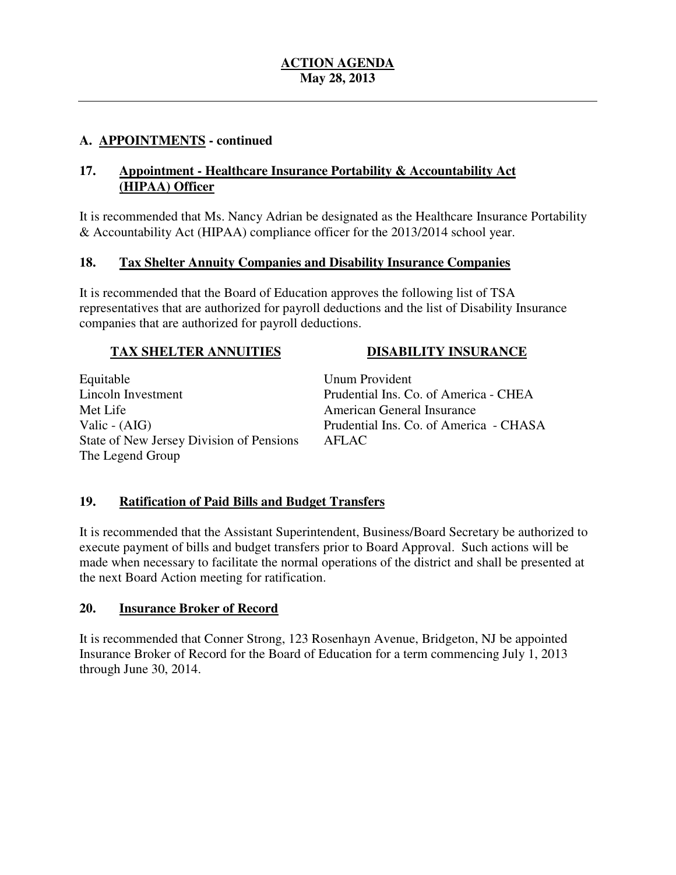## **A. APPOINTMENTS - continued**

#### $17.$  **(HIPAA) Officer**  Appointment - Healthcare Insurance Portability & Accountability Act

 It is recommended that Ms. Nancy Adrian be designated as the Healthcare Insurance Portability & Accountability Act (HIPAA) compliance officer for the 2013/2014 school year.

#### **18. 18. Tax Shelter Annuity Companies and Disability Insurance Companies**

 It is recommended that the Board of Education approves the following list of TSA representatives that are authorized for payroll deductions and the list of Disability Insurance companies that are authorized for payroll deductions.

## **TAX SHELTER ANNUITIES DISABILITY INSURANCE**

## Lincoln Investment Met Life Valic - (AIG) State of New Jersey Division of Pensions The Legend Group Equitable

 Unum Provident Prudential Ins. Co. of America - CHEA American General Insurance Prudential Ins. Co. of America - CHASA AFLAC

## **19. Ratification of Paid Bills and Budget Transfers**

 It is recommended that the Assistant Superintendent, Business/Board Secretary be authorized to execute payment of bills and budget transfers prior to Board Approval. Such actions will be made when necessary to facilitate the normal operations of the district and shall be presented at the next Board Action meeting for ratification.

## **20. Insurance Broker of Record**

 It is recommended that Conner Strong, 123 Rosenhayn Avenue, Bridgeton, NJ be appointed Insurance Broker of Record for the Board of Education for a term commencing July 1, 2013 through June 30, 2014.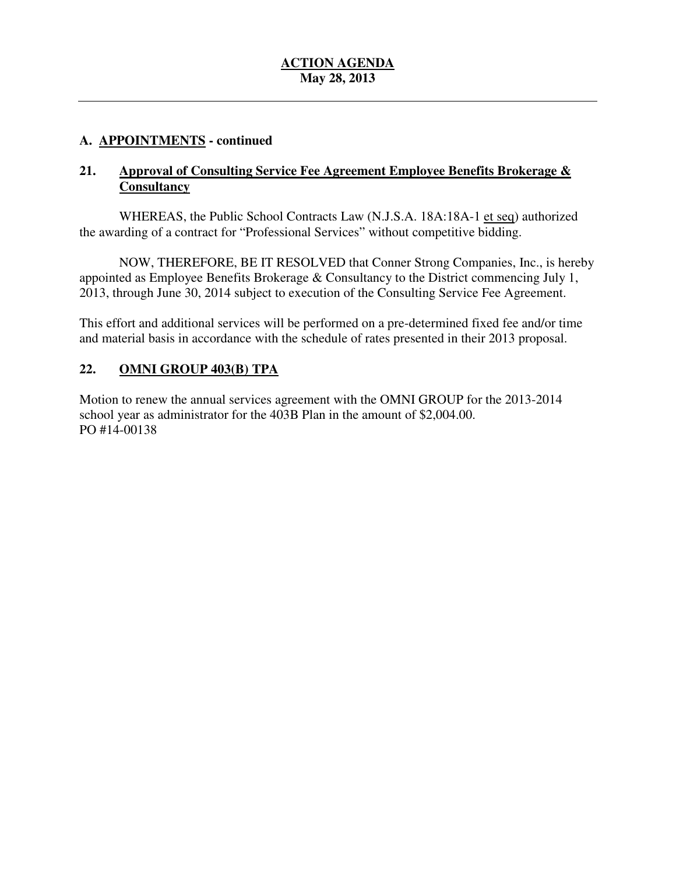## **A. APPOINTMENTS - continued**

#### **21. <u>Approval of Consulting Service Fee Agreement Employee Benefits Brokerage & </u> Consultancy**

WHEREAS, the Public School Contracts Law (N.J.S.A. 18A:18A-1 et seq) authorized the awarding of a contract for "Professional Services" without competitive bidding.

 NOW, THEREFORE, BE IT RESOLVED that Conner Strong Companies, Inc., is hereby appointed as Employee Benefits Brokerage & Consultancy to the District commencing July 1, 2013, through June 30, 2014 subject to execution of the Consulting Service Fee Agreement.

 This effort and additional services will be performed on a pre-determined fixed fee and/or time and material basis in accordance with the schedule of rates presented in their 2013 proposal.

#### **22. OMNI GROUP 403(B) TPA**

 Motion to renew the annual services agreement with the OMNI GROUP for the 2013-2014 school year as administrator for the 403B Plan in the amount of \$2,004.00. PO #14-00138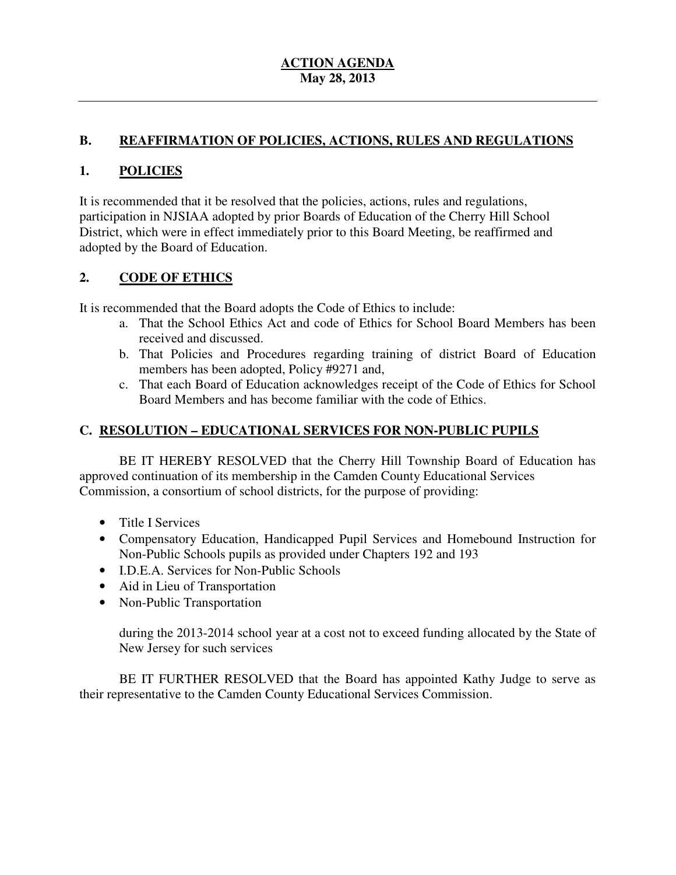## **B. REAFFIRMATION OF POLICIES, ACTIONS, RULES AND REGULATIONS**

## **1. POLICIES**

 It is recommended that it be resolved that the policies, actions, rules and regulations, participation in NJSIAA adopted by prior Boards of Education of the Cherry Hill School District, which were in effect immediately prior to this Board Meeting, be reaffirmed and adopted by the Board of Education.

## **2. CODE OF ETHICS**

It is recommended that the Board adopts the Code of Ethics to include:

- a. That the School Ethics Act and code of Ethics for School Board Members has been received and discussed.
- b. That Policies and Procedures regarding training of district Board of Education members has been adopted, Policy #9271 and,
- c. That each Board of Education acknowledges receipt of the Code of Ethics for School Board Members and has become familiar with the code of Ethics.

## **C. RESOLUTION – EDUCATIONAL SERVICES FOR NON-PUBLIC PUPILS**

 approved continuation of its membership in the Camden County Educational Services Commission, a consortium of school districts, for the purpose of providing: BE IT HEREBY RESOLVED that the Cherry Hill Township Board of Education has

- Title I Services
- • Compensatory Education, Handicapped Pupil Services and Homebound Instruction for Non-Public Schools pupils as provided under Chapters 192 and 193
- • I.D.E.A. Services for Non-Public Schools
- Aid in Lieu of Transportation
- Non-Public Transportation

 during the 2013-2014 school year at a cost not to exceed funding allocated by the State of New Jersey for such services

 their representative to the Camden County Educational Services Commission. BE IT FURTHER RESOLVED that the Board has appointed Kathy Judge to serve as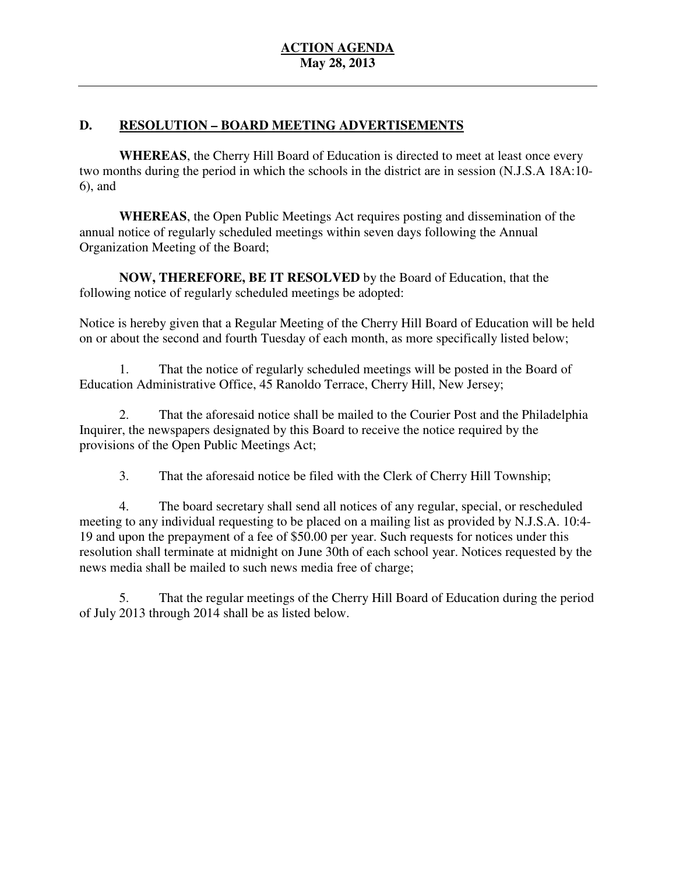## **D. RESOLUTION – BOARD MEETING ADVERTISEMENTS**

 **WHEREAS**, the Cherry Hill Board of Education is directed to meet at least once every two months during the period in which the schools in the district are in session (N.J.S.A 18A:10 6), and

 **WHEREAS**, the Open Public Meetings Act requires posting and dissemination of the annual notice of regularly scheduled meetings within seven days following the Annual Organization Meeting of the Board;

 **NOW, THEREFORE, BE IT RESOLVED** by the Board of Education, that the following notice of regularly scheduled meetings be adopted:

 Notice is hereby given that a Regular Meeting of the Cherry Hill Board of Education will be held on or about the second and fourth Tuesday of each month, as more specifically listed below;

 Education Administrative Office, 45 Ranoldo Terrace, Cherry Hill, New Jersey; 1. That the notice of regularly scheduled meetings will be posted in the Board of

 Inquirer, the newspapers designated by this Board to receive the notice required by the provisions of the Open Public Meetings Act; 2. That the aforesaid notice shall be mailed to the Courier Post and the Philadelphia

3. That the aforesaid notice be filed with the Clerk of Cherry Hill Township;

 4. The board secretary shall send all notices of any regular, special, or rescheduled meeting to any individual requesting to be placed on a mailing list as provided by N.J.S.A. 10:4 19 and upon the prepayment of a fee of \$50.00 per year. Such requests for notices under this resolution shall terminate at midnight on June 30th of each school year. Notices requested by the news media shall be mailed to such news media free of charge;

 5. That the regular meetings of the Cherry Hill Board of Education during the period of July 2013 through 2014 shall be as listed below.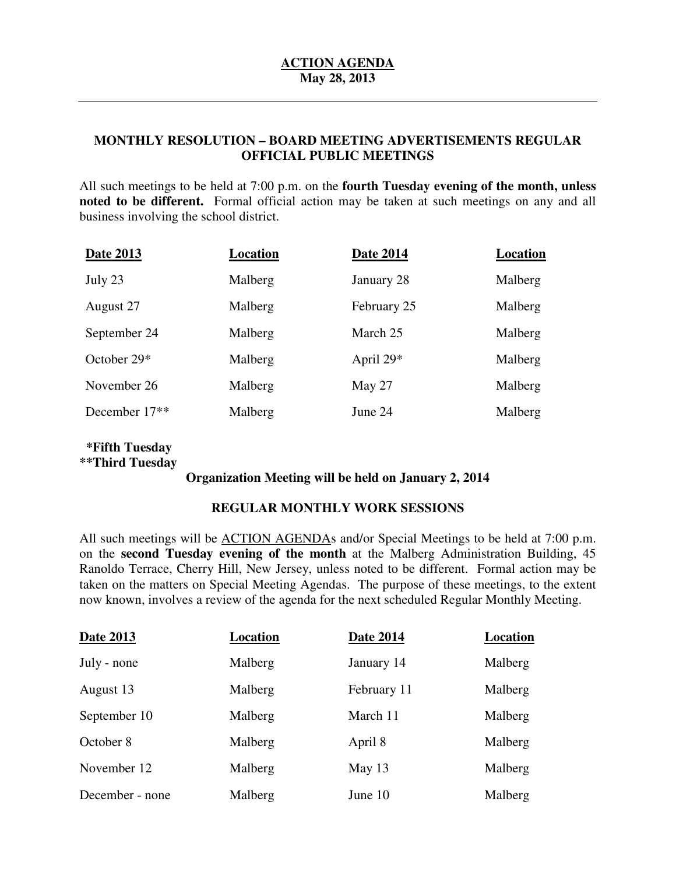## **MONTHLY RESOLUTION – BOARD MEETING ADVERTISEMENTS REGULAR OFFICIAL PUBLIC MEETINGS**

 All such meetings to be held at 7:00 p.m. on the **fourth Tuesday evening of the month, unless noted to be different.** Formal official action may be taken at such meetings on any and all business involving the school district.

| Date 2013                 | Location | Date 2014   | Location |
|---------------------------|----------|-------------|----------|
| July 23                   | Malberg  | January 28  | Malberg  |
| August 27                 | Malberg  | February 25 | Malberg  |
| September 24              | Malberg  | March 25    | Malberg  |
| October 29*               | Malberg  | April $29*$ | Malberg  |
| November 26               | Malberg  | May 27      | Malberg  |
| December 17 <sup>**</sup> | Malberg  | June 24     | Malberg  |
|                           |          |             |          |

## **\*\*Third Tuesday \*Fifth Tuesday**

## **Organization Meeting will be held on January 2, 2014**

## **REGULAR MONTHLY WORK SESSIONS**

All such meetings will be **ACTION AGENDA**s and/or Special Meetings to be held at 7:00 p.m. on the **second Tuesday evening of the month** at the Malberg Administration Building, 45 Ranoldo Terrace, Cherry Hill, New Jersey, unless noted to be different. Formal action may be taken on the matters on Special Meeting Agendas. The purpose of these meetings, to the extent now known, involves a review of the agenda for the next scheduled Regular Monthly Meeting.

| <b>Date 2013</b> | Location | <b>Date 2014</b> | <b>Location</b> |
|------------------|----------|------------------|-----------------|
| July - none      | Malberg  | January 14       | Malberg         |
| August 13        | Malberg  | February 11      | Malberg         |
| September 10     | Malberg  | March 11         | Malberg         |
| October 8        | Malberg  | April 8          | Malberg         |
| November 12      | Malberg  | May 13           | Malberg         |
| December - none  | Malberg  | June 10          | Malberg         |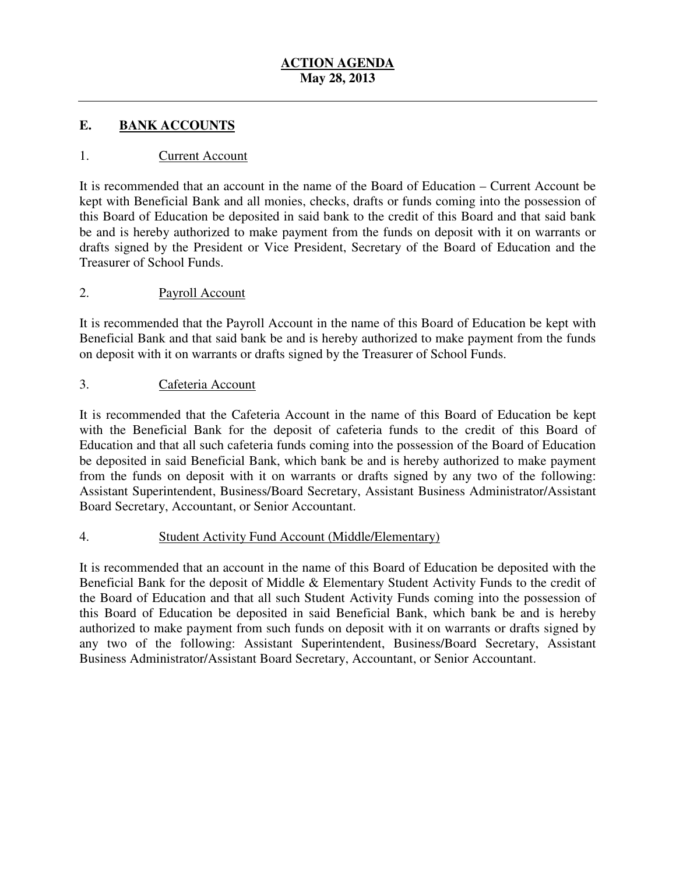#### E. **EANK ACCOUNTS**

## 1. Current Account

 It is recommended that an account in the name of the Board of Education – Current Account be kept with Beneficial Bank and all monies, checks, drafts or funds coming into the possession of this Board of Education be deposited in said bank to the credit of this Board and that said bank be and is hereby authorized to make payment from the funds on deposit with it on warrants or drafts signed by the President or Vice President, Secretary of the Board of Education and the Treasurer of School Funds.

## 2. Payroll Account

 It is recommended that the Payroll Account in the name of this Board of Education be kept with Beneficial Bank and that said bank be and is hereby authorized to make payment from the funds on deposit with it on warrants or drafts signed by the Treasurer of School Funds.

## 3. Cafeteria Account

 It is recommended that the Cafeteria Account in the name of this Board of Education be kept with the Beneficial Bank for the deposit of cafeteria funds to the credit of this Board of Education and that all such cafeteria funds coming into the possession of the Board of Education be deposited in said Beneficial Bank, which bank be and is hereby authorized to make payment from the funds on deposit with it on warrants or drafts signed by any two of the following: Assistant Superintendent, Business/Board Secretary, Assistant Business Administrator/Assistant Board Secretary, Accountant, or Senior Accountant.

## 4. **Student Activity Fund Account (Middle/Elementary)**

 It is recommended that an account in the name of this Board of Education be deposited with the Beneficial Bank for the deposit of Middle & Elementary Student Activity Funds to the credit of the Board of Education and that all such Student Activity Funds coming into the possession of this Board of Education be deposited in said Beneficial Bank, which bank be and is hereby authorized to make payment from such funds on deposit with it on warrants or drafts signed by any two of the following: Assistant Superintendent, Business/Board Secretary, Assistant Business Administrator/Assistant Board Secretary, Accountant, or Senior Accountant.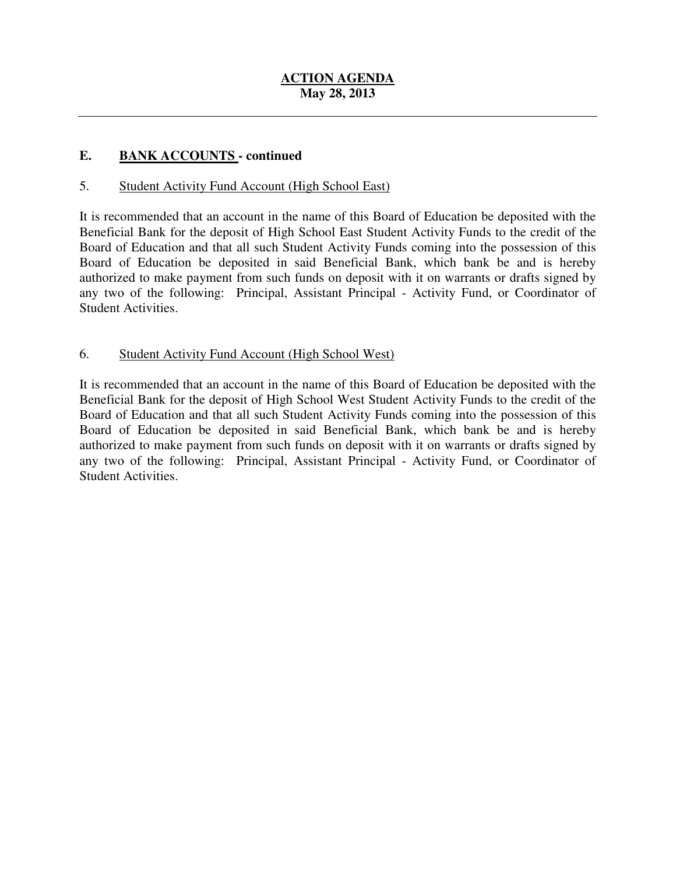#### **. E. BANK ACCOUNTS - continued**

## 5. Student Activity Fund Account (High School East)

 It is recommended that an account in the name of this Board of Education be deposited with the Beneficial Bank for the deposit of High School East Student Activity Funds to the credit of the Board of Education and that all such Student Activity Funds coming into the possession of this Board of Education be deposited in said Beneficial Bank, which bank be and is hereby authorized to make payment from such funds on deposit with it on warrants or drafts signed by any two of the following: Principal, Assistant Principal - Activity Fund, or Coordinator of Student Activities.

# 6. Student Activity Fund Account (High School West)

 It is recommended that an account in the name of this Board of Education be deposited with the Beneficial Bank for the deposit of High School West Student Activity Funds to the credit of the Board of Education and that all such Student Activity Funds coming into the possession of this Board of Education be deposited in said Beneficial Bank, which bank be and is hereby authorized to make payment from such funds on deposit with it on warrants or drafts signed by any two of the following: Principal, Assistant Principal - Activity Fund, or Coordinator of Student Activities.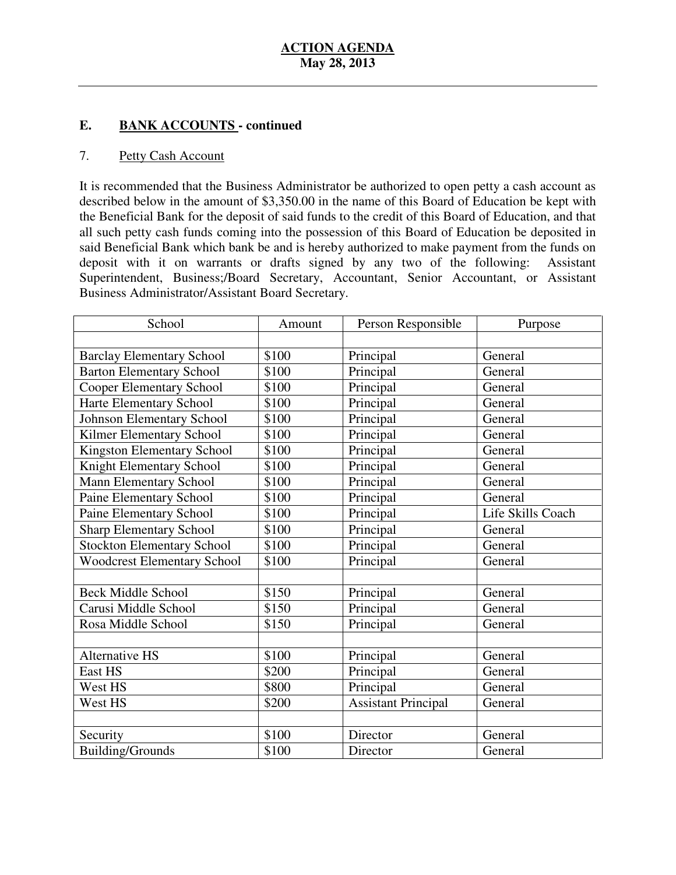#### $$ **EANK ACCOUNTS** - continued

#### 7. Petty Cash Account

 It is recommended that the Business Administrator be authorized to open petty a cash account as described below in the amount of \$3,350.00 in the name of this Board of Education be kept with the Beneficial Bank for the deposit of said funds to the credit of this Board of Education, and that all such petty cash funds coming into the possession of this Board of Education be deposited in said Beneficial Bank which bank be and is hereby authorized to make payment from the funds on deposit with it on warrants or drafts signed by any two of the following: Assistant Superintendent, Business;/Board Secretary, Accountant, Senior Accountant, or Assistant Business Administrator/Assistant Board Secretary.

| School                             | Amount | Person Responsible         | Purpose           |
|------------------------------------|--------|----------------------------|-------------------|
|                                    |        |                            |                   |
| <b>Barclay Elementary School</b>   | \$100  | Principal                  | General           |
| <b>Barton Elementary School</b>    | \$100  | Principal                  | General           |
| <b>Cooper Elementary School</b>    | \$100  | Principal                  | General           |
| Harte Elementary School            | \$100  | Principal                  | General           |
| <b>Johnson Elementary School</b>   | \$100  | Principal                  | General           |
| Kilmer Elementary School           | \$100  | Principal                  | General           |
| <b>Kingston Elementary School</b>  | \$100  | Principal                  | General           |
| Knight Elementary School           | \$100  | Principal                  | General           |
| <b>Mann Elementary School</b>      | \$100  | Principal                  | General           |
| Paine Elementary School            | \$100  | Principal                  | General           |
| Paine Elementary School            | \$100  | Principal                  | Life Skills Coach |
| <b>Sharp Elementary School</b>     | \$100  | Principal                  | General           |
| <b>Stockton Elementary School</b>  | \$100  | Principal                  | General           |
| <b>Woodcrest Elementary School</b> | \$100  | Principal                  | General           |
|                                    |        |                            |                   |
| <b>Beck Middle School</b>          | \$150  | Principal                  | General           |
| Carusi Middle School               | \$150  | Principal                  | General           |
| Rosa Middle School                 | \$150  | Principal                  | General           |
|                                    |        |                            |                   |
| <b>Alternative HS</b>              | \$100  | Principal                  | General           |
| East HS                            | \$200  | Principal                  | General           |
| West HS                            | \$800  | Principal                  | General           |
| West HS                            | \$200  | <b>Assistant Principal</b> | General           |
|                                    |        |                            |                   |
| Security                           | \$100  | Director                   | General           |
| <b>Building/Grounds</b>            | \$100  | Director                   | General           |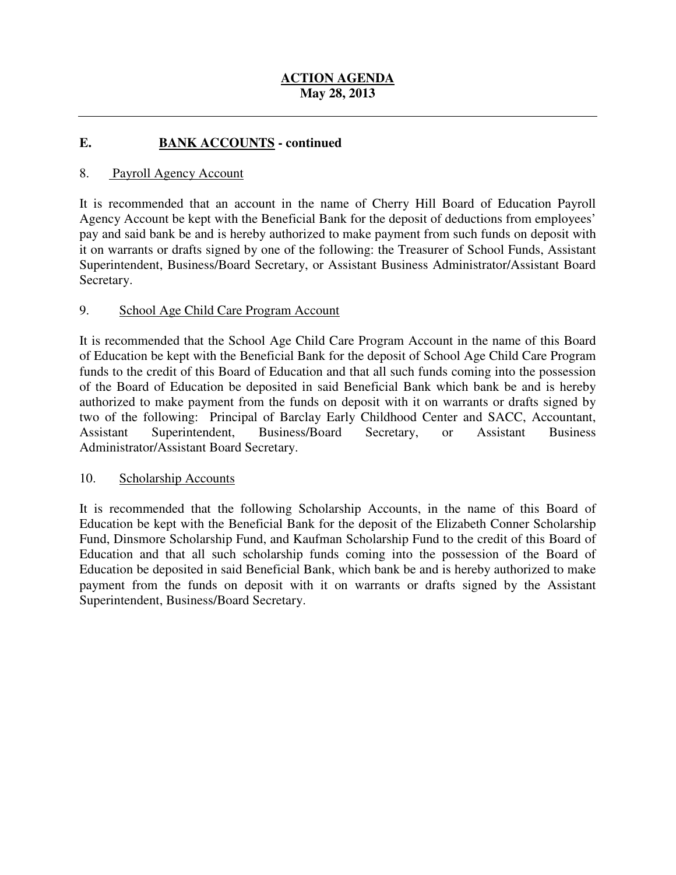#### **E**. **EANK ACCOUNTS - continued**

#### 8. Payroll Agency Account

 It is recommended that an account in the name of Cherry Hill Board of Education Payroll Agency Account be kept with the Beneficial Bank for the deposit of deductions from employees' pay and said bank be and is hereby authorized to make payment from such funds on deposit with it on warrants or drafts signed by one of the following: the Treasurer of School Funds, Assistant Superintendent, Business/Board Secretary, or Assistant Business Administrator/Assistant Board Secretary.

#### 9. 9. School Age Child Care Program Account

 It is recommended that the School Age Child Care Program Account in the name of this Board of Education be kept with the Beneficial Bank for the deposit of School Age Child Care Program funds to the credit of this Board of Education and that all such funds coming into the possession of the Board of Education be deposited in said Beneficial Bank which bank be and is hereby authorized to make payment from the funds on deposit with it on warrants or drafts signed by two of the following: Principal of Barclay Early Childhood Center and SACC, Accountant, Secretary, Administrator/Assistant Board Secretary. Assistant Superintendent, Business/Board Secretary, or Assistant Business

## 10. Scholarship Accounts

 It is recommended that the following Scholarship Accounts, in the name of this Board of Education be kept with the Beneficial Bank for the deposit of the Elizabeth Conner Scholarship Fund, Dinsmore Scholarship Fund, and Kaufman Scholarship Fund to the credit of this Board of Education be deposited in said Beneficial Bank, which bank be and is hereby authorized to make payment from the funds on deposit with it on warrants or drafts signed by the Assistant Superintendent, Business/Board Secretary. Education and that all such scholarship funds coming into the possession of the Board of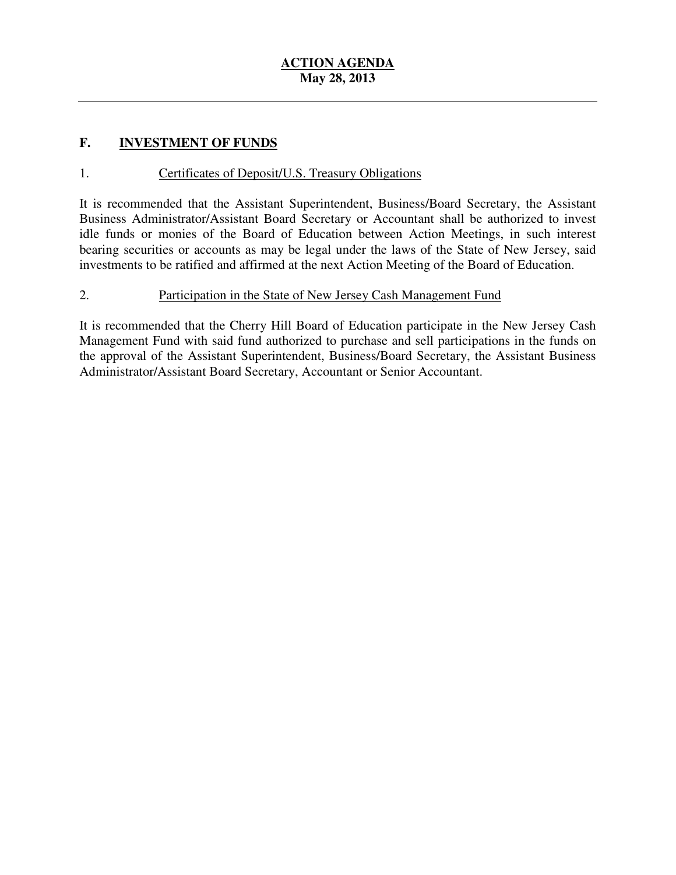## **F. INVESTMENT OF FUNDS**

## 1. **Certificates of Deposit/U.S. Treasury Obligations**

 It is recommended that the Assistant Superintendent, Business/Board Secretary, the Assistant Business Administrator/Assistant Board Secretary or Accountant shall be authorized to invest idle funds or monies of the Board of Education between Action Meetings, in such interest bearing securities or accounts as may be legal under the laws of the State of New Jersey, said investments to be ratified and affirmed at the next Action Meeting of the Board of Education.

## 2. Participation in the State of New Jersey Cash Management Fund

 It is recommended that the Cherry Hill Board of Education participate in the New Jersey Cash Management Fund with said fund authorized to purchase and sell participations in the funds on the approval of the Assistant Superintendent, Business/Board Secretary, the Assistant Business Administrator/Assistant Board Secretary, Accountant or Senior Accountant.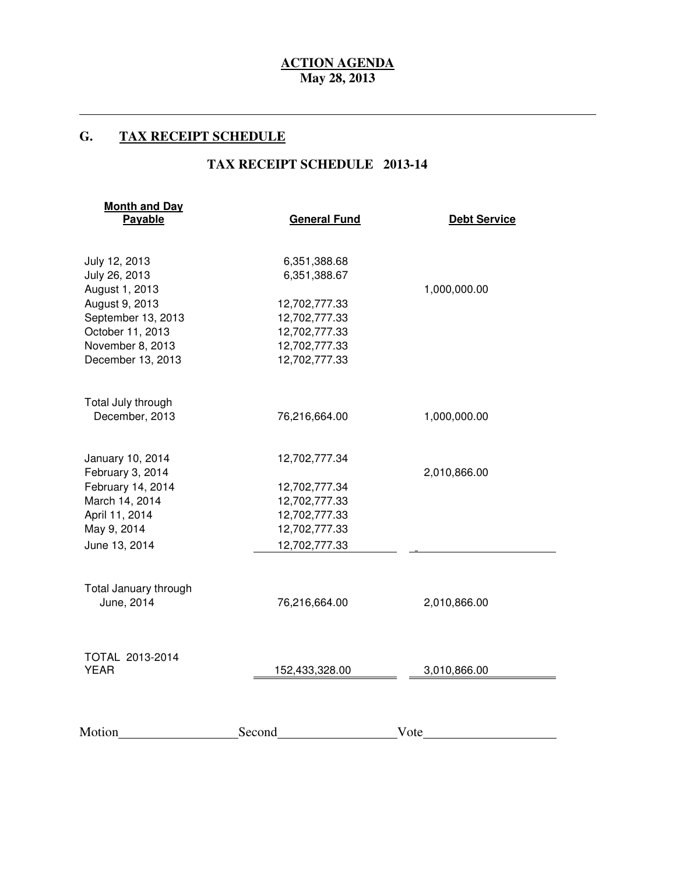### **G. TAX RECEIPT SCHEDULE**

 $\overline{a}$ 

## **TAX RECEIPT SCHEDULE 2013-14**

| <b>Month and Day</b><br>Payable | <b>General Fund</b> | <b>Debt Service</b> |  |
|---------------------------------|---------------------|---------------------|--|
| July 12, 2013                   | 6,351,388.68        |                     |  |
| July 26, 2013<br>August 1, 2013 | 6,351,388.67        | 1,000,000.00        |  |
| August 9, 2013                  | 12,702,777.33       |                     |  |
| September 13, 2013              | 12,702,777.33       |                     |  |
| October 11, 2013                | 12,702,777.33       |                     |  |
| November 8, 2013                | 12,702,777.33       |                     |  |
| December 13, 2013               | 12,702,777.33       |                     |  |
| Total July through              |                     |                     |  |
| December, 2013                  | 76,216,664.00       | 1,000,000.00        |  |
| January 10, 2014                | 12,702,777.34       |                     |  |
| February 3, 2014                |                     | 2,010,866.00        |  |
| February 14, 2014               | 12,702,777.34       |                     |  |
| March 14, 2014                  | 12,702,777.33       |                     |  |
| April 11, 2014                  | 12,702,777.33       |                     |  |
| May 9, 2014                     | 12,702,777.33       |                     |  |
| June 13, 2014                   | 12,702,777.33       |                     |  |
| Total January through           |                     |                     |  |
| June, 2014                      | 76,216,664.00       | 2,010,866.00        |  |
|                                 |                     |                     |  |
| TOTAL 2013-2014<br><b>YEAR</b>  | 152,433,328.00      | 3,010,866.00        |  |
|                                 |                     |                     |  |
| Motion                          | Second              | Vote                |  |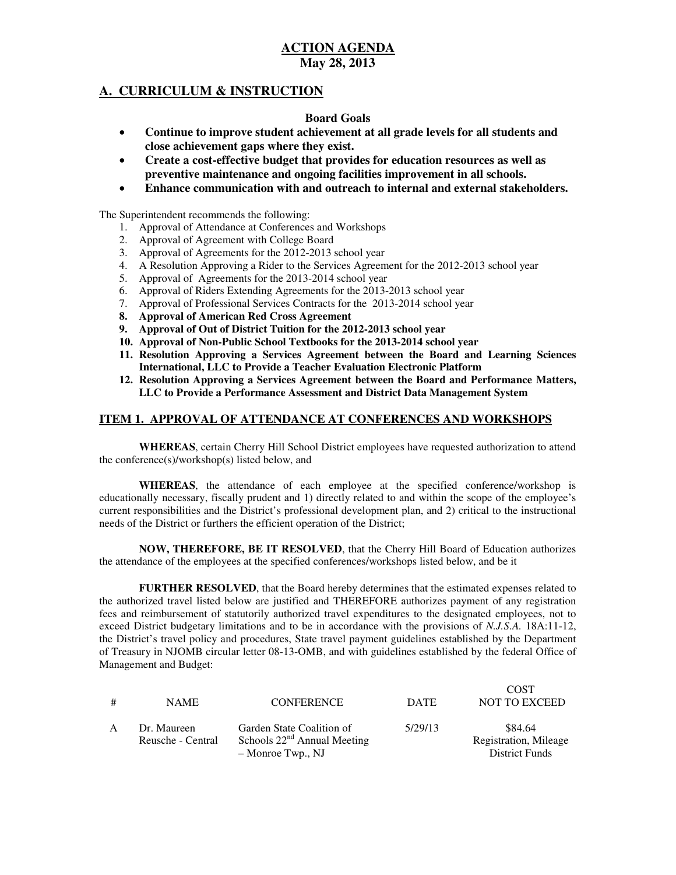## **A. CURRICULUM & INSTRUCTION**

#### **Board Goals**

- • **Continue to improve student achievement at all grade levels for all students and close achievement gaps where they exist.**
- **•** Create a cost-effective budget that provides for education resources as well as  **preventive maintenance and ongoing facilities improvement in all schools.**
- • **Enhance communication with and outreach to internal and external stakeholders.**

The Superintendent recommends the following:

- 1. Approval of Attendance at Conferences and Workshops
- 2. Approval of Agreement with College Board
- 3. Approval of Agreements for the 2012-2013 school year
- 4. A Resolution Approving a Rider to the Services Agreement for the 2012-2013 school year
- 5. Approval of Agreements for the 2013-2014 school year
- 6. Approval of Riders Extending Agreements for the 2013-2013 school year
- 7. Approval of Professional Services Contracts for the 2013-2014 school year
- **8. Approval of American Red Cross Agreement**
- **9. Approval of Out of District Tuition for the 2012-2013 school year**
- **10. Approval of Non-Public School Textbooks for the 2013-2014 school year**
- **11. Resolution Approving a Services Agreement between the Board and Learning Sciences International, LLC to Provide a Teacher Evaluation Electronic Platform**
- **12. Resolution Approving a Services Agreement between the Board and Performance Matters, LLC to Provide a Performance Assessment and District Data Management System**

### **ITEM 1. APPROVAL OF ATTENDANCE AT CONFERENCES AND WORKSHOPS**

 **WHEREAS**, certain Cherry Hill School District employees have requested authorization to attend the conference(s)/workshop(s) listed below, and

 **WHEREAS**, the attendance of each employee at the specified conference/workshop is educationally necessary, fiscally prudent and 1) directly related to and within the scope of the employee's current responsibilities and the District's professional development plan, and 2) critical to the instructional needs of the District or furthers the efficient operation of the District;

 **NOW, THEREFORE, BE IT RESOLVED**, that the Cherry Hill Board of Education authorizes the attendance of the employees at the specified conferences/workshops listed below, and be it

 **FURTHER RESOLVED**, that the Board hereby determines that the estimated expenses related to the authorized travel listed below are justified and THEREFORE authorizes payment of any registration fees and reimbursement of statutorily authorized travel expenditures to the designated employees, not to exceed District budgetary limitations and to be in accordance with the provisions of *N.J.S.A.* 18A:11-12, the District's travel policy and procedures, State travel payment guidelines established by the Department of Treasury in NJOMB circular letter 08-13-OMB, and with guidelines established by the federal Office of Management and Budget:

| # | <b>NAME</b>       | <b>CONFERENCE</b>             | <b>DATE</b> | <b>COST</b><br><b>NOT TO EXCEED</b> |
|---|-------------------|-------------------------------|-------------|-------------------------------------|
| A | Dr. Maureen       | Garden State Coalition of     | 5/29/13     | \$84.64                             |
|   | Reusche - Central | Schools $22nd$ Annual Meeting |             | Registration, Mileage               |
|   |                   | – Monroe Twp., NJ             |             | <b>District Funds</b>               |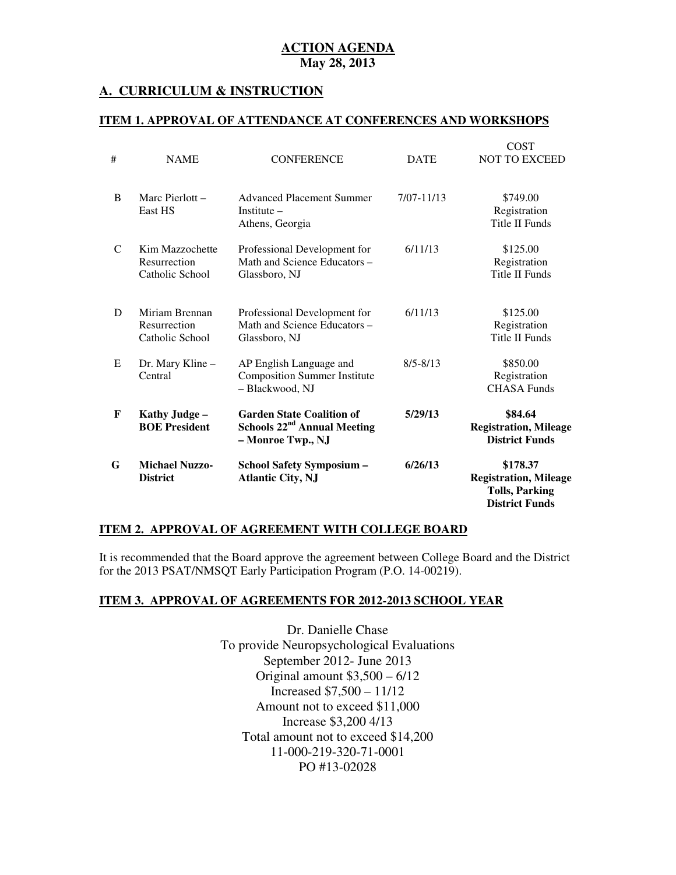## **A. CURRICULUM & INSTRUCTION**

#### **ITEM 1. APPROVAL OF ATTENDANCE AT CONFERENCES AND WORKSHOPS**

| G | <b>Michael Nuzzo-</b><br><b>District</b>           | <b>School Safety Symposium -</b><br><b>Atlantic City, NJ</b>                           | 6/26/13      | \$178.37<br><b>Registration, Mileage</b><br><b>Tolls, Parking</b><br><b>District Funds</b> |
|---|----------------------------------------------------|----------------------------------------------------------------------------------------|--------------|--------------------------------------------------------------------------------------------|
| F | Kathy Judge -<br><b>BOE President</b>              | <b>Garden State Coalition of</b><br>Schools $22nd$ Annual Meeting<br>- Monroe Twp., NJ | 5/29/13      | \$84.64<br><b>Registration, Mileage</b><br><b>District Funds</b>                           |
| E | Dr. Mary Kline –<br>Central                        | AP English Language and<br><b>Composition Summer Institute</b><br>- Blackwood, NJ      | $8/5 - 8/13$ | \$850.00<br>Registration<br><b>CHASA Funds</b>                                             |
| D | Miriam Brennan<br>Resurrection<br>Catholic School  | Professional Development for<br>Math and Science Educators -<br>Glassboro, NJ          | 6/11/13      | \$125.00<br>Registration<br><b>Title II Funds</b>                                          |
| C | Kim Mazzochette<br>Resurrection<br>Catholic School | Professional Development for<br>Math and Science Educators -<br>Glassboro, NJ          | 6/11/13      | \$125.00<br>Registration<br><b>Title II Funds</b>                                          |
| B | Marc Pierlott $-$<br>East HS                       | <b>Advanced Placement Summer</b><br>Institute $-$<br>Athens, Georgia                   | 7/07-11/13   | \$749.00<br>Registration<br><b>Title II Funds</b>                                          |
| # | <b>NAME</b>                                        | <b>CONFERENCE</b>                                                                      | <b>DATE</b>  | <b>COST</b><br><b>NOT TO EXCEED</b>                                                        |

#### **ITEM 2. APPROVAL OF AGREEMENT WITH COLLEGE BOARD**

 It is recommended that the Board approve the agreement between College Board and the District for the 2013 PSAT/NMSQT Early Participation Program (P.O. 14-00219).

#### **ITEM 3. APPROVAL OF AGREEMENTS FOR 2012-2013 SCHOOL YEAR**

 Dr. Danielle Chase To provide Neuropsychological Evaluations September 2012- June 2013 Original amount \$3,500 – 6/12 Increased \$7,500 – 11/12 Amount not to exceed \$11,000 Increase \$3,200 4/13 Total amount not to exceed \$14,200 PO #13-02028 11-000-219-320-71-0001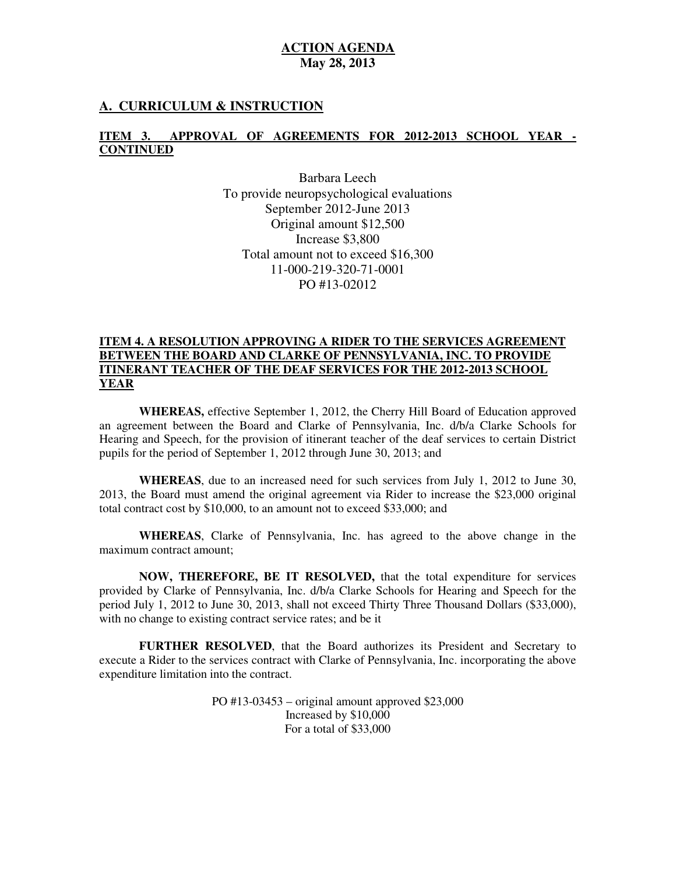### **A. CURRICULUM & INSTRUCTION**

### **ITEM 3. APPROVAL OF AGREEMENTS FOR 2012-2013 SCHOOL YEAR CONTINUED**

 Barbara Leech To provide neuropsychological evaluations September 2012-June 2013 Original amount \$12,500 Increase \$3,800 Total amount not to exceed \$16,300 PO #13-02012 11-000-219-320-71-0001

#### **ITEM 4. A RESOLUTION APPROVING A RIDER TO THE SERVICES AGREEMENT BETWEEN THE BOARD AND CLARKE OF PENNSYLVANIA, INC. TO PROVIDE ITINERANT TEACHER OF THE DEAF SERVICES FOR THE 2012-2013 SCHOOL YEAR**

 **WHEREAS,** effective September 1, 2012, the Cherry Hill Board of Education approved an agreement between the Board and Clarke of Pennsylvania, Inc. d/b/a Clarke Schools for Hearing and Speech, for the provision of itinerant teacher of the deaf services to certain District pupils for the period of September 1, 2012 through June 30, 2013; and

 **WHEREAS**, due to an increased need for such services from July 1, 2012 to June 30, 2013, the Board must amend the original agreement via Rider to increase the \$23,000 original total contract cost by \$10,000, to an amount not to exceed \$33,000; and

 **WHEREAS**, Clarke of Pennsylvania, Inc. has agreed to the above change in the maximum contract amount;

 **NOW, THEREFORE, BE IT RESOLVED,** that the total expenditure for services provided by Clarke of Pennsylvania, Inc. d/b/a Clarke Schools for Hearing and Speech for the period July 1, 2012 to June 30, 2013, shall not exceed Thirty Three Thousand Dollars (\$33,000), with no change to existing contract service rates; and be it

 **FURTHER RESOLVED**, that the Board authorizes its President and Secretary to execute a Rider to the services contract with Clarke of Pennsylvania, Inc. incorporating the above expenditure limitation into the contract.

> PO #13-03453 – original amount approved \$23,000 Increased by \$10,000 For a total of \$33,000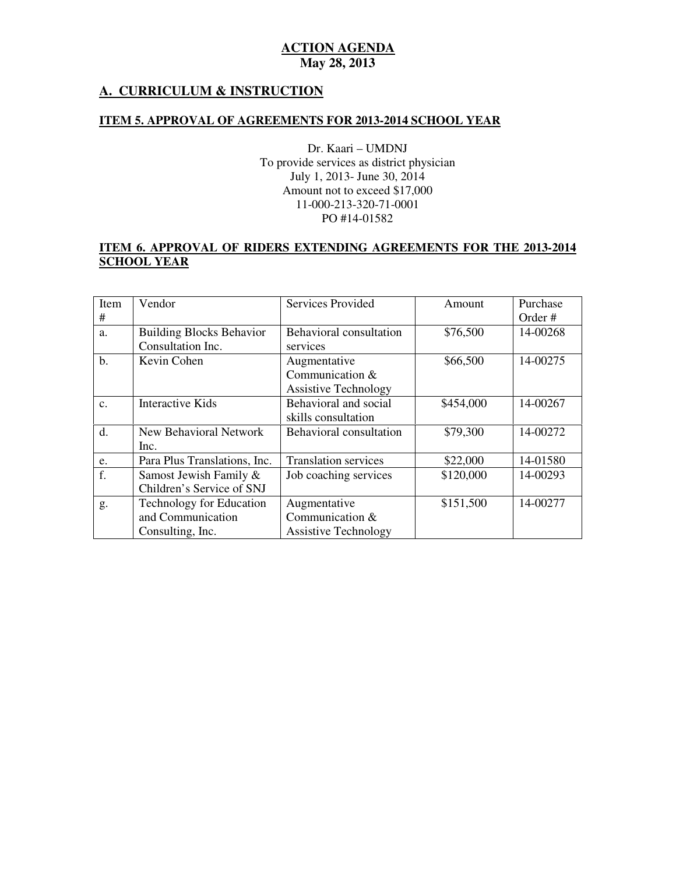## **A. CURRICULUM & INSTRUCTION**

#### **ITEM 5. APPROVAL OF AGREEMENTS FOR 2013-2014 SCHOOL YEAR**

 Dr. Kaari – UMDNJ To provide services as district physician July 1, 2013- June 30, 2014 Amount not to exceed \$17,000 PO #14-01582 11-000-213-320-71-0001

### **ITEM 6. APPROVAL OF RIDERS EXTENDING AGREEMENTS FOR THE 2013-2014 SCHOOL YEAR**

| Item           | Vendor                          | <b>Services Provided</b>    | Amount    | Purchase |
|----------------|---------------------------------|-----------------------------|-----------|----------|
| #              |                                 |                             |           | Order #  |
| a.             | <b>Building Blocks Behavior</b> | Behavioral consultation     | \$76,500  | 14-00268 |
|                | Consultation Inc.               | services                    |           |          |
| $\mathbf b$ .  | Kevin Cohen                     | Augmentative                | \$66,500  | 14-00275 |
|                |                                 | Communication &             |           |          |
|                |                                 | <b>Assistive Technology</b> |           |          |
| $\mathbf{c}$ . | <b>Interactive Kids</b>         | Behavioral and social       | \$454,000 | 14-00267 |
|                |                                 | skills consultation         |           |          |
| d.             | <b>New Behavioral Network</b>   | Behavioral consultation     | \$79,300  | 14-00272 |
|                | Inc.                            |                             |           |          |
| e.             | Para Plus Translations, Inc.    | <b>Translation services</b> | \$22,000  | 14-01580 |
| f.             | Samost Jewish Family &          | Job coaching services       | \$120,000 | 14-00293 |
|                | Children's Service of SNJ       |                             |           |          |
| g.             | Technology for Education        | Augmentative                | \$151,500 | 14-00277 |
|                | and Communication               | Communication $&$           |           |          |
|                | Consulting, Inc.                | <b>Assistive Technology</b> |           |          |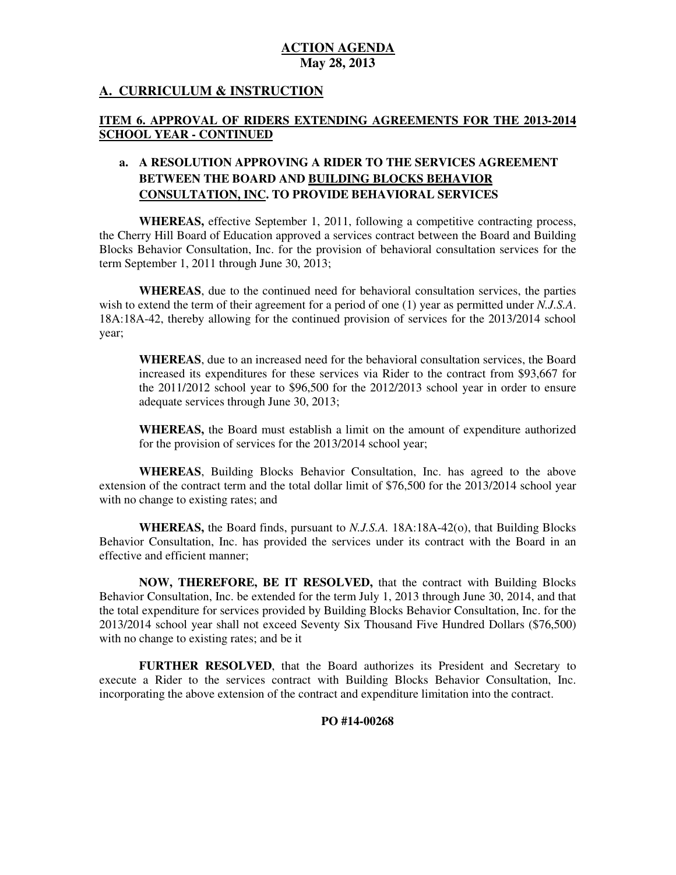## **A. CURRICULUM & INSTRUCTION**

### **ITEM 6. APPROVAL OF RIDERS EXTENDING AGREEMENTS FOR THE 2013-2014 SCHOOL YEAR - CONTINUED**

## **a. A RESOLUTION APPROVING A RIDER TO THE SERVICES AGREEMENT BETWEEN THE BOARD AND BUILDING BLOCKS BEHAVIOR CONSULTATION, INC. TO PROVIDE BEHAVIORAL SERVICES**

 **WHEREAS,** effective September 1, 2011, following a competitive contracting process, the Cherry Hill Board of Education approved a services contract between the Board and Building Blocks Behavior Consultation, Inc. for the provision of behavioral consultation services for the term September 1, 2011 through June 30, 2013;

 **WHEREAS**, due to the continued need for behavioral consultation services, the parties wish to extend the term of their agreement for a period of one (1) year as permitted under *N.J.S.A*. 18A:18A-42, thereby allowing for the continued provision of services for the 2013/2014 school year;

 **WHEREAS**, due to an increased need for the behavioral consultation services, the Board increased its expenditures for these services via Rider to the contract from \$93,667 for the 2011/2012 school year to \$96,500 for the 2012/2013 school year in order to ensure adequate services through June 30, 2013;

 **WHEREAS,** the Board must establish a limit on the amount of expenditure authorized for the provision of services for the 2013/2014 school year;

 **WHEREAS**, Building Blocks Behavior Consultation, Inc. has agreed to the above extension of the contract term and the total dollar limit of \$76,500 for the 2013/2014 school year with no change to existing rates; and

 **WHEREAS,** the Board finds, pursuant to *N.J.S.A.* 18A:18A-42(o), that Building Blocks Behavior Consultation, Inc. has provided the services under its contract with the Board in an effective and efficient manner;

 **NOW, THEREFORE, BE IT RESOLVED,** that the contract with Building Blocks Behavior Consultation, Inc. be extended for the term July 1, 2013 through June 30, 2014, and that the total expenditure for services provided by Building Blocks Behavior Consultation, Inc. for the 2013/2014 school year shall not exceed Seventy Six Thousand Five Hundred Dollars (\$76,500) with no change to existing rates; and be it

 **FURTHER RESOLVED**, that the Board authorizes its President and Secretary to execute a Rider to the services contract with Building Blocks Behavior Consultation, Inc. incorporating the above extension of the contract and expenditure limitation into the contract.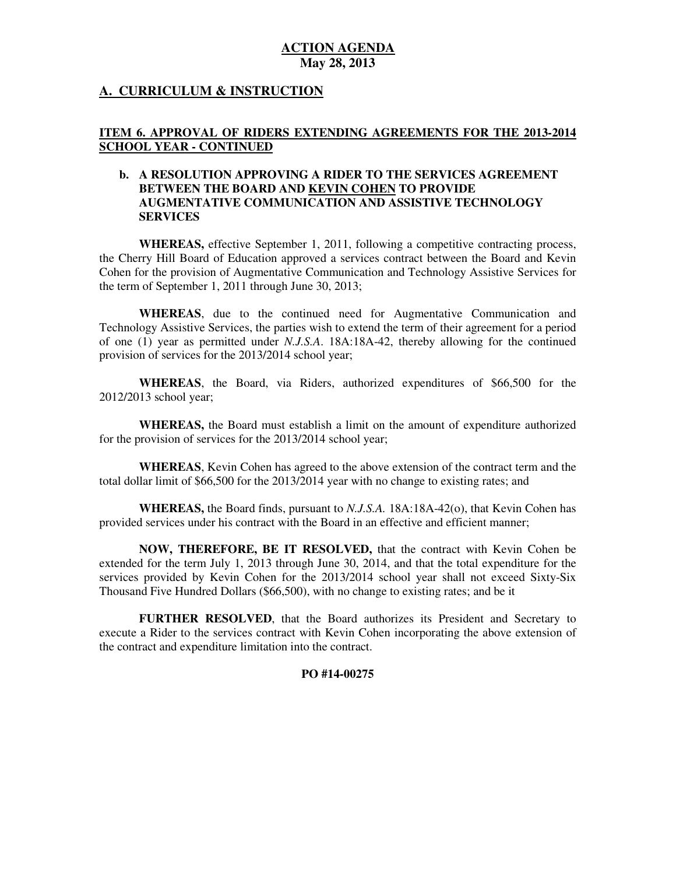### **A. CURRICULUM & INSTRUCTION**

#### **ITEM 6. APPROVAL OF RIDERS EXTENDING AGREEMENTS FOR THE 2013-2014 SCHOOL YEAR - CONTINUED**

#### **b. A RESOLUTION APPROVING A RIDER TO THE SERVICES AGREEMENT BETWEEN THE BOARD AND KEVIN COHEN TO PROVIDE AUGMENTATIVE COMMUNICATION AND ASSISTIVE TECHNOLOGY SERVICES**

 **WHEREAS,** effective September 1, 2011, following a competitive contracting process, the Cherry Hill Board of Education approved a services contract between the Board and Kevin Cohen for the provision of Augmentative Communication and Technology Assistive Services for the term of September 1, 2011 through June 30, 2013;

 **WHEREAS**, due to the continued need for Augmentative Communication and Technology Assistive Services, the parties wish to extend the term of their agreement for a period of one (1) year as permitted under *N.J.S.A*. 18A:18A-42, thereby allowing for the continued provision of services for the 2013/2014 school year;

 **WHEREAS**, the Board, via Riders, authorized expenditures of \$66,500 for the 2012/2013 school year;

 **WHEREAS,** the Board must establish a limit on the amount of expenditure authorized for the provision of services for the 2013/2014 school year;

 **WHEREAS**, Kevin Cohen has agreed to the above extension of the contract term and the total dollar limit of \$66,500 for the 2013/2014 year with no change to existing rates; and

 **WHEREAS,** the Board finds, pursuant to *N.J.S.A.* 18A:18A-42(o), that Kevin Cohen has provided services under his contract with the Board in an effective and efficient manner;

 **NOW, THEREFORE, BE IT RESOLVED,** that the contract with Kevin Cohen be extended for the term July 1, 2013 through June 30, 2014, and that the total expenditure for the services provided by Kevin Cohen for the 2013/2014 school year shall not exceed Sixty-Six Thousand Five Hundred Dollars (\$66,500), with no change to existing rates; and be it

 **FURTHER RESOLVED**, that the Board authorizes its President and Secretary to execute a Rider to the services contract with Kevin Cohen incorporating the above extension of the contract and expenditure limitation into the contract.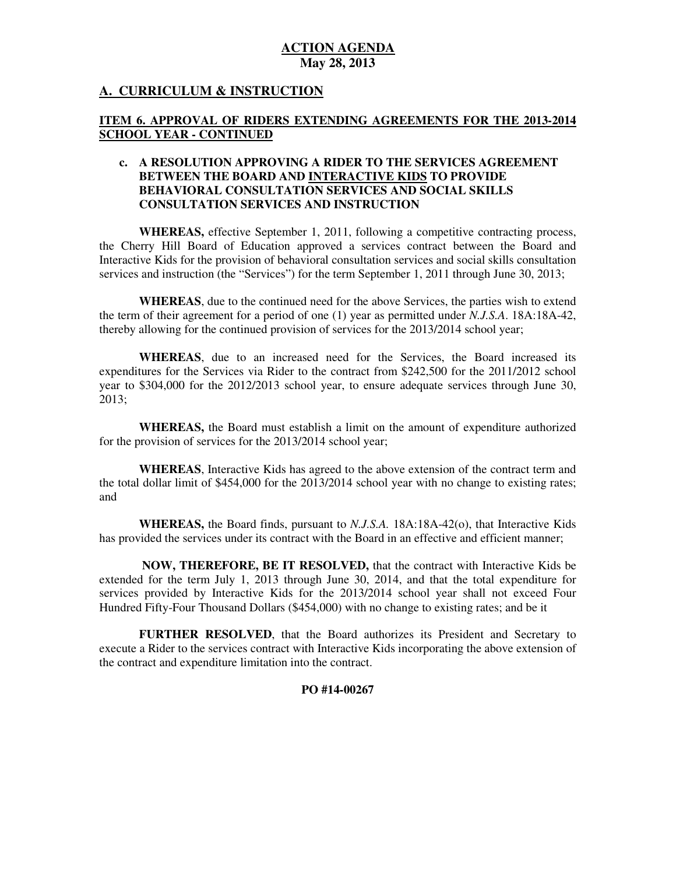## **A. CURRICULUM & INSTRUCTION**

#### **ITEM 6. APPROVAL OF RIDERS EXTENDING AGREEMENTS FOR THE 2013-2014 SCHOOL YEAR - CONTINUED**

### **c. A RESOLUTION APPROVING A RIDER TO THE SERVICES AGREEMENT BETWEEN THE BOARD AND INTERACTIVE KIDS TO PROVIDE BEHAVIORAL CONSULTATION SERVICES AND SOCIAL SKILLS CONSULTATION SERVICES AND INSTRUCTION**

 **WHEREAS,** effective September 1, 2011, following a competitive contracting process, the Cherry Hill Board of Education approved a services contract between the Board and Interactive Kids for the provision of behavioral consultation services and social skills consultation services and instruction (the "Services") for the term September 1, 2011 through June 30, 2013;

 **WHEREAS**, due to the continued need for the above Services, the parties wish to extend the term of their agreement for a period of one (1) year as permitted under *N.J.S.A*. 18A:18A-42, thereby allowing for the continued provision of services for the 2013/2014 school year;

 **WHEREAS**, due to an increased need for the Services, the Board increased its expenditures for the Services via Rider to the contract from \$242,500 for the 2011/2012 school year to \$304,000 for the 2012/2013 school year, to ensure adequate services through June 30, 2013;

 **WHEREAS,** the Board must establish a limit on the amount of expenditure authorized for the provision of services for the 2013/2014 school year;

 **WHEREAS**, Interactive Kids has agreed to the above extension of the contract term and the total dollar limit of \$454,000 for the 2013/2014 school year with no change to existing rates; and

 **WHEREAS,** the Board finds, pursuant to *N.J.S.A.* 18A:18A-42(o), that Interactive Kids has provided the services under its contract with the Board in an effective and efficient manner;

 **NOW, THEREFORE, BE IT RESOLVED,** that the contract with Interactive Kids be extended for the term July 1, 2013 through June 30, 2014, and that the total expenditure for services provided by Interactive Kids for the 2013/2014 school year shall not exceed Four Hundred Fifty-Four Thousand Dollars (\$454,000) with no change to existing rates; and be it

 **FURTHER RESOLVED**, that the Board authorizes its President and Secretary to execute a Rider to the services contract with Interactive Kids incorporating the above extension of the contract and expenditure limitation into the contract.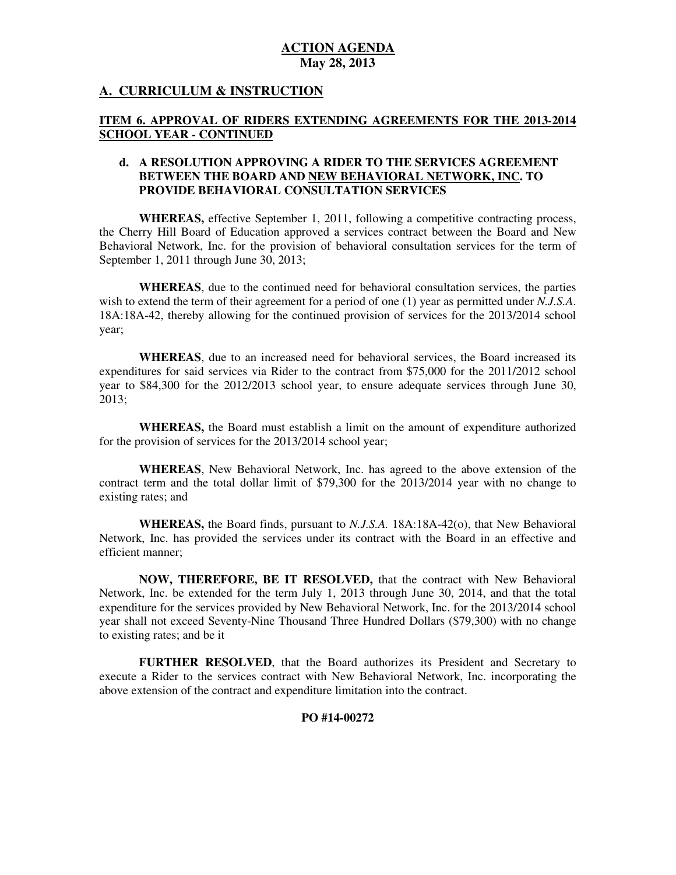### **A. CURRICULUM & INSTRUCTION**

#### **ITEM 6. APPROVAL OF RIDERS EXTENDING AGREEMENTS FOR THE 2013-2014 SCHOOL YEAR - CONTINUED**

### **d. A RESOLUTION APPROVING A RIDER TO THE SERVICES AGREEMENT BETWEEN THE BOARD AND NEW BEHAVIORAL NETWORK, INC. TO PROVIDE BEHAVIORAL CONSULTATION SERVICES**

 **WHEREAS,** effective September 1, 2011, following a competitive contracting process, the Cherry Hill Board of Education approved a services contract between the Board and New Behavioral Network, Inc. for the provision of behavioral consultation services for the term of September 1, 2011 through June 30, 2013;

 **WHEREAS**, due to the continued need for behavioral consultation services, the parties wish to extend the term of their agreement for a period of one (1) year as permitted under *N.J.S.A*. 18A:18A-42, thereby allowing for the continued provision of services for the 2013/2014 school year;

 **WHEREAS**, due to an increased need for behavioral services, the Board increased its expenditures for said services via Rider to the contract from \$75,000 for the 2011/2012 school year to \$84,300 for the 2012/2013 school year, to ensure adequate services through June 30, 2013;

 **WHEREAS,** the Board must establish a limit on the amount of expenditure authorized for the provision of services for the 2013/2014 school year;

 contract term and the total dollar limit of \$79,300 for the 2013/2014 year with no change to existing rates; and **WHEREAS**, New Behavioral Network, Inc. has agreed to the above extension of the

 **WHEREAS,** the Board finds, pursuant to *N.J.S.A.* 18A:18A-42(o), that New Behavioral Network, Inc. has provided the services under its contract with the Board in an effective and efficient manner;

 **NOW, THEREFORE, BE IT RESOLVED,** that the contract with New Behavioral Network, Inc. be extended for the term July 1, 2013 through June 30, 2014, and that the total expenditure for the services provided by New Behavioral Network, Inc. for the 2013/2014 school year shall not exceed Seventy-Nine Thousand Three Hundred Dollars (\$79,300) with no change to existing rates; and be it

 **FURTHER RESOLVED**, that the Board authorizes its President and Secretary to execute a Rider to the services contract with New Behavioral Network, Inc. incorporating the above extension of the contract and expenditure limitation into the contract.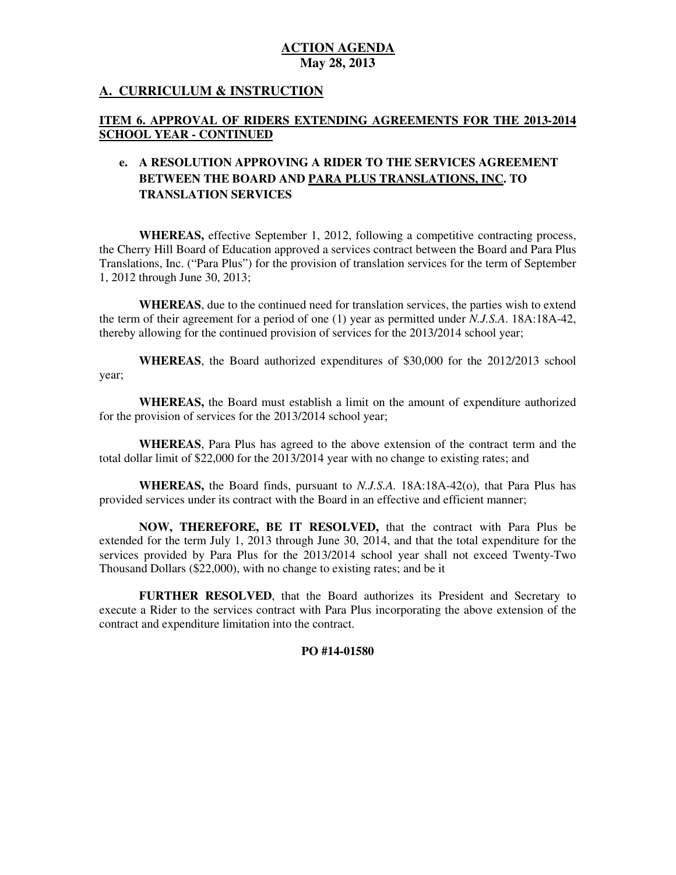## **A. CURRICULUM & INSTRUCTION**

## **ITEM 6. APPROVAL OF RIDERS EXTENDING AGREEMENTS FOR THE 2013-2014 SCHOOL YEAR - CONTINUED**

## **e. A RESOLUTION APPROVING A RIDER TO THE SERVICES AGREEMENT BETWEEN THE BOARD AND PARA PLUS TRANSLATIONS, INC. TO TRANSLATION SERVICES**

 **WHEREAS,** effective September 1, 2012, following a competitive contracting process, the Cherry Hill Board of Education approved a services contract between the Board and Para Plus Translations, Inc. ("Para Plus") for the provision of translation services for the term of September 1, 2012 through June 30, 2013;

 **WHEREAS**, due to the continued need for translation services, the parties wish to extend the term of their agreement for a period of one (1) year as permitted under *N.J.S.A*. 18A:18A-42, thereby allowing for the continued provision of services for the 2013/2014 school year;

 **WHEREAS**, the Board authorized expenditures of \$30,000 for the 2012/2013 school year;

 **WHEREAS,** the Board must establish a limit on the amount of expenditure authorized for the provision of services for the 2013/2014 school year;

 **WHEREAS**, Para Plus has agreed to the above extension of the contract term and the total dollar limit of \$22,000 for the 2013/2014 year with no change to existing rates; and

 **WHEREAS,** the Board finds, pursuant to *N.J.S.A.* 18A:18A-42(o), that Para Plus has provided services under its contract with the Board in an effective and efficient manner;

 **NOW, THEREFORE, BE IT RESOLVED,** that the contract with Para Plus be extended for the term July 1, 2013 through June 30, 2014, and that the total expenditure for the services provided by Para Plus for the 2013/2014 school year shall not exceed Twenty-Two Thousand Dollars (\$22,000), with no change to existing rates; and be it

 **FURTHER RESOLVED**, that the Board authorizes its President and Secretary to execute a Rider to the services contract with Para Plus incorporating the above extension of the contract and expenditure limitation into the contract.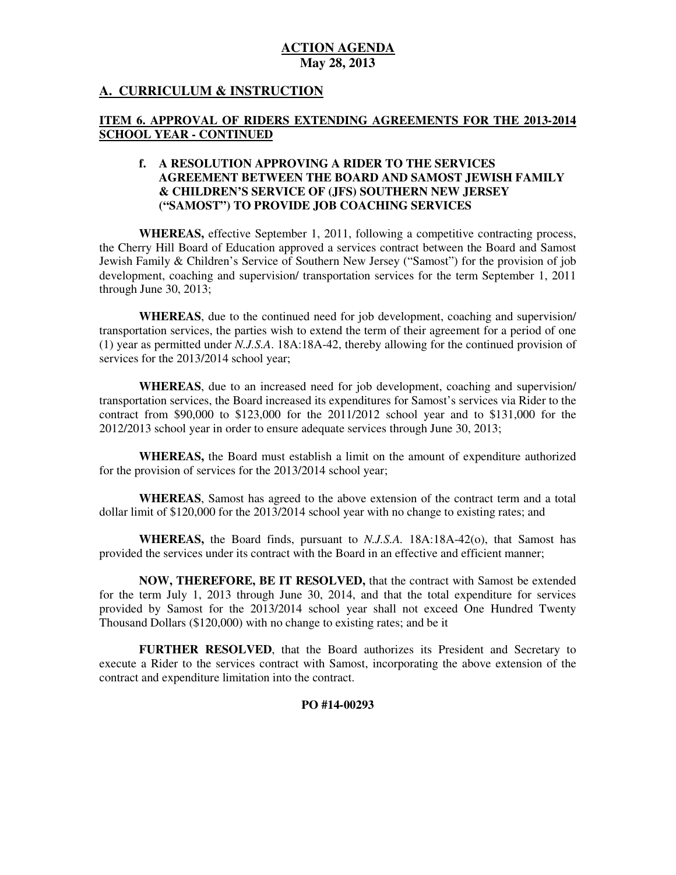# **A. CURRICULUM & INSTRUCTION**

### **ITEM 6. APPROVAL OF RIDERS EXTENDING AGREEMENTS FOR THE 2013-2014 SCHOOL YEAR - CONTINUED**

### **f. A RESOLUTION APPROVING A RIDER TO THE SERVICES AGREEMENT BETWEEN THE BOARD AND SAMOST JEWISH FAMILY & CHILDREN'S SERVICE OF (JFS) SOUTHERN NEW JERSEY ("SAMOST") TO PROVIDE JOB COACHING SERVICES**

 **WHEREAS,** effective September 1, 2011, following a competitive contracting process, the Cherry Hill Board of Education approved a services contract between the Board and Samost Jewish Family & Children's Service of Southern New Jersey ("Samost") for the provision of job development, coaching and supervision/ transportation services for the term September 1, 2011 through June 30, 2013;

 **WHEREAS**, due to the continued need for job development, coaching and supervision/ transportation services, the parties wish to extend the term of their agreement for a period of one (1) year as permitted under *N.J.S.A*. 18A:18A-42, thereby allowing for the continued provision of services for the 2013/2014 school year;

 **WHEREAS**, due to an increased need for job development, coaching and supervision/ transportation services, the Board increased its expenditures for Samost's services via Rider to the contract from \$90,000 to \$123,000 for the 2011/2012 school year and to \$131,000 for the 2012/2013 school year in order to ensure adequate services through June 30, 2013;

 **WHEREAS,** the Board must establish a limit on the amount of expenditure authorized for the provision of services for the 2013/2014 school year;

 **WHEREAS**, Samost has agreed to the above extension of the contract term and a total dollar limit of \$120,000 for the 2013/2014 school year with no change to existing rates; and

 **WHEREAS,** the Board finds, pursuant to *N.J.S.A.* 18A:18A-42(o), that Samost has provided the services under its contract with the Board in an effective and efficient manner;

 **NOW, THEREFORE, BE IT RESOLVED,** that the contract with Samost be extended for the term July 1, 2013 through June 30, 2014, and that the total expenditure for services provided by Samost for the 2013/2014 school year shall not exceed One Hundred Twenty Thousand Dollars (\$120,000) with no change to existing rates; and be it

 **FURTHER RESOLVED**, that the Board authorizes its President and Secretary to execute a Rider to the services contract with Samost, incorporating the above extension of the contract and expenditure limitation into the contract.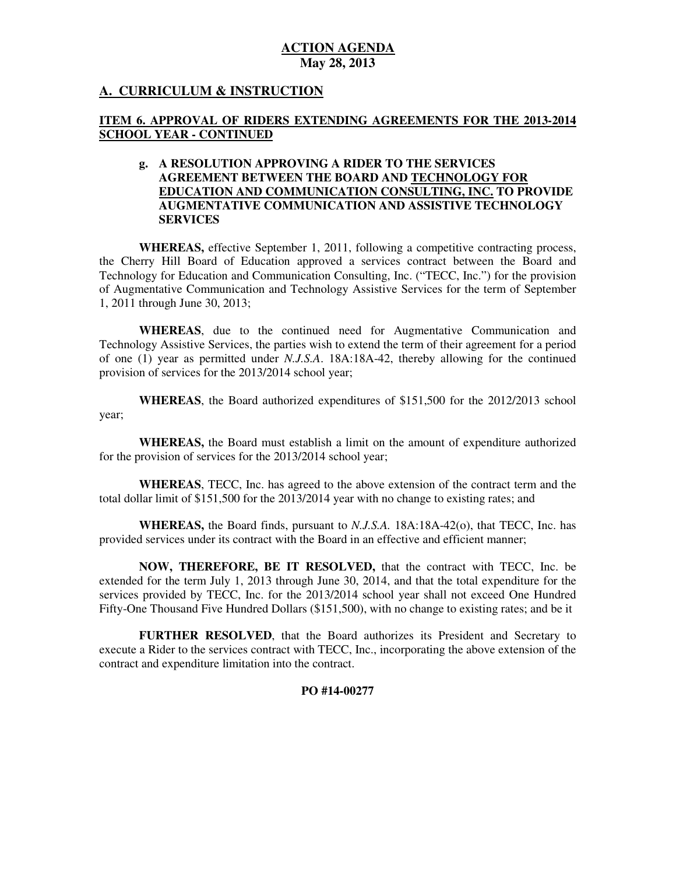# **A. CURRICULUM & INSTRUCTION**

## **ITEM 6. APPROVAL OF RIDERS EXTENDING AGREEMENTS FOR THE 2013-2014 SCHOOL YEAR - CONTINUED**

#### **g. A RESOLUTION APPROVING A RIDER TO THE SERVICES AGREEMENT BETWEEN THE BOARD AND TECHNOLOGY FOR EDUCATION AND COMMUNICATION CONSULTING, INC. TO PROVIDE AUGMENTATIVE COMMUNICATION AND ASSISTIVE TECHNOLOGY SERVICES**

 **WHEREAS,** effective September 1, 2011, following a competitive contracting process, the Cherry Hill Board of Education approved a services contract between the Board and Technology for Education and Communication Consulting, Inc. ("TECC, Inc.") for the provision of Augmentative Communication and Technology Assistive Services for the term of September 1, 2011 through June 30, 2013;

 **WHEREAS**, due to the continued need for Augmentative Communication and Technology Assistive Services, the parties wish to extend the term of their agreement for a period of one (1) year as permitted under *N.J.S.A*. 18A:18A-42, thereby allowing for the continued provision of services for the 2013/2014 school year;

 **WHEREAS**, the Board authorized expenditures of \$151,500 for the 2012/2013 school year;

 **WHEREAS,** the Board must establish a limit on the amount of expenditure authorized for the provision of services for the 2013/2014 school year;

 **WHEREAS**, TECC, Inc. has agreed to the above extension of the contract term and the total dollar limit of \$151,500 for the 2013/2014 year with no change to existing rates; and

 **WHEREAS,** the Board finds, pursuant to *N.J.S.A.* 18A:18A-42(o), that TECC, Inc. has provided services under its contract with the Board in an effective and efficient manner;

 **NOW, THEREFORE, BE IT RESOLVED,** that the contract with TECC, Inc. be extended for the term July 1, 2013 through June 30, 2014, and that the total expenditure for the services provided by TECC, Inc. for the 2013/2014 school year shall not exceed One Hundred Fifty-One Thousand Five Hundred Dollars (\$151,500), with no change to existing rates; and be it

 **FURTHER RESOLVED**, that the Board authorizes its President and Secretary to execute a Rider to the services contract with TECC, Inc., incorporating the above extension of the contract and expenditure limitation into the contract.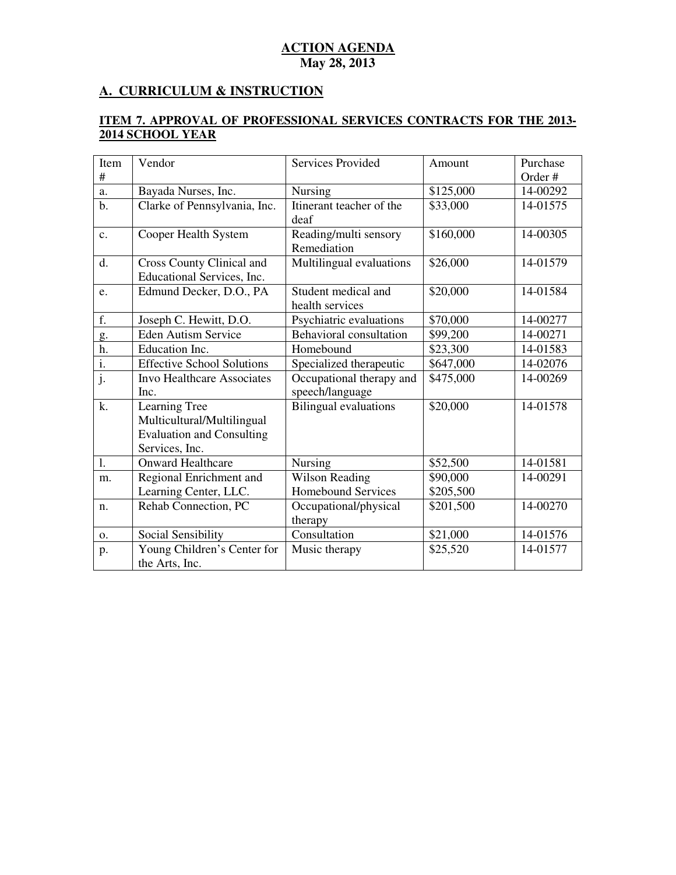# **A. CURRICULUM & INSTRUCTION**

#### **ITEM 7. APPROVAL OF PROFESSIONAL SERVICES CONTRACTS FOR THE 2013 2014 SCHOOL YEAR**

| Item<br>$\#$              | Vendor                                                  | Services Provided                      | Amount    | Purchase<br>Order# |
|---------------------------|---------------------------------------------------------|----------------------------------------|-----------|--------------------|
|                           |                                                         |                                        |           | 14-00292           |
| a.                        | Bayada Nurses, Inc.                                     | Nursing                                | \$125,000 |                    |
| $b$ .                     | Clarke of Pennsylvania, Inc.                            | Itinerant teacher of the<br>deaf       | \$33,000  | 14-01575           |
| $\mathbf{c}$ .            | Cooper Health System                                    | Reading/multi sensory                  | \$160,000 | 14-00305           |
|                           |                                                         | Remediation                            |           |                    |
| d.                        | Cross County Clinical and<br>Educational Services, Inc. | Multilingual evaluations               | \$26,000  | 14-01579           |
| e.                        | Edmund Decker, D.O., PA                                 | Student medical and<br>health services | \$20,000  | 14-01584           |
| f.                        | Joseph C. Hewitt, D.O.                                  | Psychiatric evaluations                | \$70,000  | 14-00277           |
| g.                        | <b>Eden Autism Service</b>                              | Behavioral consultation                | \$99,200  | 14-00271           |
| h.                        | Education Inc.                                          | Homebound                              | \$23,300  | 14-01583           |
| $\overline{i}$ .          | <b>Effective School Solutions</b>                       | Specialized therapeutic                | \$647,000 | 14-02076           |
| $\overline{\mathbf{j}}$ . | Invo Healthcare Associates                              | Occupational therapy and               | \$475,000 | 14-00269           |
|                           | Inc.                                                    | speech/language                        |           |                    |
| k.                        | Learning Tree                                           | <b>Bilingual</b> evaluations           | \$20,000  | 14-01578           |
|                           | Multicultural/Multilingual                              |                                        |           |                    |
|                           | <b>Evaluation and Consulting</b>                        |                                        |           |                    |
|                           | Services, Inc.                                          |                                        |           |                    |
| 1.                        | <b>Onward Healthcare</b>                                | Nursing                                | \$52,500  | 14-01581           |
| m.                        | Regional Enrichment and                                 | <b>Wilson Reading</b>                  | \$90,000  | 14-00291           |
|                           | Learning Center, LLC.                                   | <b>Homebound Services</b>              | \$205,500 |                    |
| n.                        | Rehab Connection, PC                                    | Occupational/physical                  | \$201,500 | 14-00270           |
|                           |                                                         | therapy                                |           |                    |
| 0.                        | Social Sensibility                                      | Consultation                           | \$21,000  | 14-01576           |
| p.                        | Young Children's Center for                             | Music therapy                          | \$25,520  | 14-01577           |
|                           | the Arts, Inc.                                          |                                        |           |                    |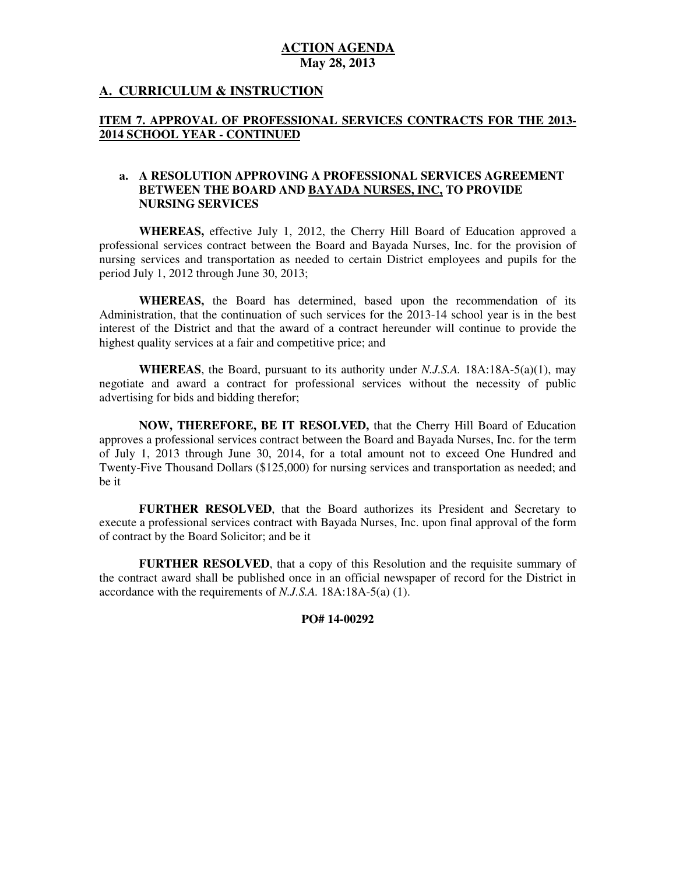## **A. CURRICULUM & INSTRUCTION**

## **ITEM 7. APPROVAL OF PROFESSIONAL SERVICES CONTRACTS FOR THE 2013 2014 SCHOOL YEAR - CONTINUED**

### **a. A RESOLUTION APPROVING A PROFESSIONAL SERVICES AGREEMENT BETWEEN THE BOARD AND BAYADA NURSES, INC, TO PROVIDE NURSING SERVICES**

 **WHEREAS,** effective July 1, 2012, the Cherry Hill Board of Education approved a professional services contract between the Board and Bayada Nurses, Inc. for the provision of nursing services and transportation as needed to certain District employees and pupils for the period July 1, 2012 through June 30, 2013;

 **WHEREAS,** the Board has determined, based upon the recommendation of its Administration, that the continuation of such services for the 2013-14 school year is in the best interest of the District and that the award of a contract hereunder will continue to provide the highest quality services at a fair and competitive price; and

 **WHEREAS**, the Board, pursuant to its authority under *N.J.S.A.* 18A:18A-5(a)(1), may negotiate and award a contract for professional services without the necessity of public advertising for bids and bidding therefor;

 **NOW, THEREFORE, BE IT RESOLVED,** that the Cherry Hill Board of Education approves a professional services contract between the Board and Bayada Nurses, Inc. for the term of July 1, 2013 through June 30, 2014, for a total amount not to exceed One Hundred and Twenty-Five Thousand Dollars (\$125,000) for nursing services and transportation as needed; and be it

 **FURTHER RESOLVED**, that the Board authorizes its President and Secretary to execute a professional services contract with Bayada Nurses, Inc. upon final approval of the form of contract by the Board Solicitor; and be it

 **FURTHER RESOLVED**, that a copy of this Resolution and the requisite summary of the contract award shall be published once in an official newspaper of record for the District in accordance with the requirements of *N.J.S.A.* 18A:18A-5(a) (1).

#### **PO# 14-00292**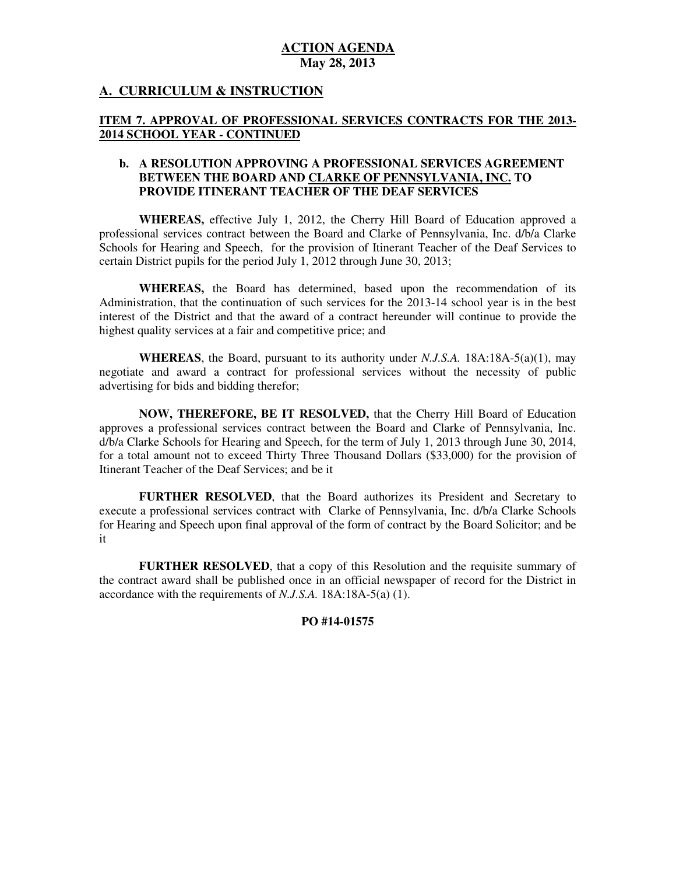# **A. CURRICULUM & INSTRUCTION**

### **ITEM 7. APPROVAL OF PROFESSIONAL SERVICES CONTRACTS FOR THE 2013 2014 SCHOOL YEAR - CONTINUED**

### **b. A RESOLUTION APPROVING A PROFESSIONAL SERVICES AGREEMENT BETWEEN THE BOARD AND CLARKE OF PENNSYLVANIA, INC. TO PROVIDE ITINERANT TEACHER OF THE DEAF SERVICES**

 **WHEREAS,** effective July 1, 2012, the Cherry Hill Board of Education approved a professional services contract between the Board and Clarke of Pennsylvania, Inc. d/b/a Clarke Schools for Hearing and Speech, for the provision of Itinerant Teacher of the Deaf Services to certain District pupils for the period July 1, 2012 through June 30, 2013;

 **WHEREAS,** the Board has determined, based upon the recommendation of its Administration, that the continuation of such services for the 2013-14 school year is in the best interest of the District and that the award of a contract hereunder will continue to provide the highest quality services at a fair and competitive price; and

 **WHEREAS**, the Board, pursuant to its authority under *N.J.S.A.* 18A:18A-5(a)(1), may negotiate and award a contract for professional services without the necessity of public advertising for bids and bidding therefor;

 **NOW, THEREFORE, BE IT RESOLVED,** that the Cherry Hill Board of Education approves a professional services contract between the Board and Clarke of Pennsylvania, Inc. d/b/a Clarke Schools for Hearing and Speech, for the term of July 1, 2013 through June 30, 2014, for a total amount not to exceed Thirty Three Thousand Dollars (\$33,000) for the provision of Itinerant Teacher of the Deaf Services; and be it

 **FURTHER RESOLVED**, that the Board authorizes its President and Secretary to execute a professional services contract with Clarke of Pennsylvania, Inc. d/b/a Clarke Schools for Hearing and Speech upon final approval of the form of contract by the Board Solicitor; and be it

 **FURTHER RESOLVED**, that a copy of this Resolution and the requisite summary of the contract award shall be published once in an official newspaper of record for the District in accordance with the requirements of *N.J.S.A.* 18A:18A-5(a) (1).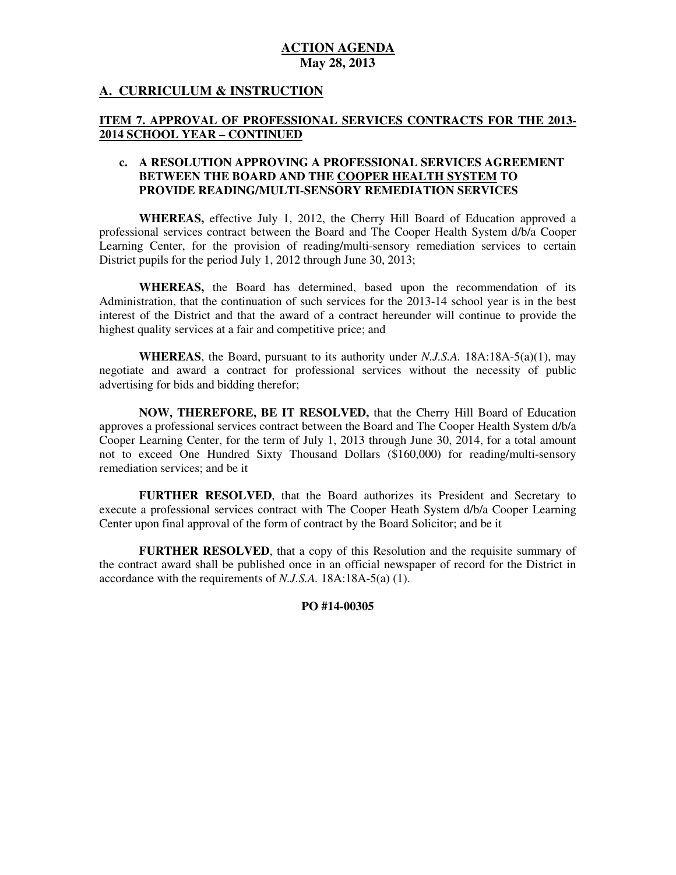## **A. CURRICULUM & INSTRUCTION**

### **ITEM 7. APPROVAL OF PROFESSIONAL SERVICES CONTRACTS FOR THE 2013 2014 SCHOOL YEAR – CONTINUED**

### **c. A RESOLUTION APPROVING A PROFESSIONAL SERVICES AGREEMENT BETWEEN THE BOARD AND THE COOPER HEALTH SYSTEM TO PROVIDE READING/MULTI-SENSORY REMEDIATION SERVICES**

 **WHEREAS,** effective July 1, 2012, the Cherry Hill Board of Education approved a professional services contract between the Board and The Cooper Health System d/b/a Cooper Learning Center, for the provision of reading/multi-sensory remediation services to certain District pupils for the period July 1, 2012 through June 30, 2013;

 **WHEREAS,** the Board has determined, based upon the recommendation of its Administration, that the continuation of such services for the 2013-14 school year is in the best interest of the District and that the award of a contract hereunder will continue to provide the highest quality services at a fair and competitive price; and

 **WHEREAS**, the Board, pursuant to its authority under *N.J.S.A.* 18A:18A-5(a)(1), may negotiate and award a contract for professional services without the necessity of public advertising for bids and bidding therefor;

 **NOW, THEREFORE, BE IT RESOLVED,** that the Cherry Hill Board of Education approves a professional services contract between the Board and The Cooper Health System d/b/a Cooper Learning Center, for the term of July 1, 2013 through June 30, 2014, for a total amount not to exceed One Hundred Sixty Thousand Dollars (\$160,000) for reading/multi-sensory remediation services; and be it

 **FURTHER RESOLVED**, that the Board authorizes its President and Secretary to execute a professional services contract with The Cooper Heath System d/b/a Cooper Learning Center upon final approval of the form of contract by the Board Solicitor; and be it

 **FURTHER RESOLVED**, that a copy of this Resolution and the requisite summary of the contract award shall be published once in an official newspaper of record for the District in accordance with the requirements of *N.J.S.A.* 18A:18A-5(a) (1).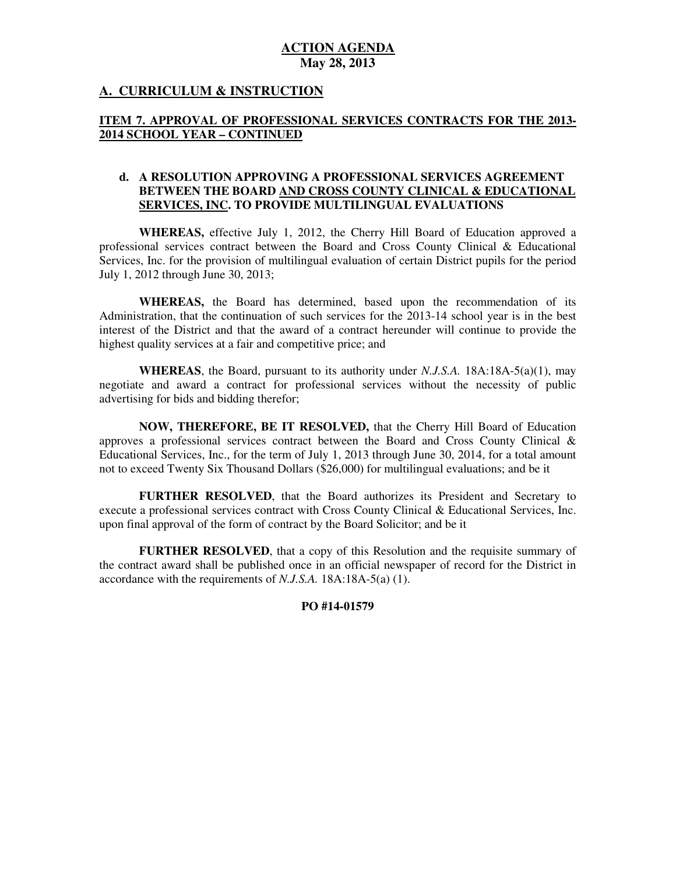## **A. CURRICULUM & INSTRUCTION**

## **ITEM 7. APPROVAL OF PROFESSIONAL SERVICES CONTRACTS FOR THE 2013 2014 SCHOOL YEAR – CONTINUED**

### **d. A RESOLUTION APPROVING A PROFESSIONAL SERVICES AGREEMENT BETWEEN THE BOARD AND CROSS COUNTY CLINICAL & EDUCATIONAL SERVICES, INC. TO PROVIDE MULTILINGUAL EVALUATIONS**

 **WHEREAS,** effective July 1, 2012, the Cherry Hill Board of Education approved a professional services contract between the Board and Cross County Clinical & Educational Services, Inc. for the provision of multilingual evaluation of certain District pupils for the period July 1, 2012 through June 30, 2013;

 **WHEREAS,** the Board has determined, based upon the recommendation of its Administration, that the continuation of such services for the 2013-14 school year is in the best interest of the District and that the award of a contract hereunder will continue to provide the highest quality services at a fair and competitive price; and

 **WHEREAS**, the Board, pursuant to its authority under *N.J.S.A.* 18A:18A-5(a)(1), may negotiate and award a contract for professional services without the necessity of public advertising for bids and bidding therefor;

 **NOW, THEREFORE, BE IT RESOLVED,** that the Cherry Hill Board of Education approves a professional services contract between the Board and Cross County Clinical & Educational Services, Inc., for the term of July 1, 2013 through June 30, 2014, for a total amount not to exceed Twenty Six Thousand Dollars (\$26,000) for multilingual evaluations; and be it

 **FURTHER RESOLVED**, that the Board authorizes its President and Secretary to execute a professional services contract with Cross County Clinical & Educational Services, Inc. upon final approval of the form of contract by the Board Solicitor; and be it

 **FURTHER RESOLVED**, that a copy of this Resolution and the requisite summary of the contract award shall be published once in an official newspaper of record for the District in accordance with the requirements of *N.J.S.A.* 18A:18A-5(a) (1).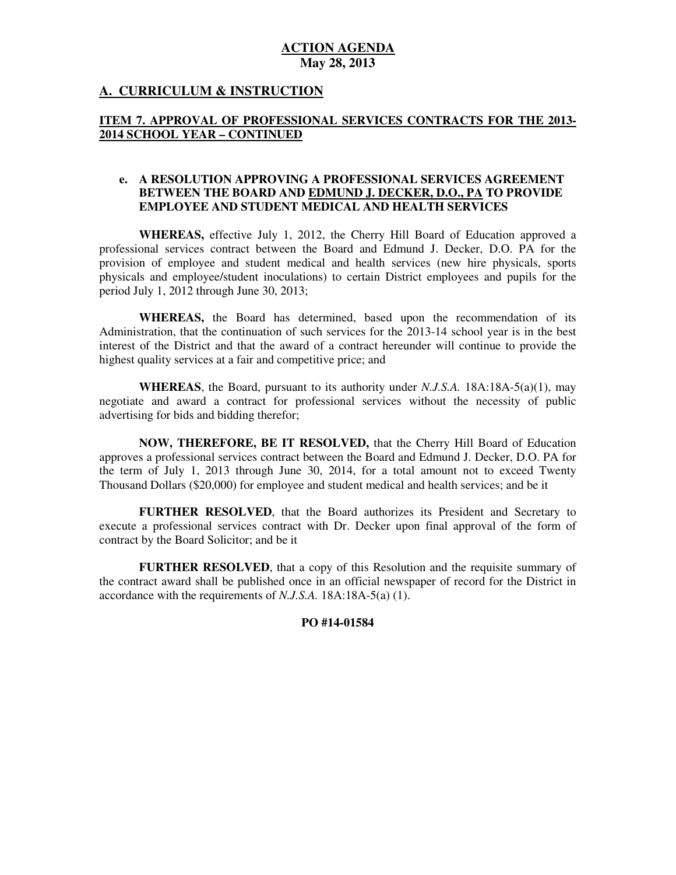## **A. CURRICULUM & INSTRUCTION**

# **ITEM 7. APPROVAL OF PROFESSIONAL SERVICES CONTRACTS FOR THE 2013 2014 SCHOOL YEAR – CONTINUED**

## **e. A RESOLUTION APPROVING A PROFESSIONAL SERVICES AGREEMENT BETWEEN THE BOARD AND EDMUND J. DECKER, D.O., PA TO PROVIDE EMPLOYEE AND STUDENT MEDICAL AND HEALTH SERVICES**

 **WHEREAS,** effective July 1, 2012, the Cherry Hill Board of Education approved a professional services contract between the Board and Edmund J. Decker, D.O. PA for the provision of employee and student medical and health services (new hire physicals, sports physicals and employee/student inoculations) to certain District employees and pupils for the period July 1, 2012 through June 30, 2013;

 **WHEREAS,** the Board has determined, based upon the recommendation of its Administration, that the continuation of such services for the 2013-14 school year is in the best interest of the District and that the award of a contract hereunder will continue to provide the highest quality services at a fair and competitive price; and

 **WHEREAS**, the Board, pursuant to its authority under *N.J.S.A.* 18A:18A-5(a)(1), may negotiate and award a contract for professional services without the necessity of public advertising for bids and bidding therefor;

 **NOW, THEREFORE, BE IT RESOLVED,** that the Cherry Hill Board of Education approves a professional services contract between the Board and Edmund J. Decker, D.O. PA for the term of July 1, 2013 through June 30, 2014, for a total amount not to exceed Twenty Thousand Dollars (\$20,000) for employee and student medical and health services; and be it

 **FURTHER RESOLVED**, that the Board authorizes its President and Secretary to execute a professional services contract with Dr. Decker upon final approval of the form of contract by the Board Solicitor; and be it

 **FURTHER RESOLVED**, that a copy of this Resolution and the requisite summary of the contract award shall be published once in an official newspaper of record for the District in accordance with the requirements of *N.J.S.A.* 18A:18A-5(a) (1).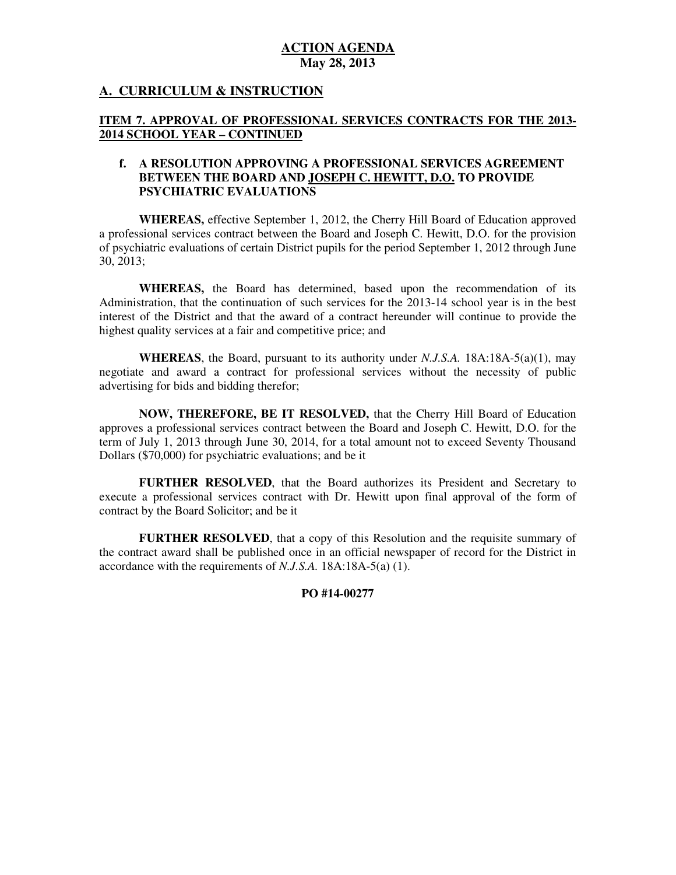# **A. CURRICULUM & INSTRUCTION**

### **ITEM 7. APPROVAL OF PROFESSIONAL SERVICES CONTRACTS FOR THE 2013 2014 SCHOOL YEAR – CONTINUED**

#### **f. A RESOLUTION APPROVING A PROFESSIONAL SERVICES AGREEMENT BETWEEN THE BOARD AND JOSEPH C. HEWITT, D.O. TO PROVIDE PSYCHIATRIC EVALUATIONS**

 **PSYCHIATRIC EVALUATIONS WHEREAS,** effective September 1, 2012, the Cherry Hill Board of Education approved a professional services contract between the Board and Joseph C. Hewitt, D.O. for the provision of psychiatric evaluations of certain District pupils for the period September 1, 2012 through June 30, 2013;

 **WHEREAS,** the Board has determined, based upon the recommendation of its Administration, that the continuation of such services for the 2013-14 school year is in the best interest of the District and that the award of a contract hereunder will continue to provide the highest quality services at a fair and competitive price; and

 **WHEREAS**, the Board, pursuant to its authority under *N.J.S.A.* 18A:18A-5(a)(1), may negotiate and award a contract for professional services without the necessity of public advertising for bids and bidding therefor;

 **NOW, THEREFORE, BE IT RESOLVED,** that the Cherry Hill Board of Education approves a professional services contract between the Board and Joseph C. Hewitt, D.O. for the term of July 1, 2013 through June 30, 2014, for a total amount not to exceed Seventy Thousand Dollars (\$70,000) for psychiatric evaluations; and be it

 **FURTHER RESOLVED**, that the Board authorizes its President and Secretary to execute a professional services contract with Dr. Hewitt upon final approval of the form of contract by the Board Solicitor; and be it

 **FURTHER RESOLVED**, that a copy of this Resolution and the requisite summary of the contract award shall be published once in an official newspaper of record for the District in accordance with the requirements of *N.J.S.A.* 18A:18A-5(a) (1).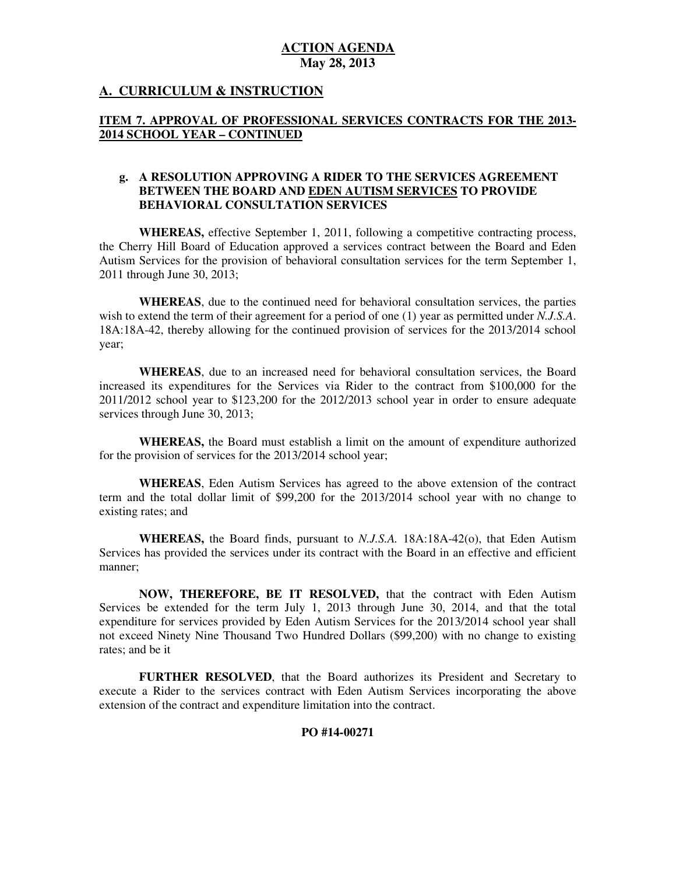# **A. CURRICULUM & INSTRUCTION**

## **ITEM 7. APPROVAL OF PROFESSIONAL SERVICES CONTRACTS FOR THE 2013 2014 SCHOOL YEAR – CONTINUED**

### **g. A RESOLUTION APPROVING A RIDER TO THE SERVICES AGREEMENT BETWEEN THE BOARD AND EDEN AUTISM SERVICES TO PROVIDE BEHAVIORAL CONSULTATION SERVICES**

 **WHEREAS,** effective September 1, 2011, following a competitive contracting process, the Cherry Hill Board of Education approved a services contract between the Board and Eden Autism Services for the provision of behavioral consultation services for the term September 1, 2011 through June 30, 2013;

 **WHEREAS**, due to the continued need for behavioral consultation services, the parties wish to extend the term of their agreement for a period of one (1) year as permitted under *N.J.S.A*. 18A:18A-42, thereby allowing for the continued provision of services for the 2013/2014 school year;

 **WHEREAS**, due to an increased need for behavioral consultation services, the Board increased its expenditures for the Services via Rider to the contract from \$100,000 for the 2011/2012 school year to \$123,200 for the 2012/2013 school year in order to ensure adequate services through June 30, 2013;

 **WHEREAS,** the Board must establish a limit on the amount of expenditure authorized for the provision of services for the 2013/2014 school year;

 term and the total dollar limit of \$99,200 for the 2013/2014 school year with no change to existing rates; and **WHEREAS**, Eden Autism Services has agreed to the above extension of the contract

 **WHEREAS,** the Board finds, pursuant to *N.J.S.A.* 18A:18A-42(o), that Eden Autism Services has provided the services under its contract with the Board in an effective and efficient manner;

 **NOW, THEREFORE, BE IT RESOLVED,** that the contract with Eden Autism Services be extended for the term July 1, 2013 through June 30, 2014, and that the total expenditure for services provided by Eden Autism Services for the 2013/2014 school year shall not exceed Ninety Nine Thousand Two Hundred Dollars (\$99,200) with no change to existing rates; and be it

 **FURTHER RESOLVED**, that the Board authorizes its President and Secretary to execute a Rider to the services contract with Eden Autism Services incorporating the above extension of the contract and expenditure limitation into the contract.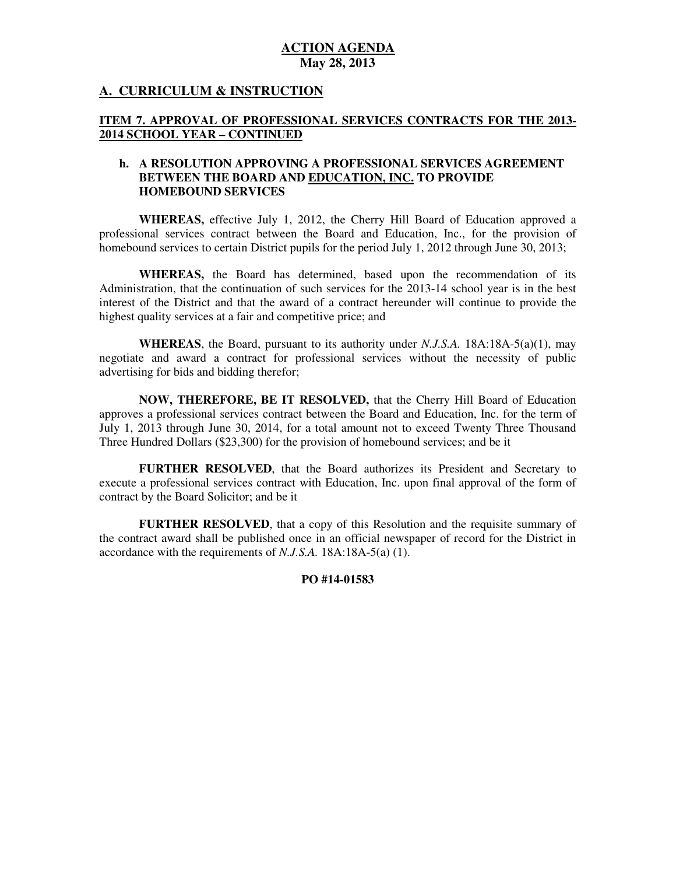## **A. CURRICULUM & INSTRUCTION**

### **ITEM 7. APPROVAL OF PROFESSIONAL SERVICES CONTRACTS FOR THE 2013 2014 SCHOOL YEAR – CONTINUED**

### **h. A RESOLUTION APPROVING A PROFESSIONAL SERVICES AGREEMENT BETWEEN THE BOARD AND EDUCATION, INC. TO PROVIDE HOMEBOUND SERVICES**

 **WHEREAS,** effective July 1, 2012, the Cherry Hill Board of Education approved a professional services contract between the Board and Education, Inc., for the provision of homebound services to certain District pupils for the period July 1, 2012 through June 30, 2013;

 **WHEREAS,** the Board has determined, based upon the recommendation of its Administration, that the continuation of such services for the 2013-14 school year is in the best interest of the District and that the award of a contract hereunder will continue to provide the highest quality services at a fair and competitive price; and

 **WHEREAS**, the Board, pursuant to its authority under *N.J.S.A.* 18A:18A-5(a)(1), may negotiate and award a contract for professional services without the necessity of public advertising for bids and bidding therefor;

 **NOW, THEREFORE, BE IT RESOLVED,** that the Cherry Hill Board of Education approves a professional services contract between the Board and Education, Inc. for the term of July 1, 2013 through June 30, 2014, for a total amount not to exceed Twenty Three Thousand Three Hundred Dollars (\$23,300) for the provision of homebound services; and be it

 **FURTHER RESOLVED**, that the Board authorizes its President and Secretary to execute a professional services contract with Education, Inc. upon final approval of the form of contract by the Board Solicitor; and be it

 **FURTHER RESOLVED**, that a copy of this Resolution and the requisite summary of the contract award shall be published once in an official newspaper of record for the District in accordance with the requirements of *N.J.S.A.* 18A:18A-5(a) (1).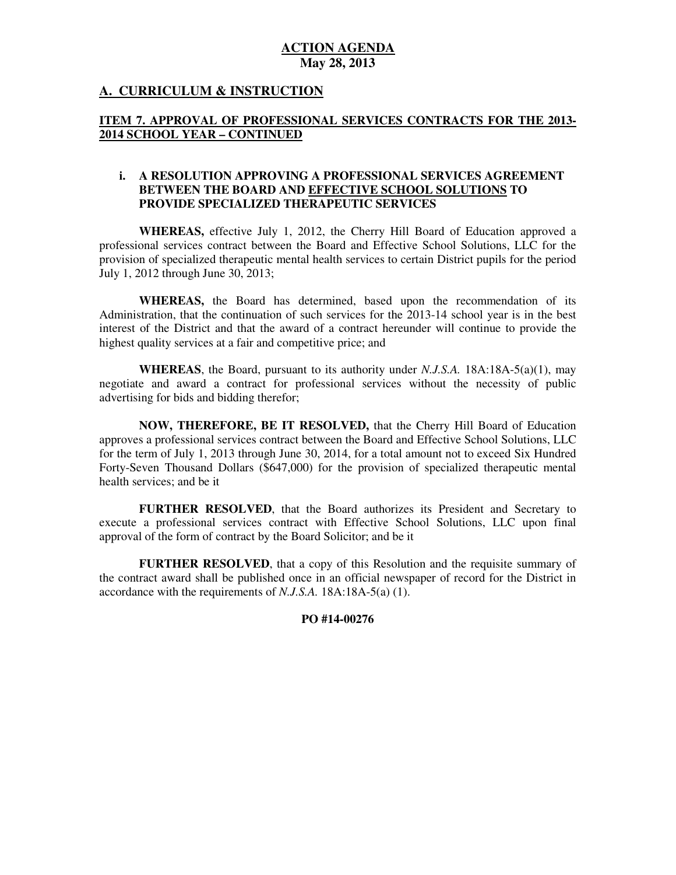# **A. CURRICULUM & INSTRUCTION**

# **ITEM 7. APPROVAL OF PROFESSIONAL SERVICES CONTRACTS FOR THE 2013 2014 SCHOOL YEAR – CONTINUED**

## **i. A RESOLUTION APPROVING A PROFESSIONAL SERVICES AGREEMENT BETWEEN THE BOARD AND EFFECTIVE SCHOOL SOLUTIONS TO PROVIDE SPECIALIZED THERAPEUTIC SERVICES**

 **WHEREAS,** effective July 1, 2012, the Cherry Hill Board of Education approved a professional services contract between the Board and Effective School Solutions, LLC for the provision of specialized therapeutic mental health services to certain District pupils for the period July 1, 2012 through June 30, 2013;

 **WHEREAS,** the Board has determined, based upon the recommendation of its Administration, that the continuation of such services for the 2013-14 school year is in the best interest of the District and that the award of a contract hereunder will continue to provide the highest quality services at a fair and competitive price; and

 **WHEREAS**, the Board, pursuant to its authority under *N.J.S.A.* 18A:18A-5(a)(1), may negotiate and award a contract for professional services without the necessity of public advertising for bids and bidding therefor;

 **NOW, THEREFORE, BE IT RESOLVED,** that the Cherry Hill Board of Education approves a professional services contract between the Board and Effective School Solutions, LLC for the term of July 1, 2013 through June 30, 2014, for a total amount not to exceed Six Hundred Forty-Seven Thousand Dollars (\$647,000) for the provision of specialized therapeutic mental health services; and be it

 **FURTHER RESOLVED**, that the Board authorizes its President and Secretary to execute a professional services contract with Effective School Solutions, LLC upon final approval of the form of contract by the Board Solicitor; and be it

 **FURTHER RESOLVED**, that a copy of this Resolution and the requisite summary of the contract award shall be published once in an official newspaper of record for the District in accordance with the requirements of *N.J.S.A.* 18A:18A-5(a) (1).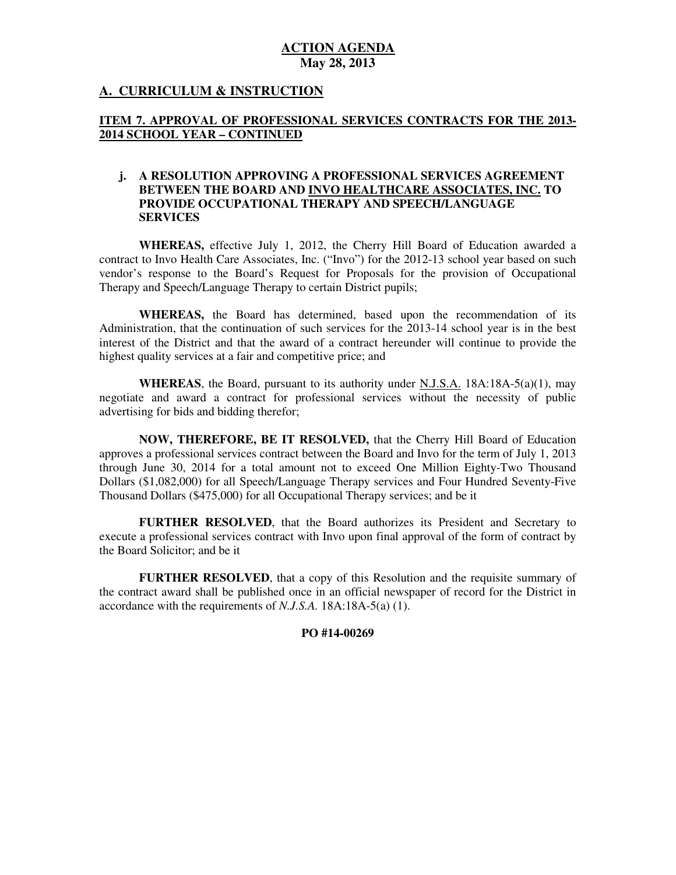## **A. CURRICULUM & INSTRUCTION**

## **ITEM 7. APPROVAL OF PROFESSIONAL SERVICES CONTRACTS FOR THE 2013 2014 SCHOOL YEAR – CONTINUED**

### **j. A RESOLUTION APPROVING A PROFESSIONAL SERVICES AGREEMENT BETWEEN THE BOARD AND INVO HEALTHCARE ASSOCIATES, INC. TO PROVIDE OCCUPATIONAL THERAPY AND SPEECH/LANGUAGE SERVICES**

 **SERVICES WHEREAS,** effective July 1, 2012, the Cherry Hill Board of Education awarded a contract to Invo Health Care Associates, Inc. ("Invo") for the 2012-13 school year based on such vendor's response to the Board's Request for Proposals for the provision of Occupational Therapy and Speech/Language Therapy to certain District pupils;

 **WHEREAS,** the Board has determined, based upon the recommendation of its Administration, that the continuation of such services for the 2013-14 school year is in the best interest of the District and that the award of a contract hereunder will continue to provide the highest quality services at a fair and competitive price; and

 **WHEREAS**, the Board, pursuant to its authority under N.J.S.A. 18A:18A-5(a)(1), may negotiate and award a contract for professional services without the necessity of public advertising for bids and bidding therefor;

 **NOW, THEREFORE, BE IT RESOLVED,** that the Cherry Hill Board of Education approves a professional services contract between the Board and Invo for the term of July 1, 2013 through June 30, 2014 for a total amount not to exceed One Million Eighty-Two Thousand Dollars (\$1,082,000) for all Speech/Language Therapy services and Four Hundred Seventy-Five Thousand Dollars (\$475,000) for all Occupational Therapy services; and be it

 **FURTHER RESOLVED**, that the Board authorizes its President and Secretary to execute a professional services contract with Invo upon final approval of the form of contract by the Board Solicitor; and be it

 **FURTHER RESOLVED**, that a copy of this Resolution and the requisite summary of the contract award shall be published once in an official newspaper of record for the District in accordance with the requirements of *N.J.S.A.* 18A:18A-5(a) (1).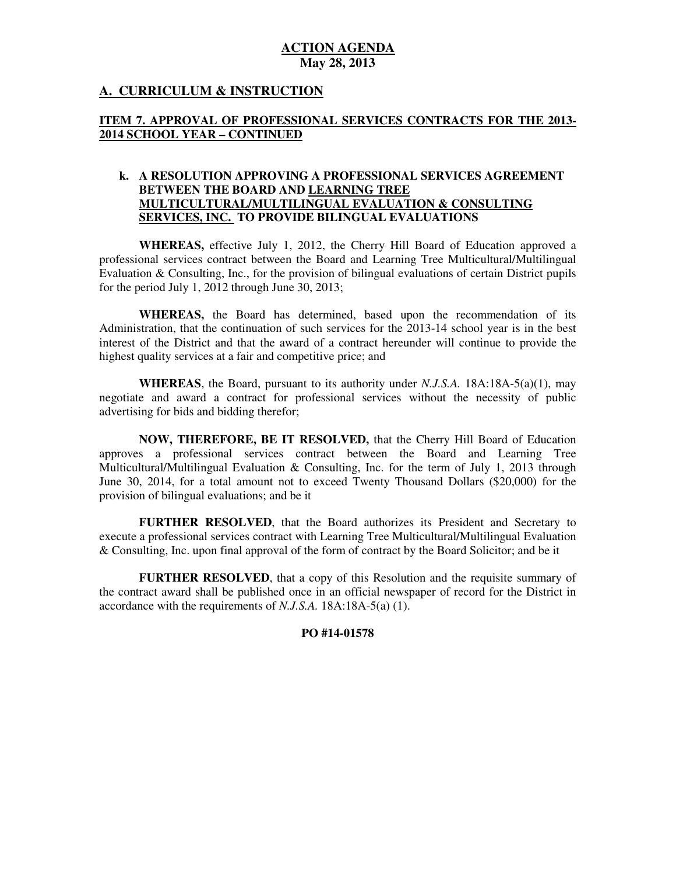# **A. CURRICULUM & INSTRUCTION**

## **ITEM 7. APPROVAL OF PROFESSIONAL SERVICES CONTRACTS FOR THE 2013 2014 SCHOOL YEAR – CONTINUED**

## **k. A RESOLUTION APPROVING A PROFESSIONAL SERVICES AGREEMENT BETWEEN THE BOARD AND LEARNING TREE MULTICULTURAL/MULTILINGUAL EVALUATION & CONSULTING SERVICES, INC. TO PROVIDE BILINGUAL EVALUATIONS**

 **WHEREAS,** effective July 1, 2012, the Cherry Hill Board of Education approved a professional services contract between the Board and Learning Tree Multicultural/Multilingual Evaluation & Consulting, Inc., for the provision of bilingual evaluations of certain District pupils for the period July 1, 2012 through June 30, 2013;

 **WHEREAS,** the Board has determined, based upon the recommendation of its Administration, that the continuation of such services for the 2013-14 school year is in the best interest of the District and that the award of a contract hereunder will continue to provide the highest quality services at a fair and competitive price; and

 **WHEREAS**, the Board, pursuant to its authority under *N.J.S.A.* 18A:18A-5(a)(1), may negotiate and award a contract for professional services without the necessity of public advertising for bids and bidding therefor;

 **NOW, THEREFORE, BE IT RESOLVED,** that the Cherry Hill Board of Education approves a professional services contract between the Board and Learning Tree Multicultural/Multilingual Evaluation & Consulting, Inc. for the term of July 1, 2013 through June 30, 2014, for a total amount not to exceed Twenty Thousand Dollars (\$20,000) for the provision of bilingual evaluations; and be it

 **FURTHER RESOLVED**, that the Board authorizes its President and Secretary to execute a professional services contract with Learning Tree Multicultural/Multilingual Evaluation & Consulting, Inc. upon final approval of the form of contract by the Board Solicitor; and be it

 **FURTHER RESOLVED**, that a copy of this Resolution and the requisite summary of the contract award shall be published once in an official newspaper of record for the District in accordance with the requirements of *N.J.S.A.* 18A:18A-5(a) (1).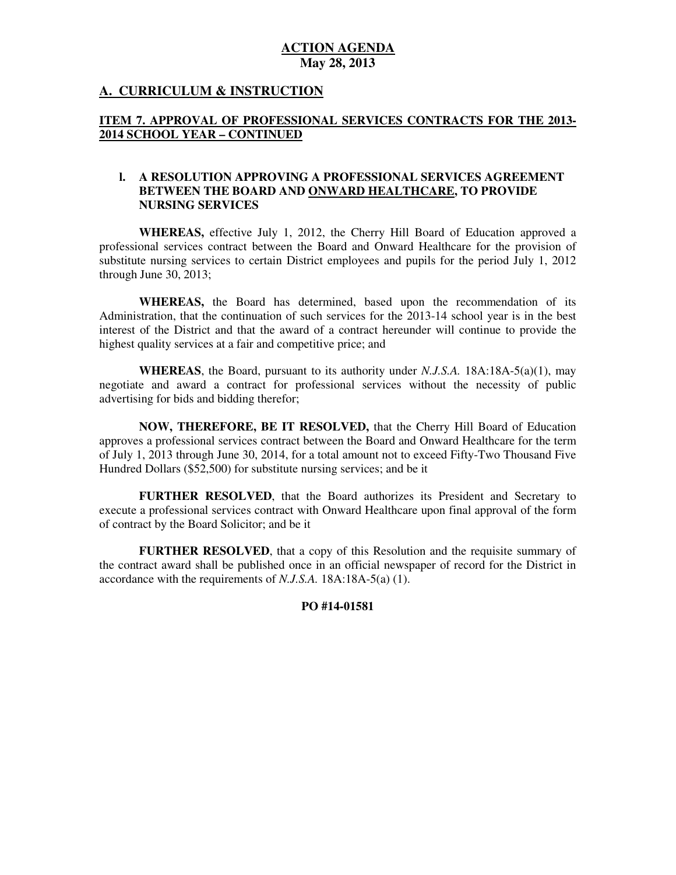## **A. CURRICULUM & INSTRUCTION**

## **ITEM 7. APPROVAL OF PROFESSIONAL SERVICES CONTRACTS FOR THE 2013 2014 SCHOOL YEAR – CONTINUED**

### **l. A RESOLUTION APPROVING A PROFESSIONAL SERVICES AGREEMENT BETWEEN THE BOARD AND ONWARD HEALTHCARE, TO PROVIDE NURSING SERVICES**

 **WHEREAS,** effective July 1, 2012, the Cherry Hill Board of Education approved a professional services contract between the Board and Onward Healthcare for the provision of substitute nursing services to certain District employees and pupils for the period July 1, 2012 through June 30, 2013;

 **WHEREAS,** the Board has determined, based upon the recommendation of its Administration, that the continuation of such services for the 2013-14 school year is in the best interest of the District and that the award of a contract hereunder will continue to provide the highest quality services at a fair and competitive price; and

 **WHEREAS**, the Board, pursuant to its authority under *N.J.S.A.* 18A:18A-5(a)(1), may negotiate and award a contract for professional services without the necessity of public advertising for bids and bidding therefor;

 **NOW, THEREFORE, BE IT RESOLVED,** that the Cherry Hill Board of Education approves a professional services contract between the Board and Onward Healthcare for the term of July 1, 2013 through June 30, 2014, for a total amount not to exceed Fifty-Two Thousand Five Hundred Dollars (\$52,500) for substitute nursing services; and be it

 **FURTHER RESOLVED**, that the Board authorizes its President and Secretary to execute a professional services contract with Onward Healthcare upon final approval of the form of contract by the Board Solicitor; and be it

 **FURTHER RESOLVED**, that a copy of this Resolution and the requisite summary of the contract award shall be published once in an official newspaper of record for the District in accordance with the requirements of *N.J.S.A.* 18A:18A-5(a) (1).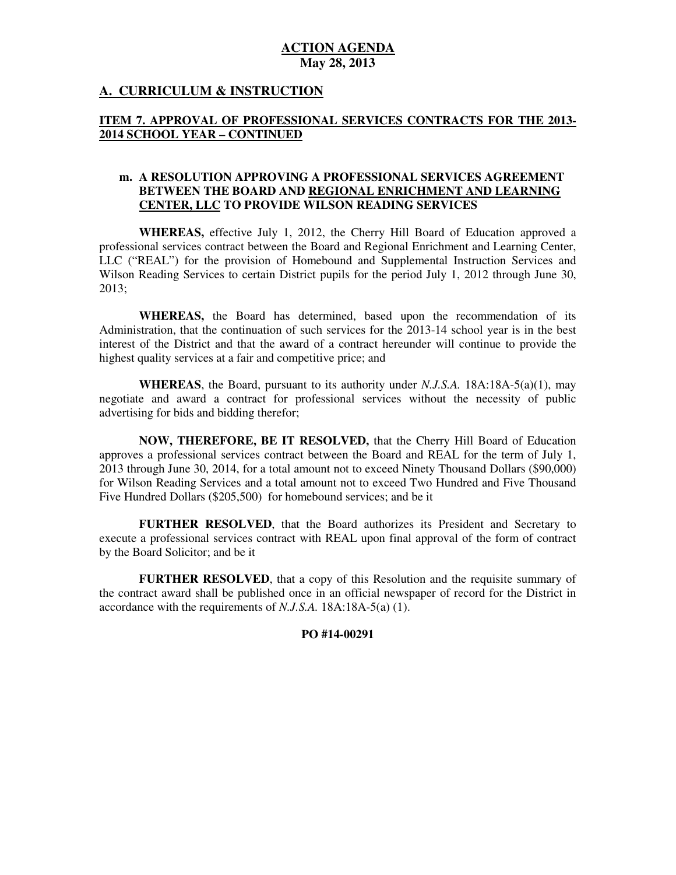## **A. CURRICULUM & INSTRUCTION**

## **ITEM 7. APPROVAL OF PROFESSIONAL SERVICES CONTRACTS FOR THE 2013 2014 SCHOOL YEAR – CONTINUED**

#### **m. A RESOLUTION APPROVING A PROFESSIONAL SERVICES AGREEMENT BETWEEN THE BOARD AND REGIONAL ENRICHMENT AND LEARNING CENTER, LLC TO PROVIDE WILSON READING SERVICES**

 **WHEREAS,** effective July 1, 2012, the Cherry Hill Board of Education approved a professional services contract between the Board and Regional Enrichment and Learning Center, LLC ("REAL") for the provision of Homebound and Supplemental Instruction Services and Wilson Reading Services to certain District pupils for the period July 1, 2012 through June 30, 2013;

 **WHEREAS,** the Board has determined, based upon the recommendation of its Administration, that the continuation of such services for the 2013-14 school year is in the best interest of the District and that the award of a contract hereunder will continue to provide the highest quality services at a fair and competitive price; and

 **WHEREAS**, the Board, pursuant to its authority under *N.J.S.A.* 18A:18A-5(a)(1), may negotiate and award a contract for professional services without the necessity of public advertising for bids and bidding therefor;

 **NOW, THEREFORE, BE IT RESOLVED,** that the Cherry Hill Board of Education approves a professional services contract between the Board and REAL for the term of July 1, 2013 through June 30, 2014, for a total amount not to exceed Ninety Thousand Dollars (\$90,000) for Wilson Reading Services and a total amount not to exceed Two Hundred and Five Thousand Five Hundred Dollars (\$205,500) for homebound services; and be it

 **FURTHER RESOLVED**, that the Board authorizes its President and Secretary to execute a professional services contract with REAL upon final approval of the form of contract by the Board Solicitor; and be it

 **FURTHER RESOLVED**, that a copy of this Resolution and the requisite summary of the contract award shall be published once in an official newspaper of record for the District in accordance with the requirements of *N.J.S.A.* 18A:18A-5(a) (1).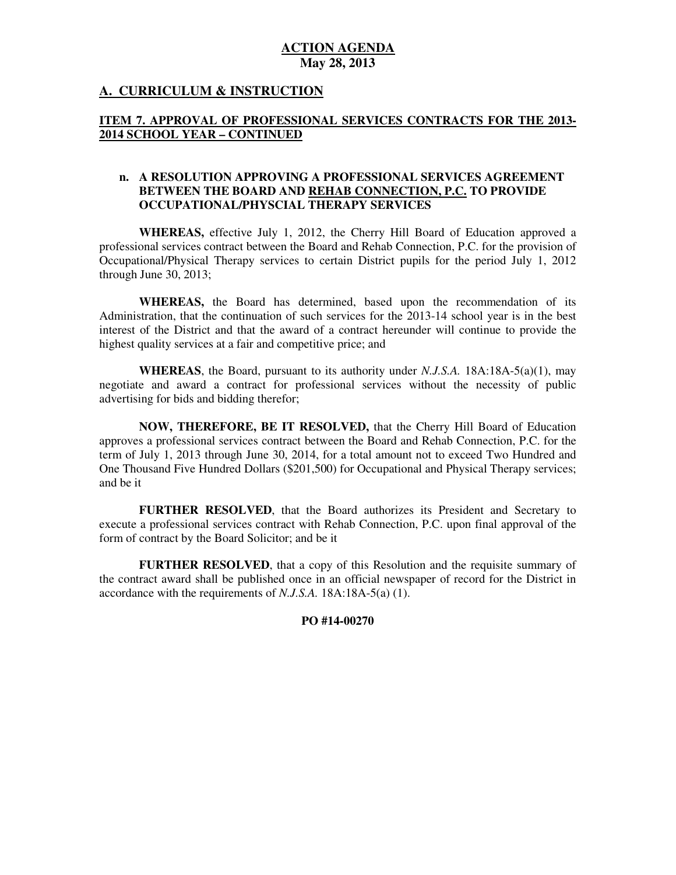## **A. CURRICULUM & INSTRUCTION**

## **ITEM 7. APPROVAL OF PROFESSIONAL SERVICES CONTRACTS FOR THE 2013 2014 SCHOOL YEAR – CONTINUED**

### **n. A RESOLUTION APPROVING A PROFESSIONAL SERVICES AGREEMENT BETWEEN THE BOARD AND REHAB CONNECTION, P.C. TO PROVIDE OCCUPATIONAL/PHYSCIAL THERAPY SERVICES**

 **WHEREAS,** effective July 1, 2012, the Cherry Hill Board of Education approved a professional services contract between the Board and Rehab Connection, P.C. for the provision of Occupational/Physical Therapy services to certain District pupils for the period July 1, 2012 through June 30, 2013;

 **WHEREAS,** the Board has determined, based upon the recommendation of its Administration, that the continuation of such services for the 2013-14 school year is in the best interest of the District and that the award of a contract hereunder will continue to provide the highest quality services at a fair and competitive price; and

 **WHEREAS**, the Board, pursuant to its authority under *N.J.S.A.* 18A:18A-5(a)(1), may negotiate and award a contract for professional services without the necessity of public advertising for bids and bidding therefor;

 **NOW, THEREFORE, BE IT RESOLVED,** that the Cherry Hill Board of Education approves a professional services contract between the Board and Rehab Connection, P.C. for the term of July 1, 2013 through June 30, 2014, for a total amount not to exceed Two Hundred and One Thousand Five Hundred Dollars (\$201,500) for Occupational and Physical Therapy services; and be it

 **FURTHER RESOLVED**, that the Board authorizes its President and Secretary to execute a professional services contract with Rehab Connection, P.C. upon final approval of the form of contract by the Board Solicitor; and be it

 **FURTHER RESOLVED**, that a copy of this Resolution and the requisite summary of the contract award shall be published once in an official newspaper of record for the District in accordance with the requirements of *N.J.S.A.* 18A:18A-5(a) (1).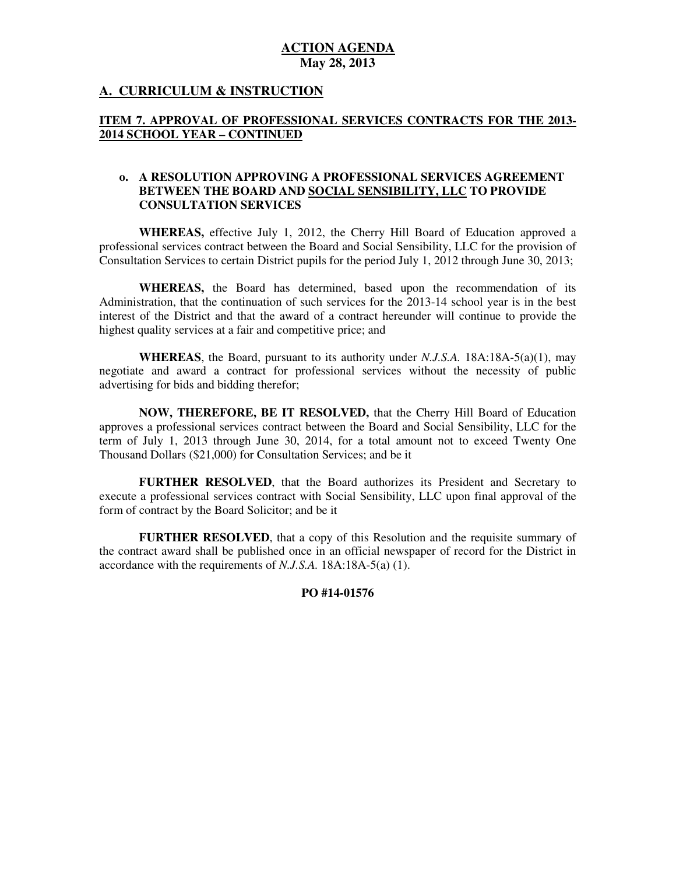## **A. CURRICULUM & INSTRUCTION**

## **ITEM 7. APPROVAL OF PROFESSIONAL SERVICES CONTRACTS FOR THE 2013 2014 SCHOOL YEAR – CONTINUED**

### **o. A RESOLUTION APPROVING A PROFESSIONAL SERVICES AGREEMENT BETWEEN THE BOARD AND SOCIAL SENSIBILITY, LLC TO PROVIDE CONSULTATION SERVICES**

 **WHEREAS,** effective July 1, 2012, the Cherry Hill Board of Education approved a professional services contract between the Board and Social Sensibility, LLC for the provision of Consultation Services to certain District pupils for the period July 1, 2012 through June 30, 2013;

 **WHEREAS,** the Board has determined, based upon the recommendation of its Administration, that the continuation of such services for the 2013-14 school year is in the best interest of the District and that the award of a contract hereunder will continue to provide the highest quality services at a fair and competitive price; and

 **WHEREAS**, the Board, pursuant to its authority under *N.J.S.A.* 18A:18A-5(a)(1), may negotiate and award a contract for professional services without the necessity of public advertising for bids and bidding therefor;

 **NOW, THEREFORE, BE IT RESOLVED,** that the Cherry Hill Board of Education approves a professional services contract between the Board and Social Sensibility, LLC for the term of July 1, 2013 through June 30, 2014, for a total amount not to exceed Twenty One Thousand Dollars (\$21,000) for Consultation Services; and be it

 **FURTHER RESOLVED**, that the Board authorizes its President and Secretary to execute a professional services contract with Social Sensibility, LLC upon final approval of the form of contract by the Board Solicitor; and be it

 **FURTHER RESOLVED**, that a copy of this Resolution and the requisite summary of the contract award shall be published once in an official newspaper of record for the District in accordance with the requirements of *N.J.S.A.* 18A:18A-5(a) (1).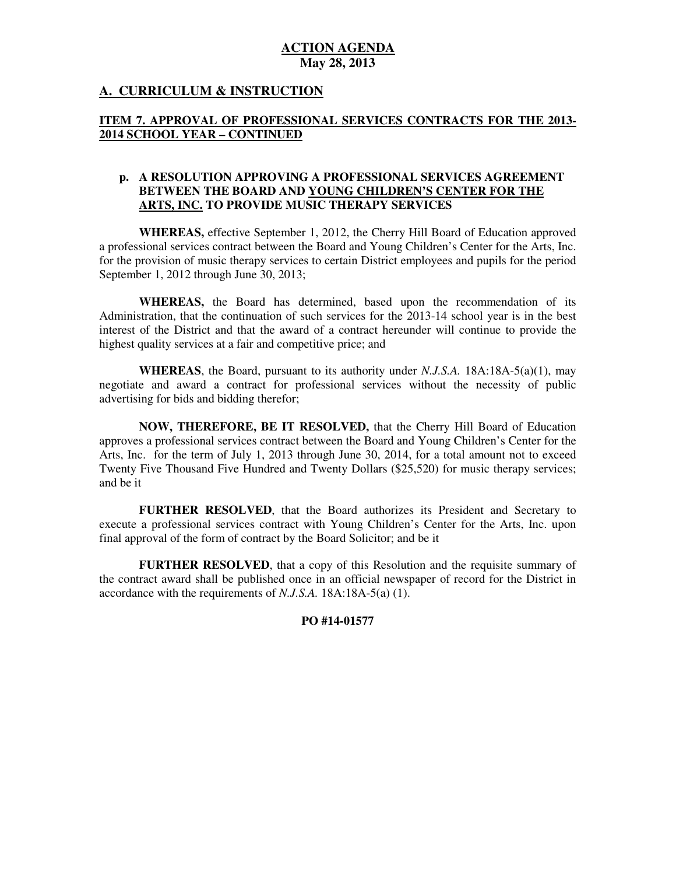# **A. CURRICULUM & INSTRUCTION**

## **ITEM 7. APPROVAL OF PROFESSIONAL SERVICES CONTRACTS FOR THE 2013 2014 SCHOOL YEAR – CONTINUED**

### **p. A RESOLUTION APPROVING A PROFESSIONAL SERVICES AGREEMENT BETWEEN THE BOARD AND YOUNG CHILDREN'S CENTER FOR THE ARTS, INC. TO PROVIDE MUSIC THERAPY SERVICES**

 **WHEREAS,** effective September 1, 2012, the Cherry Hill Board of Education approved a professional services contract between the Board and Young Children's Center for the Arts, Inc. for the provision of music therapy services to certain District employees and pupils for the period September 1, 2012 through June 30, 2013;

 **WHEREAS,** the Board has determined, based upon the recommendation of its Administration, that the continuation of such services for the 2013-14 school year is in the best interest of the District and that the award of a contract hereunder will continue to provide the highest quality services at a fair and competitive price; and

 **WHEREAS**, the Board, pursuant to its authority under *N.J.S.A.* 18A:18A-5(a)(1), may negotiate and award a contract for professional services without the necessity of public advertising for bids and bidding therefor;

 **NOW, THEREFORE, BE IT RESOLVED,** that the Cherry Hill Board of Education approves a professional services contract between the Board and Young Children's Center for the Arts, Inc. for the term of July 1, 2013 through June 30, 2014, for a total amount not to exceed Twenty Five Thousand Five Hundred and Twenty Dollars (\$25,520) for music therapy services; and be it

 **FURTHER RESOLVED**, that the Board authorizes its President and Secretary to execute a professional services contract with Young Children's Center for the Arts, Inc. upon final approval of the form of contract by the Board Solicitor; and be it

 **FURTHER RESOLVED**, that a copy of this Resolution and the requisite summary of the contract award shall be published once in an official newspaper of record for the District in accordance with the requirements of *N.J.S.A.* 18A:18A-5(a) (1).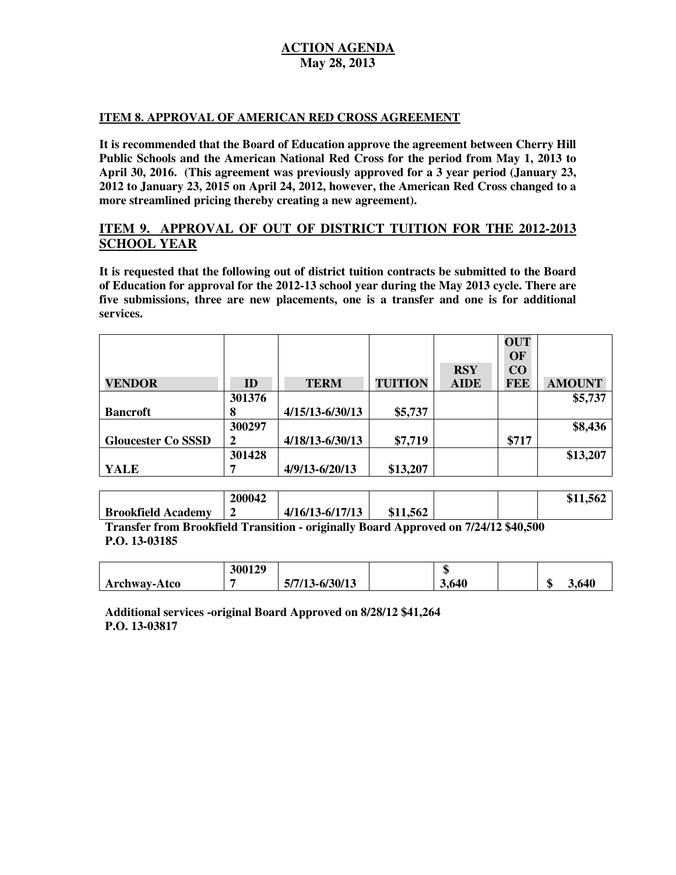### **ITEM 8. APPROVAL OF AMERICAN RED CROSS AGREEMENT**

 **It is recommended that the Board of Education approve the agreement between Cherry Hill Public Schools and the American National Red Cross for the period from May 1, 2013 to April 30, 2016. (This agreement was previously approved for a 3 year period (January 23, 2012 to January 23, 2015 on April 24, 2012, however, the American Red Cross changed to a more streamlined pricing thereby creating a new agreement).** 

# **ITEM 9. APPROVAL OF OUT OF DISTRICT TUITION FOR THE 2012-2013 SCHOOL YEAR**

 **It is requested that the following out of district tuition contracts be submitted to the Board of Education for approval for the 2012-13 school year during the May 2013 cycle. There are**  five submissions, three are new placements, one is a transfer and one is for additional **services.** 

|                           |        |                     |                |             | <b>OUT</b> |               |
|---------------------------|--------|---------------------|----------------|-------------|------------|---------------|
|                           |        |                     |                |             | OF         |               |
|                           |        |                     |                | <b>RSY</b>  | CO         |               |
| <b>VENDOR</b>             | ID     | <b>TERM</b>         | <b>TUITION</b> | <b>AIDE</b> | <b>FEE</b> | <b>AMOUNT</b> |
|                           | 301376 |                     |                |             |            | \$5,737       |
| <b>Bancroft</b>           | 8      | $4/15/13 - 6/30/13$ | \$5,737        |             |            |               |
|                           | 300297 |                     |                |             |            | \$8,436       |
| <b>Gloucester Co SSSD</b> | 2      | $4/18/13 - 6/30/13$ | \$7,719        |             | \$717      |               |
|                           | 301428 |                     |                |             |            | \$13,207      |
| YALE                      |        | $4/9/13 - 6/20/13$  | \$13,207       |             |            |               |

|                           | 200042 |                     |          |  | \$11,562 |
|---------------------------|--------|---------------------|----------|--|----------|
| <b>Brookfield Academy</b> |        | $4/16/13 - 6/17/13$ | \$11,562 |  |          |

 **Transfer from Brookfield Transition - originally Board Approved on 7/24/12 \$40,500 P.O. 13-03185** 

|                     | 300129 |                    | <b>CD</b><br>w |             |
|---------------------|--------|--------------------|----------------|-------------|
| <b>Archway-Atco</b> |        | $5/7/13 - 6/30/13$ | 3,640          | 3,640<br>۰п |

 **Additional services -original Board Approved on 8/28/12 \$41,264 P.O. 13-03817**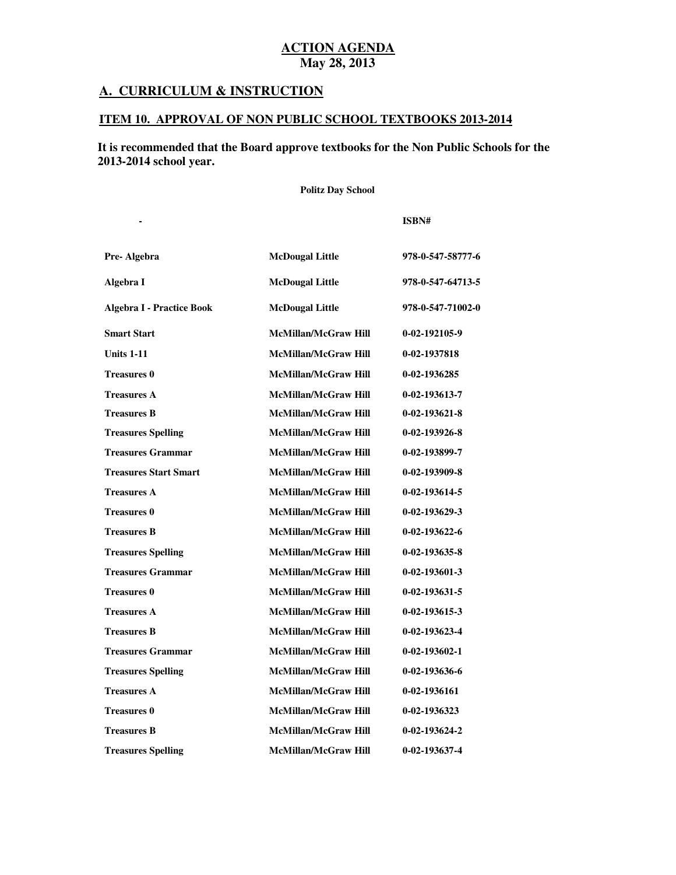# **A. CURRICULUM & INSTRUCTION**

**Subject Textbook Name Publisher**

## **ITEM 10. APPROVAL OF NON PUBLIC SCHOOL TEXTBOOKS 2013-2014**

# **It is recommended that the Board approve textbooks for the Non Public Schools for the 2013-2014 school year.**

 **Politz Day School** 

| Pre-Algebra                      | <b>McDougal Little</b>      | 978-0-547-58777-6     |
|----------------------------------|-----------------------------|-----------------------|
| Algebra I                        | <b>McDougal Little</b>      | 978-0-547-64713-5     |
| <b>Algebra I - Practice Book</b> | <b>McDougal Little</b>      | 978-0-547-71002-0     |
| <b>Smart Start</b>               | <b>McMillan/McGraw Hill</b> | 0-02-192105-9         |
| <b>Units 1-11</b>                | <b>McMillan/McGraw Hill</b> | 0-02-1937818          |
| <b>Treasures 0</b>               | <b>McMillan/McGraw Hill</b> | 0-02-1936285          |
| <b>Treasures A</b>               | <b>McMillan/McGraw Hill</b> | 0-02-193613-7         |
| <b>Treasures B</b>               | <b>McMillan/McGraw Hill</b> | $0 - 02 - 193621 - 8$ |
| <b>Treasures Spelling</b>        | <b>McMillan/McGraw Hill</b> | 0-02-193926-8         |
| <b>Treasures Grammar</b>         | <b>McMillan/McGraw Hill</b> | 0-02-193899-7         |
| <b>Treasures Start Smart</b>     | <b>McMillan/McGraw Hill</b> | 0-02-193909-8         |
| <b>Treasures A</b>               | <b>McMillan/McGraw Hill</b> | $0-02-193614-5$       |
| <b>Treasures 0</b>               | <b>McMillan/McGraw Hill</b> | $0-02-193629-3$       |
| <b>Treasures B</b>               | <b>McMillan/McGraw Hill</b> | $0-02-193622-6$       |
| <b>Treasures Spelling</b>        | <b>McMillan/McGraw Hill</b> | 0-02-193635-8         |
| <b>Treasures Grammar</b>         | <b>McMillan/McGraw Hill</b> | $0-02-193601-3$       |
| <b>Treasures 0</b>               | <b>McMillan/McGraw Hill</b> | $0-02-193631-5$       |
| <b>Treasures A</b>               | <b>McMillan/McGraw Hill</b> | $0-02-193615-3$       |
| <b>Treasures B</b>               | <b>McMillan/McGraw Hill</b> | $0-02-193623-4$       |
| <b>Treasures Grammar</b>         | <b>McMillan/McGraw Hill</b> | $0 - 02 - 193602 - 1$ |
| <b>Treasures Spelling</b>        | <b>McMillan/McGraw Hill</b> | 0-02-193636-6         |
| <b>Treasures A</b>               | <b>McMillan/McGraw Hill</b> | 0-02-1936161          |
| <b>Treasures 0</b>               | <b>McMillan/McGraw Hill</b> | 0-02-1936323          |
| <b>Treasures B</b>               | <b>McMillan/McGraw Hill</b> | 0-02-193624-2         |
| <b>Treasures Spelling</b>        | McMillan/McGraw Hill        | 0-02-193637-4         |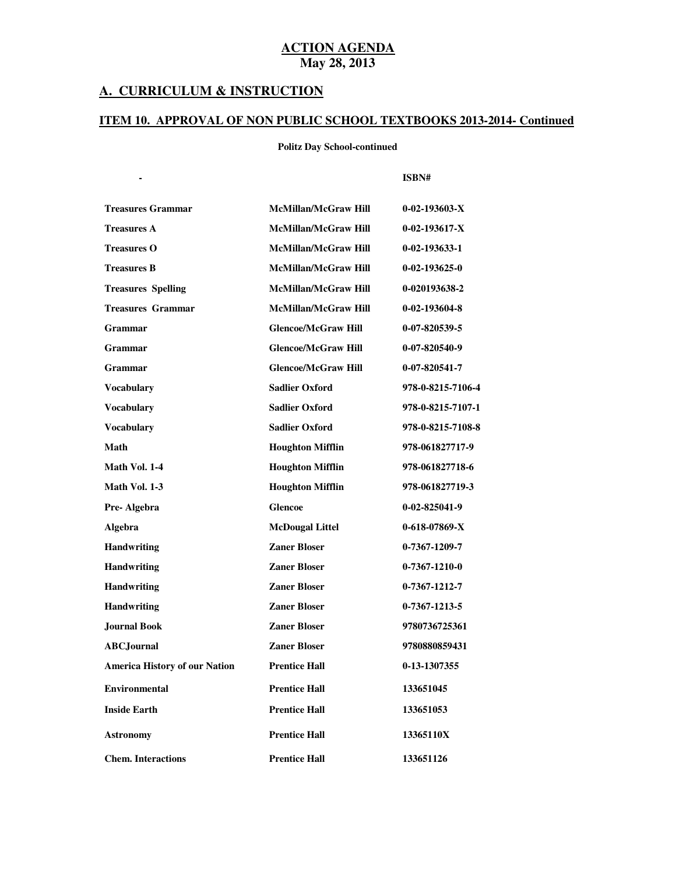#### **A. CURRICULUM & INSTRUCTION**

**Subject Textbook Name Publisher**

#### **ITEM 10. APPROVAL OF NON PUBLIC SCHOOL TEXTBOOKS 2013-2014- Continued**

#### **Politz Day School-continued**

| <b>Treasures Grammar</b>             | <b>McMillan/McGraw Hill</b> | $0-02-193603-X$       |
|--------------------------------------|-----------------------------|-----------------------|
| <b>Treasures A</b>                   | <b>McMillan/McGraw Hill</b> | $0-02-193617-X$       |
| <b>Treasures O</b>                   | <b>McMillan/McGraw Hill</b> | $0-02-193633-1$       |
| <b>Treasures B</b>                   | <b>McMillan/McGraw Hill</b> | $0 - 02 - 193625 - 0$ |
| <b>Treasures Spelling</b>            | <b>McMillan/McGraw Hill</b> | 0-020193638-2         |
| <b>Treasures Grammar</b>             | <b>McMillan/McGraw Hill</b> | 0-02-193604-8         |
| Grammar                              | <b>Glencoe/McGraw Hill</b>  | 0-07-820539-5         |
| Grammar                              | <b>Glencoe/McGraw Hill</b>  | $0-07-820540-9$       |
| Grammar                              | <b>Glencoe/McGraw Hill</b>  | 0-07-820541-7         |
| <b>Vocabulary</b>                    | <b>Sadlier Oxford</b>       | 978-0-8215-7106-4     |
| <b>Vocabulary</b>                    | <b>Sadlier Oxford</b>       | 978-0-8215-7107-1     |
| <b>Vocabulary</b>                    | <b>Sadlier Oxford</b>       | 978-0-8215-7108-8     |
| Math                                 | <b>Houghton Mifflin</b>     | 978-061827717-9       |
| Math Vol. 1-4                        | <b>Houghton Mifflin</b>     | 978-061827718-6       |
| Math Vol. 1-3                        | <b>Houghton Mifflin</b>     | 978-061827719-3       |
| Pre-Algebra                          | <b>Glencoe</b>              | $0-02-825041-9$       |
| Algebra                              | <b>McDougal Littel</b>      | $0-618-07869-X$       |
| <b>Handwriting</b>                   | <b>Zaner Bloser</b>         | $0-7367-1209-7$       |
| Handwriting                          | <b>Zaner Bloser</b>         | $0-7367-1210-0$       |
| Handwriting                          | <b>Zaner Bloser</b>         | 0-7367-1212-7         |
| <b>Handwriting</b>                   | <b>Zaner Bloser</b>         | 0-7367-1213-5         |
| <b>Journal Book</b>                  | <b>Zaner Bloser</b>         | 9780736725361         |
| <b>ABC</b> Journal                   | <b>Zaner Bloser</b>         | 9780880859431         |
| <b>America History of our Nation</b> | <b>Prentice Hall</b>        | 0-13-1307355          |
| <b>Environmental</b>                 | <b>Prentice Hall</b>        | 133651045             |
| <b>Inside Earth</b>                  | <b>Prentice Hall</b>        | 133651053             |
| <b>Astronomy</b>                     | <b>Prentice Hall</b>        | 13365110X             |
| <b>Chem. Interactions</b>            | <b>Prentice Hall</b>        | 133651126             |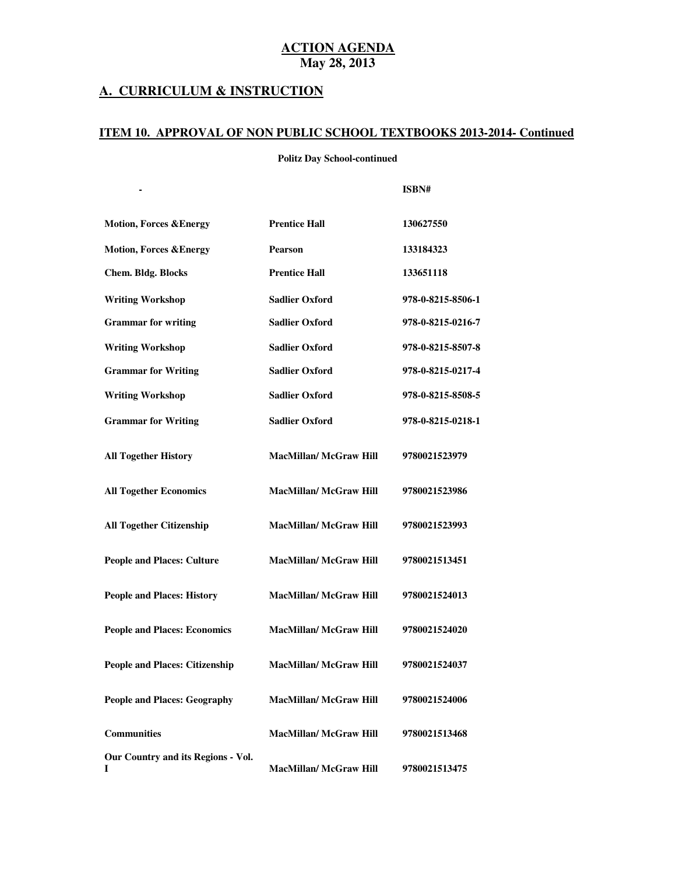### **A. CURRICULUM & INSTRUCTION**

**Subject Textbook Name Publisher**

#### **ITEM 10. APPROVAL OF NON PUBLIC SCHOOL TEXTBOOKS 2013-2014- Continued**

 **Politz Day School-continued** 

| <b>Motion, Forces &amp; Energy</b>      | <b>Prentice Hall</b>          | 130627550         |
|-----------------------------------------|-------------------------------|-------------------|
| <b>Motion, Forces &amp; Energy</b>      | <b>Pearson</b>                | 133184323         |
| <b>Chem. Bldg. Blocks</b>               | <b>Prentice Hall</b>          | 133651118         |
| <b>Writing Workshop</b>                 | <b>Sadlier Oxford</b>         | 978-0-8215-8506-1 |
| <b>Grammar</b> for writing              | <b>Sadlier Oxford</b>         | 978-0-8215-0216-7 |
| <b>Writing Workshop</b>                 | <b>Sadlier Oxford</b>         | 978-0-8215-8507-8 |
| <b>Grammar for Writing</b>              | <b>Sadlier Oxford</b>         | 978-0-8215-0217-4 |
| <b>Writing Workshop</b>                 | <b>Sadlier Oxford</b>         | 978-0-8215-8508-5 |
| <b>Grammar for Writing</b>              | <b>Sadlier Oxford</b>         | 978-0-8215-0218-1 |
| <b>All Together History</b>             | <b>MacMillan/ McGraw Hill</b> | 9780021523979     |
| <b>All Together Economics</b>           | <b>MacMillan/McGraw Hill</b>  | 9780021523986     |
| <b>All Together Citizenship</b>         | <b>MacMillan/ McGraw Hill</b> | 9780021523993     |
| <b>People and Places: Culture</b>       | <b>MacMillan/ McGraw Hill</b> | 9780021513451     |
| <b>People and Places: History</b>       | <b>MacMillan/ McGraw Hill</b> | 9780021524013     |
| <b>People and Places: Economics</b>     | <b>MacMillan/ McGraw Hill</b> | 9780021524020     |
| <b>People and Places: Citizenship</b>   | <b>MacMillan/ McGraw Hill</b> | 9780021524037     |
| <b>People and Places: Geography</b>     | <b>MacMillan/ McGraw Hill</b> | 9780021524006     |
| <b>Communities</b>                      | <b>MacMillan/ McGraw Hill</b> | 9780021513468     |
| Our Country and its Regions - Vol.<br>I | <b>MacMillan/ McGraw Hill</b> | 9780021513475     |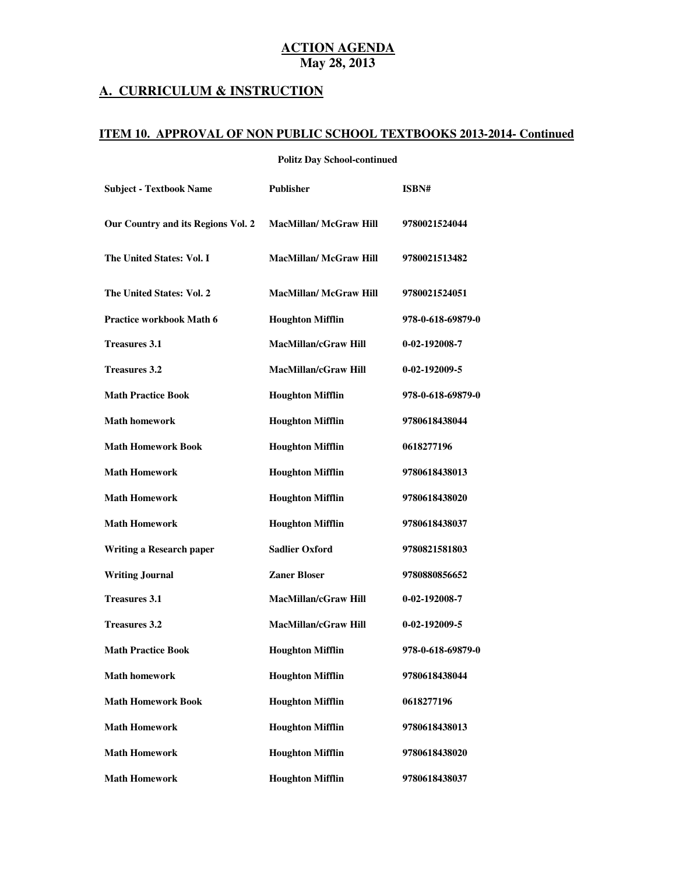#### **A. CURRICULUM & INSTRUCTION**

#### **ITEM 10. APPROVAL OF NON PUBLIC SCHOOL TEXTBOOKS 2013-2014- Continued**

#### **Politz Day School-continued**

| <b>Subject - Textbook Name</b>     | <b>Publisher</b>              | ISBN#             |
|------------------------------------|-------------------------------|-------------------|
| Our Country and its Regions Vol. 2 | <b>MacMillan/ McGraw Hill</b> | 9780021524044     |
| The United States: Vol. I          | <b>MacMillan/ McGraw Hill</b> | 9780021513482     |
| The United States: Vol. 2          | <b>MacMillan/McGraw Hill</b>  | 9780021524051     |
| <b>Practice workbook Math 6</b>    | <b>Houghton Mifflin</b>       | 978-0-618-69879-0 |
| <b>Treasures 3.1</b>               | <b>MacMillan/cGraw Hill</b>   | 0-02-192008-7     |
| <b>Treasures 3.2</b>               | <b>MacMillan/cGraw Hill</b>   | 0-02-192009-5     |
| <b>Math Practice Book</b>          | <b>Houghton Mifflin</b>       | 978-0-618-69879-0 |
| <b>Math homework</b>               | <b>Houghton Mifflin</b>       | 9780618438044     |
| <b>Math Homework Book</b>          | <b>Houghton Mifflin</b>       | 0618277196        |
| <b>Math Homework</b>               | <b>Houghton Mifflin</b>       | 9780618438013     |
| <b>Math Homework</b>               | <b>Houghton Mifflin</b>       | 9780618438020     |
| <b>Math Homework</b>               | <b>Houghton Mifflin</b>       | 9780618438037     |
| <b>Writing a Research paper</b>    | <b>Sadlier Oxford</b>         | 9780821581803     |
| <b>Writing Journal</b>             | <b>Zaner Bloser</b>           | 9780880856652     |
| <b>Treasures 3.1</b>               | <b>MacMillan/cGraw Hill</b>   | 0-02-192008-7     |
| <b>Treasures 3.2</b>               | MacMillan/cGraw Hill          | 0-02-192009-5     |
| <b>Math Practice Book</b>          | <b>Houghton Mifflin</b>       | 978-0-618-69879-0 |
| <b>Math homework</b>               | <b>Houghton Mifflin</b>       | 9780618438044     |
| <b>Math Homework Book</b>          | <b>Houghton Mifflin</b>       | 0618277196        |
| <b>Math Homework</b>               | <b>Houghton Mifflin</b>       | 9780618438013     |
| <b>Math Homework</b>               | <b>Houghton Mifflin</b>       | 9780618438020     |
| <b>Math Homework</b>               | <b>Houghton Mifflin</b>       | 9780618438037     |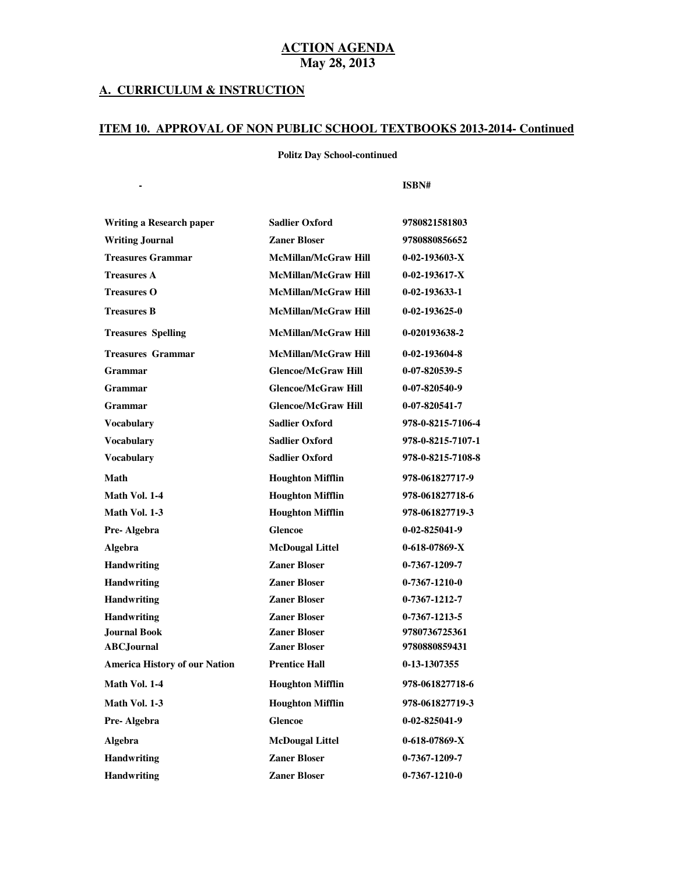#### **A. CURRICULUM & INSTRUCTION**

**Subject Textbook Name Publisher**

#### **ITEM 10. APPROVAL OF NON PUBLIC SCHOOL TEXTBOOKS 2013-2014- Continued**

 **Politz Day School-continued** 

| Writing a Research paper             | <b>Sadlier Oxford</b>       | 9780821581803         |
|--------------------------------------|-----------------------------|-----------------------|
| <b>Writing Journal</b>               | <b>Zaner Bloser</b>         | 9780880856652         |
| <b>Treasures Grammar</b>             | <b>McMillan/McGraw Hill</b> | $0-02-193603-X$       |
| <b>Treasures A</b>                   | <b>McMillan/McGraw Hill</b> | $0-02-193617-X$       |
| <b>Treasures O</b>                   | <b>McMillan/McGraw Hill</b> | $0 - 02 - 193633 - 1$ |
| <b>Treasures B</b>                   | <b>McMillan/McGraw Hill</b> | $0 - 02 - 193625 - 0$ |
| <b>Treasures Spelling</b>            | <b>McMillan/McGraw Hill</b> | 0-020193638-2         |
| <b>Treasures Grammar</b>             | <b>McMillan/McGraw Hill</b> | 0-02-193604-8         |
| Grammar                              | <b>Glencoe/McGraw Hill</b>  | 0-07-820539-5         |
| <b>Grammar</b>                       | <b>Glencoe/McGraw Hill</b>  | 0-07-820540-9         |
| <b>Grammar</b>                       | <b>Glencoe/McGraw Hill</b>  | 0-07-820541-7         |
| <b>Vocabulary</b>                    | <b>Sadlier Oxford</b>       | 978-0-8215-7106-4     |
| <b>Vocabulary</b>                    | <b>Sadlier Oxford</b>       | 978-0-8215-7107-1     |
| <b>Vocabulary</b>                    | <b>Sadlier Oxford</b>       | 978-0-8215-7108-8     |
| Math                                 | <b>Houghton Mifflin</b>     | 978-061827717-9       |
| Math Vol. 1-4                        | <b>Houghton Mifflin</b>     | 978-061827718-6       |
| Math Vol. 1-3                        | <b>Houghton Mifflin</b>     | 978-061827719-3       |
| Pre-Algebra                          | Glencoe                     | 0-02-825041-9         |
| Algebra                              | <b>McDougal Littel</b>      | $0 - 618 - 07869 - X$ |
| <b>Handwriting</b>                   | <b>Zaner Bloser</b>         | 0-7367-1209-7         |
| <b>Handwriting</b>                   | <b>Zaner Bloser</b>         | $0-7367-1210-0$       |
| <b>Handwriting</b>                   | <b>Zaner Bloser</b>         | 0-7367-1212-7         |
| <b>Handwriting</b>                   | <b>Zaner Bloser</b>         | 0-7367-1213-5         |
| Journal Book                         | <b>Zaner Bloser</b>         | 9780736725361         |
| <b>ABC</b> Journal                   | <b>Zaner Bloser</b>         | 9780880859431         |
| <b>America History of our Nation</b> | <b>Prentice Hall</b>        | 0-13-1307355          |
| Math Vol. 1-4                        | <b>Houghton Mifflin</b>     | 978-061827718-6       |
| Math Vol. 1-3                        | <b>Houghton Mifflin</b>     | 978-061827719-3       |
| Pre-Algebra                          | <b>Glencoe</b>              | $0-02-825041-9$       |
| Algebra                              | <b>McDougal Littel</b>      | $0-618-07869-X$       |
| <b>Handwriting</b>                   | <b>Zaner Bloser</b>         | 0-7367-1209-7         |
| <b>Handwriting</b>                   | <b>Zaner Bloser</b>         | $0-7367-1210-0$       |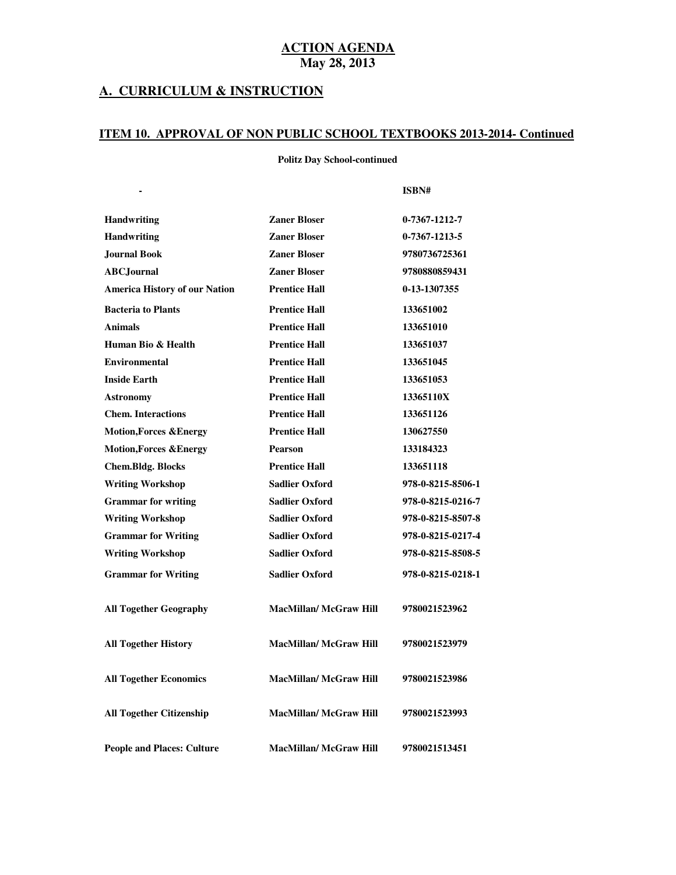#### **A. CURRICULUM & INSTRUCTION**

#### **ITEM 10. APPROVAL OF NON PUBLIC SCHOOL TEXTBOOKS 2013-2014- Continued**

 **Politz Day School-continued** 

|                                      |                               | ISBN#             |
|--------------------------------------|-------------------------------|-------------------|
| <b>Handwriting</b>                   | <b>Zaner Bloser</b>           | $0-7367-1212-7$   |
| <b>Handwriting</b>                   | <b>Zaner Bloser</b>           | 0-7367-1213-5     |
| <b>Journal Book</b>                  | <b>Zaner Bloser</b>           | 9780736725361     |
| <b>ABC</b> .Journal                  | <b>Zaner Bloser</b>           | 9780880859431     |
| <b>America History of our Nation</b> | <b>Prentice Hall</b>          | 0-13-1307355      |
| <b>Bacteria to Plants</b>            | <b>Prentice Hall</b>          | 133651002         |
| <b>Animals</b>                       | <b>Prentice Hall</b>          | 133651010         |
| Human Bio & Health                   | <b>Prentice Hall</b>          | 133651037         |
| <b>Environmental</b>                 | <b>Prentice Hall</b>          | 133651045         |
| <b>Inside Earth</b>                  | <b>Prentice Hall</b>          | 133651053         |
| <b>Astronomy</b>                     | <b>Prentice Hall</b>          | 13365110X         |
| <b>Chem.</b> Interactions            | <b>Prentice Hall</b>          | 133651126         |
| <b>Motion, Forces &amp; Energy</b>   | <b>Prentice Hall</b>          | 130627550         |
| <b>Motion,Forces &amp;Energy</b>     | Pearson                       | 133184323         |
| <b>Chem.Bldg. Blocks</b>             | <b>Prentice Hall</b>          | 133651118         |
| <b>Writing Workshop</b>              | <b>Sadlier Oxford</b>         | 978-0-8215-8506-1 |
| <b>Grammar</b> for writing           | <b>Sadlier Oxford</b>         | 978-0-8215-0216-7 |
| <b>Writing Workshop</b>              | <b>Sadlier Oxford</b>         | 978-0-8215-8507-8 |
| <b>Grammar for Writing</b>           | <b>Sadlier Oxford</b>         | 978-0-8215-0217-4 |
| <b>Writing Workshop</b>              | <b>Sadlier Oxford</b>         | 978-0-8215-8508-5 |
| <b>Grammar for Writing</b>           | <b>Sadlier Oxford</b>         | 978-0-8215-0218-1 |
| <b>All Together Geography</b>        | <b>MacMillan/ McGraw Hill</b> | 9780021523962     |
| <b>All Together History</b>          | <b>MacMillan/ McGraw Hill</b> | 9780021523979     |
| <b>All Together Economics</b>        | <b>MacMillan/McGraw Hill</b>  | 9780021523986     |
| <b>All Together Citizenship</b>      | <b>MacMillan/ McGraw Hill</b> | 9780021523993     |
| <b>People and Places: Culture</b>    | <b>MacMillan/ McGraw Hill</b> | 9780021513451     |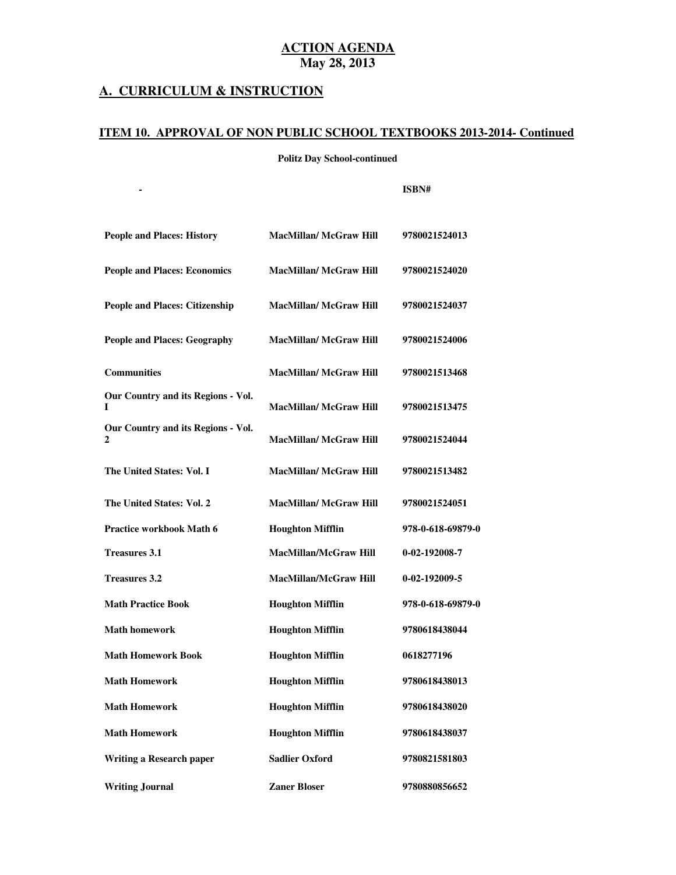#### **A. CURRICULUM & INSTRUCTION**

**Subject Textbook Name Publisher**

#### **ITEM 10. APPROVAL OF NON PUBLIC SCHOOL TEXTBOOKS 2013-2014- Continued**

 **Politz Day School-continued** 

| <b>People and Places: History</b>       | <b>MacMillan/ McGraw Hill</b> | 9780021524013     |
|-----------------------------------------|-------------------------------|-------------------|
| <b>People and Places: Economics</b>     | <b>MacMillan/ McGraw Hill</b> | 9780021524020     |
| <b>People and Places: Citizenship</b>   | <b>MacMillan/ McGraw Hill</b> | 9780021524037     |
| <b>People and Places: Geography</b>     | <b>MacMillan/ McGraw Hill</b> | 9780021524006     |
| <b>Communities</b>                      | <b>MacMillan/ McGraw Hill</b> | 9780021513468     |
| Our Country and its Regions - Vol.      | <b>MacMillan/ McGraw Hill</b> | 9780021513475     |
| Our Country and its Regions - Vol.<br>2 | <b>MacMillan/McGraw Hill</b>  | 9780021524044     |
| The United States: Vol. I               | <b>MacMillan/ McGraw Hill</b> | 9780021513482     |
| The United States: Vol. 2               | <b>MacMillan/ McGraw Hill</b> | 9780021524051     |
| <b>Practice workbook Math 6</b>         | <b>Houghton Mifflin</b>       | 978-0-618-69879-0 |
| <b>Treasures 3.1</b>                    | <b>MacMillan/McGraw Hill</b>  | 0-02-192008-7     |
| <b>Treasures 3.2</b>                    | <b>MacMillan/McGraw Hill</b>  | 0-02-192009-5     |
| <b>Math Practice Book</b>               | <b>Houghton Mifflin</b>       | 978-0-618-69879-0 |
| <b>Math homework</b>                    | <b>Houghton Mifflin</b>       | 9780618438044     |
| <b>Math Homework Book</b>               | <b>Houghton Mifflin</b>       | 0618277196        |
| <b>Math Homework</b>                    | <b>Houghton Mifflin</b>       | 9780618438013     |
| <b>Math Homework</b>                    | <b>Houghton Mifflin</b>       | 9780618438020     |
| <b>Math Homework</b>                    | <b>Houghton Mifflin</b>       | 9780618438037     |
| <b>Writing a Research paper</b>         | <b>Sadlier Oxford</b>         | 9780821581803     |
| <b>Writing Journal</b>                  | <b>Zaner Bloser</b>           | 9780880856652     |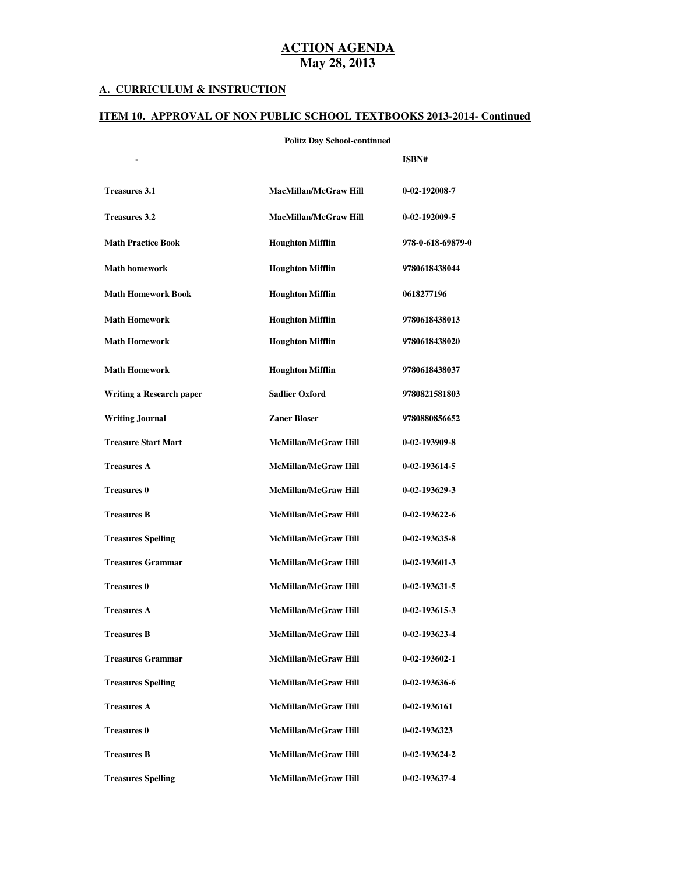#### **A. CURRICULUM & INSTRUCTION**

#### **ITEM 10. APPROVAL OF NON PUBLIC SCHOOL TEXTBOOKS 2013-2014- Continued**

#### **Politz Day School-continued**

|                            |                              | ISBN#                 |
|----------------------------|------------------------------|-----------------------|
| <b>Treasures 3.1</b>       | <b>MacMillan/McGraw Hill</b> | 0-02-192008-7         |
| <b>Treasures 3.2</b>       | <b>MacMillan/McGraw Hill</b> | 0-02-192009-5         |
| <b>Math Practice Book</b>  | <b>Houghton Mifflin</b>      | 978-0-618-69879-0     |
| <b>Math homework</b>       | <b>Houghton Mifflin</b>      | 9780618438044         |
| <b>Math Homework Book</b>  | <b>Houghton Mifflin</b>      | 0618277196            |
| <b>Math Homework</b>       | <b>Houghton Mifflin</b>      | 9780618438013         |
| <b>Math Homework</b>       | <b>Houghton Mifflin</b>      | 9780618438020         |
| <b>Math Homework</b>       | <b>Houghton Mifflin</b>      | 9780618438037         |
| Writing a Research paper   | <b>Sadlier Oxford</b>        | 9780821581803         |
| <b>Writing Journal</b>     | <b>Zaner Bloser</b>          | 9780880856652         |
| <b>Treasure Start Mart</b> | <b>McMillan/McGraw Hill</b>  | 0-02-193909-8         |
| <b>Treasures A</b>         | <b>McMillan/McGraw Hill</b>  | 0-02-193614-5         |
| <b>Treasures 0</b>         | <b>McMillan/McGraw Hill</b>  | $0-02-193629-3$       |
| <b>Treasures B</b>         | <b>McMillan/McGraw Hill</b>  | $0-02-193622-6$       |
| <b>Treasures Spelling</b>  | <b>McMillan/McGraw Hill</b>  | $0-02-193635-8$       |
| <b>Treasures Grammar</b>   | <b>McMillan/McGraw Hill</b>  | $0-02-193601-3$       |
| <b>Treasures 0</b>         | <b>McMillan/McGraw Hill</b>  | 0-02-193631-5         |
| <b>Treasures A</b>         | <b>McMillan/McGraw Hill</b>  | 0-02-193615-3         |
| <b>Treasures B</b>         | <b>McMillan/McGraw Hill</b>  | 0-02-193623-4         |
| <b>Treasures Grammar</b>   | <b>McMillan/McGraw Hill</b>  | $0 - 02 - 193602 - 1$ |
| <b>Treasures Spelling</b>  | <b>McMillan/McGraw Hill</b>  | 0-02-193636-6         |
| <b>Treasures A</b>         | <b>McMillan/McGraw Hill</b>  | 0-02-1936161          |
| <b>Treasures 0</b>         | <b>McMillan/McGraw Hill</b>  | 0-02-1936323          |
| <b>Treasures B</b>         | <b>McMillan/McGraw Hill</b>  | 0-02-193624-2         |
| <b>Treasures Spelling</b>  | <b>McMillan/McGraw Hill</b>  | 0-02-193637-4         |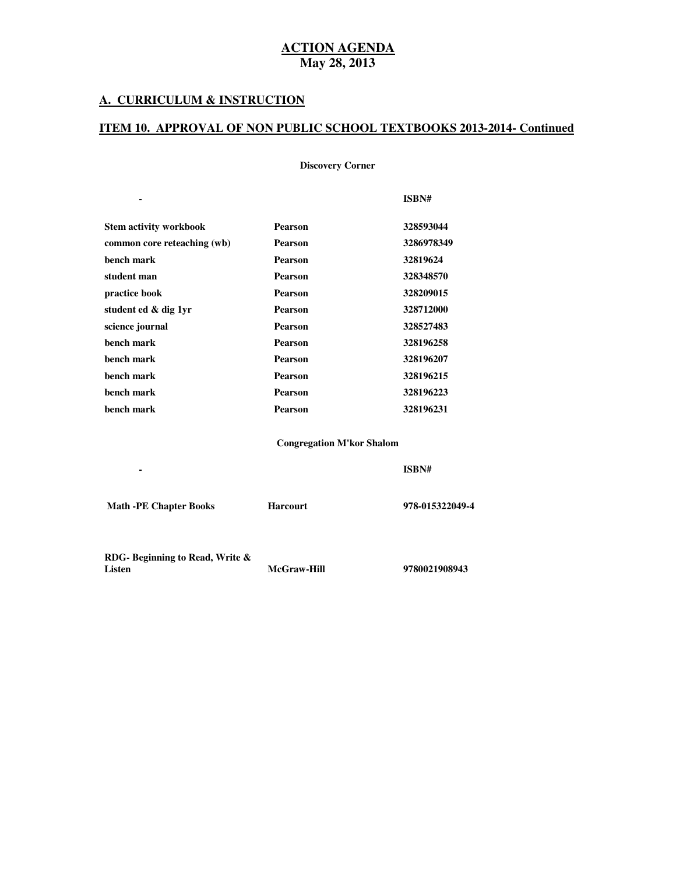### **A. CURRICULUM & INSTRUCTION**

**Subject Textbook Name Publisher**

#### **ITEM 10. APPROVAL OF NON PUBLIC SCHOOL TEXTBOOKS 2013-2014- Continued**

 **Discovery Corner** 

|                               |                | ISBN#      |
|-------------------------------|----------------|------------|
| <b>Stem activity workbook</b> | <b>Pearson</b> | 328593044  |
| common core reteaching (wb)   | <b>Pearson</b> | 3286978349 |
| bench mark                    | <b>Pearson</b> | 32819624   |
| student man                   | <b>Pearson</b> | 328348570  |
| practice book                 | <b>Pearson</b> | 328209015  |
| student ed & dig 1yr          | <b>Pearson</b> | 328712000  |
| science journal               | <b>Pearson</b> | 328527483  |
| bench mark                    | <b>Pearson</b> | 328196258  |
| bench mark                    | <b>Pearson</b> | 328196207  |
| bench mark                    | <b>Pearson</b> | 328196215  |
| bench mark                    | <b>Pearson</b> | 328196223  |
| bench mark                    | <b>Pearson</b> | 328196231  |

 **Congregation M'kor Shalom** 

| <b>Math -PE Chapter Books</b>  | <b>Harcourt</b>    | 978-015322049-4 |
|--------------------------------|--------------------|-----------------|
| RDG-Beginning to Read, Write & |                    |                 |
| Listen                         | <b>McGraw-Hill</b> | 9780021908943   |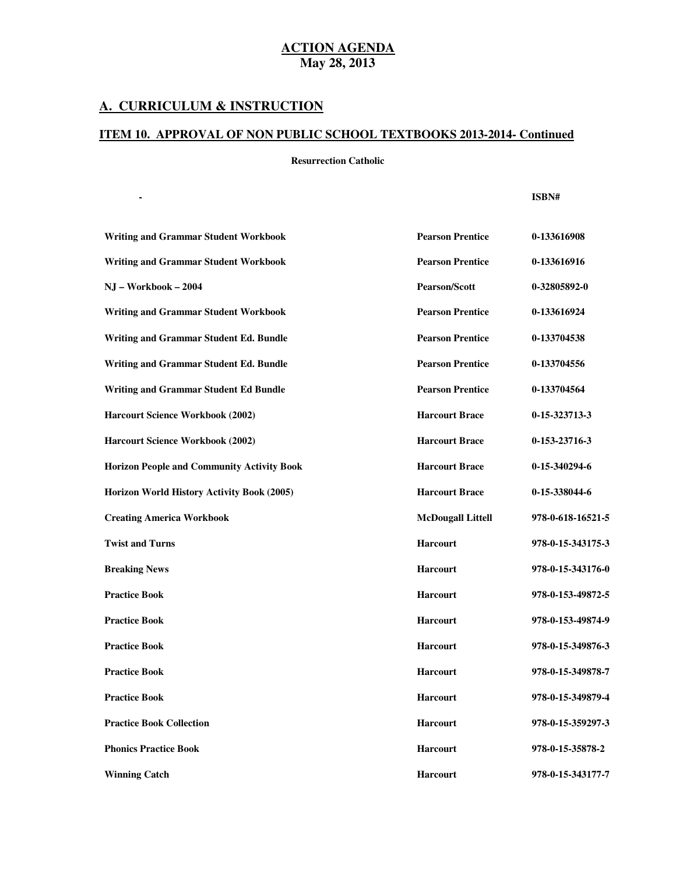## **A. CURRICULUM & INSTRUCTION**

#### **ITEM 10. APPROVAL OF NON PUBLIC SCHOOL TEXTBOOKS 2013-2014- Continued**

 **Resurrection Catholic** 

**Subject Textbook Name Publisher**

| <b>Writing and Grammar Student Workbook</b>       | <b>Pearson Prentice</b>  | 0-133616908       |
|---------------------------------------------------|--------------------------|-------------------|
| <b>Writing and Grammar Student Workbook</b>       | <b>Pearson Prentice</b>  | 0-133616916       |
| NJ - Workbook - 2004                              | <b>Pearson/Scott</b>     | 0-32805892-0      |
| <b>Writing and Grammar Student Workbook</b>       | <b>Pearson Prentice</b>  | 0-133616924       |
| Writing and Grammar Student Ed. Bundle            | <b>Pearson Prentice</b>  | 0-133704538       |
| Writing and Grammar Student Ed. Bundle            | <b>Pearson Prentice</b>  | 0-133704556       |
| <b>Writing and Grammar Student Ed Bundle</b>      | <b>Pearson Prentice</b>  | 0-133704564       |
| Harcourt Science Workbook (2002)                  | <b>Harcourt Brace</b>    | 0-15-323713-3     |
| <b>Harcourt Science Workbook (2002)</b>           | <b>Harcourt Brace</b>    | 0-153-23716-3     |
| <b>Horizon People and Community Activity Book</b> | <b>Harcourt Brace</b>    | 0-15-340294-6     |
| Horizon World History Activity Book (2005)        | <b>Harcourt Brace</b>    | 0-15-338044-6     |
| <b>Creating America Workbook</b>                  | <b>McDougall Littell</b> | 978-0-618-16521-5 |
| <b>Twist and Turns</b>                            | <b>Harcourt</b>          | 978-0-15-343175-3 |
| <b>Breaking News</b>                              | <b>Harcourt</b>          | 978-0-15-343176-0 |
| <b>Practice Book</b>                              | <b>Harcourt</b>          | 978-0-153-49872-5 |
| <b>Practice Book</b>                              | <b>Harcourt</b>          | 978-0-153-49874-9 |
| <b>Practice Book</b>                              | <b>Harcourt</b>          | 978-0-15-349876-3 |
| <b>Practice Book</b>                              | Harcourt                 | 978-0-15-349878-7 |
| <b>Practice Book</b>                              | <b>Harcourt</b>          | 978-0-15-349879-4 |
| <b>Practice Book Collection</b>                   | <b>Harcourt</b>          | 978-0-15-359297-3 |
| <b>Phonics Practice Book</b>                      | <b>Harcourt</b>          | 978-0-15-35878-2  |
| <b>Winning Catch</b>                              | <b>Harcourt</b>          | 978-0-15-343177-7 |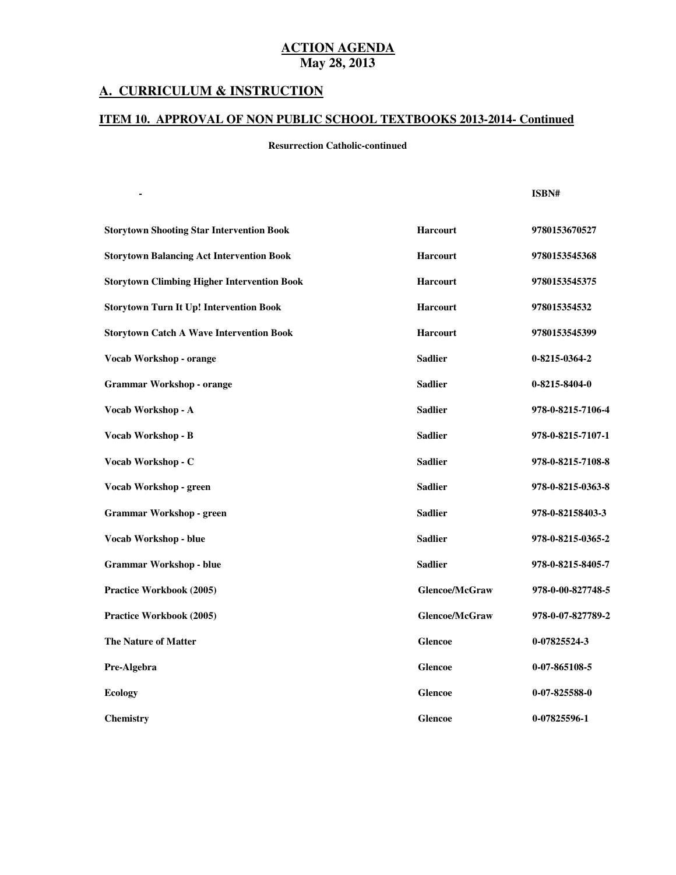#### **A. CURRICULUM & INSTRUCTION**

#### **ITEM 10. APPROVAL OF NON PUBLIC SCHOOL TEXTBOOKS 2013-2014- Continued**

#### **Resurrection Catholic-continued**

**Subject Textbook Name Publisher**

| <b>Storytown Shooting Star Intervention Book</b>   | Harcourt              | 9780153670527     |
|----------------------------------------------------|-----------------------|-------------------|
| <b>Storytown Balancing Act Intervention Book</b>   | Harcourt              | 9780153545368     |
| <b>Storytown Climbing Higher Intervention Book</b> | <b>Harcourt</b>       | 9780153545375     |
| <b>Storytown Turn It Up! Intervention Book</b>     | Harcourt              | 978015354532      |
| <b>Storytown Catch A Wave Intervention Book</b>    | Harcourt              | 9780153545399     |
| Vocab Workshop - orange                            | <b>Sadlier</b>        | 0-8215-0364-2     |
| <b>Grammar Workshop - orange</b>                   | <b>Sadlier</b>        | 0-8215-8404-0     |
| Vocab Workshop - A                                 | <b>Sadlier</b>        | 978-0-8215-7106-4 |
| Vocab Workshop - B                                 | <b>Sadlier</b>        | 978-0-8215-7107-1 |
| Vocab Workshop - C                                 | <b>Sadlier</b>        | 978-0-8215-7108-8 |
| Vocab Workshop - green                             | <b>Sadlier</b>        | 978-0-8215-0363-8 |
| <b>Grammar Workshop - green</b>                    | <b>Sadlier</b>        | 978-0-82158403-3  |
| Vocab Workshop - blue                              | <b>Sadlier</b>        | 978-0-8215-0365-2 |
| <b>Grammar Workshop - blue</b>                     | <b>Sadlier</b>        | 978-0-8215-8405-7 |
| Practice Workbook (2005)                           | <b>Glencoe/McGraw</b> | 978-0-00-827748-5 |
| Practice Workbook (2005)                           | Glencoe/McGraw        | 978-0-07-827789-2 |
| <b>The Nature of Matter</b>                        | <b>Glencoe</b>        | 0-07825524-3      |
| Pre-Algebra                                        | <b>Glencoe</b>        | $0-07-865108-5$   |
| <b>Ecology</b>                                     | <b>Glencoe</b>        | $0-07-825588-0$   |
| <b>Chemistry</b>                                   | <b>Glencoe</b>        | 0-07825596-1      |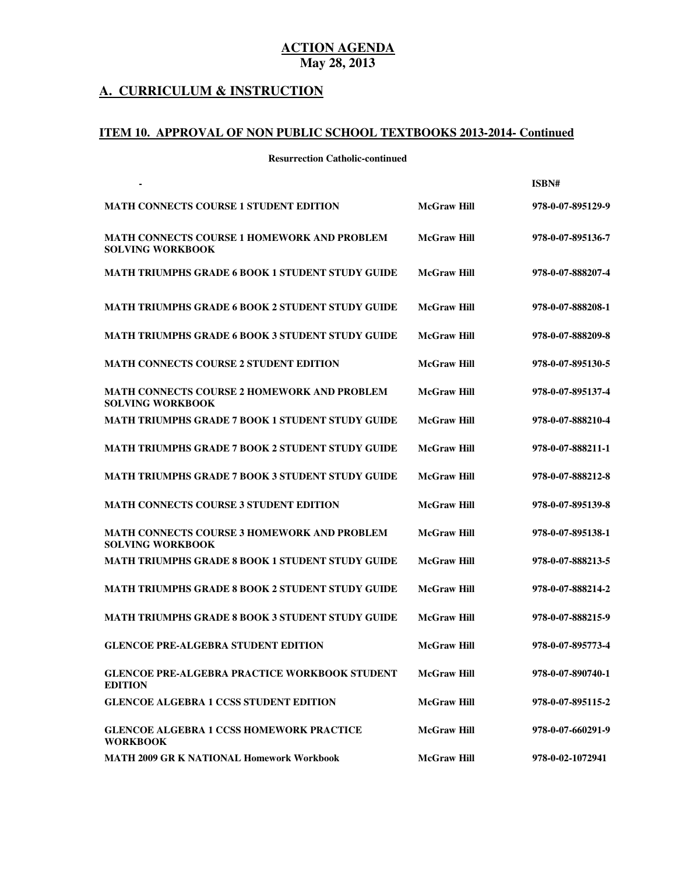# **A. CURRICULUM & INSTRUCTION**

#### **ITEM 10. APPROVAL OF NON PUBLIC SCHOOL TEXTBOOKS 2013-2014- Continued**

**Resurrection Catholic-continued** 

|                                                                               |                    | ISBN#             |
|-------------------------------------------------------------------------------|--------------------|-------------------|
| <b>MATH CONNECTS COURSE 1 STUDENT EDITION</b>                                 | <b>McGraw Hill</b> | 978-0-07-895129-9 |
| <b>MATH CONNECTS COURSE 1 HOMEWORK AND PROBLEM</b><br><b>SOLVING WORKBOOK</b> | <b>McGraw Hill</b> | 978-0-07-895136-7 |
| <b>MATH TRIUMPHS GRADE 6 BOOK 1 STUDENT STUDY GUIDE</b>                       | <b>McGraw Hill</b> | 978-0-07-888207-4 |
| MATH TRIUMPHS GRADE 6 BOOK 2 STUDENT STUDY GUIDE                              | <b>McGraw Hill</b> | 978-0-07-888208-1 |
| <b>MATH TRIUMPHS GRADE 6 BOOK 3 STUDENT STUDY GUIDE</b>                       | <b>McGraw Hill</b> | 978-0-07-888209-8 |
| <b>MATH CONNECTS COURSE 2 STUDENT EDITION</b>                                 | <b>McGraw Hill</b> | 978-0-07-895130-5 |
| <b>MATH CONNECTS COURSE 2 HOMEWORK AND PROBLEM</b><br><b>SOLVING WORKBOOK</b> | <b>McGraw Hill</b> | 978-0-07-895137-4 |
| <b>MATH TRIUMPHS GRADE 7 BOOK 1 STUDENT STUDY GUIDE</b>                       | <b>McGraw Hill</b> | 978-0-07-888210-4 |
| MATH TRIUMPHS GRADE 7 BOOK 2 STUDENT STUDY GUIDE                              | <b>McGraw Hill</b> | 978-0-07-888211-1 |
| <b>MATH TRIUMPHS GRADE 7 BOOK 3 STUDENT STUDY GUIDE</b>                       | <b>McGraw Hill</b> | 978-0-07-888212-8 |
| <b>MATH CONNECTS COURSE 3 STUDENT EDITION</b>                                 | <b>McGraw Hill</b> | 978-0-07-895139-8 |
| <b>MATH CONNECTS COURSE 3 HOMEWORK AND PROBLEM</b><br><b>SOLVING WORKBOOK</b> | <b>McGraw Hill</b> | 978-0-07-895138-1 |
| <b>MATH TRIUMPHS GRADE 8 BOOK 1 STUDENT STUDY GUIDE</b>                       | <b>McGraw Hill</b> | 978-0-07-888213-5 |
| <b>MATH TRIUMPHS GRADE 8 BOOK 2 STUDENT STUDY GUIDE</b>                       | <b>McGraw Hill</b> | 978-0-07-888214-2 |
| <b>MATH TRIUMPHS GRADE 8 BOOK 3 STUDENT STUDY GUIDE</b>                       | <b>McGraw Hill</b> | 978-0-07-888215-9 |
| <b>GLENCOE PRE-ALGEBRA STUDENT EDITION</b>                                    | <b>McGraw Hill</b> | 978-0-07-895773-4 |
| <b>GLENCOE PRE-ALGEBRA PRACTICE WORKBOOK STUDENT</b><br><b>EDITION</b>        | McGraw Hill        | 978-0-07-890740-1 |
| <b>GLENCOE ALGEBRA 1 CCSS STUDENT EDITION</b>                                 | <b>McGraw Hill</b> | 978-0-07-895115-2 |
| <b>GLENCOE ALGEBRA 1 CCSS HOMEWORK PRACTICE</b><br><b>WORKBOOK</b>            | <b>McGraw Hill</b> | 978-0-07-660291-9 |
| MATH 2009 GR K NATIONAL Homework Workbook                                     | <b>McGraw Hill</b> | 978-0-02-1072941  |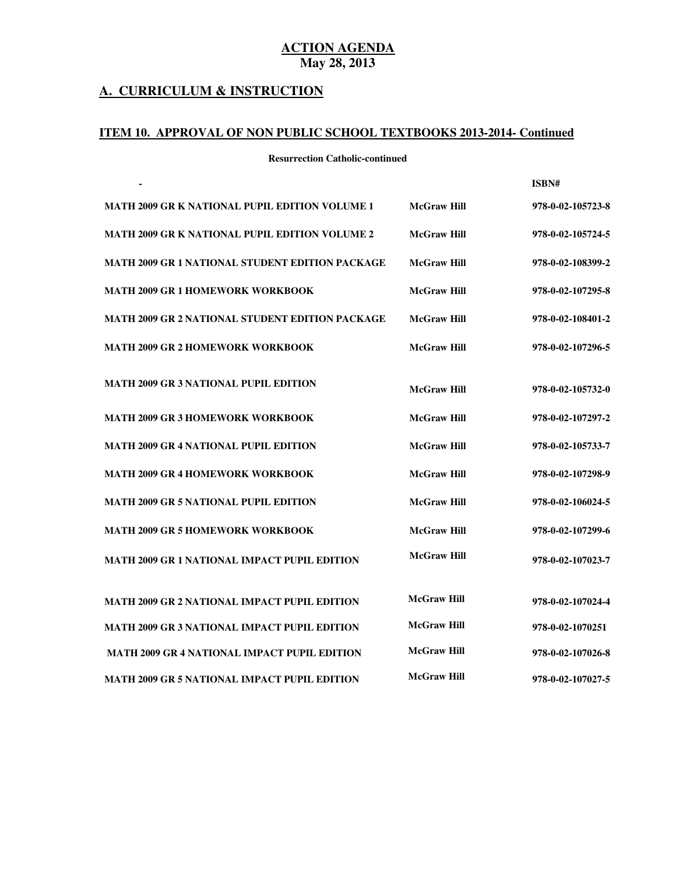#### **A. CURRICULUM & INSTRUCTION**

#### **ITEM 10. APPROVAL OF NON PUBLIC SCHOOL TEXTBOOKS 2013-2014- Continued**

**Resurrection Catholic-continued** 

|                                                        |                    | ISBN#             |
|--------------------------------------------------------|--------------------|-------------------|
| MATH 2009 GR K NATIONAL PUPIL EDITION VOLUME 1         | <b>McGraw Hill</b> | 978-0-02-105723-8 |
| MATH 2009 GR K NATIONAL PUPIL EDITION VOLUME 2         | <b>McGraw Hill</b> | 978-0-02-105724-5 |
| MATH 2009 GR 1 NATIONAL STUDENT EDITION PACKAGE        | <b>McGraw Hill</b> | 978-0-02-108399-2 |
| <b>MATH 2009 GR 1 HOMEWORK WORKBOOK</b>                | <b>McGraw Hill</b> | 978-0-02-107295-8 |
| <b>MATH 2009 GR 2 NATIONAL STUDENT EDITION PACKAGE</b> | <b>McGraw Hill</b> | 978-0-02-108401-2 |
| <b>MATH 2009 GR 2 HOMEWORK WORKBOOK</b>                | <b>McGraw Hill</b> | 978-0-02-107296-5 |
|                                                        |                    |                   |
| <b>MATH 2009 GR 3 NATIONAL PUPIL EDITION</b>           | <b>McGraw Hill</b> | 978-0-02-105732-0 |
| <b>MATH 2009 GR 3 HOMEWORK WORKBOOK</b>                | <b>McGraw Hill</b> | 978-0-02-107297-2 |
| <b>MATH 2009 GR 4 NATIONAL PUPIL EDITION</b>           | <b>McGraw Hill</b> | 978-0-02-105733-7 |
| <b>MATH 2009 GR 4 HOMEWORK WORKBOOK</b>                | <b>McGraw Hill</b> | 978-0-02-107298-9 |
| <b>MATH 2009 GR 5 NATIONAL PUPIL EDITION</b>           | <b>McGraw Hill</b> | 978-0-02-106024-5 |
| <b>MATH 2009 GR 5 HOMEWORK WORKBOOK</b>                | <b>McGraw Hill</b> | 978-0-02-107299-6 |
| MATH 2009 GR 1 NATIONAL IMPACT PUPIL EDITION           | <b>McGraw Hill</b> | 978-0-02-107023-7 |
|                                                        |                    |                   |
| MATH 2009 GR 2 NATIONAL IMPACT PUPIL EDITION           | <b>McGraw Hill</b> | 978-0-02-107024-4 |
| MATH 2009 GR 3 NATIONAL IMPACT PUPIL EDITION           | <b>McGraw Hill</b> | 978-0-02-1070251  |
| <b>MATH 2009 GR 4 NATIONAL IMPACT PUPIL EDITION</b>    | <b>McGraw Hill</b> | 978-0-02-107026-8 |
| MATH 2009 GR 5 NATIONAL IMPACT PUPIL EDITION           | <b>McGraw Hill</b> | 978-0-02-107027-5 |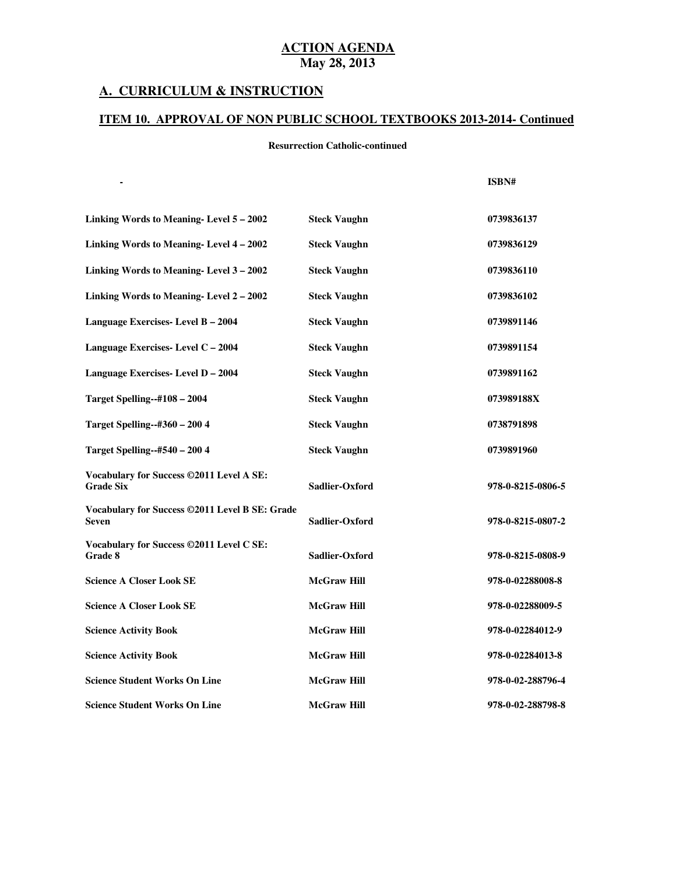#### **A. CURRICULUM & INSTRUCTION**

#### **ITEM 10. APPROVAL OF NON PUBLIC SCHOOL TEXTBOOKS 2013-2014- Continued**

#### **Resurrection Catholic-continued**

|                                                              |                     | ISBN#             |
|--------------------------------------------------------------|---------------------|-------------------|
| Linking Words to Meaning-Level 5 - 2002                      | <b>Steck Vaughn</b> | 0739836137        |
| Linking Words to Meaning-Level 4-2002                        | <b>Steck Vaughn</b> | 0739836129        |
| Linking Words to Meaning-Level 3 – 2002                      | <b>Steck Vaughn</b> | 0739836110        |
| Linking Words to Meaning-Level 2-2002                        | <b>Steck Vaughn</b> | 0739836102        |
| Language Exercises-Level B - 2004                            | <b>Steck Vaughn</b> | 0739891146        |
| Language Exercises-Level C - 2004                            | <b>Steck Vaughn</b> | 0739891154        |
| Language Exercises-Level D - 2004                            | <b>Steck Vaughn</b> | 0739891162        |
| <b>Target Spelling--#108 - 2004</b>                          | <b>Steck Vaughn</b> | 073989188X        |
| <b>Target Spelling--#360 - 200 4</b>                         | <b>Steck Vaughn</b> | 0738791898        |
| Target Spelling--#540 – 200 4                                | <b>Steck Vaughn</b> | 0739891960        |
| Vocabulary for Success ©2011 Level A SE:<br><b>Grade Six</b> | Sadlier-Oxford      | 978-0-8215-0806-5 |
| Vocabulary for Success ©2011 Level B SE: Grade<br>Seven      | Sadlier-Oxford      | 978-0-8215-0807-2 |
| Vocabulary for Success ©2011 Level C SE:<br>Grade 8          | Sadlier-Oxford      | 978-0-8215-0808-9 |
| <b>Science A Closer Look SE</b>                              | <b>McGraw Hill</b>  | 978-0-02288008-8  |
| <b>Science A Closer Look SE</b>                              | <b>McGraw Hill</b>  | 978-0-02288009-5  |
| <b>Science Activity Book</b>                                 | <b>McGraw Hill</b>  | 978-0-02284012-9  |
| <b>Science Activity Book</b>                                 | <b>McGraw Hill</b>  | 978-0-02284013-8  |
| <b>Science Student Works On Line</b>                         | <b>McGraw Hill</b>  | 978-0-02-288796-4 |
| <b>Science Student Works On Line</b>                         | <b>McGraw Hill</b>  | 978-0-02-288798-8 |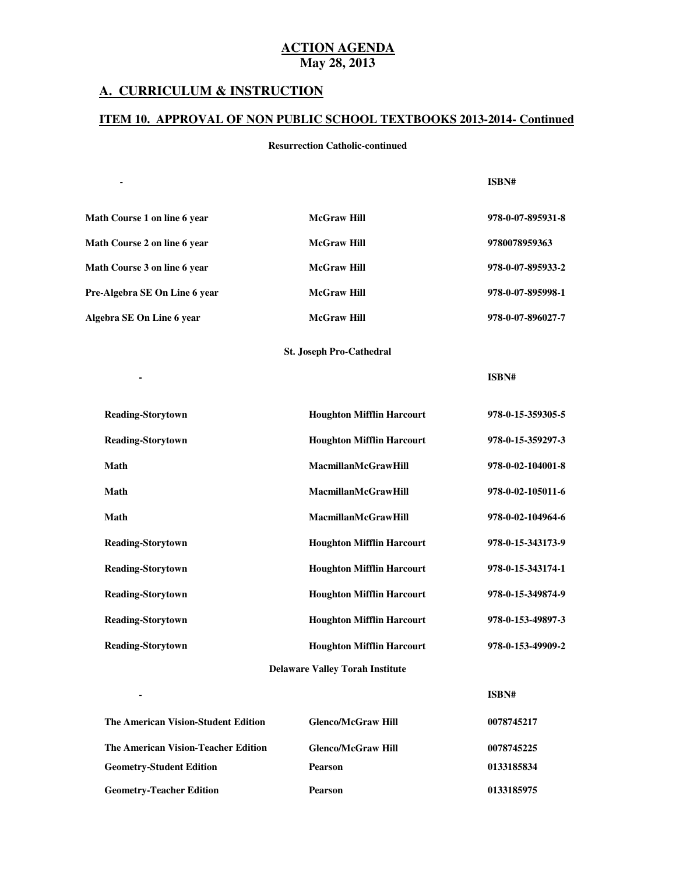#### **A. CURRICULUM & INSTRUCTION**

**Subject Textbook Name Publisher**

**Subject Textbook Name Publisher**

**Subject Textbook Name Publisher**

 **-**

 **-**

 **-**

#### **ITEM 10. APPROVAL OF NON PUBLIC SCHOOL TEXTBOOKS 2013-2014- Continued**

#### **Resurrection Catholic-continued**

#### **ISBN#**

| Math Course 1 on line 6 year  | <b>McGraw Hill</b> | 978-0-07-895931-8 |
|-------------------------------|--------------------|-------------------|
| Math Course 2 on line 6 year  | <b>McGraw Hill</b> | 9780078959363     |
| Math Course 3 on line 6 year  | <b>McGraw Hill</b> | 978-0-07-895933-2 |
| Pre-Algebra SE On Line 6 year | <b>McGraw Hill</b> | 978-0-07-895998-1 |
| Algebra SE On Line 6 year     | <b>McGraw Hill</b> | 978-0-07-896027-7 |

#### **St. Joseph Pro-Cathedral**

**ISBN#** 

**ISBN#** 

| <b>Reading-Storytown</b>               | <b>Houghton Mifflin Harcourt</b> | 978-0-15-359305-5 |  |
|----------------------------------------|----------------------------------|-------------------|--|
| <b>Reading-Storytown</b>               | <b>Houghton Mifflin Harcourt</b> | 978-0-15-359297-3 |  |
| Math                                   | <b>MacmillanMcGrawHill</b>       | 978-0-02-104001-8 |  |
| Math                                   | <b>MacmillanMcGrawHill</b>       | 978-0-02-105011-6 |  |
| Math                                   | <b>MacmillanMcGrawHill</b>       | 978-0-02-104964-6 |  |
| <b>Reading-Storytown</b>               | <b>Houghton Mifflin Harcourt</b> | 978-0-15-343173-9 |  |
| <b>Reading-Storytown</b>               | <b>Houghton Mifflin Harcourt</b> | 978-0-15-343174-1 |  |
| <b>Reading-Storytown</b>               | <b>Houghton Mifflin Harcourt</b> | 978-0-15-349874-9 |  |
| <b>Reading-Storytown</b>               | <b>Houghton Mifflin Harcourt</b> | 978-0-153-49897-3 |  |
| <b>Reading-Storytown</b>               | <b>Houghton Mifflin Harcourt</b> | 978-0-153-49909-2 |  |
| <b>Delaware Valley Torah Institute</b> |                                  |                   |  |

| The American Vision-Student Edition | <b>Glenco/McGraw Hill</b> | 0078745217 |
|-------------------------------------|---------------------------|------------|
| The American Vision-Teacher Edition | <b>Glenco/McGraw Hill</b> | 0078745225 |
| <b>Geometry-Student Edition</b>     | <b>Pearson</b>            | 0133185834 |
| <b>Geometry-Teacher Edition</b>     | <b>Pearson</b>            | 0133185975 |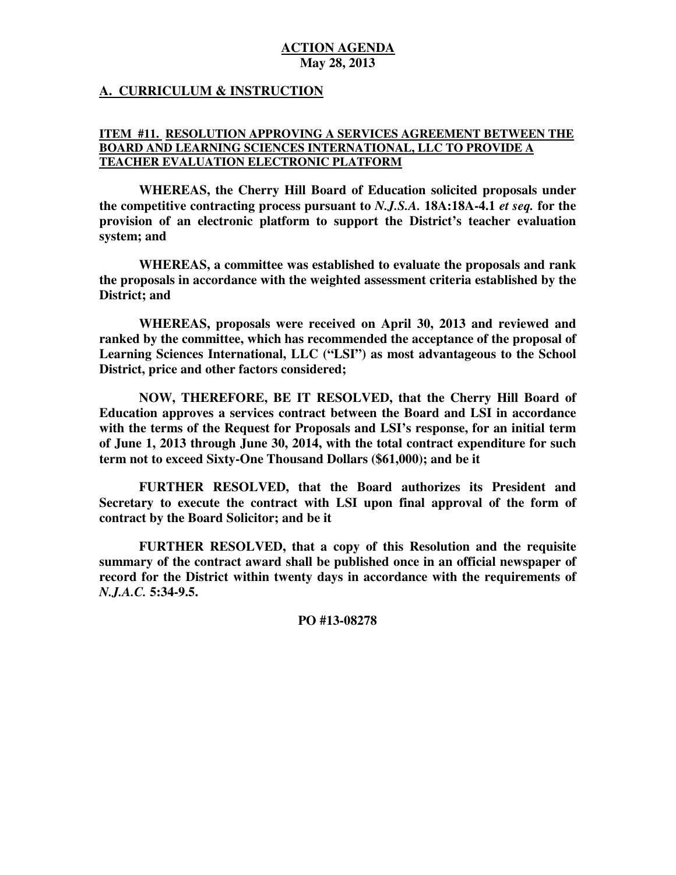## **A. CURRICULUM & INSTRUCTION**

#### **ITEM #11. RESOLUTION APPROVING A SERVICES AGREEMENT BETWEEN THE BOARD AND LEARNING SCIENCES INTERNATIONAL, LLC TO PROVIDE A TEACHER EVALUATION ELECTRONIC PLATFORM**

 **WHEREAS, the Cherry Hill Board of Education solicited proposals under the competitive contracting process pursuant to** *N.J.S.A.* **18A:18A-4.1** *et seq.* **for the provision of an electronic platform to support the District's teacher evaluation system; and** 

 **WHEREAS, a committee was established to evaluate the proposals and rank the proposals in accordance with the weighted assessment criteria established by the District; and** 

 **WHEREAS, proposals were received on April 30, 2013 and reviewed and ranked by the committee, which has recommended the acceptance of the proposal of Learning Sciences International, LLC ("LSI") as most advantageous to the School District, price and other factors considered;** 

 **NOW, THEREFORE, BE IT RESOLVED, that the Cherry Hill Board of Education approves a services contract between the Board and LSI in accordance with the terms of the Request for Proposals and LSI's response, for an initial term of June 1, 2013 through June 30, 2014, with the total contract expenditure for such term not to exceed Sixty-One Thousand Dollars (\$61,000); and be it** 

 **FURTHER RESOLVED, that the Board authorizes its President and Secretary to execute the contract with LSI upon final approval of the form of contract by the Board Solicitor; and be it** 

 **FURTHER RESOLVED, that a copy of this Resolution and the requisite summary of the contract award shall be published once in an official newspaper of record for the District within twenty days in accordance with the requirements of**  *N.J.A.C.* **5:34-9.5.** 

 **PO #13-08278**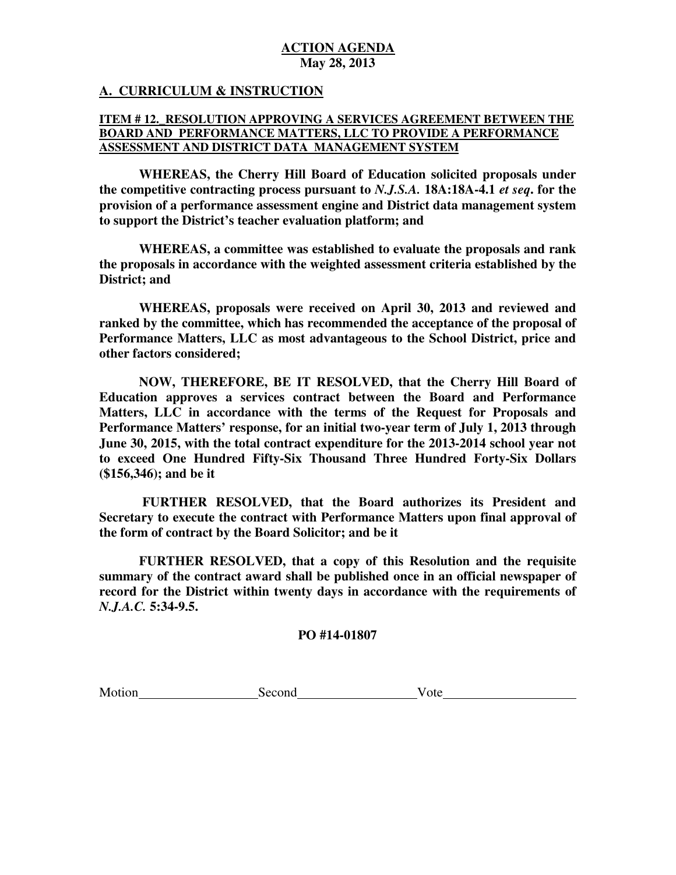## **A. CURRICULUM & INSTRUCTION**

## **ITEM # 12.\_RESOLUTION APPROVING A SERVICES AGREEMENT BETWEEN THE BOARD AND PERFORMANCE MATTERS, LLC TO PROVIDE A PERFORMANCE ASSESSMENT AND DISTRICT DATA MANAGEMENT SYSTEM**

 **WHEREAS, the Cherry Hill Board of Education solicited proposals under the competitive contracting process pursuant to** *N.J.S.A.* **18A:18A-4.1** *et seq***. for the provision of a performance assessment engine and District data management system to support the District's teacher evaluation platform; and** 

 **WHEREAS, a committee was established to evaluate the proposals and rank the proposals in accordance with the weighted assessment criteria established by the District; and** 

 **WHEREAS, proposals were received on April 30, 2013 and reviewed and ranked by the committee, which has recommended the acceptance of the proposal of Performance Matters, LLC as most advantageous to the School District, price and other factors considered;** 

 **NOW, THEREFORE, BE IT RESOLVED, that the Cherry Hill Board of Education approves a services contract between the Board and Performance Matters, LLC in accordance with the terms of the Request for Proposals and Performance Matters' response, for an initial two-year term of July 1, 2013 through June 30, 2015, with the total contract expenditure for the 2013-2014 school year not to exceed One Hundred Fifty-Six Thousand Three Hundred Forty-Six Dollars (\$156,346); and be it** 

 **FURTHER RESOLVED, that the Board authorizes its President and Secretary to execute the contract with Performance Matters upon final approval of the form of contract by the Board Solicitor; and be it** 

 **FURTHER RESOLVED, that a copy of this Resolution and the requisite summary of the contract award shall be published once in an official newspaper of record for the District within twenty days in accordance with the requirements of**  *N.J.A.C.* **5:34-9.5.** 

## **PO #14-01807**

Motion Second Vote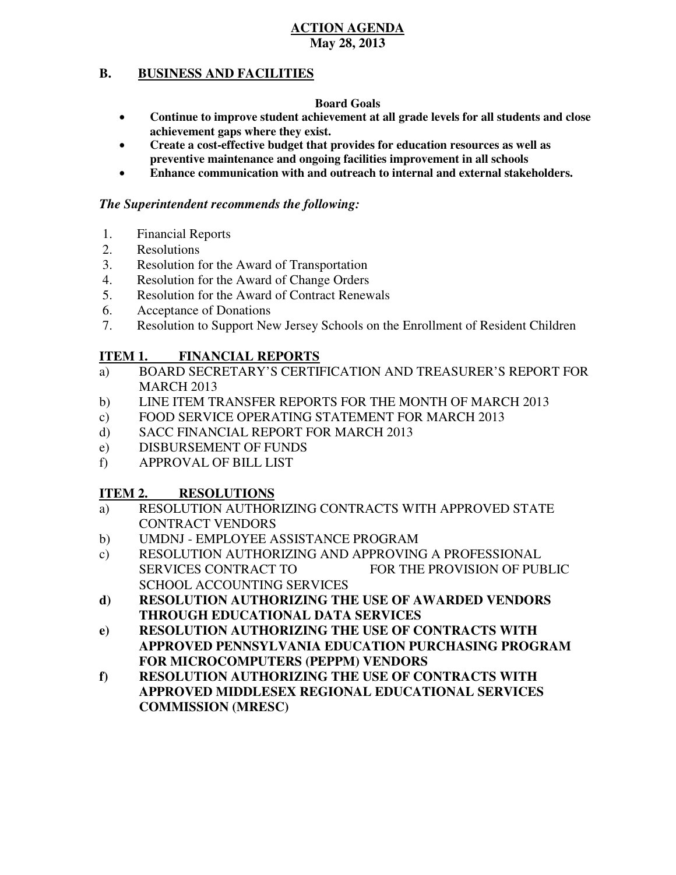#### **B. BUSINESS AND FACILITIES**

### **Board Goals**

- • **Continue to improve student achievement at all grade levels for all students and close achievement gaps where they exist.**
- **•** Create a cost-effective budget that provides for education resources as well as  **preventive maintenance and ongoing facilities improvement in all schools**
- **• Enhance communication with and outreach to internal and external stakeholders.**

## *The Superintendent recommends the following:*

- 1. Financial Reports
- 2. Resolutions
- 3. Resolution for the Award of Transportation
- 4. Resolution for the Award of Change Orders
- 5. Resolution for the Award of Contract Renewals
- 6. Acceptance of Donations
- 7. Resolution to Support New Jersey Schools on the Enrollment of Resident Children

### **ITEM 1. FINANCIAL REPORTS**

- a) BOARD SECRETARY'S CERTIFICATION AND TREASURER'S REPORT FOR MARCH 2013
- $b)$ LINE ITEM TRANSFER REPORTS FOR THE MONTH OF MARCH 2013
- $\mathbf{c})$ FOOD SERVICE OPERATING STATEMENT FOR MARCH 2013
- $\mathbf{d}$ SACC FINANCIAL REPORT FOR MARCH 2013
- e) DISBURSEMENT OF FUNDS
- f) APPROVAL OF BILL LIST

### **ITEM 2. RESOLUTIONS**

- a) RESOLUTION AUTHORIZING CONTRACTS WITH APPROVED STATE CONTRACT VENDORS
- b) UMDNJ EMPLOYEE ASSISTANCE PROGRAM
- c) RESOLUTION AUTHORIZING AND APPROVING A PROFESSIONAL **SERVICES CONTRACT TO**  SCHOOL ACCOUNTING SERVICES FOR THE PROVISION OF PUBLIC
- **d) RESOLUTION AUTHORIZING THE USE OF AWARDED VENDORS THROUGH EDUCATIONAL DATA SERVICES**
- **e) RESOLUTION AUTHORIZING THE USE OF CONTRACTS WITH FOR MICROCOMPUTERS (PEPPM) VENDORS APPROVED PENNSYLVANIA EDUCATION PURCHASING PROGRAM**
- **f) RESOLUTION AUTHORIZING THE USE OF CONTRACTS WITH COMMISSION (MRESC) APPROVED MIDDLESEX REGIONAL EDUCATIONAL SERVICES**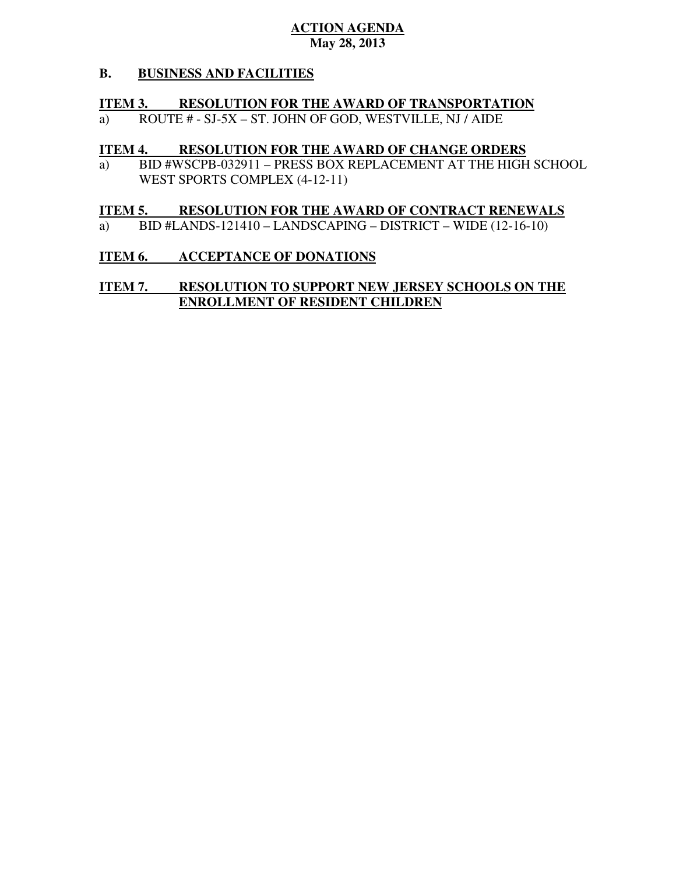### **B. B. BUSINESS AND FACILITIES**

## **ITEM 3. RESOLUTION FOR THE AWARD OF TRANSPORTATION**

a) ROUTE # - SJ-5X – ST. JOHN OF GOD, WESTVILLE, NJ / AIDE

## **ITEM 4. RESOLUTION FOR THE AWARD OF CHANGE ORDERS**

a) WEST SPORTS COMPLEX (4-12-11) BID #WSCPB-032911 – PRESS BOX REPLACEMENT AT THE HIGH SCHOOL

#### **ITEM 5. RESOLUTION FOR THE AWARD OF CONTRACT RENEWALS**

a) BID #LANDS-121410 – LANDSCAPING – DISTRICT – WIDE (12-16-10)

### **ITEM 6. ACCEPTANCE OF DONATIONS**

### **ITEM 7. ENROLLMENT OF RESIDENT CHILDREN RESOLUTION TO SUPPORT NEW JERSEY SCHOOLS ON THE**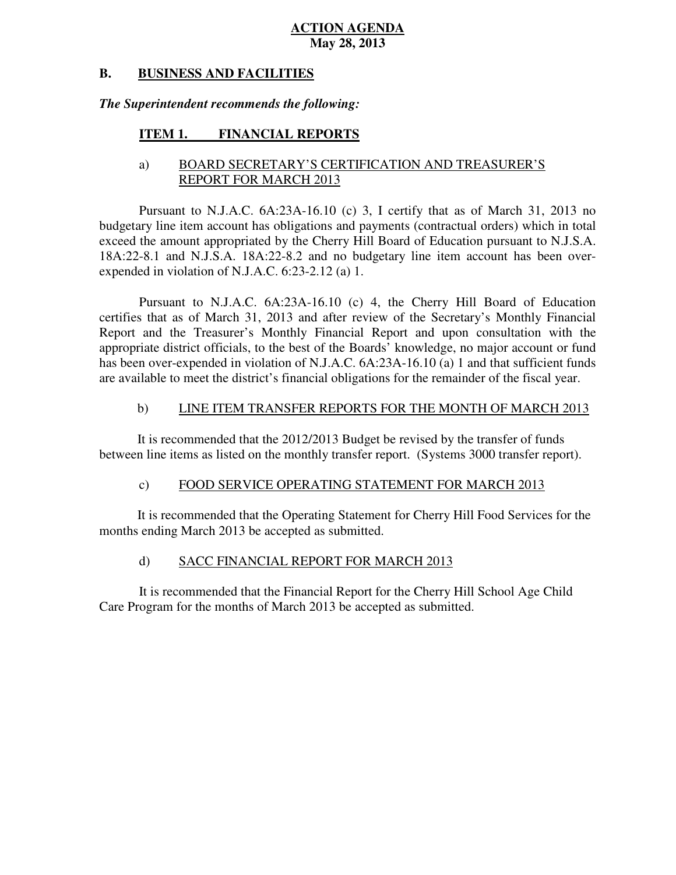#### **B. BUSINESS AND FACILITIES**

## *The Superintendent recommends the following:*

#### **ITEM 1. FINANCIAL REPORTS**

## a) BOARD SECRETARY'S CERTIFICATION AND TREASURER'S REPORT FOR MARCH 2013

 Pursuant to N.J.A.C. 6A:23A-16.10 (c) 3, I certify that as of March 31, 2013 no budgetary line item account has obligations and payments (contractual orders) which in total exceed the amount appropriated by the Cherry Hill Board of Education pursuant to N.J.S.A. 18A:22-8.1 and N.J.S.A. 18A:22-8.2 and no budgetary line item account has been over-expended in violation of N.J.A.C. 6:23-2.12 (a) 1.

 Pursuant to N.J.A.C. 6A:23A-16.10 (c) 4, the Cherry Hill Board of Education certifies that as of March 31, 2013 and after review of the Secretary's Monthly Financial Report and the Treasurer's Monthly Financial Report and upon consultation with the appropriate district officials, to the best of the Boards' knowledge, no major account or fund has been over-expended in violation of N.J.A.C. 6A:23A-16.10 (a) 1 and that sufficient funds are available to meet the district's financial obligations for the remainder of the fiscal year.

#### $b)$ LINE ITEM TRANSFER REPORTS FOR THE MONTH OF MARCH 2013

 It is recommended that the 2012/2013 Budget be revised by the transfer of funds between line items as listed on the monthly transfer report. (Systems 3000 transfer report).

#### $\mathbf{c}$ ) FOOD SERVICE OPERATING STATEMENT FOR MARCH 2013

 It is recommended that the Operating Statement for Cherry Hill Food Services for the months ending March 2013 be accepted as submitted.

#### $\mathbf{d}$ SACC FINANCIAL REPORT FOR MARCH 2013

 It is recommended that the Financial Report for the Cherry Hill School Age Child Care Program for the months of March 2013 be accepted as submitted.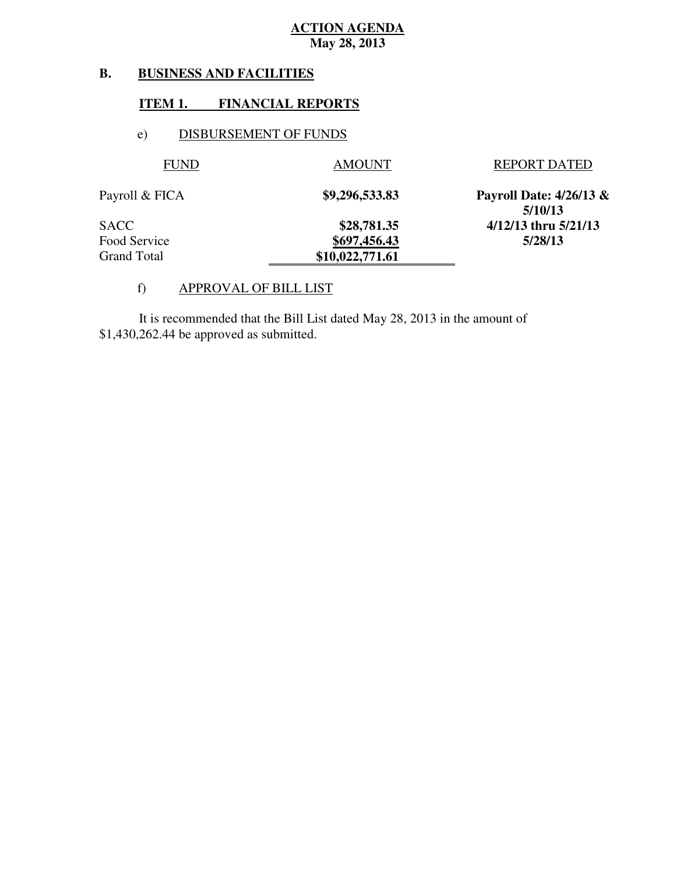### **B. BUSINESS AND FACILITIES**

## **ITEM 1. FINANCIAL REPORTS**

## e) DISBURSEMENT OF FUNDS

| <b>FUND</b>    | <b>AMOUNT</b>   | <b>REPORT DATED</b>                  |
|----------------|-----------------|--------------------------------------|
| Payroll & FICA | \$9,296,533.83  | Payroll Date: $4/26/13$ &<br>5/10/13 |
| SACC           | \$28,781.35     | 4/12/13 thru 5/21/13                 |
| Food Service   | \$697,456.43    | 5/28/13                              |
| Grand Total    | \$10,022,771.61 |                                      |

## f) APPROVAL OF BILL LIST

 \$1,430,262.44 be approved as submitted. It is recommended that the Bill List dated May 28, 2013 in the amount of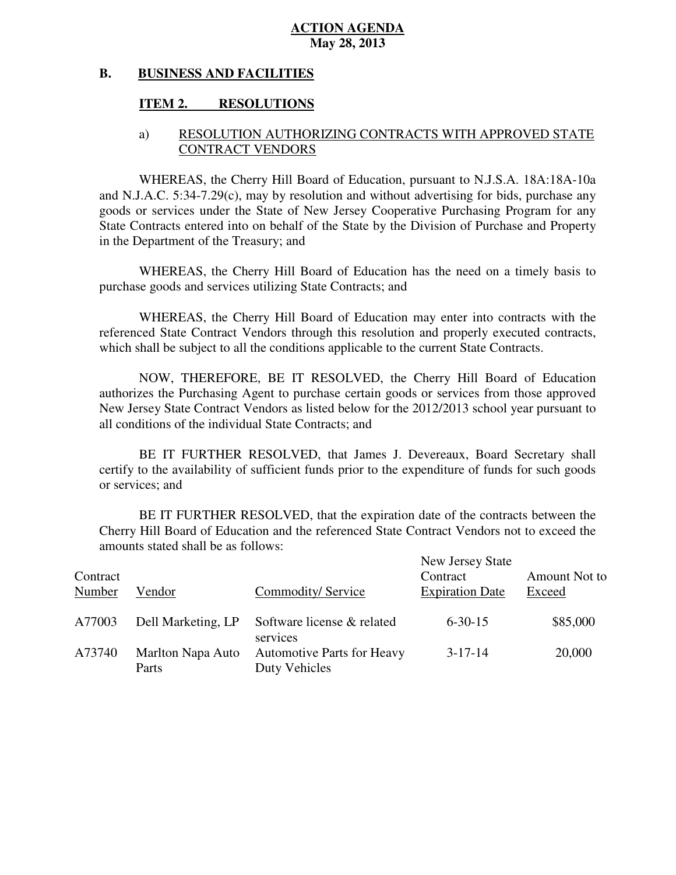#### **B. BUSINESS AND FACILITIES**

## **ITEM 2. RESOLUTIONS**

## a) RESOLUTION AUTHORIZING CONTRACTS WITH APPROVED STATE CONTRACT VENDORS

 WHEREAS, the Cherry Hill Board of Education, pursuant to N.J.S.A. 18A:18A-10a and N.J.A.C. 5:34-7.29(c), may by resolution and without advertising for bids, purchase any goods or services under the State of New Jersey Cooperative Purchasing Program for any State Contracts entered into on behalf of the State by the Division of Purchase and Property in the Department of the Treasury; and

 WHEREAS, the Cherry Hill Board of Education has the need on a timely basis to purchase goods and services utilizing State Contracts; and

 WHEREAS, the Cherry Hill Board of Education may enter into contracts with the referenced State Contract Vendors through this resolution and properly executed contracts, which shall be subject to all the conditions applicable to the current State Contracts.

 NOW, THEREFORE, BE IT RESOLVED, the Cherry Hill Board of Education authorizes the Purchasing Agent to purchase certain goods or services from those approved New Jersey State Contract Vendors as listed below for the 2012/2013 school year pursuant to all conditions of the individual State Contracts; and

 certify to the availability of sufficient funds prior to the expenditure of funds for such goods or services; and BE IT FURTHER RESOLVED, that James J. Devereaux, Board Secretary shall

 Cherry Hill Board of Education and the referenced State Contract Vendors not to exceed the amounts stated shall be as follows: BE IT FURTHER RESOLVED, that the expiration date of the contracts between the

| Contract<br>Number | Vendor                     | Commodity/Service                                  | New Jersey State<br>Contract<br><b>Expiration Date</b> | Amount Not to<br>Exceed |
|--------------------|----------------------------|----------------------------------------------------|--------------------------------------------------------|-------------------------|
| A77003             | Dell Marketing, LP         | Software license & related<br>services             | $6 - 30 - 15$                                          | \$85,000                |
| A73740             | Marlton Napa Auto<br>Parts | <b>Automotive Parts for Heavy</b><br>Duty Vehicles | $3 - 17 - 14$                                          | 20,000                  |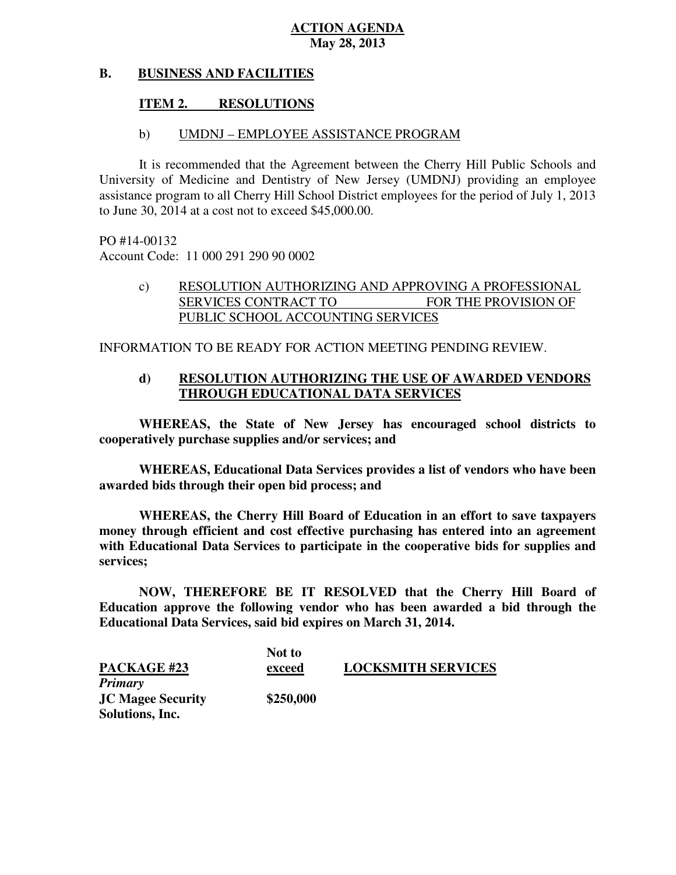#### **B. BUSINESS AND FACILITIES**

## **ITEM 2. RESOLUTIONS**

### b) UMDNJ – EMPLOYEE ASSISTANCE PROGRAM

 It is recommended that the Agreement between the Cherry Hill Public Schools and University of Medicine and Dentistry of New Jersey (UMDNJ) providing an employee assistance program to all Cherry Hill School District employees for the period of July 1, 2013 to June 30, 2014 at a cost not to exceed \$45,000.00.

 PO #14-00132 Account Code: 11 000 291 290 90 0002

## c) RESOLUTION AUTHORIZING AND APPROVING A PROFESSIONAL SERVICES CONTRACT TO FOR THE PROVISION OF PUBLIC SCHOOL ACCOUNTING SERVICES

INFORMATION TO BE READY FOR ACTION MEETING PENDING REVIEW.

## **d) RESOLUTION AUTHORIZING THE USE OF AWARDED VENDORS THROUGH EDUCATIONAL DATA SERVICES**

 **WHEREAS, the State of New Jersey has encouraged school districts to cooperatively purchase supplies and/or services; and** 

 **WHEREAS, Educational Data Services provides a list of vendors who have been awarded bids through their open bid process; and** 

 **WHEREAS, the Cherry Hill Board of Education in an effort to save taxpayers money through efficient and cost effective purchasing has entered into an agreement with Educational Data Services to participate in the cooperative bids for supplies and services;** 

 **NOW, THEREFORE BE IT RESOLVED that the Cherry Hill Board of Education approve the following vendor who has been awarded a bid through the Educational Data Services, said bid expires on March 31, 2014.** 

|                          | Not to    |                           |
|--------------------------|-----------|---------------------------|
| <b>PACKAGE #23</b>       | exceed    | <b>LOCKSMITH SERVICES</b> |
| <b>Primary</b>           |           |                           |
| <b>JC Magee Security</b> | \$250,000 |                           |
| Solutions, Inc.          |           |                           |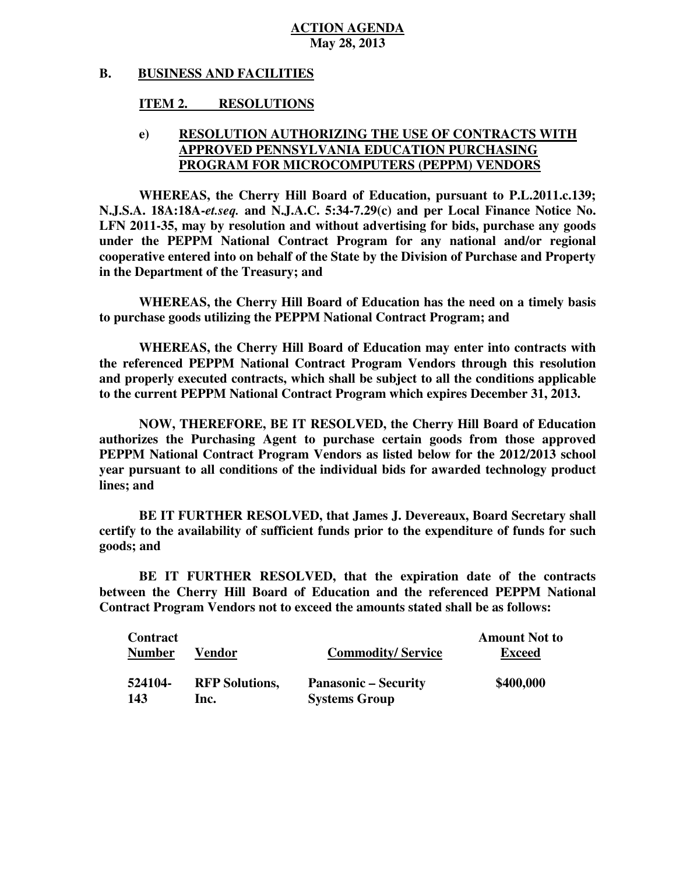#### **B. BUSINESS AND FACILITIES**

## **ITEM 2. RESOLUTIONS**

## **e) RESOLUTION AUTHORIZING THE USE OF CONTRACTS WITH PROGRAM FOR MICROCOMPUTERS (PEPPM) VENDORS APPROVED PENNSYLVANIA EDUCATION PURCHASING**

 **WHEREAS, the Cherry Hill Board of Education, pursuant to P.L.2011.c.139; N.J.S.A. 18A:18A-***et.seq.* **and N.J.A.C. 5:34-7.29(c) and per Local Finance Notice No. LFN 2011-35, may by resolution and without advertising for bids, purchase any goods under the PEPPM National Contract Program for any national and/or regional cooperative entered into on behalf of the State by the Division of Purchase and Property in the Department of the Treasury; and** 

 **WHEREAS, the Cherry Hill Board of Education has the need on a timely basis to purchase goods utilizing the PEPPM National Contract Program; and** 

 **WHEREAS, the Cherry Hill Board of Education may enter into contracts with the referenced PEPPM National Contract Program Vendors through this resolution and properly executed contracts, which shall be subject to all the conditions applicable to the current PEPPM National Contract Program which expires December 31, 2013.** 

 **NOW, THEREFORE, BE IT RESOLVED, the Cherry Hill Board of Education authorizes the Purchasing Agent to purchase certain goods from those approved**  PEPPM National Contract Program Vendors as listed below for the 2012/2013 school  **year pursuant to all conditions of the individual bids for awarded technology product lines; and** 

 **certify to the availability of sufficient funds prior to the expenditure of funds for such goods; and BE IT FURTHER RESOLVED, that James J. Devereaux, Board Secretary shall** 

 **between the Cherry Hill Board of Education and the referenced PEPPM National Contract Program Vendors not to exceed the amounts stated shall be as follows: BE IT FURTHER RESOLVED, that the expiration date of the contracts** 

| <b>Contract</b><br><b>Number</b> | Vendor                | <b>Commodity/Service</b>    | <b>Amount Not to</b><br><b>Exceed</b> |
|----------------------------------|-----------------------|-----------------------------|---------------------------------------|
| 524104-                          | <b>RFP Solutions,</b> | <b>Panasonic – Security</b> | \$400,000                             |
| -143                             | Inc.                  | <b>Systems Group</b>        |                                       |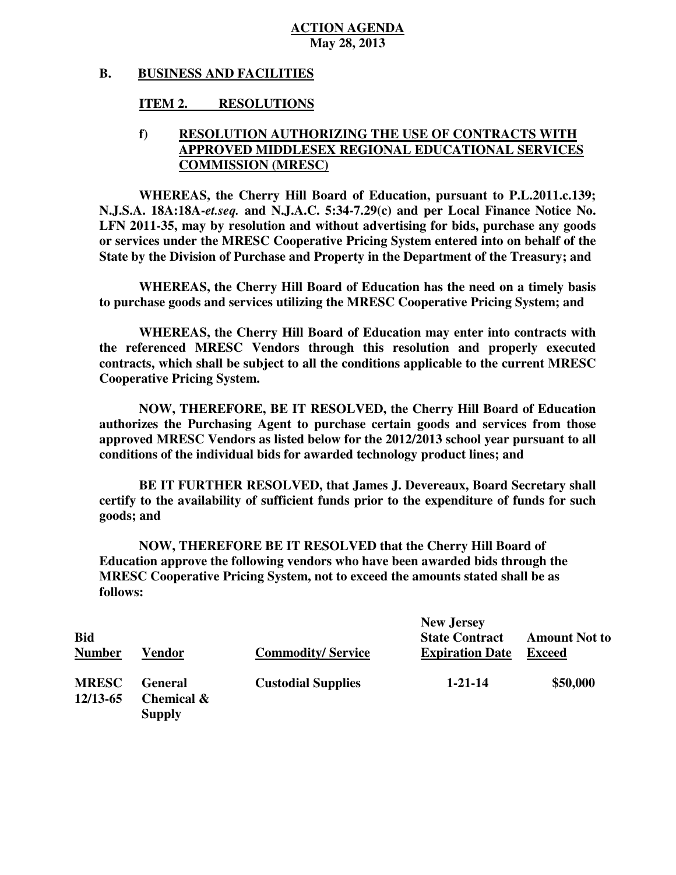#### **B. BUSINESS AND FACILITIES**

## **ITEM 2. RESOLUTIONS**

## **f) RESOLUTION AUTHORIZING THE USE OF CONTRACTS WITH COMMISSION (MRESC) APPROVED MIDDLESEX REGIONAL EDUCATIONAL SERVICES**

 **WHEREAS, the Cherry Hill Board of Education, pursuant to P.L.2011.c.139; N.J.S.A. 18A:18A-***et.seq.* **and N.J.A.C. 5:34-7.29(c) and per Local Finance Notice No. LFN 2011-35, may by resolution and without advertising for bids, purchase any goods or services under the MRESC Cooperative Pricing System entered into on behalf of the State by the Division of Purchase and Property in the Department of the Treasury; and** 

 **WHEREAS, the Cherry Hill Board of Education has the need on a timely basis to purchase goods and services utilizing the MRESC Cooperative Pricing System; and** 

 **WHEREAS, the Cherry Hill Board of Education may enter into contracts with the referenced MRESC Vendors through this resolution and properly executed contracts, which shall be subject to all the conditions applicable to the current MRESC Cooperative Pricing System.** 

 **NOW, THEREFORE, BE IT RESOLVED, the Cherry Hill Board of Education authorizes the Purchasing Agent to purchase certain goods and services from those approved MRESC Vendors as listed below for the 2012/2013 school year pursuant to all conditions of the individual bids for awarded technology product lines; and** 

 **certify to the availability of sufficient funds prior to the expenditure of funds for such goods; and BE IT FURTHER RESOLVED, that James J. Devereaux, Board Secretary shall** 

 **NOW, THEREFORE BE IT RESOLVED that the Cherry Hill Board of Education approve the following vendors who have been awarded bids through the MRESC Cooperative Pricing System, not to exceed the amounts stated shall be as follows:** 

| <b>Bid</b><br><b>Number</b> | Vendor                                                   | <b>Commodity/Service</b>  | <b>New Jersey</b><br><b>State Contract</b><br><b>Expiration Date</b> | <b>Amount Not to</b><br><b>Exceed</b> |
|-----------------------------|----------------------------------------------------------|---------------------------|----------------------------------------------------------------------|---------------------------------------|
| <b>MRESC</b><br>12/13-65    | <b>General</b><br><b>Chemical &amp;</b><br><b>Supply</b> | <b>Custodial Supplies</b> | $1 - 21 - 14$                                                        | \$50,000                              |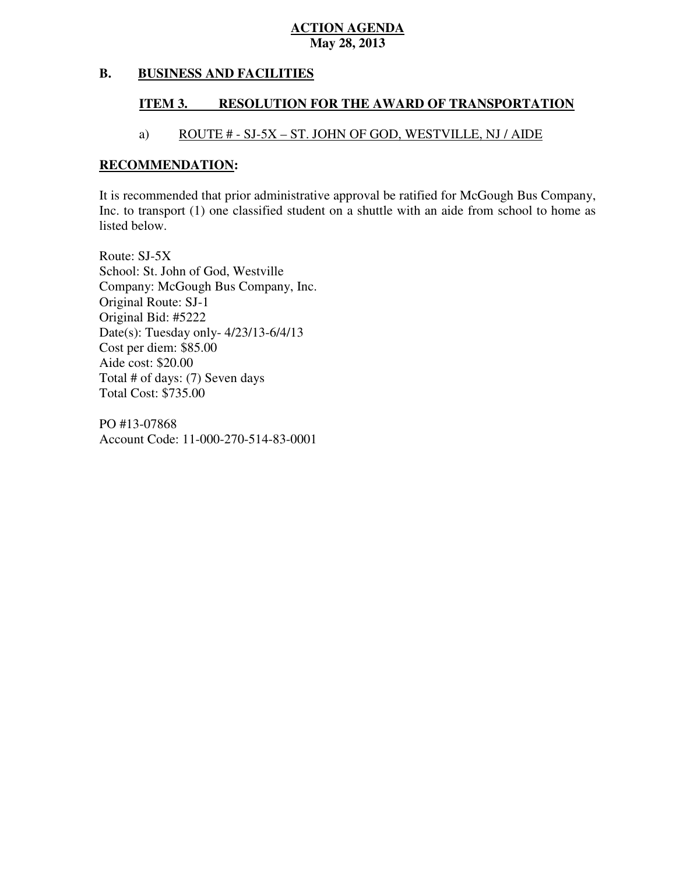### **B. B. BUSINESS AND FACILITIES**

#### **ITEM 3. RESOLUTION FOR THE AWARD OF TRANSPORTATION**

## a) ROUTE # - SJ-5X – ST. JOHN OF GOD, WESTVILLE, NJ / AIDE

## **RECOMMENDATION:**

 It is recommended that prior administrative approval be ratified for McGough Bus Company, Inc. to transport (1) one classified student on a shuttle with an aide from school to home as listed below.

 Route: SJ-5X School: St. John of God, Westville Company: McGough Bus Company, Inc. Original Route: SJ-1 Original Bid: #5222 Date(s): Tuesday only- 4/23/13-6/4/13 Cost per diem: \$85.00 Aide cost: \$20.00 Total # of days: (7) Seven days Total Cost: \$735.00

 PO #13-07868 Account Code: 11-000-270-514-83-0001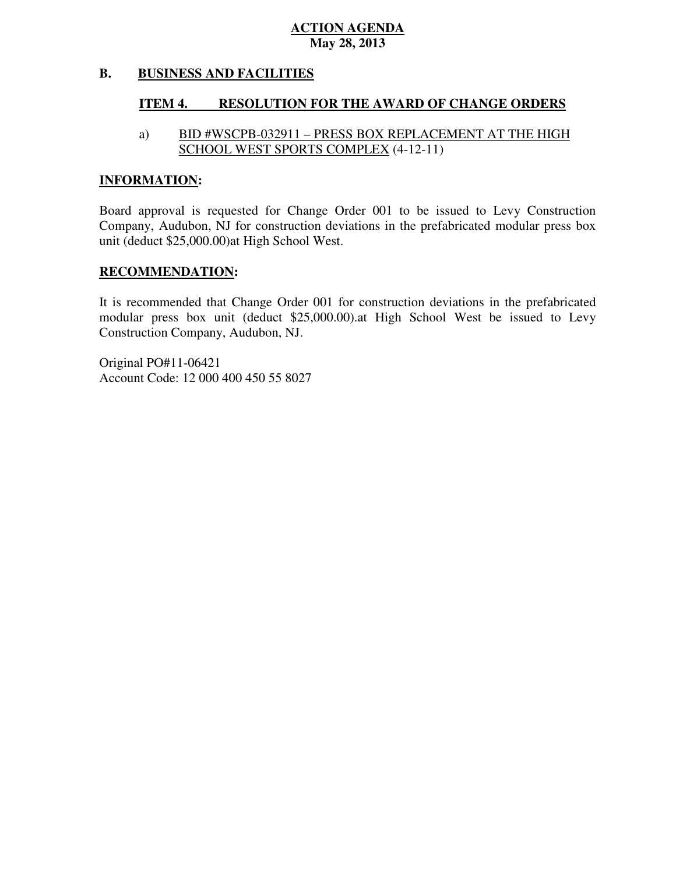#### **B. BUSINESS AND FACILITIES**

#### **ITEM 4. RESOLUTION FOR THE AWARD OF CHANGE ORDERS**

### a) SCHOOL WEST SPORTS COMPLEX (4-12-11) BID #WSCPB-032911 – PRESS BOX REPLACEMENT AT THE HIGH

## **INFORMATION:**

 Board approval is requested for Change Order 001 to be issued to Levy Construction Company, Audubon, NJ for construction deviations in the prefabricated modular press box unit (deduct \$25,000.00)at High School West.

## **RECOMMENDATION:**

 It is recommended that Change Order 001 for construction deviations in the prefabricated modular press box unit (deduct \$25,000.00).at High School West be issued to Levy Construction Company, Audubon, NJ.

 Account Code: 12 000 400 450 55 8027 Original PO#11-06421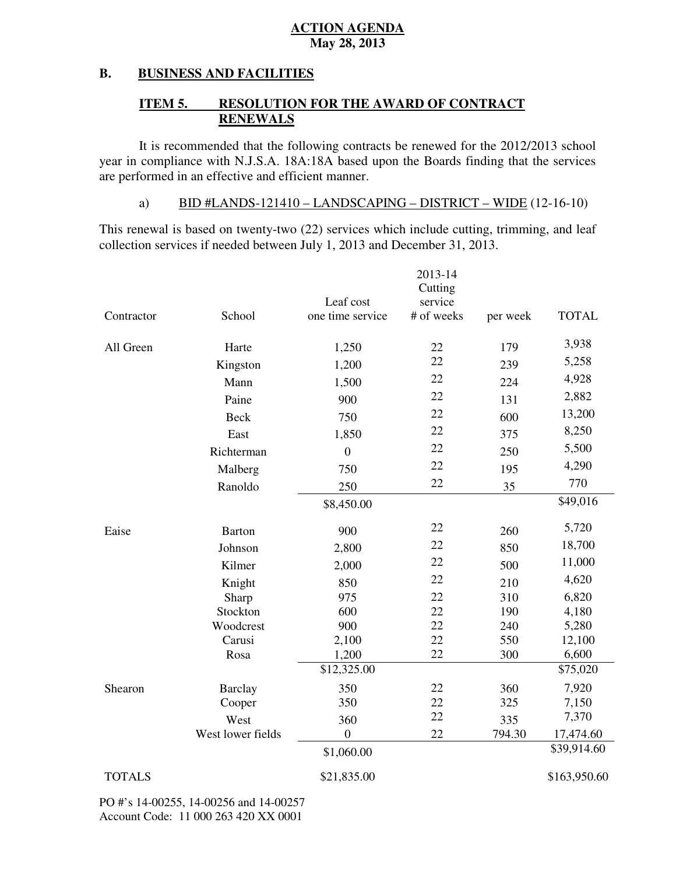### **B. BUSINESS AND FACILITIES**

### **ITEM 5. RESOLUTION FOR THE AWARD OF CONTRACT RENEWALS**

 It is recommended that the following contracts be renewed for the 2012/2013 school year in compliance with N.J.S.A. 18A:18A based upon the Boards finding that the services are performed in an effective and efficient manner.

## a) BID  $\#LANDS-121410 - LANDSCAPING - DISTRICT - WIDE (12-16-10)$

 This renewal is based on twenty-two (22) services which include cutting, trimming, and leaf collection services if needed between July 1, 2013 and December 31, 2013.

|               |                                                                  | Leaf cost        | 2013-14<br>Cutting<br>service |          |              |
|---------------|------------------------------------------------------------------|------------------|-------------------------------|----------|--------------|
| Contractor    | School                                                           | one time service | # of weeks                    | per week | <b>TOTAL</b> |
| All Green     | Harte                                                            | 1,250            | 22                            | 179      | 3,938        |
|               | Kingston                                                         | 1,200            | 22                            | 239      | 5,258        |
|               | Mann                                                             | 1,500            | 22                            | 224      | 4,928        |
|               | Paine                                                            | 900              | 22                            | 131      | 2,882        |
|               | <b>Beck</b>                                                      | 750              | 22                            | 600      | 13,200       |
|               | East                                                             | 1,850            | 22                            | 375      | 8,250        |
|               | Richterman                                                       | $\overline{0}$   | 22                            | 250      | 5,500        |
|               | Malberg                                                          | 750              | 22                            | 195      | 4,290        |
|               | Ranoldo                                                          | 250              | 22                            | 35       | 770          |
|               |                                                                  | \$8,450.00       |                               |          | \$49,016     |
| Eaise         | <b>Barton</b>                                                    | 900              | 22                            | 260      | 5,720        |
|               | Johnson                                                          | 2,800            | 22                            | 850      | 18,700       |
|               | Kilmer                                                           | 2,000            | 22                            | 500      | 11,000       |
|               | Knight                                                           | 850              | 22                            | 210      | 4,620        |
|               | Sharp                                                            | 975              | 22                            | 310      | 6,820        |
|               | Stockton                                                         | 600              | 22                            | 190      | 4,180        |
|               | Woodcrest                                                        | 900              | 22                            | 240      | 5,280        |
|               | Carusi                                                           | 2,100            | 22                            | 550      | 12,100       |
|               | Rosa                                                             | 1,200            | 22                            | 300      | 6,600        |
|               |                                                                  | \$12,325.00      |                               |          | \$75,020     |
| Shearon       | <b>Barclay</b>                                                   | 350              | 22                            | 360      | 7,920        |
|               | Cooper                                                           | 350              | 22                            | 325      | 7,150        |
|               | West                                                             | 360              | 22                            | 335      | 7,370        |
|               | West lower fields                                                | $\boldsymbol{0}$ | 22                            | 794.30   | 17,474.60    |
|               |                                                                  | \$1,060.00       |                               |          | \$39,914.60  |
| <b>TOTALS</b> |                                                                  | \$21,835.00      |                               |          | \$163,950.60 |
|               | $\mu$ , 14,000 $\epsilon$ 14,000 $\epsilon$ 114,000 $\epsilon$ 7 |                  |                               |          |              |

 PO #'s 14-00255, 14-00256 and 14-00257 Account Code: 11 000 263 420 XX 0001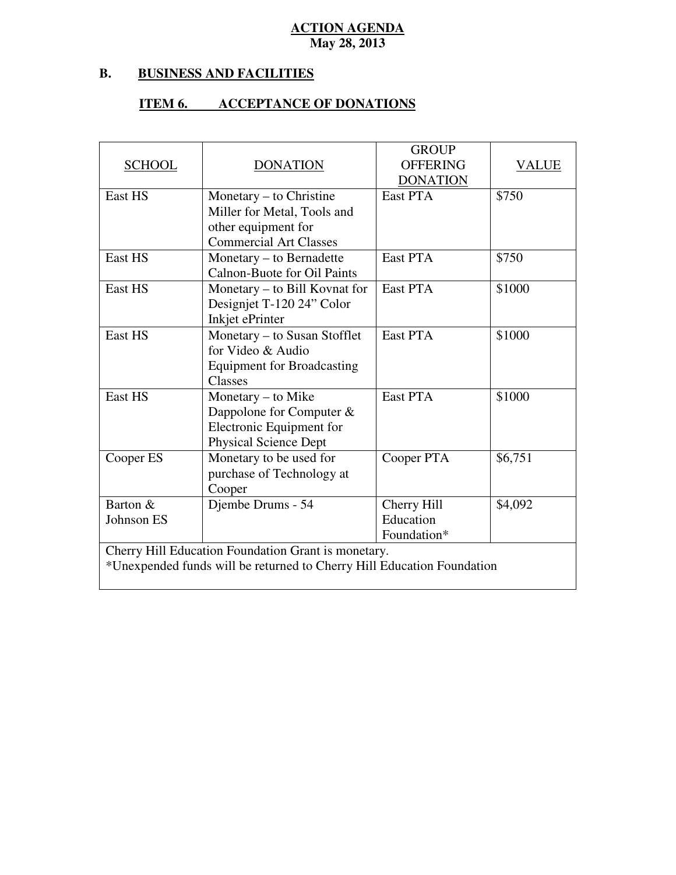### **B. B. BUSINESS AND FACILITIES**

## **ITEM 6. ACCEPTANCE OF DONATIONS**

| <b>SCHOOL</b> | <b>DONATION</b>                                                        | <b>GROUP</b><br><b>OFFERING</b> | <b>VALUE</b> |
|---------------|------------------------------------------------------------------------|---------------------------------|--------------|
|               |                                                                        | <b>DONATION</b>                 |              |
| East HS       | Monetary $-$ to Christine                                              | East PTA                        | \$750        |
|               | Miller for Metal, Tools and                                            |                                 |              |
|               | other equipment for                                                    |                                 |              |
|               | <b>Commercial Art Classes</b>                                          |                                 |              |
| East HS       | Monetary - to Bernadette                                               | East PTA                        | \$750        |
|               | Calnon-Buote for Oil Paints                                            |                                 |              |
| East HS       | Monetary – to Bill Kovnat for                                          | East PTA                        | \$1000       |
|               | Designjet T-120 24" Color                                              |                                 |              |
|               | Inkjet ePrinter                                                        |                                 |              |
| East HS       | Monetary – to Susan Stofflet                                           | East PTA                        | \$1000       |
|               | for Video & Audio                                                      |                                 |              |
|               | <b>Equipment for Broadcasting</b>                                      |                                 |              |
|               | Classes                                                                |                                 |              |
| East HS       | Monetary – to Mike                                                     | East PTA                        | \$1000       |
|               | Dappolone for Computer $&$                                             |                                 |              |
|               | Electronic Equipment for                                               |                                 |              |
|               | <b>Physical Science Dept</b>                                           |                                 |              |
| Cooper ES     | Monetary to be used for                                                | Cooper PTA                      | \$6,751      |
|               | purchase of Technology at                                              |                                 |              |
|               | Cooper                                                                 |                                 |              |
| Barton &      | Djembe Drums - 54                                                      | Cherry Hill                     | \$4,092      |
| Johnson ES    |                                                                        | Education                       |              |
|               |                                                                        | Foundation*                     |              |
|               | Cherry Hill Education Foundation Grant is monetary.                    |                                 |              |
|               | *Unexpended funds will be returned to Cherry Hill Education Foundation |                                 |              |
|               |                                                                        |                                 |              |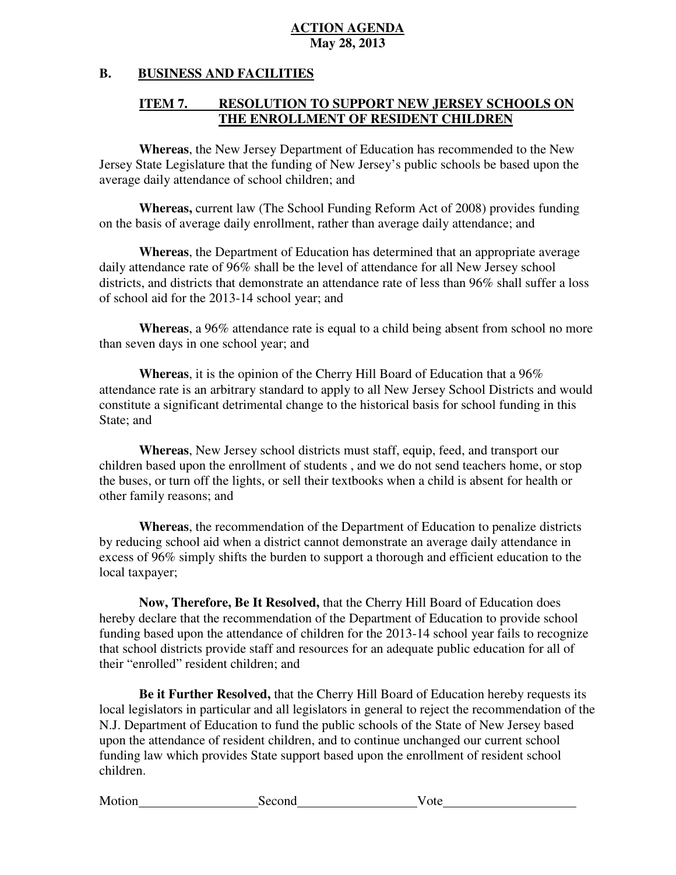### **B. B. BUSINESS AND FACILITIES**

### **ITEM 7. THE ENROLLMENT OF RESIDENT CHILDREN RESOLUTION TO SUPPORT NEW JERSEY SCHOOLS ON**

 **Whereas**, the New Jersey Department of Education has recommended to the New Jersey State Legislature that the funding of New Jersey's public schools be based upon the average daily attendance of school children; and

 **Whereas,** current law (The School Funding Reform Act of 2008) provides funding on the basis of average daily enrollment, rather than average daily attendance; and

 **Whereas**, the Department of Education has determined that an appropriate average daily attendance rate of 96% shall be the level of attendance for all New Jersey school districts, and districts that demonstrate an attendance rate of less than 96% shall suffer a loss of school aid for the 2013-14 school year; and

 **Whereas**, a 96% attendance rate is equal to a child being absent from school no more than seven days in one school year; and

 **Whereas**, it is the opinion of the Cherry Hill Board of Education that a 96% attendance rate is an arbitrary standard to apply to all New Jersey School Districts and would constitute a significant detrimental change to the historical basis for school funding in this State; and

 **Whereas**, New Jersey school districts must staff, equip, feed, and transport our children based upon the enrollment of students , and we do not send teachers home, or stop the buses, or turn off the lights, or sell their textbooks when a child is absent for health or other family reasons; and

 **Whereas**, the recommendation of the Department of Education to penalize districts by reducing school aid when a district cannot demonstrate an average daily attendance in excess of 96% simply shifts the burden to support a thorough and efficient education to the local taxpayer;

 **Now, Therefore, Be It Resolved,** that the Cherry Hill Board of Education does hereby declare that the recommendation of the Department of Education to provide school funding based upon the attendance of children for the 2013-14 school year fails to recognize that school districts provide staff and resources for an adequate public education for all of their "enrolled" resident children; and

 **Be it Further Resolved,** that the Cherry Hill Board of Education hereby requests its local legislators in particular and all legislators in general to reject the recommendation of the N.J. Department of Education to fund the public schools of the State of New Jersey based upon the attendance of resident children, and to continue unchanged our current school funding law which provides State support based upon the enrollment of resident school children.

| Motion | Second | v ote |
|--------|--------|-------|
|        |        |       |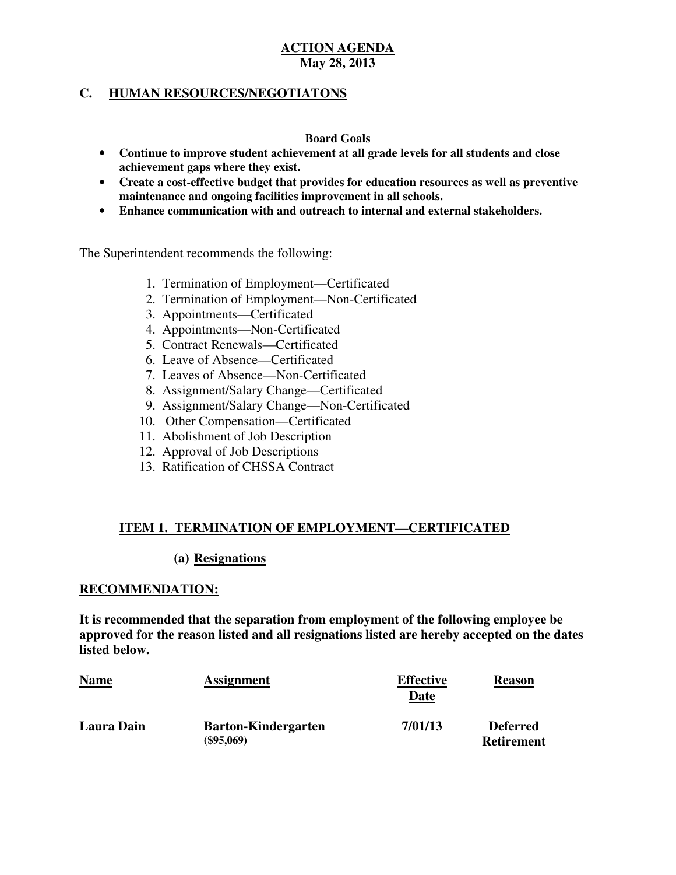## **C. HUMAN RESOURCES/NEGOTIATONS**

## **Board Goals**

- • **Continue to improve student achievement at all grade levels for all students and close achievement gaps where they exist.**
- • **Create a cost-effective budget that provides for education resources as well as preventive maintenance and ongoing facilities improvement in all schools.**
- • **Enhance communication with and outreach to internal and external stakeholders.**

The Superintendent recommends the following:

- 1. Termination of Employment—Certificated
- 2. Termination of Employment—Non-Certificated
- 3. Appointments—Certificated
- 4. Appointments—Non-Certificated
- 5. Contract Renewals—Certificated
- 6. Leave of Absence—Certificated
- 7. Leaves of Absence—Non-Certificated
- 8. Assignment/Salary Change—Certificated
- 9. Assignment/Salary Change—Non-Certificated
- 10. Other Compensation—Certificated
- 11. Abolishment of Job Description
- 12. Approval of Job Descriptions
- 13. Ratification of CHSSA Contract

## **ITEM 1. TERMINATION OF EMPLOYMENT—CERTIFICATED**

### (a) Resignations

### **RECOMMENDATION:**

 **It is recommended that the separation from employment of the following employee be approved for the reason listed and all resignations listed are hereby accepted on the dates listed below.** 

| <b>Name</b>       | <b>Assignment</b>                          | <b>Effective</b><br>Date | <b>Reason</b>                        |
|-------------------|--------------------------------------------|--------------------------|--------------------------------------|
| <b>Laura Dain</b> | <b>Barton-Kindergarten</b><br>$(\$95,069)$ | 7/01/13                  | <b>Deferred</b><br><b>Retirement</b> |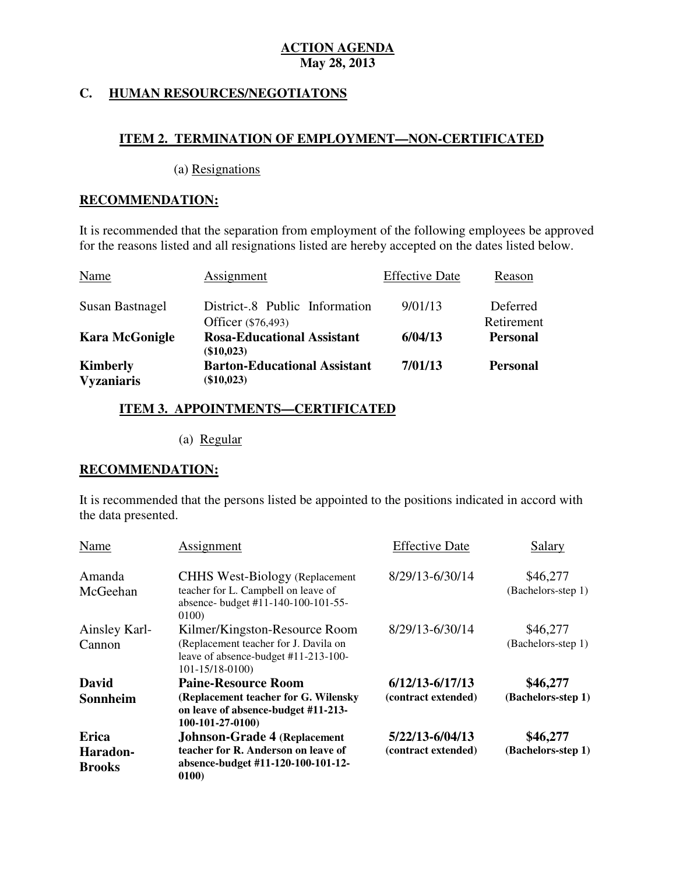## **C. HUMAN RESOURCES/NEGOTIATONS**

## **ITEM 2. TERMINATION OF EMPLOYMENT—NON-CERTIFICATED**

(a) Resignations

## **RECOMMENDATION:**

 It is recommended that the separation from employment of the following employees be approved for the reasons listed and all resignations listed are hereby accepted on the dates listed below.

| <b>Name</b>                          | Assignment                                           | <b>Effective Date</b> | Reason                 |
|--------------------------------------|------------------------------------------------------|-----------------------|------------------------|
| Susan Bastnagel                      | District-.8 Public Information<br>Officer (\$76,493) | 9/01/13               | Deferred<br>Retirement |
| <b>Kara McGonigle</b>                | <b>Rosa-Educational Assistant</b><br>(\$10,023)      | 6/04/13               | <b>Personal</b>        |
| <b>Kimberly</b><br><b>Vyzaniaris</b> | <b>Barton-Educational Assistant</b><br>(\$10,023)    | 7/01/13               | <b>Personal</b>        |

## **ITEM 3. APPOINTMENTS—CERTIFICATED**

(a) Regular

## **RECOMMENDATION:**

 It is recommended that the persons listed be appointed to the positions indicated in accord with the data presented.

| Name                      | <b>Assignment</b>                                                                                                                      | <b>Effective Date</b> | Salary                         |
|---------------------------|----------------------------------------------------------------------------------------------------------------------------------------|-----------------------|--------------------------------|
| Amanda<br>McGeehan        | <b>CHHS West-Biology (Replacement</b> )<br>teacher for L. Campbell on leave of<br>absence- budget #11-140-100-101-55-<br>0100)         | 8/29/13-6/30/14       | \$46,277<br>(Bachelors-step 1) |
| Ainsley Karl-<br>Cannon   | Kilmer/Kingston-Resource Room<br>(Replacement teacher for J. Davila on<br>leave of absence-budget #11-213-100-<br>$101 - 15/18 - 0100$ | 8/29/13-6/30/14       | \$46,277<br>(Bachelors-step 1) |
| David                     | <b>Paine-Resource Room</b>                                                                                                             | $6/12/13 - 6/17/13$   | \$46,277                       |
| Sonnheim                  | (Replacement teacher for G. Wilensky<br>on leave of absence-budget #11-213-<br>$100-101-27-0100$                                       | (contract extended)   | (Bachelors-step 1)             |
| <b>Erica</b>              | <b>Johnson-Grade 4 (Replacement</b>                                                                                                    | 5/22/13-6/04/13       | \$46,277                       |
| Haradon-<br><b>Brooks</b> | teacher for R. Anderson on leave of<br>absence-budget #11-120-100-101-12-<br>0100)                                                     | (contract extended)   | (Bachelors-step 1)             |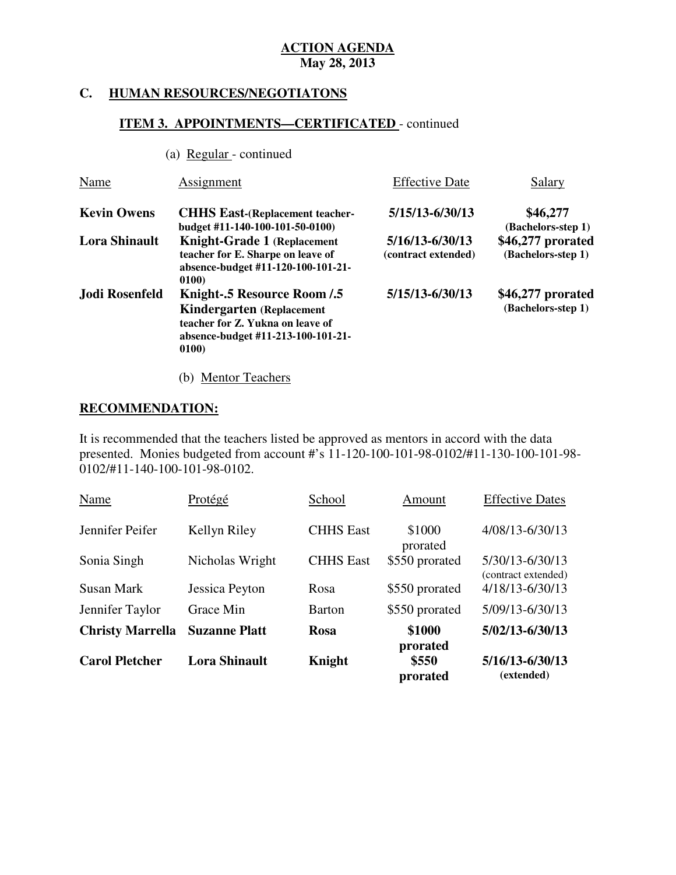## **C. HUMAN RESOURCES/NEGOTIATONS**

## **ITEM 3. APPOINTMENTS—CERTIFICATED** - continued

(a) Regular - continued

| Name                 | Assignment                                                                                                                                                | <b>Effective Date</b>                      | Salary                                  |
|----------------------|-----------------------------------------------------------------------------------------------------------------------------------------------------------|--------------------------------------------|-----------------------------------------|
| <b>Kevin Owens</b>   | <b>CHHS East-(Replacement teacher-</b><br>budget #11-140-100-101-50-0100)                                                                                 | 5/15/13-6/30/13                            | \$46,277<br>(Bachelors-step 1)          |
| <b>Lora Shinault</b> | <b>Knight-Grade 1 (Replacement</b><br>teacher for E. Sharpe on leave of<br>absence-budget #11-120-100-101-21-<br>0100)                                    | $5/16/13 - 6/30/13$<br>(contract extended) | \$46,277 prorated<br>(Bachelors-step 1) |
| Jodi Rosenfeld       | <b>Knight-.5 Resource Room /.5</b><br><b>Kindergarten</b> (Replacement<br>teacher for Z. Yukna on leave of<br>absence-budget #11-213-100-101-21-<br>0100) | 5/15/13-6/30/13                            | \$46,277 prorated<br>(Bachelors-step 1) |

(b) Mentor Teachers

## **RECOMMENDATION:**

 It is recommended that the teachers listed be approved as mentors in accord with the data presented. Monies budgeted from account #'s 11-120-100-101-98-0102/#11-130-100-101-98 0102/#11-140-100-101-98-0102.

| <b>Carol Pletcher</b>   | <b>Lora Shinault</b> | Knight           | prorated<br>\$550<br>prorated | $5/16/13 - 6/30/13$<br>(extended)      |
|-------------------------|----------------------|------------------|-------------------------------|----------------------------------------|
| <b>Christy Marrella</b> | <b>Suzanne Platt</b> | <b>Rosa</b>      | \$1000                        | $5/02/13 - 6/30/13$                    |
| Jennifer Taylor         | Grace Min            | Barton           | \$550 prorated                | 5/09/13-6/30/13                        |
| <b>Susan Mark</b>       | Jessica Peyton       | Rosa             | \$550 prorated                | (contract extended)<br>4/18/13-6/30/13 |
| Sonia Singh             | Nicholas Wright      | <b>CHHS</b> East | prorated<br>\$550 prorated    | 5/30/13-6/30/13                        |
| Jennifer Peifer         | Kellyn Riley         | <b>CHHS</b> East | \$1000                        | 4/08/13-6/30/13                        |
| Name                    | Protégé              | School           | Amount                        | <b>Effective Dates</b>                 |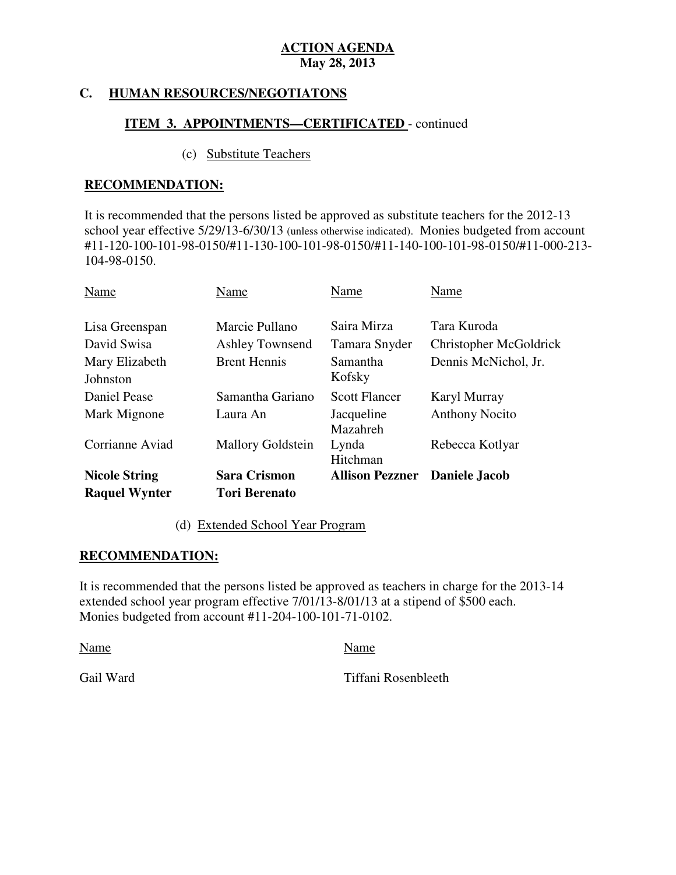#### **HUMAN RESOURCES/NEGOTIATONS**

## **ITEM 3. APPOINTMENTS—CERTIFICATED** - continued

## (c) Substitute Teachers

## **RECOMMENDATION:**

 It is recommended that the persons listed be approved as substitute teachers for the 2012-13 school year effective 5/29/13-6/30/13 (unless otherwise indicated). Monies budgeted from account #11-120-100-101-98-0150/#11-130-100-101-98-0150/#11-140-100-101-98-0150/#11-000-213 104-98-0150.

| Name                       | Name                     | Name                                 | Name                   |
|----------------------------|--------------------------|--------------------------------------|------------------------|
| Lisa Greenspan             | Marcie Pullano           | Saira Mirza                          | Tara Kuroda            |
| David Swisa                | <b>Ashley Townsend</b>   | Tamara Snyder                        | Christopher McGoldrick |
| Mary Elizabeth<br>Johnston | <b>Brent Hennis</b>      | <b>Samantha</b><br>Kofsky            | Dennis McNichol, Jr.   |
| Daniel Pease               | Samantha Gariano         | <b>Scott Flancer</b>                 | Karyl Murray           |
| Mark Mignone               | Laura An                 | Jacqueline<br>Mazahreh               | <b>Anthony Nocito</b>  |
| Corrianne Aviad            | <b>Mallory Goldstein</b> | Lynda<br>Hitchman                    | Rebecca Kotlyar        |
| <b>Nicole String</b>       | <b>Sara Crismon</b>      | <b>Allison Pezzner</b> Daniele Jacob |                        |
| <b>Raquel Wynter</b>       | <b>Tori Berenato</b>     |                                      |                        |

## (d) Extended School Year Program

## **RECOMMENDATION:**

 It is recommended that the persons listed be approved as teachers in charge for the 2013-14 extended school year program effective 7/01/13-8/01/13 at a stipend of \$500 each. Monies budgeted from account #11-204-100-101-71-0102.

Name Name

Gail Ward

Tiffani Rosenbleeth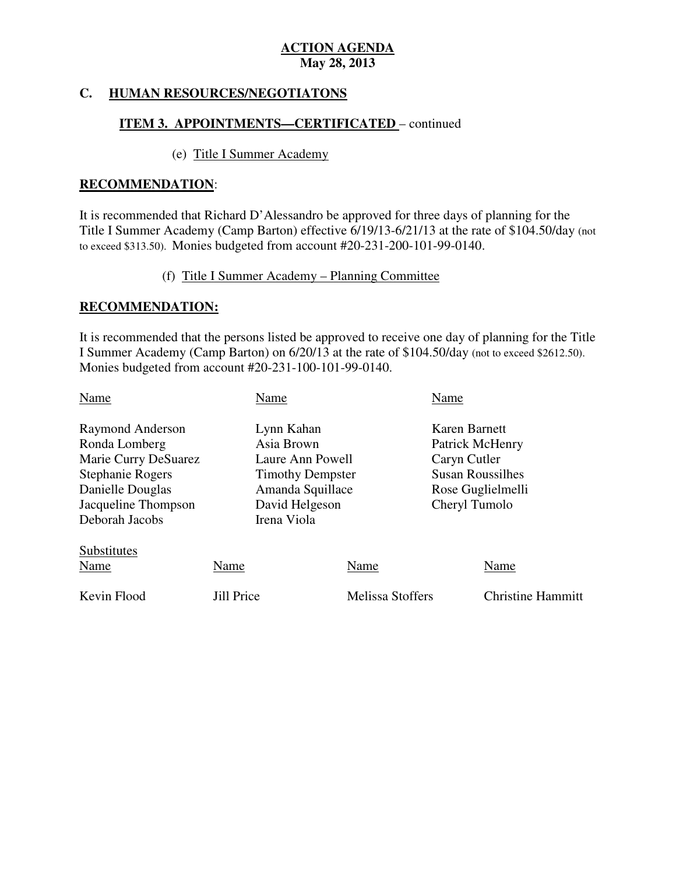### **HUMAN RESOURCES/NEGOTIATONS**

# **ITEM 3. APPOINTMENTS—CERTIFICATED** – continued

## (e) Title I Summer Academy

## **RECOMMENDATION**:

 It is recommended that Richard D'Alessandro be approved for three days of planning for the Title I Summer Academy (Camp Barton) effective 6/19/13-6/21/13 at the rate of \$104.50/day (not to exceed \$313.50). Monies budgeted from account #20-231-200-101-99-0140.

(f) Title I Summer Academy – Planning Committee

## **RECOMMENDATION:**

 It is recommended that the persons listed be approved to receive one day of planning for the Title I Summer Academy (Camp Barton) on 6/20/13 at the rate of \$104.50/day (not to exceed \$2612.50). Monies budgeted from account #20-231-100-101-99-0140.

| Name                                                                                                                                              |                   | Name                                                                                                                         |                         | Name                                                                                                              |                          |
|---------------------------------------------------------------------------------------------------------------------------------------------------|-------------------|------------------------------------------------------------------------------------------------------------------------------|-------------------------|-------------------------------------------------------------------------------------------------------------------|--------------------------|
| Raymond Anderson<br>Ronda Lomberg<br>Marie Curry DeSuarez<br><b>Stephanie Rogers</b><br>Danielle Douglas<br>Jacqueline Thompson<br>Deborah Jacobs |                   | Lynn Kahan<br>Asia Brown<br>Laure Ann Powell<br><b>Timothy Dempster</b><br>Amanda Squillace<br>David Helgeson<br>Irena Viola |                         | Karen Barnett<br>Patrick McHenry<br>Caryn Cutler<br><b>Susan Roussilhes</b><br>Rose Guglielmelli<br>Cheryl Tumolo |                          |
| Substitutes<br><b>Name</b>                                                                                                                        | Name              |                                                                                                                              | Name                    |                                                                                                                   | Name                     |
| Kevin Flood                                                                                                                                       | <b>Jill Price</b> |                                                                                                                              | <b>Melissa Stoffers</b> |                                                                                                                   | <b>Christine Hammitt</b> |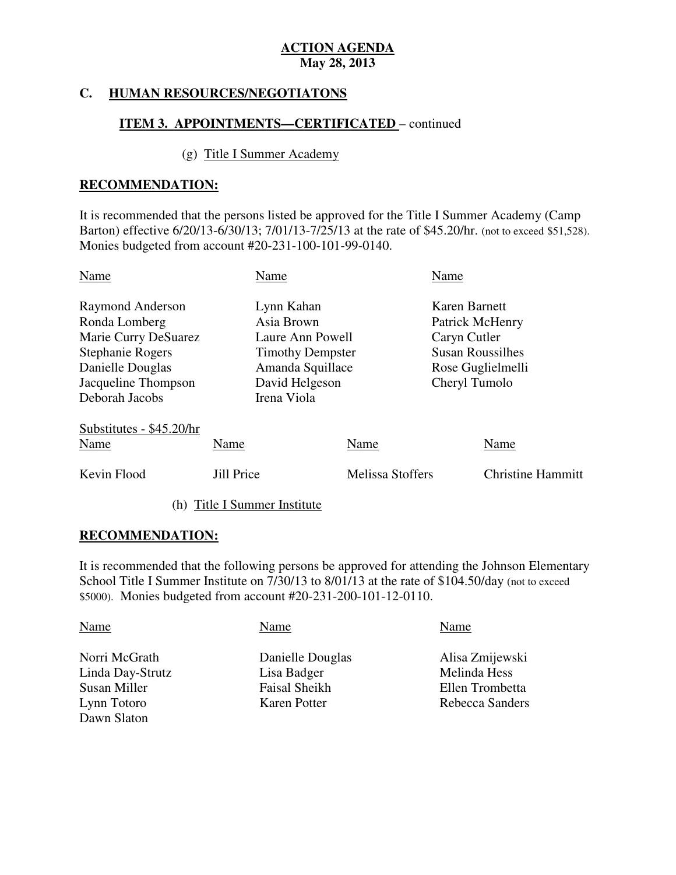## **C. HUMAN RESOURCES/NEGOTIATONS**

## **ITEM 3. APPOINTMENTS—CERTIFICATED** – continued

## (g) Title I Summer Academy

## **RECOMMENDATION:**

 It is recommended that the persons listed be approved for the Title I Summer Academy (Camp Barton) effective 6/20/13-6/30/13; 7/01/13-7/25/13 at the rate of \$45.20/hr. (not to exceed \$51,528). Monies budgeted from account #20-231-100-101-99-0140.

| Name                                                                                                                                       | Name                                                                                                                         |                          | Name                                                                                                              |                                  |
|--------------------------------------------------------------------------------------------------------------------------------------------|------------------------------------------------------------------------------------------------------------------------------|--------------------------|-------------------------------------------------------------------------------------------------------------------|----------------------------------|
| Raymond Anderson<br>Ronda Lomberg<br>Marie Curry DeSuarez<br>Stephanie Rogers<br>Danielle Douglas<br>Jacqueline Thompson<br>Deborah Jacobs | Lynn Kahan<br>Asia Brown<br>Laure Ann Powell<br><b>Timothy Dempster</b><br>Amanda Squillace<br>David Helgeson<br>Irena Viola |                          | Karen Barnett<br>Patrick McHenry<br>Caryn Cutler<br><b>Susan Roussilhes</b><br>Rose Guglielmelli<br>Cheryl Tumolo |                                  |
| Substitutes - \$45.20/hr<br>Name<br>Kevin Flood                                                                                            | Name<br><b>Jill Price</b>                                                                                                    | Name<br>Melissa Stoffers |                                                                                                                   | Name<br><b>Christine Hammitt</b> |
|                                                                                                                                            |                                                                                                                              |                          |                                                                                                                   |                                  |

(h) Title I Summer Institute

## **RECOMMENDATION:**

 It is recommended that the following persons be approved for attending the Johnson Elementary School Title I Summer Institute on 7/30/13 to 8/01/13 at the rate of \$104.50/day (not to exceed \$5000). Monies budgeted from account #20-231-200-101-12-0110.

| Name             | Name             | Name            |
|------------------|------------------|-----------------|
| Norri McGrath    | Danielle Douglas | Alisa Zmijewski |
| Linda Day-Strutz | Lisa Badger      | Melinda Hess    |
| Susan Miller     | Faisal Sheikh    | Ellen Trombetta |
| Lynn Totoro      | Karen Potter     | Rebecca Sanders |
| Dawn Slaton      |                  |                 |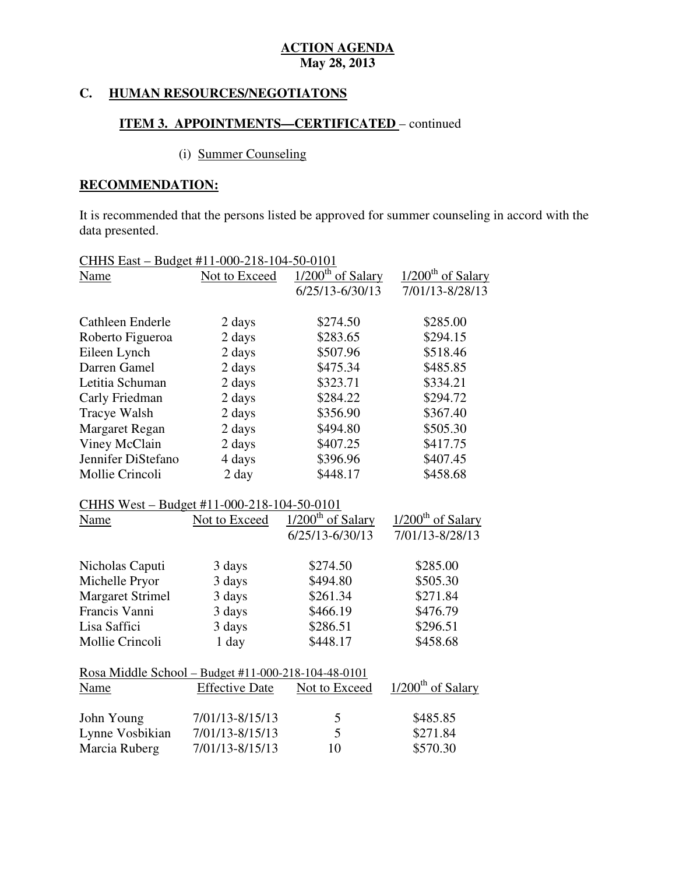## **C. HUMAN RESOURCES/NEGOTIATONS**

## **ITEM 3. APPOINTMENTS—CERTIFICATED** – continued

# (i) Summer Counseling

# **RECOMMENDATION:**

 It is recommended that the persons listed be approved for summer counseling in accord with the data presented.

| CHHS East - Budget #11-000-218-104-50-0101          |                       |                                 |                               |
|-----------------------------------------------------|-----------------------|---------------------------------|-------------------------------|
| Name                                                | Not to Exceed         | $1/200$ <sup>th</sup> of Salary | $1/200^{\text{th}}$ of Salary |
|                                                     |                       | 6/25/13-6/30/13                 | 7/01/13-8/28/13               |
|                                                     |                       |                                 |                               |
| Cathleen Enderle                                    | 2 days                | \$274.50                        | \$285.00                      |
| Roberto Figueroa                                    | 2 days                | \$283.65                        | \$294.15                      |
| Eileen Lynch                                        | 2 days                | \$507.96                        | \$518.46                      |
| Darren Gamel                                        | 2 days                | \$475.34                        | \$485.85                      |
| Letitia Schuman                                     | 2 days                | \$323.71                        | \$334.21                      |
| Carly Friedman                                      | 2 days                | \$284.22                        | \$294.72                      |
| Tracye Walsh                                        | 2 days                | \$356.90                        | \$367.40                      |
| Margaret Regan                                      | 2 days                | \$494.80                        | \$505.30                      |
| Viney McClain                                       | 2 days                | \$407.25                        | \$417.75                      |
| Jennifer DiStefano                                  | 4 days                | \$396.96                        | \$407.45                      |
| Mollie Crincoli                                     | $2 \text{ day}$       | \$448.17                        | \$458.68                      |
| CHHS West - Budget #11-000-218-104-50-0101          |                       |                                 |                               |
| Name                                                | Not to Exceed         | $1/200$ <sup>th</sup> of Salary | 1/200 <sup>th</sup> of Salary |
|                                                     |                       | $6/25/13 - 6/30/13$             | 7/01/13-8/28/13               |
|                                                     |                       |                                 |                               |
| Nicholas Caputi                                     | 3 days                | \$274.50                        | \$285.00                      |
| Michelle Pryor                                      | 3 days                | \$494.80                        | \$505.30                      |
| <b>Margaret Strimel</b>                             | 3 days                | \$261.34                        | \$271.84                      |
| Francis Vanni                                       | 3 days                | \$466.19                        | \$476.79                      |
| Lisa Saffici                                        | 3 days                | \$286.51                        | \$296.51                      |
| Mollie Crincoli                                     | 1 day                 | \$448.17                        | \$458.68                      |
| Rosa Middle School - Budget #11-000-218-104-48-0101 |                       |                                 |                               |
| Name                                                | <b>Effective Date</b> | Not to Exceed                   | 1/200 <sup>th</sup> of Salary |
| John Young                                          | 7/01/13-8/15/13       | 5                               | \$485.85                      |
| Lynne Vosbikian                                     | 7/01/13-8/15/13       | 5                               | \$271.84                      |
| Marcia Ruberg                                       | 7/01/13-8/15/13       | 10                              | \$570.30                      |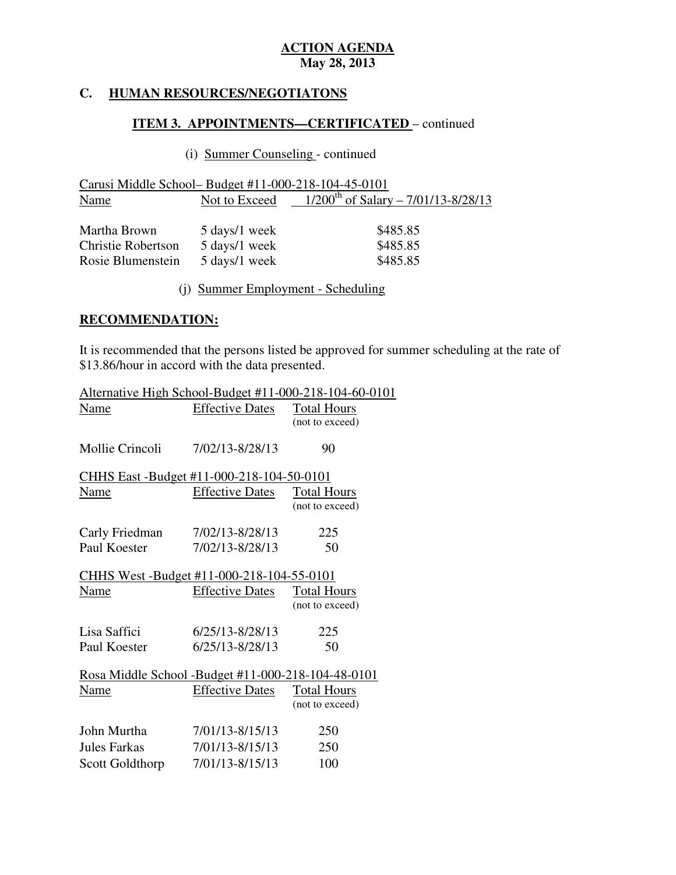### **HUMAN RESOURCES/NEGOTIATONS**

# **ITEM 3. APPOINTMENTS—CERTIFICATED** – continued

# (i) Summer Counseling - continued

| Carusi Middle School– Budget #11-000-218-104-45-0101           |                                                 |                                                        |
|----------------------------------------------------------------|-------------------------------------------------|--------------------------------------------------------|
| Name                                                           |                                                 | Not to Exceed $1/200^{th}$ of Salary – 7/01/13-8/28/13 |
| Martha Brown<br><b>Christie Robertson</b><br>Rosie Blumenstein | 5 days/1 week<br>5 days/1 week<br>5 days/1 week | \$485.85<br>\$485.85<br>\$485.85                       |

(j) Summer Employment - Scheduling

## **RECOMMENDATION:**

 It is recommended that the persons listed be approved for summer scheduling at the rate of \$13.86/hour in accord with the data presented.

|                                                    | Alternative High School-Budget #11-000-218-104-60-0101 |
|----------------------------------------------------|--------------------------------------------------------|
| <b>Effective Dates</b>                             | <b>Total Hours</b>                                     |
|                                                    | (not to exceed)                                        |
|                                                    |                                                        |
| 7/02/13-8/28/13                                    | 90                                                     |
|                                                    |                                                        |
| CHHS East -Budget #11-000-218-104-50-0101          |                                                        |
| <b>Effective Dates</b>                             | <b>Total Hours</b>                                     |
|                                                    | (not to exceed)                                        |
|                                                    |                                                        |
| 7/02/13-8/28/13                                    | 225                                                    |
| 7/02/13-8/28/13                                    | 50                                                     |
|                                                    |                                                        |
| CHHS West -Budget #11-000-218-104-55-0101          |                                                        |
| <b>Effective Dates</b>                             | <b>Total Hours</b>                                     |
|                                                    | (not to exceed)                                        |
|                                                    |                                                        |
|                                                    | 225                                                    |
| $6/25/13 - 8/28/13$                                | 50                                                     |
|                                                    |                                                        |
| Rosa Middle School -Budget #11-000-218-104-48-0101 |                                                        |
| <b>Effective Dates</b>                             | <b>Total Hours</b>                                     |
|                                                    | (not to exceed)                                        |
|                                                    |                                                        |
|                                                    | 250                                                    |
| 7/01/13-8/15/13                                    | 250                                                    |
| 7/01/13-8/15/13                                    | 100                                                    |
|                                                    | $6/25/13 - 8/28/13$<br>7/01/13-8/15/13                 |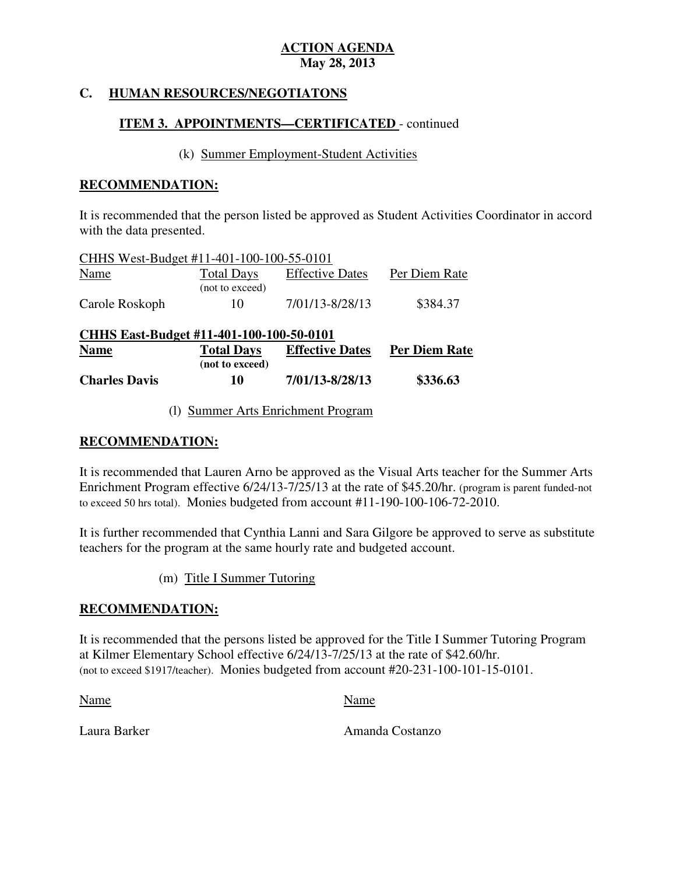## **C. HUMAN RESOURCES/NEGOTIATONS**

# **ITEM 3. APPOINTMENTS—CERTIFICATED** - continued

## (k) Summer Employment-Student Activities

## **RECOMMENDATION:**

 It is recommended that the person listed be approved as Student Activities Coordinator in accord with the data presented.

| CHHS West-Budget #11-401-100-100-55-0101 |                                      |                        |               |
|------------------------------------------|--------------------------------------|------------------------|---------------|
| <b>Name</b>                              | <b>Total Days</b><br>(not to exceed) | <b>Effective Dates</b> | Per Diem Rate |
| Carole Roskoph                           | 10                                   | 7/01/13-8/28/13        | \$384.37      |

| CHHS East-Budget #11-401-100-100-50-0101 |                   |                        |               |
|------------------------------------------|-------------------|------------------------|---------------|
| <b>Name</b>                              | <b>Total Days</b> | <b>Effective Dates</b> | Per Diem Rate |
|                                          | (not to exceed)   |                        |               |
| <b>Charles Davis</b>                     | 10                | 7/01/13-8/28/13        | \$336.63      |

(l) Summer Arts Enrichment Program

## **RECOMMENDATION:**

 It is recommended that Lauren Arno be approved as the Visual Arts teacher for the Summer Arts Enrichment Program effective 6/24/13-7/25/13 at the rate of \$45.20/hr. (program is parent funded-not to exceed 50 hrs total). Monies budgeted from account #11-190-100-106-72-2010.

 It is further recommended that Cynthia Lanni and Sara Gilgore be approved to serve as substitute teachers for the program at the same hourly rate and budgeted account.

(m) Title I Summer Tutoring

## **RECOMMENDATION:**

 It is recommended that the persons listed be approved for the Title I Summer Tutoring Program at Kilmer Elementary School effective 6/24/13-7/25/13 at the rate of \$42.60/hr. (not to exceed \$1917/teacher). Monies budgeted from account #20-231-100-101-15-0101.

Name Name Name

Laura Barker

Amanda Costanzo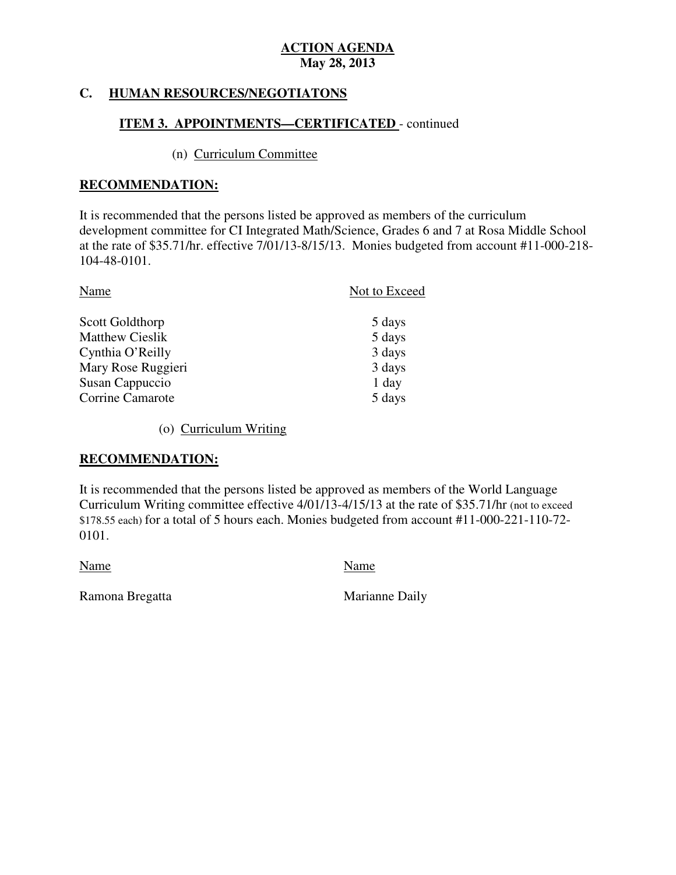#### **HUMAN RESOURCES/NEGOTIATONS**

# **ITEM 3. APPOINTMENTS—CERTIFICATED** - continued

## (n) Curriculum Committee

## **RECOMMENDATION:**

 It is recommended that the persons listed be approved as members of the curriculum development committee for CI Integrated Math/Science, Grades 6 and 7 at Rosa Middle School at the rate of \$35.71/hr. effective 7/01/13-8/15/13. Monies budgeted from account #11-000-218 104-48-0101.

| Name                   | Not to Exceed |
|------------------------|---------------|
| Scott Goldthorp        | 5 days        |
| <b>Matthew Cieslik</b> | 5 days        |
| Cynthia O'Reilly       | 3 days        |
| Mary Rose Ruggieri     | 3 days        |
| Susan Cappuccio        | 1 day         |
| Corrine Camarote       | 5 days        |

(o) Curriculum Writing

## **RECOMMENDATION:**

 It is recommended that the persons listed be approved as members of the World Language Curriculum Writing committee effective 4/01/13-4/15/13 at the rate of \$35.71/hr (not to exceed \$178.55 each) for a total of 5 hours each. Monies budgeted from account #11-000-221-110-72 0101. 0101. Name Name

Ramona Bregatta **Marianne Daily**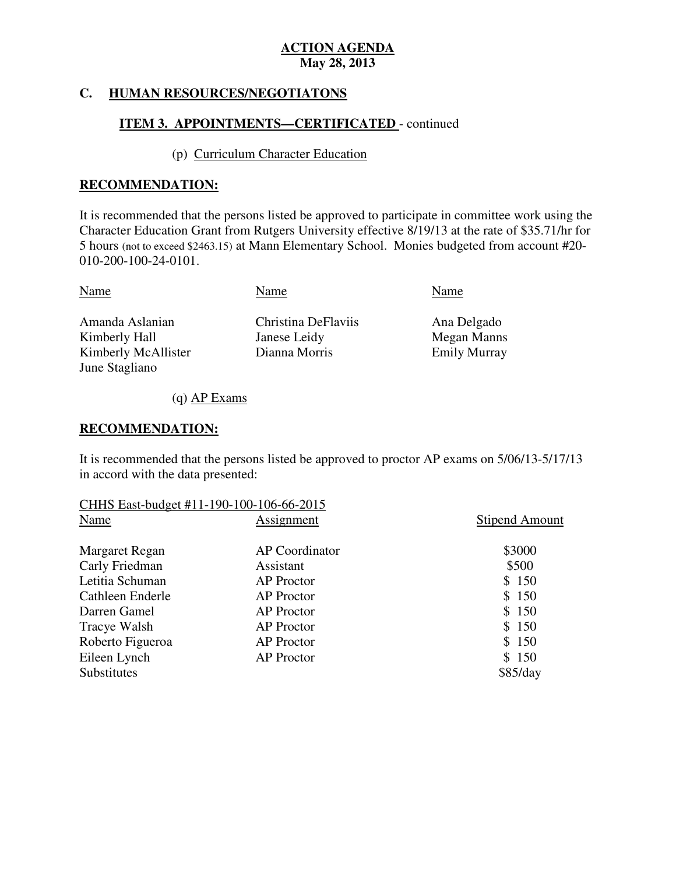#### **HUMAN RESOURCES/NEGOTIATONS**

## **ITEM 3. APPOINTMENTS—CERTIFICATED** - continued

## (p) Curriculum Character Education

## **RECOMMENDATION:**

 It is recommended that the persons listed be approved to participate in committee work using the Character Education Grant from Rutgers University effective 8/19/13 at the rate of \$35.71/hr for 5 hours (not to exceed \$2463.15) at Mann Elementary School. Monies budgeted from account #20 010-200-100-24-0101.

| Name                                              |
|---------------------------------------------------|
| Christina DeFlaviis<br>Ana Delgado<br>Megan Manns |
| Dianna Morris<br><b>Emily Murray</b>              |
|                                                   |

(q) AP Exams

## **RECOMMENDATION:**

 It is recommended that the persons listed be approved to proctor AP exams on 5/06/13-5/17/13 in accord with the data presented:

| CHHS East-budget #11-190-100-106-66-2015 |                   |                       |
|------------------------------------------|-------------------|-----------------------|
| Name                                     | Assignment        | <b>Stipend Amount</b> |
| Margaret Regan                           | AP Coordinator    | \$3000                |
| Carly Friedman                           | Assistant         | \$500                 |
| Letitia Schuman                          | <b>AP</b> Proctor | \$150                 |
| Cathleen Enderle                         | <b>AP</b> Proctor | \$150                 |
| Darren Gamel                             | <b>AP</b> Proctor | \$150                 |
| Tracye Walsh                             | <b>AP</b> Proctor | \$150                 |
| Roberto Figueroa                         | <b>AP</b> Proctor | \$150                 |
| Eileen Lynch                             | <b>AP</b> Proctor | \$150                 |
| Substitutes                              |                   | \$85/day              |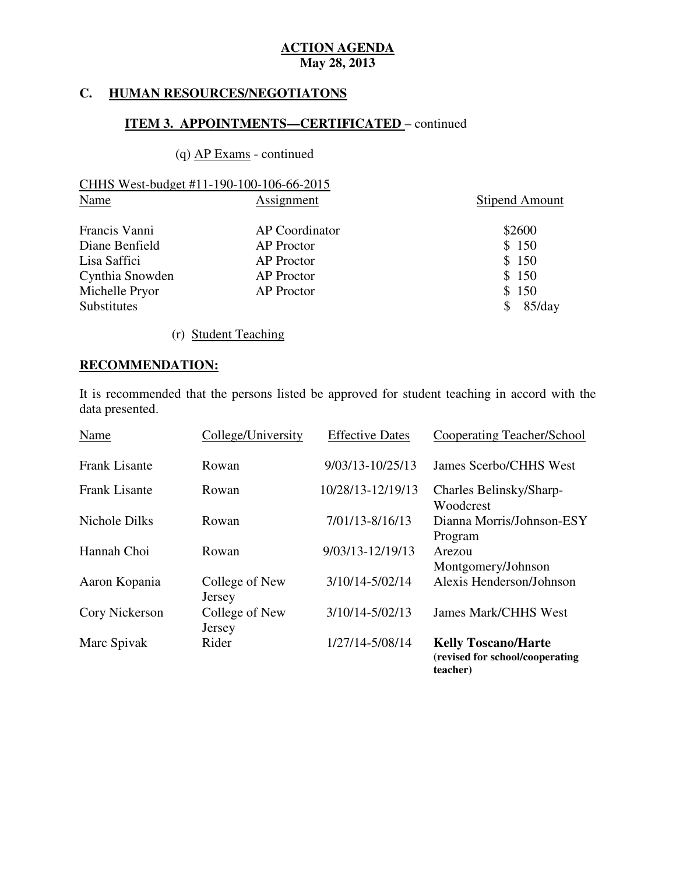### **HUMAN RESOURCES/NEGOTIATONS**

## **ITEM 3. APPOINTMENTS—CERTIFICATED** – continued

## (q) AP Exams - continued

|      | CHHS West-budget #11-190-100-106-66-2015 |                       |
|------|------------------------------------------|-----------------------|
| Name | Assignment                               | <b>Stipend Amount</b> |

| Francis Vanni      | AP Coordinator    | \$2600 |
|--------------------|-------------------|--------|
| Diane Benfield     | <b>AP</b> Proctor | \$150  |
| Lisa Saffici       | <b>AP</b> Proctor | \$150  |
| Cynthia Snowden    | <b>AP</b> Proctor | \$150  |
| Michelle Pryor     | <b>AP</b> Proctor | \$150  |
| <b>Substitutes</b> |                   | 85/day |

(r) Student Teaching

# **RECOMMENDATION:**

 It is recommended that the persons listed be approved for student teaching in accord with the data presented.

| Name                 | College/University       | <b>Effective Dates</b> | Cooperating Teacher/School                                    |
|----------------------|--------------------------|------------------------|---------------------------------------------------------------|
| <b>Frank Lisante</b> | Rowan                    | 9/03/13-10/25/13       | James Scerbo/CHHS West                                        |
| <b>Frank Lisante</b> | Rowan                    | 10/28/13-12/19/13      | Charles Belinsky/Sharp-<br>Woodcrest                          |
| Nichole Dilks        | Rowan                    | 7/01/13-8/16/13        | Dianna Morris/Johnson-ESY<br>Program                          |
| Hannah Choi          | Rowan                    | 9/03/13-12/19/13       | Arezou<br>Montgomery/Johnson                                  |
| Aaron Kopania        | College of New<br>Jersey | 3/10/14-5/02/14        | Alexis Henderson/Johnson                                      |
| Cory Nickerson       | College of New<br>Jersey | 3/10/14-5/02/13        | <b>James Mark/CHHS West</b>                                   |
| Marc Spivak          | Rider                    | 1/27/14-5/08/14        | <b>Kelly Toscano/Harte</b><br>(revised for school/cooperating |

**teacher)**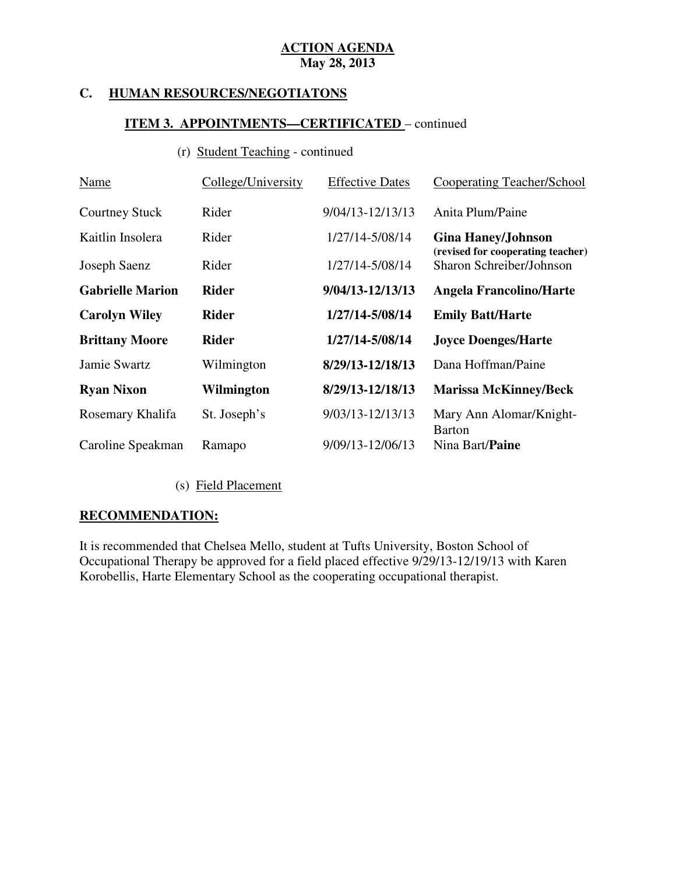### **HUMAN RESOURCES/NEGOTIATONS**

## **ITEM 3. APPOINTMENTS—CERTIFICATED** – continued

# (r) Student Teaching - continued

| Name                    | College/University | <b>Effective Dates</b> | Cooperating Teacher/School                                    |
|-------------------------|--------------------|------------------------|---------------------------------------------------------------|
| <b>Courtney Stuck</b>   | Rider              | 9/04/13-12/13/13       | Anita Plum/Paine                                              |
| Kaitlin Insolera        | Rider              | 1/27/14-5/08/14        | <b>Gina Haney/Johnson</b>                                     |
| Joseph Saenz            | Rider              | 1/27/14-5/08/14        | (revised for cooperating teacher)<br>Sharon Schreiber/Johnson |
| <b>Gabrielle Marion</b> | <b>Rider</b>       | 9/04/13-12/13/13       | <b>Angela Francolino/Harte</b>                                |
| <b>Carolyn Wiley</b>    | <b>Rider</b>       | 1/27/14-5/08/14        | <b>Emily Batt/Harte</b>                                       |
| <b>Brittany Moore</b>   | <b>Rider</b>       | 1/27/14-5/08/14        | <b>Joyce Doenges/Harte</b>                                    |
| Jamie Swartz            | Wilmington         | 8/29/13-12/18/13       | Dana Hoffman/Paine                                            |
| <b>Ryan Nixon</b>       | Wilmington         | 8/29/13-12/18/13       | <b>Marissa McKinney/Beck</b>                                  |
| Rosemary Khalifa        | St. Joseph's       | 9/03/13-12/13/13       | Mary Ann Alomar/Knight-<br>Barton                             |
| Caroline Speakman       | Ramapo             | 9/09/13-12/06/13       | Nina Bart/ <b>Paine</b>                                       |

(s) Field Placement

## **RECOMMENDATION:**

 It is recommended that Chelsea Mello, student at Tufts University, Boston School of Occupational Therapy be approved for a field placed effective 9/29/13-12/19/13 with Karen Korobellis, Harte Elementary School as the cooperating occupational therapist.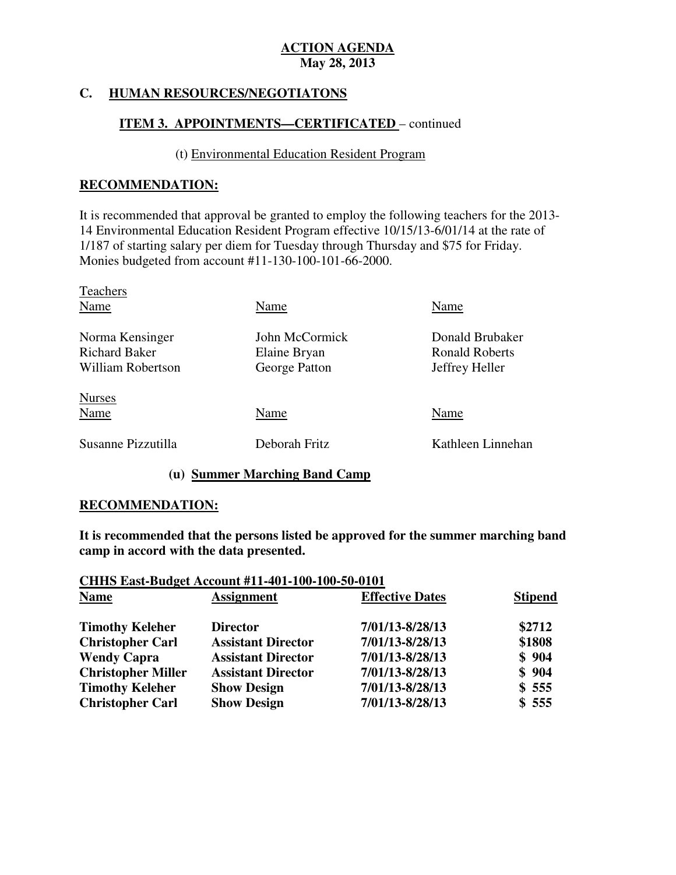### **FIUMAN RESOURCES/NEGOTIATONS**

## **ITEM 3. APPOINTMENTS—CERTIFICATED** – continued

## (t) Environmental Education Resident Program

## **RECOMMENDATION:**

 It is recommended that approval be granted to employ the following teachers for the 2013 14 Environmental Education Resident Program effective 10/15/13-6/01/14 at the rate of 1/187 of starting salary per diem for Tuesday through Thursday and \$75 for Friday. Monies budgeted from account #11-130-100-101-66-2000.

| Name           | Name                  |
|----------------|-----------------------|
| John McCormick | Donald Brubaker       |
|                | <b>Ronald Roberts</b> |
| George Patton  | Jeffrey Heller        |
|                |                       |
| Name           | Name                  |
| Deborah Fritz  | Kathleen Linnehan     |
|                | Elaine Bryan          |

## **(u) Summer Marching Band Camp**

### **RECOMMENDATION:**

 **It is recommended that the persons listed be approved for the summer marching band camp in accord with the data presented.** 

## **CHHS East-Budget Account #11-401-100-100-50-0101 Name Assignment Effective Dates Stipend Timothy Keleher Director 7/01/13-8/28/13** \$2712  **Christopher Carl Assistant Director 7/01/13-8/28/13 \$1808 Wendy Capra Christopher Miller Assistant Director 7/01/13-8/28/13 \$ 904 Timothy Keleher Show Design 7/01/13-8/28/13 \$ 555 Christopher Carl Show Design 7/01/13-8/28/13 \$ 555 Wendy Capra Assistant Director 7/01/13-8/28/13 \$ 904**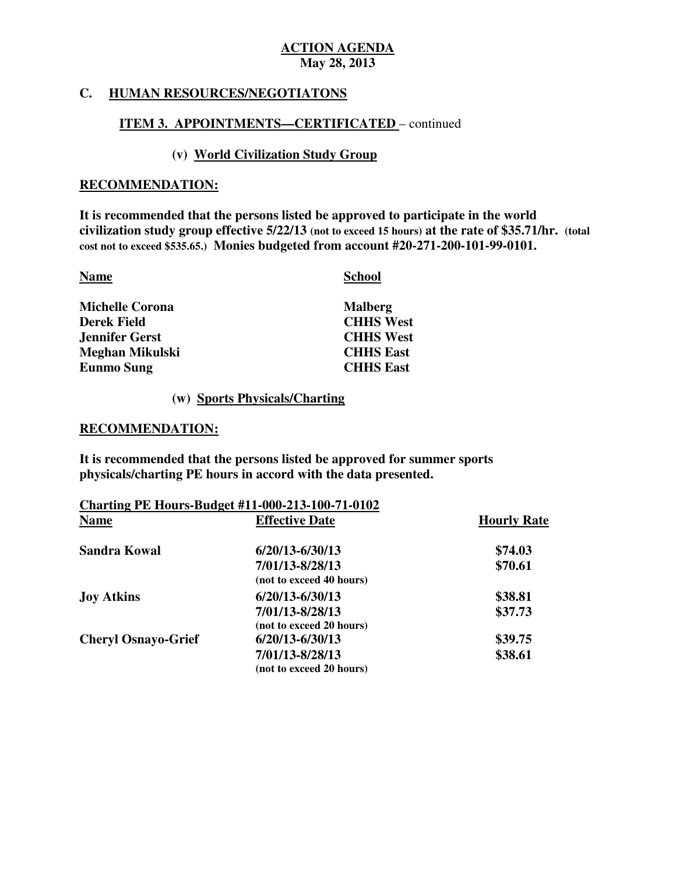## **C. HUMAN RESOURCES/NEGOTIATONS**

## **ITEM 3. APPOINTMENTS—CERTIFICATED** – continued

## **(v) World Civilization Study Group**

### **RECOMMENDATION:**

 **It is recommended that the persons listed be approved to participate in the world civilization study group effective 5/22/13 (not to exceed 15 hours) at the rate of \$35.71/hr. (total cost not to exceed \$535.65.) Monies budgeted from account #20-271-200-101-99-0101.** 

**Name** School **School** 

| <b>Michelle Corona</b> | <b>Malberg</b>   |
|------------------------|------------------|
| <b>Derek Field</b>     | <b>CHHS West</b> |
| Jennifer Gerst         | <b>CHHS West</b> |
| Meghan Mikulski        | <b>CHHS East</b> |
| <b>Eunmo Sung</b>      | <b>CHHS East</b> |

## **(w) Sports Physicals/Charting**

### **RECOMMENDATION:**

 **It is recommended that the persons listed be approved for summer sports physicals/charting PE hours in accord with the data presented.** 

| <b>Charting PE Hours-Budget #11-000-213-100-71-0102</b> |                          |                    |  |
|---------------------------------------------------------|--------------------------|--------------------|--|
| <b>Name</b>                                             | <b>Effective Date</b>    | <b>Hourly Rate</b> |  |
| <b>Sandra Kowal</b>                                     | $6/20/13 - 6/30/13$      | \$74.03            |  |
|                                                         | 7/01/13-8/28/13          | \$70.61            |  |
|                                                         | (not to exceed 40 hours) |                    |  |
| <b>Joy Atkins</b>                                       | $6/20/13 - 6/30/13$      | \$38.81            |  |
|                                                         | 7/01/13-8/28/13          | \$37.73            |  |
|                                                         | (not to exceed 20 hours) |                    |  |
| <b>Cheryl Osnayo-Grief</b>                              | $6/20/13 - 6/30/13$      | \$39.75            |  |
|                                                         | 7/01/13-8/28/13          | \$38.61            |  |
|                                                         | (not to exceed 20 hours) |                    |  |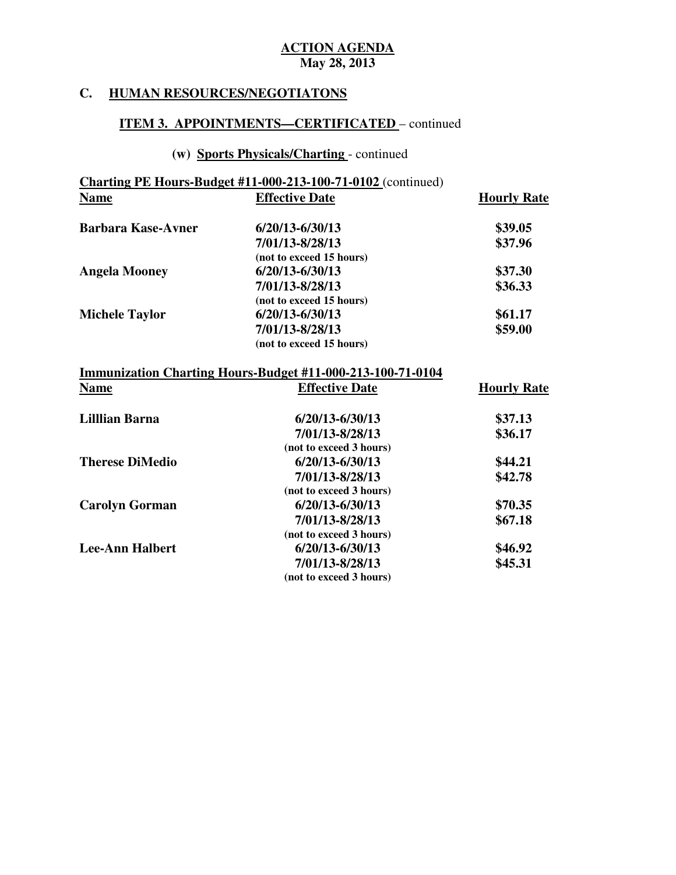## **C. HUMAN RESOURCES/NEGOTIATONS**

## **ITEM 3. APPOINTMENTS—CERTIFICATED** – continued

# **(w) Sports Physicals/Charting** - continued

|                           | <b>Charting PE Hours-Budget #11-000-213-100-71-0102</b> (continued) |                    |
|---------------------------|---------------------------------------------------------------------|--------------------|
| <b>Name</b>               | <b>Effective Date</b>                                               | <b>Hourly Rate</b> |
| <b>Barbara Kase-Avner</b> | 6/20/13-6/30/13                                                     | \$39.05            |
|                           | 7/01/13-8/28/13                                                     | \$37.96            |
|                           | (not to exceed 15 hours)                                            |                    |
| <b>Angela Mooney</b>      | $6/20/13 - 6/30/13$                                                 | \$37.30            |
|                           | 7/01/13-8/28/13                                                     | \$36.33            |
|                           | (not to exceed 15 hours)                                            |                    |
| <b>Michele Taylor</b>     | $6/20/13 - 6/30/13$                                                 | \$61.17            |
|                           | 7/01/13-8/28/13                                                     | \$59.00            |
|                           | (not to exceed 15 hours)                                            |                    |
|                           | Immunization Charting Hours-Budget #11-000-213-100-71-0104          |                    |
| <b>Name</b>               | <b>Effective Date</b>                                               | <b>Hourly Rate</b> |
| <b>Lillian Barna</b>      | $6/20/13 - 6/30/13$                                                 | \$37.13            |
|                           | 7/01/13-8/28/13                                                     | \$36.17            |
|                           | (not to exceed 3 hours)                                             |                    |
| <b>Therese DiMedio</b>    | $6/20/13 - 6/30/13$                                                 | \$44.21            |
|                           | 7/01/13-8/28/13                                                     | \$42.78            |
|                           | (not to exceed 3 hours)                                             |                    |
| <b>Carolyn Gorman</b>     | $6/20/13 - 6/30/13$                                                 | \$70.35            |
|                           | 7/01/13-8/28/13                                                     | \$67.18            |
|                           | (not to exceed 3 hours)                                             |                    |
| <b>Lee-Ann Halbert</b>    | $6/20/13 - 6/30/13$                                                 | \$46.92            |
|                           | 7/01/13-8/28/13                                                     | \$45.31            |

 **(not to exceed 3 hours)**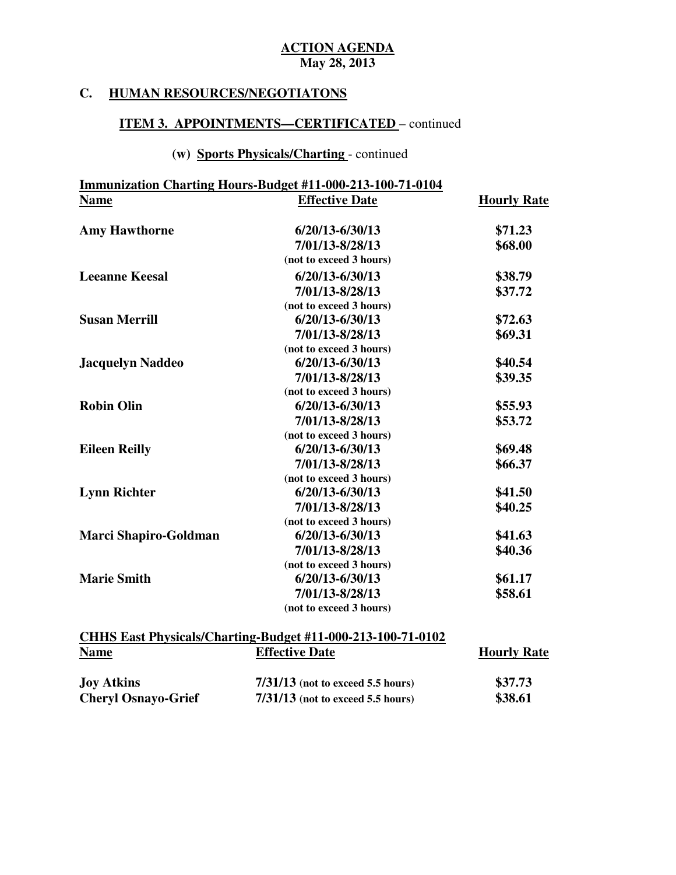**Hourly Rate** 

## **C. HUMAN RESOURCES/NEGOTIATONS**

## **ITEM 3. APPOINTMENTS—CERTIFICATED** – continued

# **(w) Sports Physicals/Charting** - continued

|             | Immunization Charting Hours-Budget #11-000-213-100-71-0104 |
|-------------|------------------------------------------------------------|
| <b>Name</b> | <b>Effective Date</b>                                      |

| <b>Amy Hawthorne</b>    | $6/20/13 - 6/30/13$     | \$71.23 |
|-------------------------|-------------------------|---------|
|                         | 7/01/13-8/28/13         | \$68.00 |
|                         | (not to exceed 3 hours) |         |
| <b>Leeanne Keesal</b>   | $6/20/13 - 6/30/13$     | \$38.79 |
|                         | 7/01/13-8/28/13         | \$37.72 |
|                         | (not to exceed 3 hours) |         |
| <b>Susan Merrill</b>    | $6/20/13 - 6/30/13$     | \$72.63 |
|                         | 7/01/13-8/28/13         | \$69.31 |
|                         | (not to exceed 3 hours) |         |
| <b>Jacquelyn Naddeo</b> | $6/20/13 - 6/30/13$     | \$40.54 |
|                         | 7/01/13-8/28/13         | \$39.35 |
|                         | (not to exceed 3 hours) |         |
| <b>Robin Olin</b>       | $6/20/13 - 6/30/13$     | \$55.93 |
|                         | 7/01/13-8/28/13         | \$53.72 |
|                         | (not to exceed 3 hours) |         |
| <b>Eileen Reilly</b>    | $6/20/13 - 6/30/13$     | \$69.48 |
|                         | 7/01/13-8/28/13         | \$66.37 |
|                         | (not to exceed 3 hours) |         |
| <b>Lynn Richter</b>     | $6/20/13 - 6/30/13$     | \$41.50 |
|                         | 7/01/13-8/28/13         | \$40.25 |
|                         | (not to exceed 3 hours) |         |
| Marci Shapiro-Goldman   | $6/20/13 - 6/30/13$     | \$41.63 |
|                         | 7/01/13-8/28/13         | \$40.36 |
|                         | (not to exceed 3 hours) |         |
| <b>Marie Smith</b>      | $6/20/13 - 6/30/13$     | \$61.17 |
|                         | 7/01/13-8/28/13         | \$58.61 |
|                         | (not to exceed 3 hours) |         |

| CHHS East Physicals/Charting-Budget #11-000-213-100-71-0102 |                                     |                    |  |
|-------------------------------------------------------------|-------------------------------------|--------------------|--|
| <b>Name</b>                                                 | <b>Effective Date</b>               | <b>Hourly Rate</b> |  |
| <b>Joy Atkins</b>                                           | $7/31/13$ (not to exceed 5.5 hours) | \$37.73            |  |
| <b>Cheryl Osnayo-Grief</b>                                  | $7/31/13$ (not to exceed 5.5 hours) | \$38.61            |  |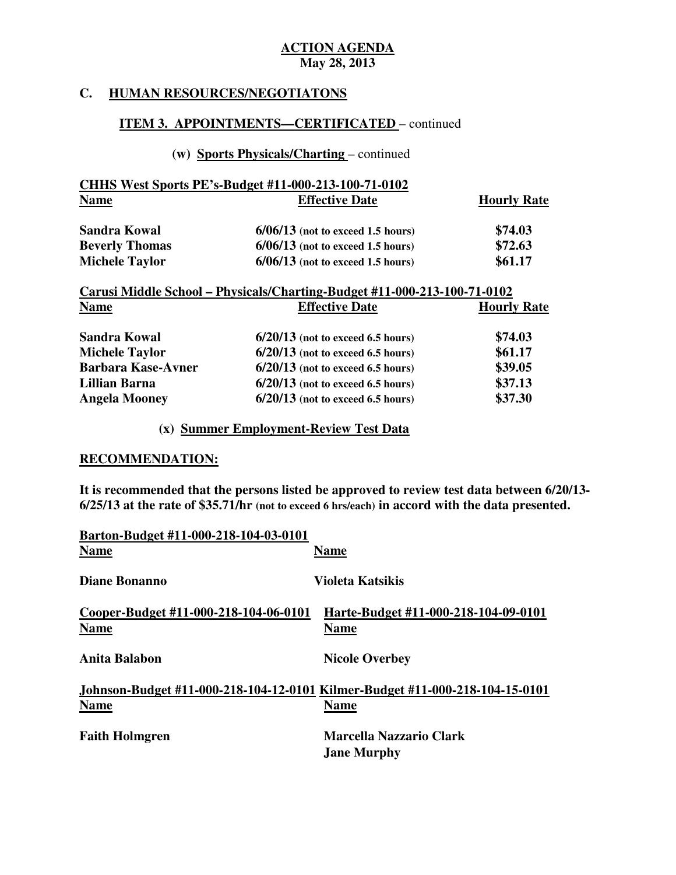## **C. HUMAN RESOURCES/NEGOTIATONS**

## **ITEM 3. APPOINTMENTS—CERTIFICATED** – continued

# **(w) Sports Physicals/Charting** – continued

| <b>Name</b>           | <b>Effective Date</b>               | <b>Hourly Rate</b> |
|-----------------------|-------------------------------------|--------------------|
| Sandra Kowal          | $6/06/13$ (not to exceed 1.5 hours) | \$74.03            |
| <b>Beverly Thomas</b> | $6/06/13$ (not to exceed 1.5 hours) | \$72.63            |
| <b>Michele Taylor</b> | $6/06/13$ (not to exceed 1.5 hours) | \$61.17            |

| Carusi Middle School – Physicals/Charting-Budget #11-000-213-100-71-0102 |                                     |                    |
|--------------------------------------------------------------------------|-------------------------------------|--------------------|
| <b>Name</b>                                                              | <b>Effective Date</b>               | <b>Hourly Rate</b> |
| <b>Sandra Kowal</b>                                                      | $6/20/13$ (not to exceed 6.5 hours) | \$74.03            |
| <b>Michele Taylor</b>                                                    | $6/20/13$ (not to exceed 6.5 hours) | \$61.17            |
| <b>Barbara Kase-Avner</b>                                                | $6/20/13$ (not to exceed 6.5 hours) | \$39.05            |
| <b>Lillian Barna</b>                                                     | $6/20/13$ (not to exceed 6.5 hours) | \$37.13            |
| <b>Angela Mooney</b>                                                     | $6/20/13$ (not to exceed 6.5 hours) | \$37.30            |

# **(x) Summer Employment-Review Test Data**

### **RECOMMENDATION:**

 **It is recommended that the persons listed be approved to review test data between 6/20/13 6/25/13 at the rate of \$35.71/hr (not to exceed 6 hrs/each) in accord with the data presented.** 

| Barton-Budget #11-000-218-104-03-0101                |                                                                              |
|------------------------------------------------------|------------------------------------------------------------------------------|
| <b>Name</b>                                          | <b>Name</b>                                                                  |
| <b>Diane Bonanno</b>                                 | <b>Violeta Katsikis</b>                                                      |
| Cooper-Budget #11-000-218-104-06-0101<br><b>Name</b> | Harte-Budget #11-000-218-104-09-0101<br><b>Name</b>                          |
| Anita Balabon                                        | <b>Nicole Overbey</b>                                                        |
|                                                      | Johnson-Budget #11-000-218-104-12-0101 Kilmer-Budget #11-000-218-104-15-0101 |
| <b>Name</b>                                          | <b>Name</b>                                                                  |
| <b>Faith Holmgren</b>                                | Marcella Nazzario Clark                                                      |
|                                                      | <b>Jane Murphy</b>                                                           |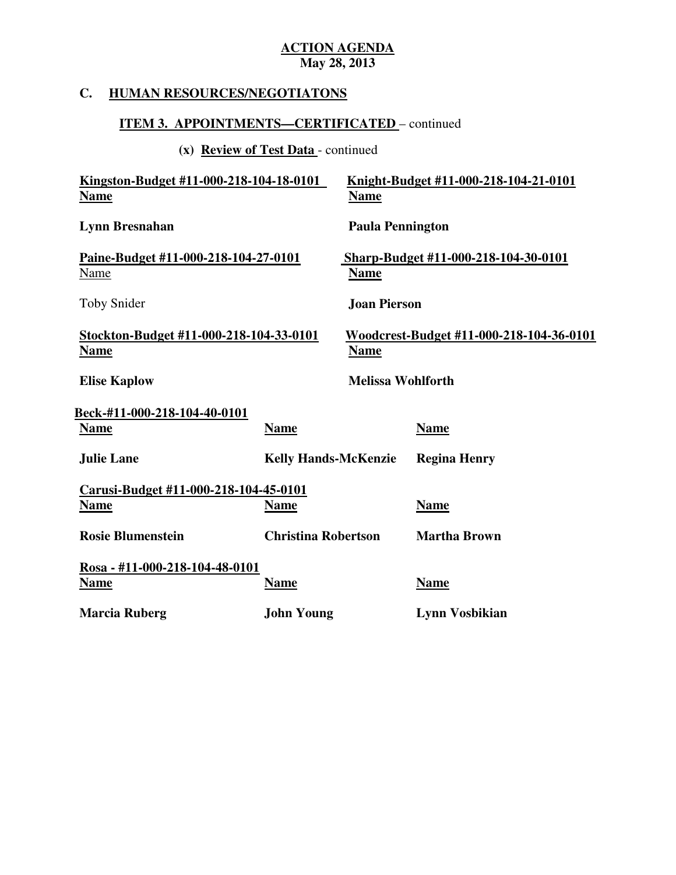## **C. HUMAN RESOURCES/NEGOTIATONS**

## **ITEM 3. APPOINTMENTS—CERTIFICATED** – continued

**(x) Review of Test Data** - continued

| Kingston-Budget #11-000-218-104-18-0101<br><b>Name</b> |                             | <b>Name</b>              | Knight-Budget #11-000-218-104-21-0101    |
|--------------------------------------------------------|-----------------------------|--------------------------|------------------------------------------|
| Lynn Bresnahan                                         |                             | <b>Paula Pennington</b>  |                                          |
| Paine-Budget #11-000-218-104-27-0101<br>Name           |                             | <b>Name</b>              | Sharp-Budget #11-000-218-104-30-0101     |
| <b>Toby Snider</b>                                     |                             | <b>Joan Pierson</b>      |                                          |
| Stockton-Budget #11-000-218-104-33-0101<br><b>Name</b> |                             | <b>Name</b>              | Woodcrest-Budget #11-000-218-104-36-0101 |
| <b>Elise Kaplow</b>                                    |                             | <b>Melissa Wohlforth</b> |                                          |
| <b>Beck-#11-000-218-104-40-0101</b>                    |                             |                          |                                          |
| <b>Name</b>                                            | <b>Name</b>                 |                          | <b>Name</b>                              |
| <b>Julie Lane</b>                                      | <b>Kelly Hands-McKenzie</b> |                          | <b>Regina Henry</b>                      |
| Carusi-Budget #11-000-218-104-45-0101                  |                             |                          |                                          |
| <b>Name</b>                                            | <b>Name</b>                 |                          | <b>Name</b>                              |
| <b>Rosie Blumenstein</b>                               | <b>Christina Robertson</b>  |                          | <b>Martha Brown</b>                      |
| Rosa - #11-000-218-104-48-0101                         |                             |                          |                                          |
| <u>Name</u>                                            | <b>Name</b>                 |                          | <b>Name</b>                              |
| <b>Marcia Ruberg</b>                                   | <b>John Young</b>           |                          | <b>Lynn Vosbikian</b>                    |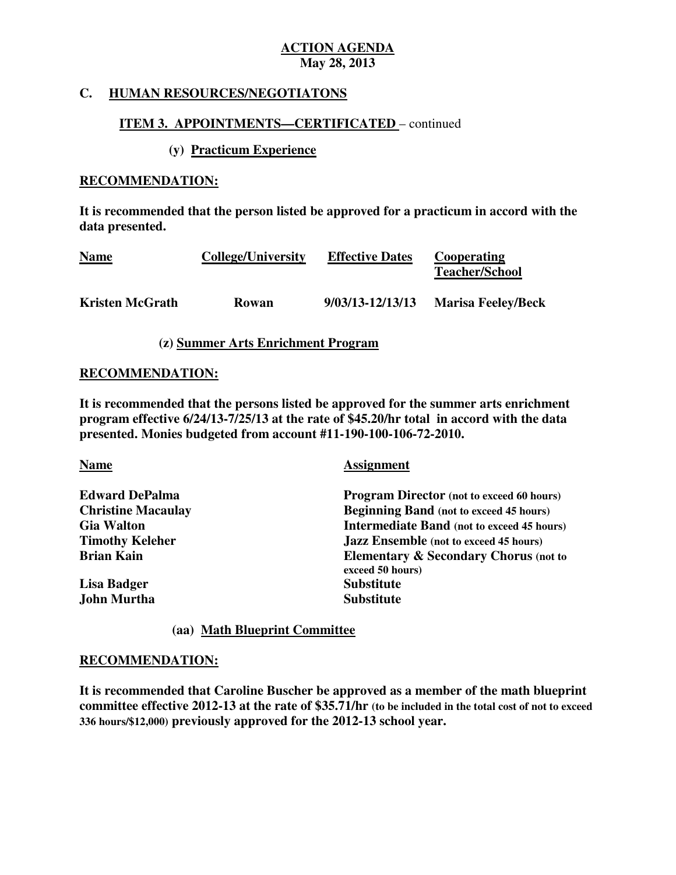## **C. HUMAN RESOURCES/NEGOTIATONS**

## **ITEM 3. APPOINTMENTS—CERTIFICATED** – continued

## **(y) Practicum Experience**

## **RECOMMENDATION:**

 **It is recommended that the person listed be approved for a practicum in accord with the data presented.** 

| <b>Name</b>            | <b>College/University</b> | <b>Effective Dates</b> | Cooperating<br><b>Teacher/School</b> |
|------------------------|---------------------------|------------------------|--------------------------------------|
| <b>Kristen McGrath</b> | <b>Rowan</b>              | 9/03/13-12/13/13       | <b>Marisa Feeley/Beck</b>            |

## **(z) Summer Arts Enrichment Program**

## **RECOMMENDATION:**

 **It is recommended that the persons listed be approved for the summer arts enrichment program effective 6/24/13-7/25/13 at the rate of \$45.20/hr total in accord with the data presented. Monies budgeted from account #11-190-100-106-72-2010.** 

| <b>Name</b>               | <b>Assignment</b>                                                    |  |
|---------------------------|----------------------------------------------------------------------|--|
| <b>Edward DePalma</b>     | <b>Program Director</b> (not to exceed 60 hours)                     |  |
| <b>Christine Macaulay</b> | <b>Beginning Band</b> (not to exceed 45 hours)                       |  |
| <b>Gia Walton</b>         | <b>Intermediate Band</b> (not to exceed 45 hours)                    |  |
| <b>Timothy Keleher</b>    | <b>Jazz Ensemble</b> (not to exceed 45 hours)                        |  |
| <b>Brian Kain</b>         | <b>Elementary &amp; Secondary Chorus (not to</b><br>exceed 50 hours) |  |
| Lisa Badger               | <b>Substitute</b>                                                    |  |
| John Murtha               | <b>Substitute</b>                                                    |  |

## **(aa) Math Blueprint Committee**

## **RECOMMENDATION:**

 **It is recommended that Caroline Buscher be approved as a member of the math blueprint committee effective 2012-13 at the rate of \$35.71/hr (to be included in the total cost of not to exceed 336 hours/\$12,000) previously approved for the 2012-13 school year.**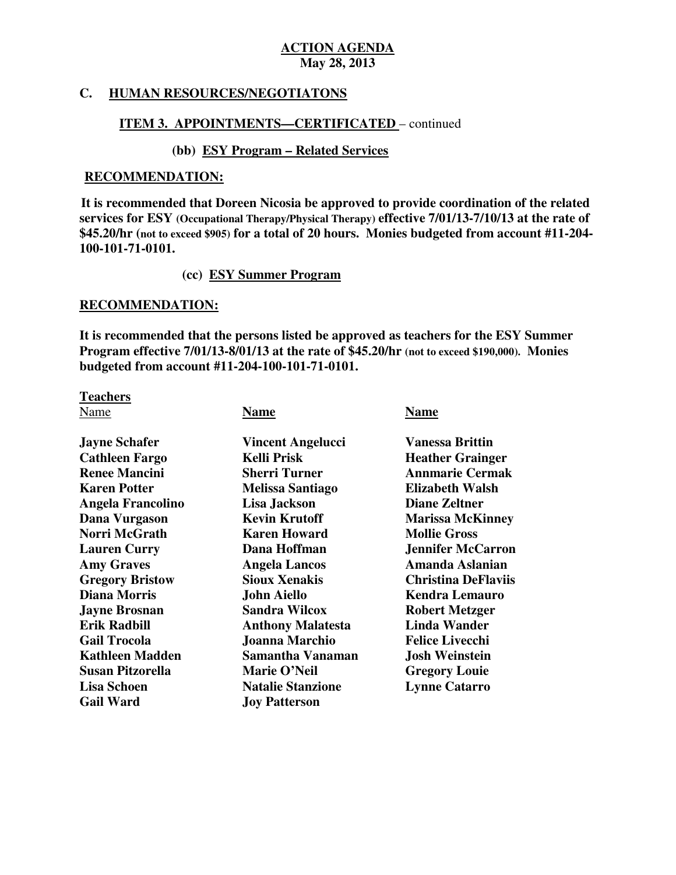## **C. HUMAN RESOURCES/NEGOTIATONS**

## **ITEM 3. APPOINTMENTS—CERTIFICATED** – continued

## **(bb) ESY Program – Related Services**

## **RECOMMENDATION:**

 **services for ESY (Occupational Therapy/Physical Therapy) effective 7/01/13-7/10/13 at the rate of \$45.20/hr (not to exceed \$905) for a total of 20 hours. Monies budgeted from account #11-204 It is recommended that Doreen Nicosia be approved to provide coordination of the related 100-101-71-0101.** 

## **(cc) ESY Summer Program**

## **RECOMMENDATION:**

 **It is recommended that the persons listed be approved as teachers for the ESY Summer Program effective 7/01/13-8/01/13 at the rate of \$45.20/hr (not to exceed \$190,000). Monies budgeted from account #11-204-100-101-71-0101.** 

**Teachers** 

Name **Name Name** 

| <b>Jayne Schafer</b>     | <b>Vincent Angelucci</b> | <b>Vanessa Brittin</b>     |
|--------------------------|--------------------------|----------------------------|
| <b>Cathleen Fargo</b>    | <b>Kelli Prisk</b>       | <b>Heather Grainger</b>    |
| <b>Renee Mancini</b>     | <b>Sherri Turner</b>     | <b>Annmarie Cermak</b>     |
| <b>Karen Potter</b>      | <b>Melissa Santiago</b>  | <b>Elizabeth Walsh</b>     |
| <b>Angela Francolino</b> | Lisa Jackson             | <b>Diane Zeltner</b>       |
| Dana Vurgason            | <b>Kevin Krutoff</b>     | <b>Marissa McKinney</b>    |
| Norri McGrath            | <b>Karen Howard</b>      | <b>Mollie Gross</b>        |
| <b>Lauren Curry</b>      | Dana Hoffman             | <b>Jennifer McCarron</b>   |
| <b>Amy Graves</b>        | <b>Angela Lancos</b>     | Amanda Aslanian            |
| <b>Gregory Bristow</b>   | <b>Sioux Xenakis</b>     | <b>Christina DeFlaviis</b> |
| <b>Diana Morris</b>      | <b>John Aiello</b>       | <b>Kendra Lemauro</b>      |
| <b>Jayne Brosnan</b>     | <b>Sandra Wilcox</b>     | <b>Robert Metzger</b>      |
| <b>Erik Radbill</b>      | <b>Anthony Malatesta</b> | <b>Linda Wander</b>        |
| <b>Gail Trocola</b>      | Joanna Marchio           | <b>Felice Livecchi</b>     |
| <b>Kathleen Madden</b>   | Samantha Vanaman         | <b>Josh Weinstein</b>      |
| Susan Pitzorella         | Marie O'Neil             | <b>Gregory Louie</b>       |
| Lisa Schoen              | <b>Natalie Stanzione</b> | <b>Lynne Catarro</b>       |
| <b>Gail Ward</b>         | <b>Joy Patterson</b>     |                            |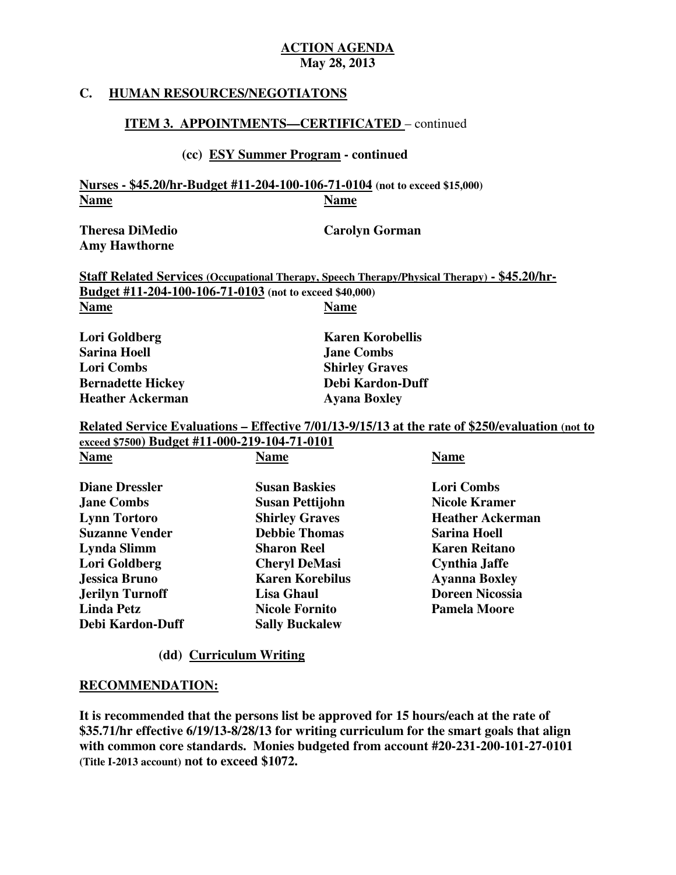## **C. HUMAN RESOURCES/NEGOTIATONS**

## **ITEM 3. APPOINTMENTS—CERTIFICATED** – continued

## **(cc) ESY Summer Program - continued**

 **Nurses - \$45.20/hr-Budget #11-204-100-106-71-0104 (not to exceed \$15,000)**  Name **Name Name** 

**Theresa DiMedio Amy Hawthorne** 

**Carolyn Gorman** 

 **Staff Related Services (Occupational Therapy, Speech Therapy/Physical Therapy) - \$45.20/hr- Budget #11-204-100-106-71-0103 (not to exceed \$40,000)**  Name **Name Name** 

**Lori Goldberg Sarina Hoell** *Jane Combs* **Lori Combs Bernadette Hickey Communisty Debi Kardon-Duff Frame Ackerman Ayana Boxley** 

**Karen Korobellis Shirley Graves** 

 **Related Service Evaluations – Effective 7/01/13-9/15/13 at the rate of \$250/evaluation (not to exceed \$7500) Budget #11-000-219-104-71-0101** 

| <b>Name</b>            | <b>Name</b>            | <b>Name</b>             |
|------------------------|------------------------|-------------------------|
| <b>Diane Dressler</b>  | <b>Susan Baskies</b>   | <b>Lori Combs</b>       |
| <b>Jane Combs</b>      | Susan Pettijohn        | <b>Nicole Kramer</b>    |
| <b>Lynn Tortoro</b>    | <b>Shirley Graves</b>  | <b>Heather Ackerman</b> |
| <b>Suzanne Vender</b>  | <b>Debbie Thomas</b>   | <b>Sarina Hoell</b>     |
| Lynda Slimm            | <b>Sharon Reel</b>     | <b>Karen Reitano</b>    |
| Lori Goldberg          | <b>Cheryl DeMasi</b>   | Cynthia Jaffe           |
| <b>Jessica Bruno</b>   | <b>Karen Korebilus</b> | <b>Ayanna Boxley</b>    |
| <b>Jerilyn Turnoff</b> | Lisa Ghaul             | <b>Doreen Nicossia</b>  |
| <b>Linda Petz</b>      | <b>Nicole Fornito</b>  | <b>Pamela Moore</b>     |
| Debi Kardon-Duff       | <b>Sally Buckalew</b>  |                         |

### **(dd) Curriculum Writing**

### **RECOMMENDATION:**

 **It is recommended that the persons list be approved for 15 hours/each at the rate of \$35.71/hr effective 6/19/13-8/28/13 for writing curriculum for the smart goals that align with common core standards. Monies budgeted from account #20-231-200-101-27-0101 (Title I-2013 account) not to exceed \$1072.**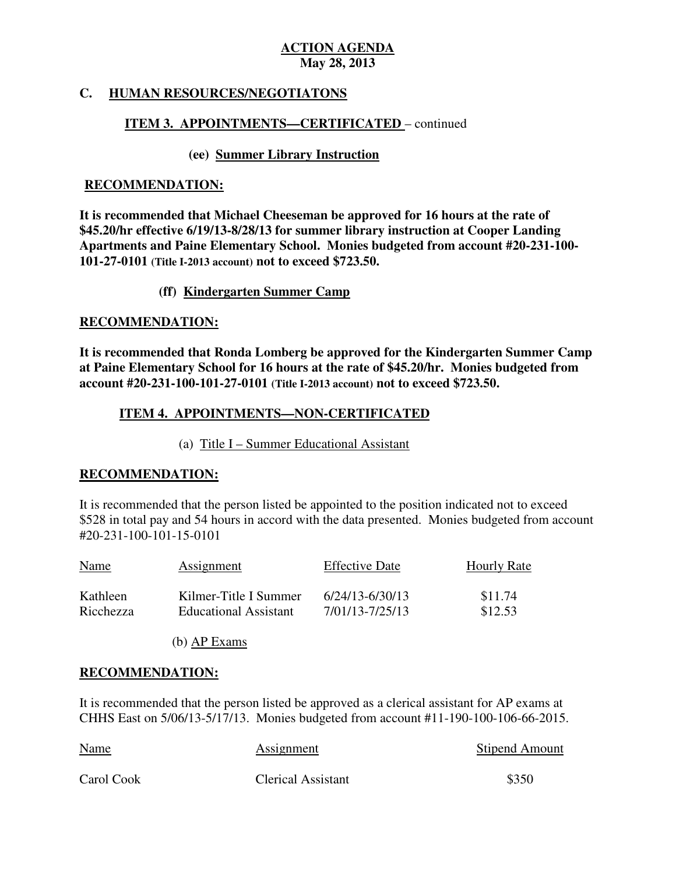# **C. HUMAN RESOURCES/NEGOTIATONS**

## **ITEM 3. APPOINTMENTS—CERTIFICATED** – continued

## **(ee) Summer Library Instruction**

#### **RECOMMENDATION:**

 **It is recommended that Michael Cheeseman be approved for 16 hours at the rate of \$45.20/hr effective 6/19/13-8/28/13 for summer library instruction at Cooper Landing Apartments and Paine Elementary School. Monies budgeted from account #20-231-100 101-27-0101 (Title I-2013 account) not to exceed \$723.50.** 

### **(ff) Kindergarten Summer Camp**

#### **RECOMMENDATION:**

 **It is recommended that Ronda Lomberg be approved for the Kindergarten Summer Camp at Paine Elementary School for 16 hours at the rate of \$45.20/hr. Monies budgeted from account #20-231-100-101-27-0101 (Title I-2013 account) not to exceed \$723.50.** 

# **ITEM 4. APPOINTMENTS—NON-CERTIFICATED**

(a) Title I – Summer Educational Assistant

### **RECOMMENDATION:**

 It is recommended that the person listed be appointed to the position indicated not to exceed \$528 in total pay and 54 hours in accord with the data presented. Monies budgeted from account #20-231-100-101-15-0101

| <b>Name</b> | Assignment                   | <b>Effective Date</b> | <b>Hourly Rate</b> |
|-------------|------------------------------|-----------------------|--------------------|
| Kathleen    | Kilmer-Title I Summer        | $6/24/13 - 6/30/13$   | \$11.74            |
| Ricchezza   | <b>Educational Assistant</b> | 7/01/13-7/25/13       | \$12.53            |

(b) AP Exams

### **RECOMMENDATION:**

 It is recommended that the person listed be approved as a clerical assistant for AP exams at CHHS East on 5/06/13-5/17/13. Monies budgeted from account #11-190-100-106-66-2015.

| <b>Name</b> | Assignment                | <b>Stipend Amount</b> |
|-------------|---------------------------|-----------------------|
| Carol Cook  | <b>Clerical Assistant</b> | \$350                 |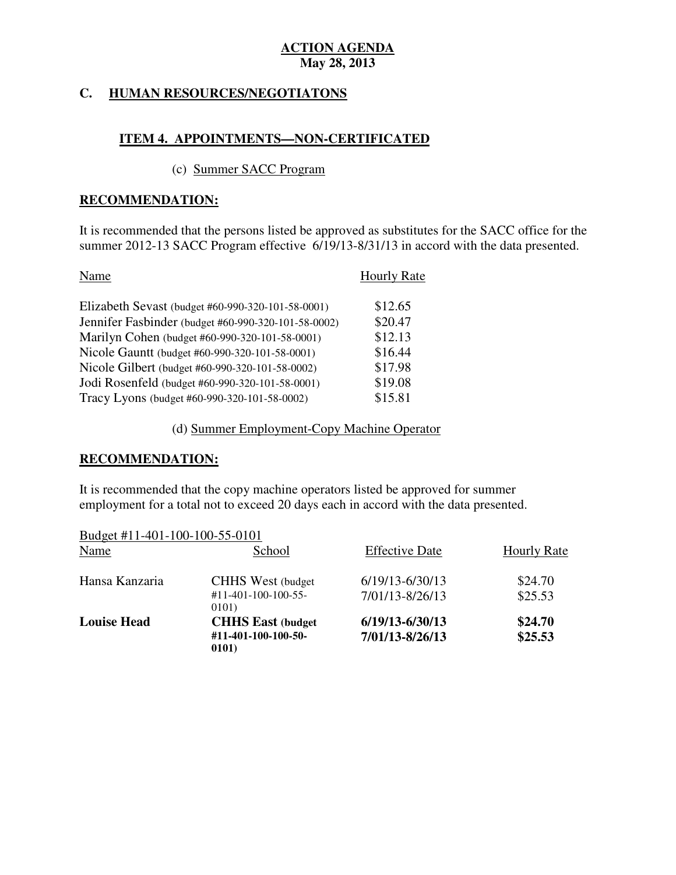#### **HUMAN RESOURCES/NEGOTIATONS**

# **ITEM 4. APPOINTMENTS—NON-CERTIFICATED**

#### (c) Summer SACC Program

#### **RECOMMENDATION:**

 It is recommended that the persons listed be approved as substitutes for the SACC office for the summer 2012-13 SACC Program effective 6/19/13-8/31/13 in accord with the data presented.

| Name                                                | <b>Hourly Rate</b> |
|-----------------------------------------------------|--------------------|
| Elizabeth Sevast (budget #60-990-320-101-58-0001)   | \$12.65            |
| Jennifer Fasbinder (budget #60-990-320-101-58-0002) | \$20.47            |
| Marilyn Cohen (budget #60-990-320-101-58-0001)      | \$12.13            |
| Nicole Gauntt (budget #60-990-320-101-58-0001)      | \$16.44            |
| Nicole Gilbert (budget #60-990-320-101-58-0002)     | \$17.98            |
| Jodi Rosenfeld (budget #60-990-320-101-58-0001)     | \$19.08            |
| Tracy Lyons (budget #60-990-320-101-58-0002)        | \$15.81            |

(d) Summer Employment-Copy Machine Operator

### **RECOMMENDATION:**

 It is recommended that the copy machine operators listed be approved for summer employment for a total not to exceed 20 days each in accord with the data presented.

| Budget #11-401-100-100-55-0101 |                                                                     |                                        |                    |
|--------------------------------|---------------------------------------------------------------------|----------------------------------------|--------------------|
| Name                           | School                                                              | <b>Effective Date</b>                  | <b>Hourly Rate</b> |
| Hansa Kanzaria                 | <b>CHHS</b> West (budget)<br>$\#11 - 401 - 100 - 100 - 55$<br>0101) | $6/19/13 - 6/30/13$<br>7/01/13-8/26/13 | \$24.70<br>\$25.53 |
| <b>Louise Head</b>             | <b>CHHS East (budget)</b><br>#11-401-100-100-50-<br>0101)           | $6/19/13 - 6/30/13$<br>7/01/13-8/26/13 | \$24.70<br>\$25.53 |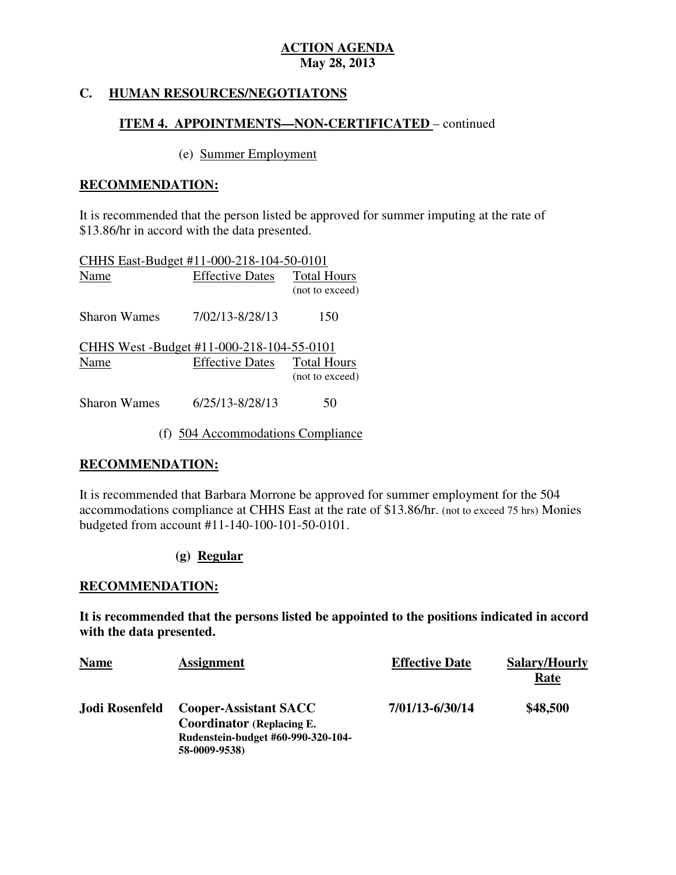#### **HUMAN RESOURCES/NEGOTIATONS**

# **ITEM 4. APPOINTMENTS—NON-CERTIFICATED** – continued

### (e) Summer Employment

#### **RECOMMENDATION:**

 It is recommended that the person listed be approved for summer imputing at the rate of \$13.86/hr in accord with the data presented.

| CHHS East-Budget #11-000-218-104-50-0101  |                        |                                       |
|-------------------------------------------|------------------------|---------------------------------------|
| Name                                      | <b>Effective Dates</b> | <b>Total Hours</b><br>(not to exceed) |
| Sharon Wames                              | 7/02/13-8/28/13        | 150                                   |
| CHHS West -Budget #11-000-218-104-55-0101 |                        |                                       |
| Name                                      | <b>Effective Dates</b> | <b>Total Hours</b><br>(not to exceed) |
| <b>Sharon Wames</b>                       | 6/25/13-8/28/13        | 50                                    |

(f) 504 Accommodations Compliance

# **RECOMMENDATION:**

 It is recommended that Barbara Morrone be approved for summer employment for the 504 accommodations compliance at CHHS East at the rate of \$13.86/hr. (not to exceed 75 hrs) Monies budgeted from account #11-140-100-101-50-0101.

# **(g) Regular**

### **RECOMMENDATION:**

 **It is recommended that the persons listed be appointed to the positions indicated in accord with the data presented.** 

| <b>Name</b>    | <b>Assignment</b>                                                | <b>Effective Date</b> | <b>Salary/Hourly</b><br><u>Rate</u> |
|----------------|------------------------------------------------------------------|-----------------------|-------------------------------------|
| Jodi Rosenfeld | <b>Cooper-Assistant SACC</b><br><b>Coordinator (Replacing E.</b> | 7/01/13-6/30/14       | \$48,500                            |
|                | Rudenstein-budget #60-990-320-104-<br>58-0009-9538)              |                       |                                     |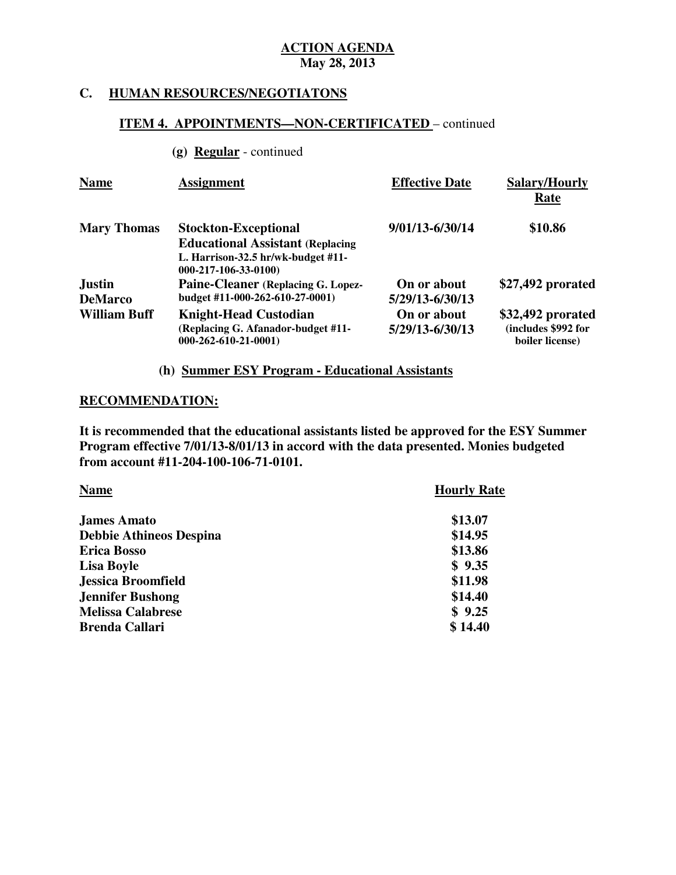### **C. HUMAN RESOURCES/NEGOTIATONS**

# **ITEM 4. APPOINTMENTS—NON-CERTIFICATED** – continued

**(g) Regular** - continued

| <b>Name</b>                     | <b>Assignment</b>                                                                                                                        | <b>Effective Date</b>          | Salary/Hourly<br>Rate                                       |
|---------------------------------|------------------------------------------------------------------------------------------------------------------------------------------|--------------------------------|-------------------------------------------------------------|
| <b>Mary Thomas</b>              | <b>Stockton-Exceptional</b><br><b>Educational Assistant (Replacing</b><br>L. Harrison-32.5 $hr/wk$ -budget #11-<br>$000-217-106-33-0100$ | 9/01/13-6/30/14                | \$10.86                                                     |
| <b>Justin</b><br><b>DeMarco</b> | Paine-Cleaner (Replacing G. Lopez-<br>budget #11-000-262-610-27-0001)                                                                    | On or about<br>5/29/13-6/30/13 | \$27,492 prorated                                           |
| <b>William Buff</b>             | <b>Knight-Head Custodian</b><br>(Replacing G. Afanador-budget #11-<br>$000-262-610-21-0001$                                              | On or about<br>5/29/13-6/30/13 | \$32,492 prorated<br>(includes \$992 for<br>boiler license) |

# **(h) Summer ESY Program - Educational Assistants**

#### **RECOMMENDATION:**

 **It is recommended that the educational assistants listed be approved for the ESY Summer Program effective 7/01/13-8/01/13 in accord with the data presented. Monies budgeted from account #11-204-100-106-71-0101.** 

| <b>Name</b>                    | <b>Hourly Rate</b> |
|--------------------------------|--------------------|
| <b>James Amato</b>             | \$13.07            |
| <b>Debbie Athineos Despina</b> | \$14.95            |
| <b>Erica Bosso</b>             | \$13.86            |
| <b>Lisa Boyle</b>              | \$9.35             |
| <b>Jessica Broomfield</b>      | \$11.98            |
| <b>Jennifer Bushong</b>        | \$14.40            |
| <b>Melissa Calabrese</b>       | \$9.25             |
| <b>Brenda Callari</b>          | \$14.40            |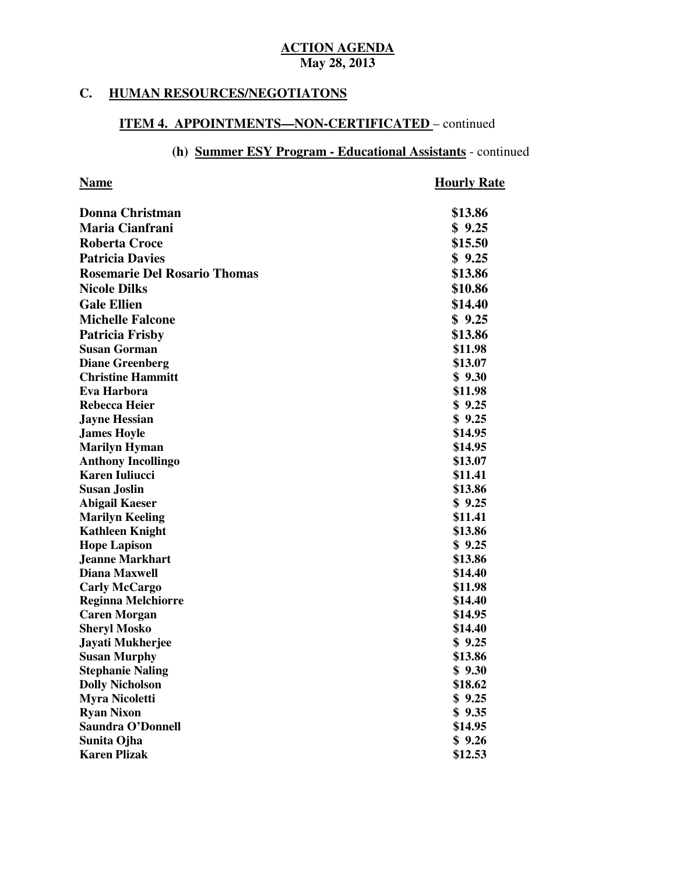#### **C. HUMAN RESOURCES/NEGOTIATONS**

#### **ITEM 4. APPOINTMENTS—NON-CERTIFICATED** – continued

# **(h) Summer ESY Program - Educational Assistants** - continued

#### **Name Hourly Rate**

| <b>Donna Christman</b>              | \$13.86 |
|-------------------------------------|---------|
| <b>Maria Cianfrani</b>              | \$9.25  |
| <b>Roberta Croce</b>                | \$15.50 |
| <b>Patricia Davies</b>              | \$9.25  |
| <b>Rosemarie Del Rosario Thomas</b> | \$13.86 |
| <b>Nicole Dilks</b>                 | \$10.86 |
| <b>Gale Ellien</b>                  | \$14.40 |
| <b>Michelle Falcone</b>             | \$9.25  |
|                                     |         |
| <b>Patricia Frisby</b>              | \$13.86 |
| <b>Susan Gorman</b>                 | \$11.98 |
| <b>Diane Greenberg</b>              | \$13.07 |
| <b>Christine Hammitt</b>            | \$9.30  |
| <b>Eva Harbora</b>                  | \$11.98 |
| <b>Rebecca Heier</b>                | \$9.25  |
| <b>Jayne Hessian</b>                | \$9.25  |
| <b>James Hoyle</b>                  | \$14.95 |
| <b>Marilyn Hyman</b>                | \$14.95 |
| <b>Anthony Incollingo</b>           | \$13.07 |
| <b>Karen Iuliucci</b>               | \$11.41 |
| <b>Susan Joslin</b>                 | \$13.86 |
| <b>Abigail Kaeser</b>               | \$9.25  |
| <b>Marilyn Keeling</b>              | \$11.41 |
| <b>Kathleen Knight</b>              | \$13.86 |
| <b>Hope Lapison</b>                 | \$9.25  |
| <b>Jeanne Markhart</b>              | \$13.86 |
| <b>Diana Maxwell</b>                | \$14.40 |
| <b>Carly McCargo</b>                | \$11.98 |
| <b>Reginna Melchiorre</b>           | \$14.40 |
| <b>Caren Morgan</b>                 | \$14.95 |
| <b>Sheryl Mosko</b>                 | \$14.40 |
| Jayati Mukherjee                    | \$9.25  |
| <b>Susan Murphy</b>                 | \$13.86 |
| <b>Stephanie Naling</b>             | \$9.30  |
| <b>Dolly Nicholson</b>              | \$18.62 |
| <b>Myra Nicoletti</b>               | \$9.25  |
| <b>Ryan Nixon</b>                   | \$9.35  |
| <b>Saundra O'Donnell</b>            | \$14.95 |
| Sunita Ojha                         | \$9.26  |
| <b>Karen Plizak</b>                 | \$12.53 |
|                                     |         |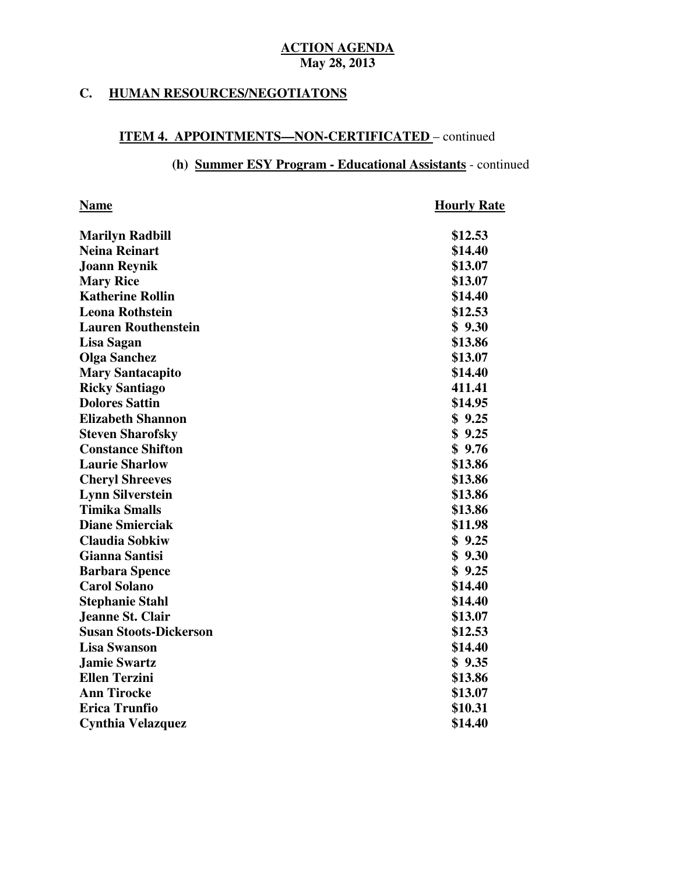#### **HUMAN RESOURCES/NEGOTIATONS**

#### **ITEM 4. APPOINTMENTS—NON-CERTIFICATED** – continued

### **(h) Summer ESY Program - Educational Assistants** - continued

| <b>Name</b>                   | <b>Hourly Rate</b> |
|-------------------------------|--------------------|
| <b>Marilyn Radbill</b>        | \$12.53            |
| <b>Neina Reinart</b>          | \$14.40            |
| <b>Joann Reynik</b>           | \$13.07            |
| <b>Mary Rice</b>              | \$13.07            |
| <b>Katherine Rollin</b>       | \$14.40            |
| <b>Leona Rothstein</b>        | \$12.53            |
| <b>Lauren Routhenstein</b>    | \$9.30             |
| Lisa Sagan                    | \$13.86            |
| <b>Olga Sanchez</b>           | \$13.07            |
| <b>Mary Santacapito</b>       | \$14.40            |
| <b>Ricky Santiago</b>         | 411.41             |
| <b>Dolores Sattin</b>         | \$14.95            |
| <b>Elizabeth Shannon</b>      | \$9.25             |
| <b>Steven Sharofsky</b>       | \$9.25             |
| <b>Constance Shifton</b>      | \$9.76             |
| <b>Laurie Sharlow</b>         | \$13.86            |
| <b>Cheryl Shreeves</b>        | \$13.86            |
| <b>Lynn Silverstein</b>       | \$13.86            |
| <b>Timika Smalls</b>          | \$13.86            |
| <b>Diane Smierciak</b>        | \$11.98            |
| <b>Claudia Sobkiw</b>         | \$9.25             |
| <b>Gianna Santisi</b>         | \$9.30             |
| <b>Barbara Spence</b>         | \$9.25             |
| <b>Carol Solano</b>           | \$14.40            |
| <b>Stephanie Stahl</b>        | \$14.40            |
| Jeanne St. Clair              | \$13.07            |
| <b>Susan Stoots-Dickerson</b> | \$12.53            |
| <b>Lisa Swanson</b>           | \$14.40            |
| <b>Jamie Swartz</b>           | \$9.35             |
| <b>Ellen Terzini</b>          | \$13.86            |
| <b>Ann Tirocke</b>            | \$13.07            |
| <b>Erica Trunfio</b>          | \$10.31            |
| <b>Cynthia Velazquez</b>      | \$14.40            |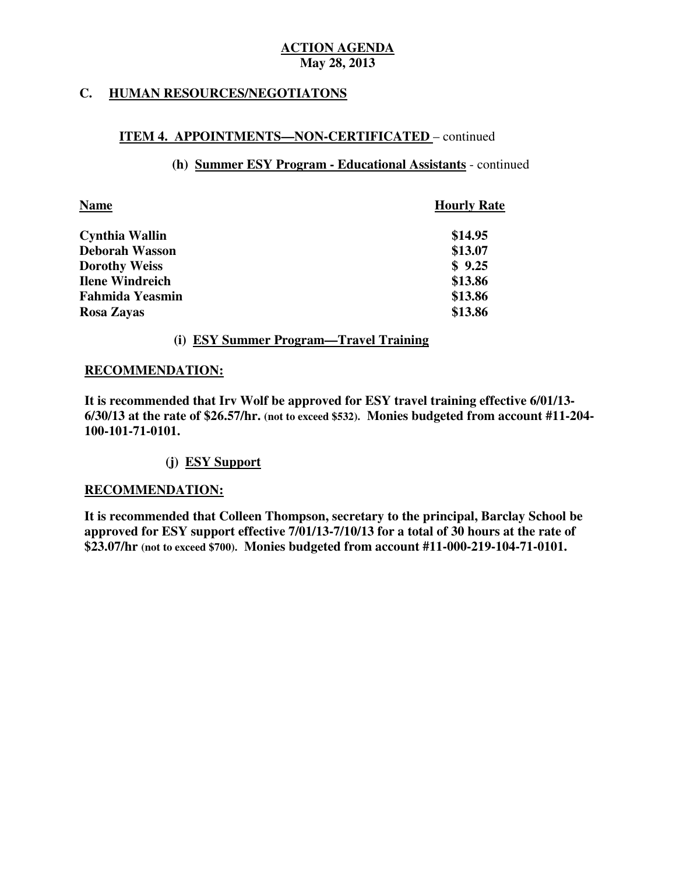#### **HUMAN RESOURCES/NEGOTIATONS**

# **ITEM 4. APPOINTMENTS—NON-CERTIFICATED** – continued

## **(h) Summer ESY Program - Educational Assistants** - continued

| <b>Name</b>            | <b>Hourly Rate</b> |
|------------------------|--------------------|
| <b>Cynthia Wallin</b>  | \$14.95            |
| <b>Deborah Wasson</b>  | \$13.07            |
| <b>Dorothy Weiss</b>   | \$9.25             |
| <b>Ilene Windreich</b> | \$13.86            |
| <b>Fahmida Yeasmin</b> | \$13.86            |
| Rosa Zayas             | \$13.86            |

# **(i) ESY Summer Program—Travel Training**

### **RECOMMENDATION:**

 **It is recommended that Irv Wolf be approved for ESY travel training effective 6/01/13 6/30/13 at the rate of \$26.57/hr. (not to exceed \$532). Monies budgeted from account #11-204 100-101-71-0101.** 

### **(j) ESY Support**

### **RECOMMENDATION:**

 **It is recommended that Colleen Thompson, secretary to the principal, Barclay School be approved for ESY support effective 7/01/13-7/10/13 for a total of 30 hours at the rate of \$23.07/hr (not to exceed \$700). Monies budgeted from account #11-000-219-104-71-0101.**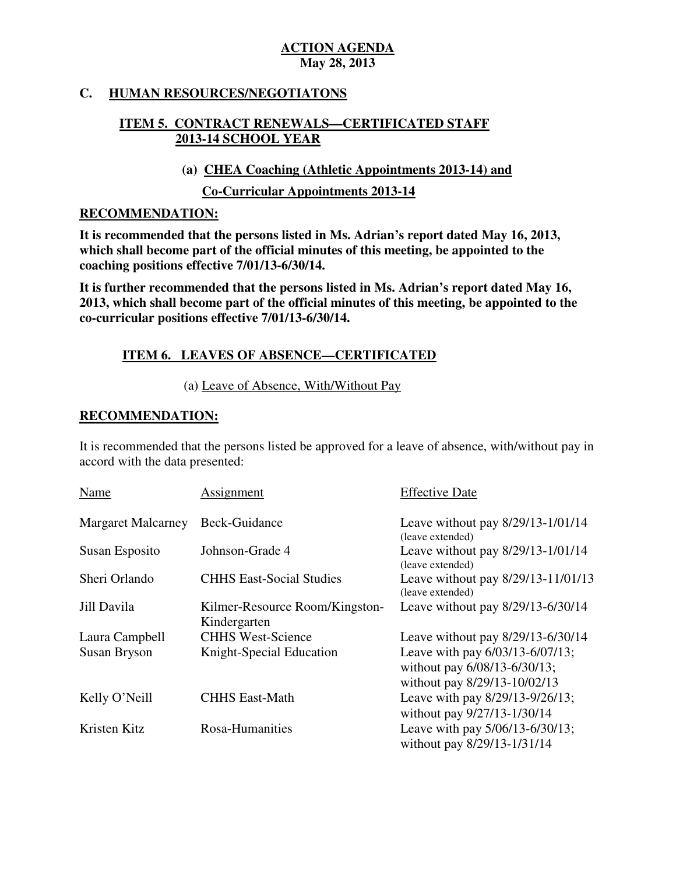#### **HUMAN RESOURCES/NEGOTIATONS**

# **ITEM 5. CONTRACT RENEWALS—CERTIFICATED STAFF 2013-14 SCHOOL YEAR**

**(a) CHEA Coaching (Athletic Appointments 2013-14) and** 

**Co-Curricular Appointments 2013-14** 

### **RECOMMENDATION:**

 **It is recommended that the persons listed in Ms. Adrian's report dated May 16, 2013, which shall become part of the official minutes of this meeting, be appointed to the coaching positions effective 7/01/13-6/30/14.** 

 **It is further recommended that the persons listed in Ms. Adrian's report dated May 16, 2013, which shall become part of the official minutes of this meeting, be appointed to the co-curricular positions effective 7/01/13-6/30/14.** 

# **ITEM 6. LEAVES OF ABSENCE—CERTIFICATED**

(a) Leave of Absence, With/Without Pay

# **RECOMMENDATION:**

 It is recommended that the persons listed be approved for a leave of absence, with/without pay in accord with the data presented:

| Name                      | Assignment                                     | <b>Effective Date</b>                                                                           |
|---------------------------|------------------------------------------------|-------------------------------------------------------------------------------------------------|
| <b>Margaret Malcarney</b> | Beck-Guidance                                  | Leave without pay 8/29/13-1/01/14<br>(leave extended)                                           |
| Susan Esposito            | Johnson-Grade 4                                | Leave without pay 8/29/13-1/01/14<br>(leave extended)                                           |
| Sheri Orlando             | <b>CHHS East-Social Studies</b>                | Leave without pay 8/29/13-11/01/13<br>(leave extended)                                          |
| Jill Davila               | Kilmer-Resource Room/Kingston-<br>Kindergarten | Leave without pay 8/29/13-6/30/14                                                               |
| Laura Campbell            | <b>CHHS West-Science</b>                       | Leave without pay 8/29/13-6/30/14                                                               |
| Susan Bryson              | Knight-Special Education                       | Leave with pay 6/03/13-6/07/13;<br>without pay 6/08/13-6/30/13;<br>without pay 8/29/13-10/02/13 |
| Kelly O'Neill             | <b>CHHS East-Math</b>                          | Leave with pay 8/29/13-9/26/13;<br>without pay 9/27/13-1/30/14                                  |
| Kristen Kitz              | Rosa-Humanities                                | Leave with pay 5/06/13-6/30/13;<br>without pay 8/29/13-1/31/14                                  |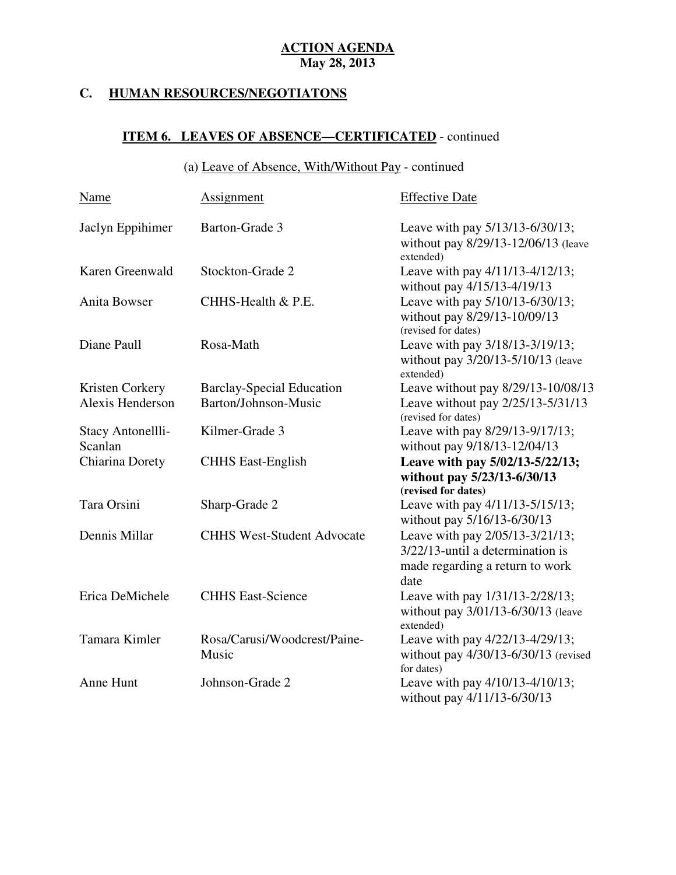#### **C. HUMAN RESOURCES/NEGOTIATONS**

# **ITEM 6. LEAVES OF ABSENCE—CERTIFICATED** - continued

### (a) Leave of Absence, With/Without Pay - continued

| Name                | <b>Assignment</b>                     | <b>Effective Date</b>                                                                                          |
|---------------------|---------------------------------------|----------------------------------------------------------------------------------------------------------------|
| Jaclyn Eppihimer    | Barton-Grade 3                        | Leave with pay 5/13/13-6/30/13;<br>without pay 8/29/13-12/06/13 (leave<br>extended)                            |
| Karen Greenwald     | Stockton-Grade 2                      | Leave with pay 4/11/13-4/12/13;<br>without pay 4/15/13-4/19/13                                                 |
| <b>Anita Bowser</b> | CHHS-Health & P.E.                    | Leave with pay 5/10/13-6/30/13;<br>without pay 8/29/13-10/09/13<br>(revised for dates)                         |
| Diane Paull         | Rosa-Math                             | Leave with pay 3/18/13-3/19/13;<br>without pay 3/20/13-5/10/13 (leave<br>extended)                             |
| Kristen Corkery     | <b>Barclay-Special Education</b>      | Leave without pay 8/29/13-10/08/13                                                                             |
| Alexis Henderson    | Barton/Johnson-Music                  | Leave without pay 2/25/13-5/31/13<br>(revised for dates)                                                       |
| Stacy Antonellli-   | Kilmer-Grade 3                        | Leave with pay 8/29/13-9/17/13;                                                                                |
| Scanlan             |                                       | without pay 9/18/13-12/04/13                                                                                   |
| Chiarina Dorety     | <b>CHHS East-English</b>              | Leave with pay 5/02/13-5/22/13;                                                                                |
|                     |                                       | without pay 5/23/13-6/30/13                                                                                    |
|                     |                                       | (revised for dates)                                                                                            |
| Tara Orsini         | Sharp-Grade 2                         | Leave with pay 4/11/13-5/15/13;<br>without pay 5/16/13-6/30/13                                                 |
| Dennis Millar       | <b>CHHS West-Student Advocate</b>     | Leave with pay 2/05/13-3/21/13;<br>3/22/13-until a determination is<br>made regarding a return to work<br>date |
| Erica DeMichele     | <b>CHHS East-Science</b>              | Leave with pay 1/31/13-2/28/13;<br>without pay 3/01/13-6/30/13 (leave<br>extended)                             |
| Tamara Kimler       | Rosa/Carusi/Woodcrest/Paine-<br>Music | Leave with pay 4/22/13-4/29/13;<br>without pay 4/30/13-6/30/13 (revised<br>for dates)                          |
| Anne Hunt           | Johnson-Grade 2                       | Leave with pay 4/10/13-4/10/13;<br>without pay 4/11/13-6/30/13                                                 |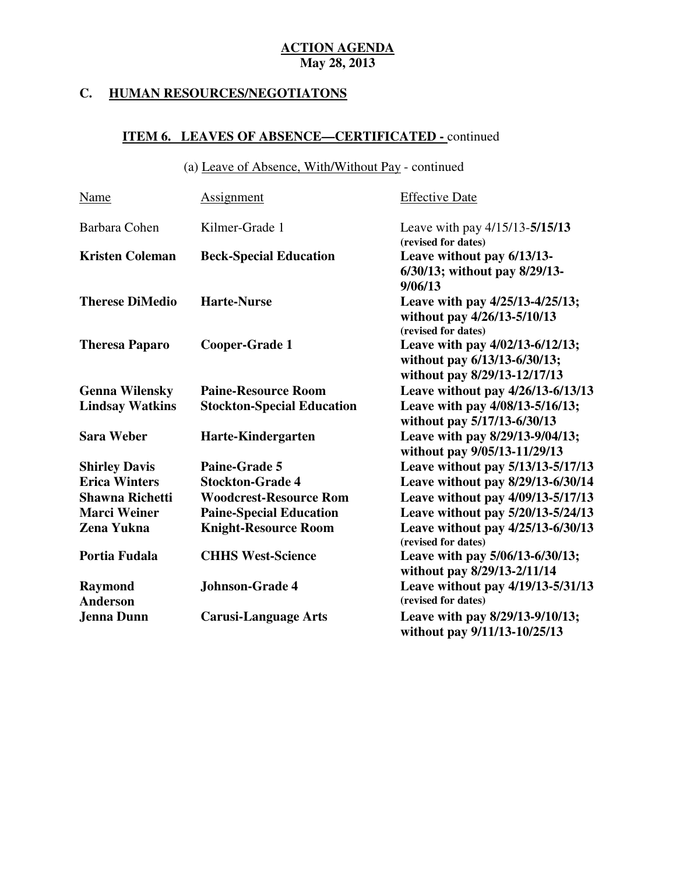#### **C. HUMAN RESOURCES/NEGOTIATONS**

# **ITEM 6. LEAVES OF ABSENCE—CERTIFICATED -** continued

(a) Leave of Absence, With/Without Pay - continued

| <b>Name</b>                       | <b>Assignment</b>                 | <b>Effective Date</b>                                                                           |
|-----------------------------------|-----------------------------------|-------------------------------------------------------------------------------------------------|
| Barbara Cohen                     | Kilmer-Grade 1                    | Leave with pay 4/15/13-5/15/13<br>(revised for dates)                                           |
| <b>Kristen Coleman</b>            | <b>Beck-Special Education</b>     | Leave without pay 6/13/13-<br>6/30/13; without pay 8/29/13-<br>9/06/13                          |
| <b>Therese DiMedio</b>            | <b>Harte-Nurse</b>                | Leave with pay 4/25/13-4/25/13;<br>without pay 4/26/13-5/10/13<br>(revised for dates)           |
| <b>Theresa Paparo</b>             | Cooper-Grade 1                    | Leave with pay 4/02/13-6/12/13;<br>without pay 6/13/13-6/30/13;<br>without pay 8/29/13-12/17/13 |
| <b>Genna Wilensky</b>             | <b>Paine-Resource Room</b>        | Leave without pay 4/26/13-6/13/13                                                               |
| <b>Lindsay Watkins</b>            | <b>Stockton-Special Education</b> | Leave with pay 4/08/13-5/16/13;<br>without pay 5/17/13-6/30/13                                  |
| <b>Sara Weber</b>                 | Harte-Kindergarten                | Leave with pay 8/29/13-9/04/13;<br>without pay 9/05/13-11/29/13                                 |
| <b>Shirley Davis</b>              | Paine-Grade 5                     | Leave without pay 5/13/13-5/17/13                                                               |
| <b>Erica Winters</b>              | <b>Stockton-Grade 4</b>           | Leave without pay 8/29/13-6/30/14                                                               |
| <b>Shawna Richetti</b>            | <b>Woodcrest-Resource Rom</b>     | Leave without pay 4/09/13-5/17/13                                                               |
| <b>Marci Weiner</b>               | <b>Paine-Special Education</b>    | Leave without pay 5/20/13-5/24/13                                                               |
| Zena Yukna                        | <b>Knight-Resource Room</b>       | Leave without pay 4/25/13-6/30/13<br>(revised for dates)                                        |
| Portia Fudala                     | <b>CHHS West-Science</b>          | Leave with pay 5/06/13-6/30/13;<br>without pay 8/29/13-2/11/14                                  |
| <b>Raymond</b><br><b>Anderson</b> | Johnson-Grade 4                   | Leave without pay 4/19/13-5/31/13<br>(revised for dates)                                        |
| <b>Jenna Dunn</b>                 | <b>Carusi-Language Arts</b>       | Leave with pay 8/29/13-9/10/13;<br>without pay 9/11/13-10/25/13                                 |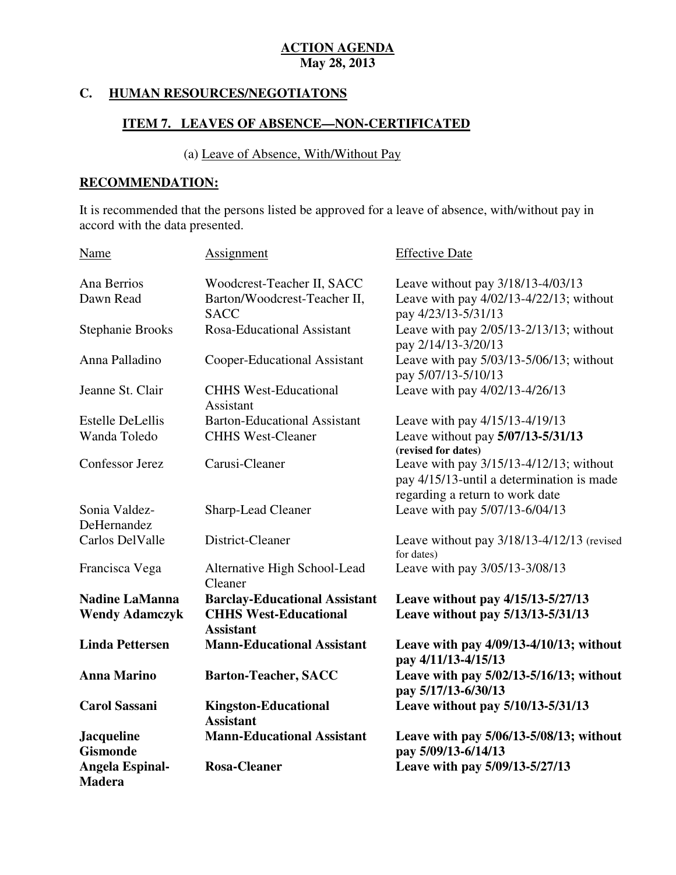#### **HUMAN RESOURCES/NEGOTIATONS**

# **ITEM 7. LEAVES OF ABSENCE-NON-CERTIFICATED**

## (a) Leave of Absence, With/Without Pay

# **RECOMMENDATION:**

 It is recommended that the persons listed be approved for a leave of absence, with/without pay in accord with the data presented.

| <b>Name</b>                             | Assignment                                       | <b>Effective Date</b>                                                                                                   |
|-----------------------------------------|--------------------------------------------------|-------------------------------------------------------------------------------------------------------------------------|
| Ana Berrios                             | Woodcrest-Teacher II, SACC                       | Leave without pay 3/18/13-4/03/13                                                                                       |
| Dawn Read                               | Barton/Woodcrest-Teacher II,<br><b>SACC</b>      | Leave with pay 4/02/13-4/22/13; without<br>pay 4/23/13-5/31/13                                                          |
| <b>Stephanie Brooks</b>                 | Rosa-Educational Assistant                       | Leave with pay 2/05/13-2/13/13; without<br>pay 2/14/13-3/20/13                                                          |
| Anna Palladino                          | Cooper-Educational Assistant                     | Leave with pay 5/03/13-5/06/13; without<br>pay 5/07/13-5/10/13                                                          |
| Jeanne St. Clair                        | <b>CHHS West-Educational</b><br>Assistant        | Leave with pay 4/02/13-4/26/13                                                                                          |
| <b>Estelle DeLellis</b>                 | <b>Barton-Educational Assistant</b>              | Leave with pay 4/15/13-4/19/13                                                                                          |
| Wanda Toledo                            | <b>CHHS West-Cleaner</b>                         | Leave without pay 5/07/13-5/31/13<br>(revised for dates)                                                                |
| Confessor Jerez                         | Carusi-Cleaner                                   | Leave with pay 3/15/13-4/12/13; without<br>pay 4/15/13-until a determination is made<br>regarding a return to work date |
| Sonia Valdez-<br>DeHernandez            | Sharp-Lead Cleaner                               | Leave with pay 5/07/13-6/04/13                                                                                          |
| Carlos DelValle                         | District-Cleaner                                 | Leave without pay 3/18/13-4/12/13 (revised<br>for dates)                                                                |
| Francisca Vega                          | Alternative High School-Lead<br>Cleaner          | Leave with pay 3/05/13-3/08/13                                                                                          |
| <b>Nadine LaManna</b>                   | <b>Barclay-Educational Assistant</b>             | Leave without pay 4/15/13-5/27/13                                                                                       |
| <b>Wendy Adamczyk</b>                   | <b>CHHS West-Educational</b><br><b>Assistant</b> | Leave without pay 5/13/13-5/31/13                                                                                       |
| <b>Linda Pettersen</b>                  | <b>Mann-Educational Assistant</b>                | Leave with pay 4/09/13-4/10/13; without<br>pay 4/11/13-4/15/13                                                          |
| <b>Anna Marino</b>                      | <b>Barton-Teacher, SACC</b>                      | Leave with pay 5/02/13-5/16/13; without<br>pay 5/17/13-6/30/13                                                          |
| <b>Carol Sassani</b>                    | <b>Kingston-Educational</b><br><b>Assistant</b>  | Leave without pay 5/10/13-5/31/13                                                                                       |
| <b>Jacqueline</b><br><b>Gismonde</b>    | <b>Mann-Educational Assistant</b>                | Leave with pay 5/06/13-5/08/13; without<br>pay 5/09/13-6/14/13                                                          |
| <b>Angela Espinal-</b><br><b>Madera</b> | <b>Rosa-Cleaner</b>                              | Leave with pay 5/09/13-5/27/13                                                                                          |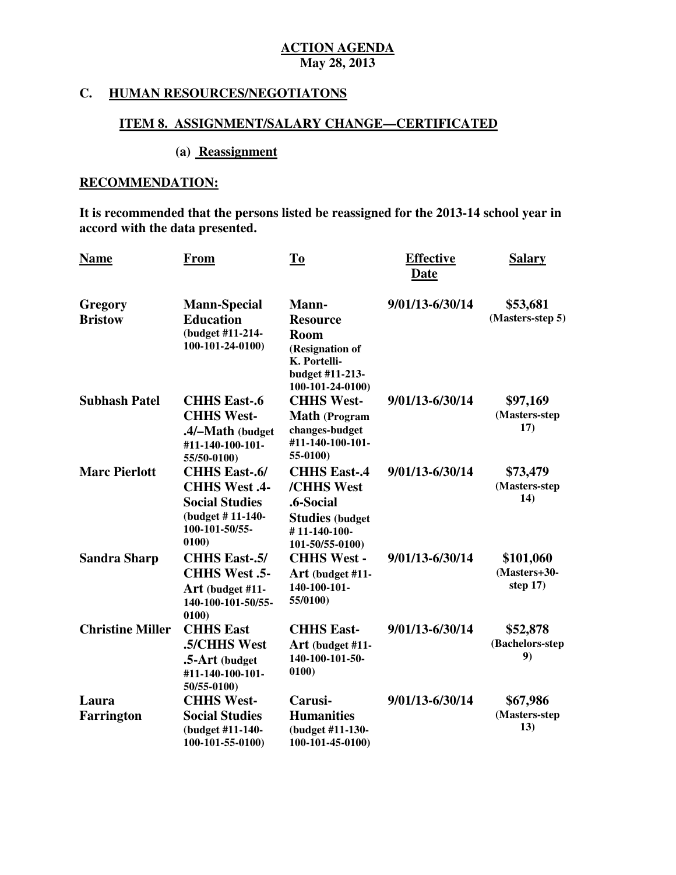### **C. HUMAN RESOURCES/NEGOTIATONS**

#### **ITEM 8. ASSIGNMENT/SALARY CHANGE—CERTIFICATED**

# **(a) Reassignment**

# **RECOMMENDATION:**

 **It is recommended that the persons listed be reassigned for the 2013-14 school year in accord with the data presented.** 

| <b>Name</b>                | From                                                                                                                 | To                                                                                                                | <b>Effective</b><br>Date | <b>Salary</b>                           |
|----------------------------|----------------------------------------------------------------------------------------------------------------------|-------------------------------------------------------------------------------------------------------------------|--------------------------|-----------------------------------------|
| Gregory<br><b>Bristow</b>  | <b>Mann-Special</b><br><b>Education</b><br>(budget #11-214-<br>100-101-24-0100)                                      | Mann-<br><b>Resource</b><br><b>Room</b><br>(Resignation of<br>K. Portelli-<br>budget #11-213-<br>100-101-24-0100) | 9/01/13-6/30/14          | \$53,681<br>(Masters-step 5)            |
| <b>Subhash Patel</b>       | <b>CHHS East-.6</b><br><b>CHHS West-</b><br>.4/-Math (budget<br>#11-140-100-101-<br>55/50-0100)                      | <b>CHHS West-</b><br><b>Math</b> (Program<br>changes-budget<br>#11-140-100-101-<br>55-0100)                       | 9/01/13-6/30/14          | \$97,169<br>(Masters-step<br>17)        |
| <b>Marc Pierlott</b>       | <b>CHHS East-.6/</b><br><b>CHHS West .4-</b><br><b>Social Studies</b><br>(budget #11-140-<br>100-101-50/55-<br>0100) | <b>CHHS East-.4</b><br>/CHHS West<br>.6-Social<br><b>Studies (budget</b><br>#11-140-100-<br>101-50/55-0100)       | 9/01/13-6/30/14          | \$73,479<br>(Masters-step)<br>14)       |
| <b>Sandra Sharp</b>        | <b>CHHS East-.5/</b><br>CHHS West .5-<br>Art (budget #11-<br>140-100-101-50/55-<br>0100                              | <b>CHHS West -</b><br>Art (budget #11-<br>140-100-101-<br>55/0100)                                                | 9/01/13-6/30/14          | \$101,060<br>(Masters+30-<br>step $17)$ |
| <b>Christine Miller</b>    | <b>CHHS East</b><br>.5/CHHS West<br>.5-Art (budget<br>#11-140-100-101-<br>50/55-0100)                                | <b>CHHS East-</b><br>Art (budget #11-<br>140-100-101-50-<br>0100                                                  | 9/01/13-6/30/14          | \$52,878<br>(Bachelors-step<br>9)       |
| Laura<br><b>Farrington</b> | <b>CHHS West-</b><br><b>Social Studies</b><br>(budget #11-140-<br>100-101-55-0100)                                   | Carusi-<br><b>Humanities</b><br>(budget #11-130-<br>100-101-45-0100)                                              | 9/01/13-6/30/14          | \$67,986<br>(Masters-step<br>13)        |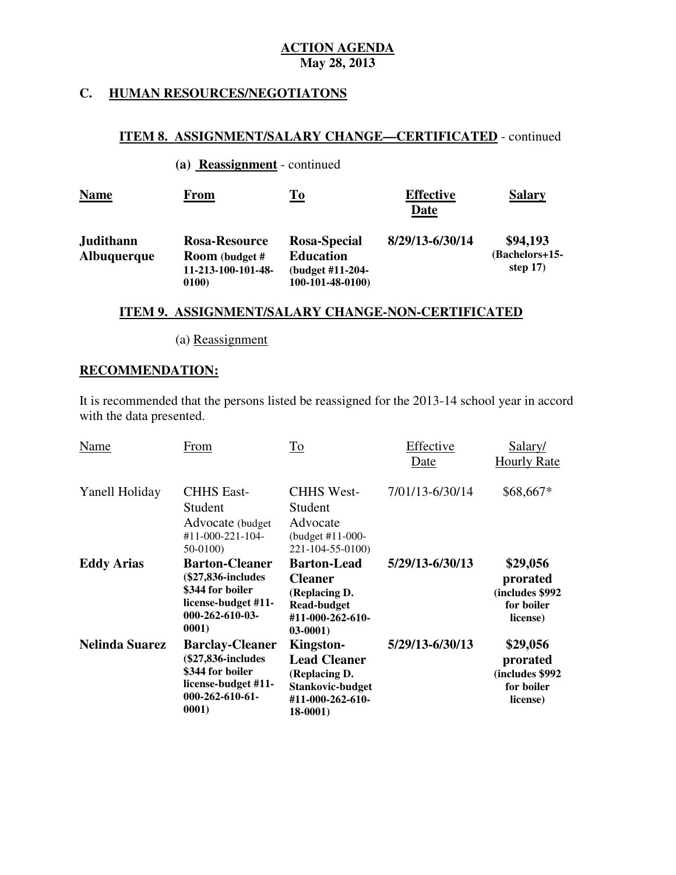#### **HUMAN RESOURCES/NEGOTIATONS**

### **ITEM 8. ASSIGNMENT/SALARY CHANGE—CERTIFICATED** - continued

**(a) Reassignment** - continued

| <b>Name</b>                     | <b>From</b>                                                           | <u>To</u>                                                                | <b>Effective</b><br>Date | <b>Salary</b>                             |
|---------------------------------|-----------------------------------------------------------------------|--------------------------------------------------------------------------|--------------------------|-------------------------------------------|
| Judithann<br><b>Albuquerque</b> | Rosa-Resource<br><b>Room</b> (budget #<br>11-213-100-101-48-<br>0100) | Rosa-Special<br><b>Education</b><br>(budget #11-204-<br>100-101-48-0100) | 8/29/13-6/30/14          | \$94,193<br>(Bachelors+15-<br>step $17$ ) |

### **ITEM 9. ASSIGNMENT/SALARY CHANGE-NON-CERTIFICATED**

(a) Reassignment

# **RECOMMENDATION:**

 It is recommended that the persons listed be reassigned for the 2013-14 school year in accord with the data presented.

| Name                  | From                                                                                                                 | To                                                                                                            | Effective<br>Date | Salary/<br><b>Hourly Rate</b>                                     |
|-----------------------|----------------------------------------------------------------------------------------------------------------------|---------------------------------------------------------------------------------------------------------------|-------------------|-------------------------------------------------------------------|
| Yanell Holiday        | <b>CHHS East-</b><br>Student<br>Advocate (budget)<br>#11-000-221-104-<br>$50-0100$                                   | <b>CHHS West-</b><br>Student<br>Advocate<br>(budget #11-000-<br>221-104-55-0100)                              | 7/01/13-6/30/14   | \$68,667*                                                         |
| <b>Eddy Arias</b>     | <b>Barton-Cleaner</b><br>(\$27,836-includes)<br>\$344 for boiler<br>license-budget #11-<br>$000-262-610-03$<br>0001) | <b>Barton-Lead</b><br><b>Cleaner</b><br>(Replacing D.<br><b>Read-budget</b><br>#11-000-262-610-<br>$03-0001$  | 5/29/13-6/30/13   | \$29,056<br>prorated<br>(includes \$992<br>for boiler<br>license) |
| <b>Nelinda Suarez</b> | <b>Barclay-Cleaner</b><br>(\$27,836-includes<br>\$344 for boiler<br>license-budget #11-<br>$000-262-610-61$<br>0001) | <b>Kingston-</b><br><b>Lead Cleaner</b><br>(Replacing D.<br>Stankovic-budget<br>#11-000-262-610-<br>$18-0001$ | 5/29/13-6/30/13   | \$29,056<br>prorated<br>(includes \$992<br>for boiler<br>license) |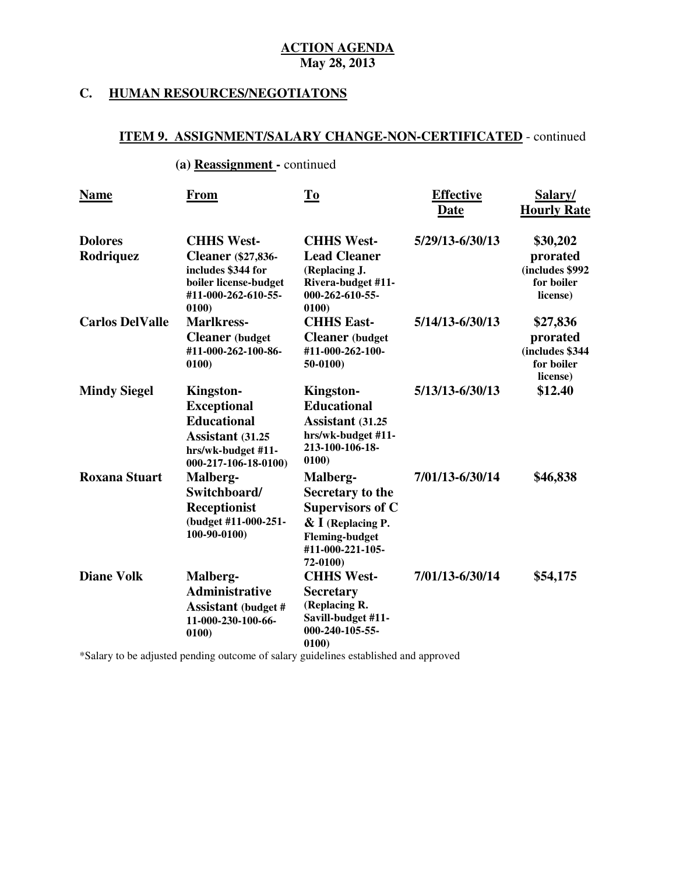#### **HUMAN RESOURCES/NEGOTIATONS**

#### **ITEM 9. ASSIGNMENT/SALARY CHANGE-NON-CERTIFICATED** - continued

#### **(a) Reassignment -** continued

| <b>Name</b>                 | From                                                                                                                          | <b>To</b>                                                                                                                                | <b>Effective</b><br><b>Date</b> | Salary/<br><b>Hourly Rate</b>                                      |
|-----------------------------|-------------------------------------------------------------------------------------------------------------------------------|------------------------------------------------------------------------------------------------------------------------------------------|---------------------------------|--------------------------------------------------------------------|
| <b>Dolores</b><br>Rodriquez | <b>CHHS West-</b><br><b>Cleaner</b> (\$27,836-<br>includes \$344 for<br>boiler license-budget<br>#11-000-262-610-55-<br>0100) | <b>CHHS West-</b><br><b>Lead Cleaner</b><br>(Replacing J.<br>Rivera-budget #11-<br>$000 - 262 - 610 - 55$<br>0100                        | 5/29/13-6/30/13                 | \$30,202<br>prorated<br>(includes \$992<br>for boiler<br>license)  |
| <b>Carlos DelValle</b>      | <b>Marlkress-</b><br><b>Cleaner</b> (budget<br>#11-000-262-100-86-<br>0100)                                                   | <b>CHHS East-</b><br><b>Cleaner</b> (budget<br>#11-000-262-100-<br>$50-0100$                                                             | 5/14/13-6/30/13                 | \$27,836<br>prorated<br>(includes \$344)<br>for boiler<br>license) |
| <b>Mindy Siegel</b>         | Kingston-<br><b>Exceptional</b><br><b>Educational</b><br>Assistant (31.25<br>hrs/wk-budget #11-<br>000-217-106-18-0100)       | Kingston-<br><b>Educational</b><br>Assistant (31.25<br>hrs/wk-budget #11-<br>213-100-106-18-<br>0100                                     | 5/13/13-6/30/13                 | \$12.40                                                            |
| <b>Roxana Stuart</b>        | Malberg-<br>Switchboard/<br>Receptionist<br>(budget #11-000-251-<br>100-90-0100)                                              | Malberg-<br>Secretary to the<br><b>Supervisors of C</b><br>$\&$ I (Replacing P.<br><b>Fleming-budget</b><br>#11-000-221-105-<br>72-0100) | 7/01/13-6/30/14                 | \$46,838                                                           |
| <b>Diane Volk</b>           | Malberg-<br><b>Administrative</b><br><b>Assistant</b> (budget #<br>11-000-230-100-66-<br>0100)                                | <b>CHHS West-</b><br><b>Secretary</b><br>(Replacing R.<br>Savill-budget #11-<br>000-240-105-55-<br>0100)                                 | 7/01/13-6/30/14                 | \$54,175                                                           |

\*Salary to be adjusted pending outcome of salary guidelines established and approved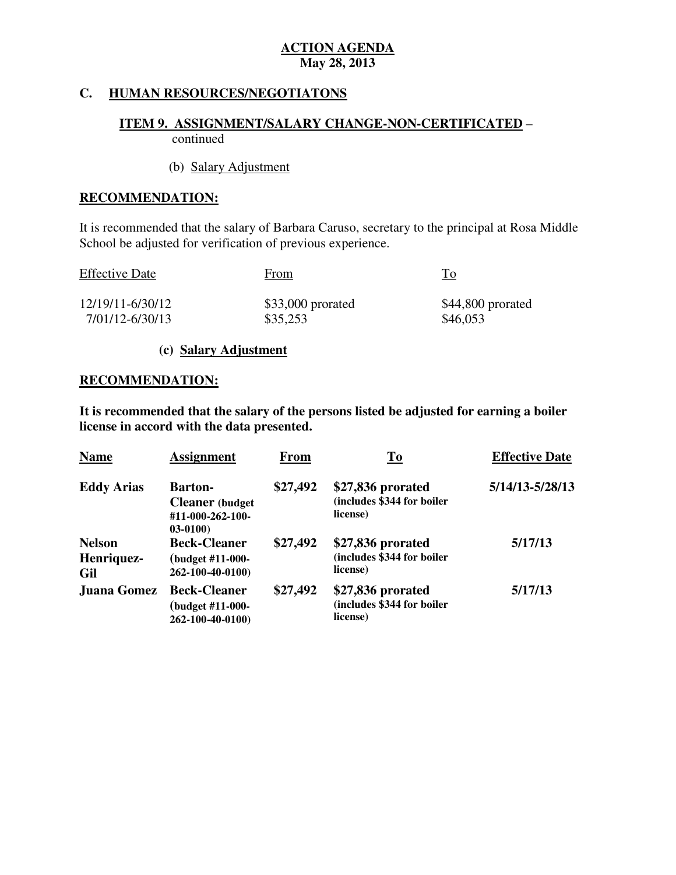# **C. HUMAN RESOURCES/NEGOTIATONS**

# **ITEM 9. ASSIGNMENT/SALARY CHANGE-NON-CERTIFICATED** – continued

# (b) Salary Adjustment

# **RECOMMENDATION:**

 It is recommended that the salary of Barbara Caruso, secretary to the principal at Rosa Middle School be adjusted for verification of previous experience.

| <b>Effective Date</b> | From               | $\underline{\operatorname{To}}$ |
|-----------------------|--------------------|---------------------------------|
| 12/19/11-6/30/12      | $$33,000$ prorated | \$44,800 prorated               |
| 7/01/12-6/30/13       | \$35,253           | \$46,053                        |

### **(c) Salary Adjustment**

#### **RECOMMENDATION:**

 **It is recommended that the salary of the persons listed be adjusted for earning a boiler license in accord with the data presented.** 

| <b>Name</b>                        | <b>Assignment</b>                                                         | <b>From</b> | To                                                          | <b>Effective Date</b> |
|------------------------------------|---------------------------------------------------------------------------|-------------|-------------------------------------------------------------|-----------------------|
| <b>Eddy Arias</b>                  | <b>Barton-</b><br><b>Cleaner</b> (budget<br>#11-000-262-100-<br>$03-0100$ | \$27,492    | \$27,836 prorated<br>(includes \$344 for boiler<br>license) | 5/14/13-5/28/13       |
| <b>Nelson</b><br>Henriquez-<br>Gil | <b>Beck-Cleaner</b><br>(budget #11-000-<br>262-100-40-0100)               | \$27,492    | \$27,836 prorated<br>(includes \$344 for boiler<br>license) | 5/17/13               |
| Juana Gomez                        | <b>Beck-Cleaner</b><br>(budget #11-000-<br>262-100-40-0100)               | \$27,492    | \$27,836 prorated<br>(includes \$344 for boiler<br>license) | 5/17/13               |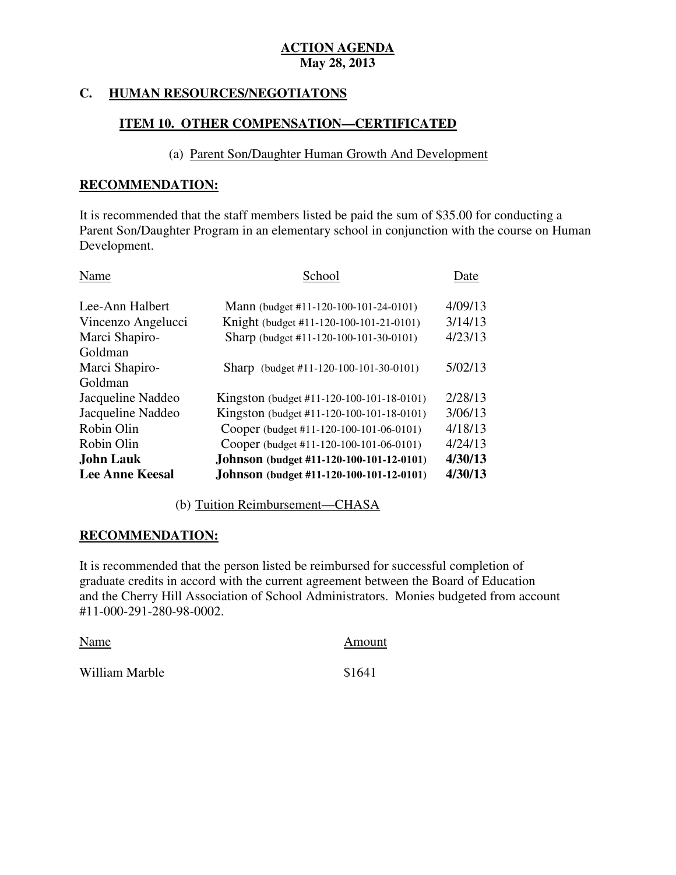#### **HUMAN RESOURCES/NEGOTIATONS**

# **ITEM 10. OTHER COMPENSATION—CERTIFICATED**

### (a) Parent Son/Daughter Human Growth And Development

#### **RECOMMENDATION:**

 It is recommended that the staff members listed be paid the sum of \$35.00 for conducting a Parent Son/Daughter Program in an elementary school in conjunction with the course on Human Development.

| Name                   | School                                          | Date    |
|------------------------|-------------------------------------------------|---------|
| Lee-Ann Halbert        | Mann (budget #11-120-100-101-24-0101)           | 4/09/13 |
| Vincenzo Angelucci     | Knight (budget #11-120-100-101-21-0101)         | 3/14/13 |
| Marci Shapiro-         | Sharp (budget #11-120-100-101-30-0101)          | 4/23/13 |
| Goldman                |                                                 |         |
| Marci Shapiro-         | Sharp (budget #11-120-100-101-30-0101)          | 5/02/13 |
| Goldman                |                                                 |         |
| Jacqueline Naddeo      | Kingston (budget #11-120-100-101-18-0101)       | 2/28/13 |
| Jacqueline Naddeo      | Kingston (budget #11-120-100-101-18-0101)       | 3/06/13 |
| Robin Olin             | Cooper (budget #11-120-100-101-06-0101)         | 4/18/13 |
| Robin Olin             | Cooper (budget #11-120-100-101-06-0101)         | 4/24/13 |
| <b>John Lauk</b>       | Johnson (budget #11-120-100-101-12-0101)        | 4/30/13 |
| <b>Lee Anne Keesal</b> | <b>Johnson</b> (budget #11-120-100-101-12-0101) | 4/30/13 |

(b) Tuition Reimbursement—CHASA

### **RECOMMENDATION:**

 It is recommended that the person listed be reimbursed for successful completion of graduate credits in accord with the current agreement between the Board of Education and the Cherry Hill Association of School Administrators. Monies budgeted from account #11-000-291-280-98-0002.

| Name           | Amount |
|----------------|--------|
| William Marble | \$1641 |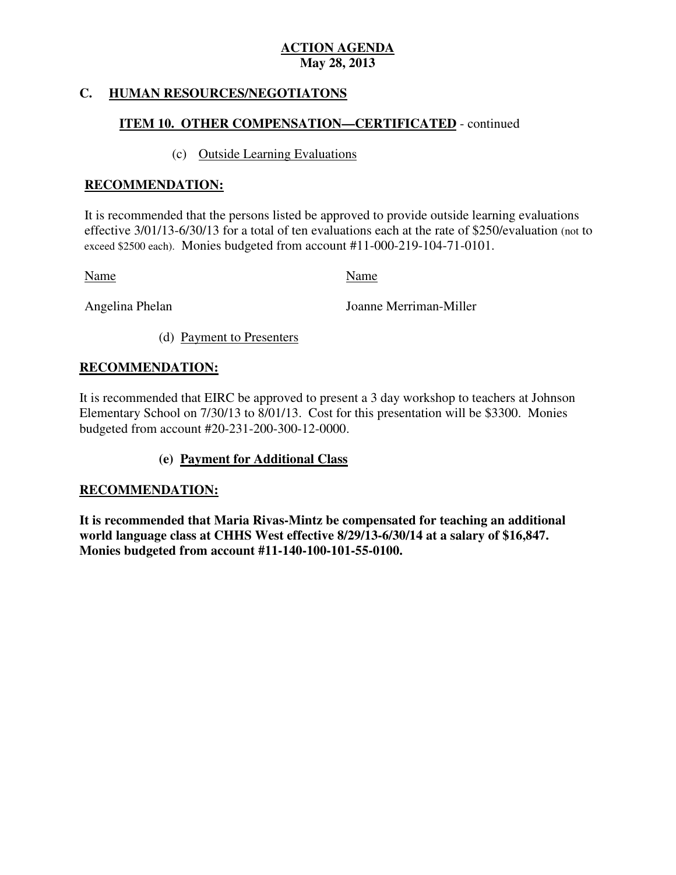#### **HUMAN RESOURCES/NEGOTIATONS**

# **ITEM 10. OTHER COMPENSATION—CERTIFICATED** - continued

### (c) Outside Learning Evaluations

#### **RECOMMENDATION:**

 It is recommended that the persons listed be approved to provide outside learning evaluations effective 3/01/13-6/30/13 for a total of ten evaluations each at the rate of \$250/evaluation (not to exceed \$2500 each). Monies budgeted from account #11-000-219-104-71-0101.

Name Name

Angelina Phelan

Joanne Merriman-Miller

(d) Payment to Presenters

### **RECOMMENDATION:**

 It is recommended that EIRC be approved to present a 3 day workshop to teachers at Johnson Elementary School on 7/30/13 to 8/01/13. Cost for this presentation will be \$3300. Monies budgeted from account #20-231-200-300-12-0000.

### **(e) Payment for Additional Class**

### **RECOMMENDATION:**

 **It is recommended that Maria Rivas-Mintz be compensated for teaching an additional world language class at CHHS West effective 8/29/13-6/30/14 at a salary of \$16,847. Monies budgeted from account #11-140-100-101-55-0100.**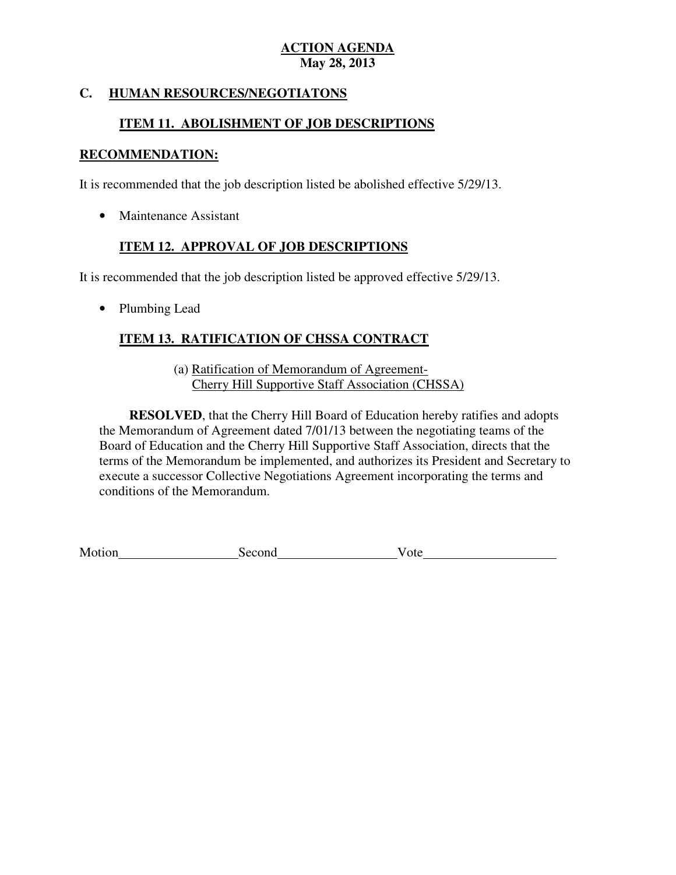# **C. HUMAN RESOURCES/NEGOTIATONS**

# **ITEM 11. ABOLISHMENT OF JOB DESCRIPTIONS**

# **RECOMMENDATION:**

It is recommended that the job description listed be abolished effective 5/29/13.

• Maintenance Assistant

# **ITEM 12. APPROVAL OF JOB DESCRIPTIONS**

It is recommended that the job description listed be approved effective 5/29/13.

• Plumbing Lead

# **ITEM 13. RATIFICATION OF CHSSA CONTRACT**

(a) **Ratification of Memorandum of Agreement-**Cherry Hill Supportive Staff Association (CHSSA)

 the Memorandum of Agreement dated 7/01/13 between the negotiating teams of the Board of Education and the Cherry Hill Supportive Staff Association, directs that the terms of the Memorandum be implemented, and authorizes its President and Secretary to execute a successor Collective Negotiations Agreement incorporating the terms and conditions of the Memorandum. **RESOLVED**, that the Cherry Hill Board of Education hereby ratifies and adopts

Motion Second Vote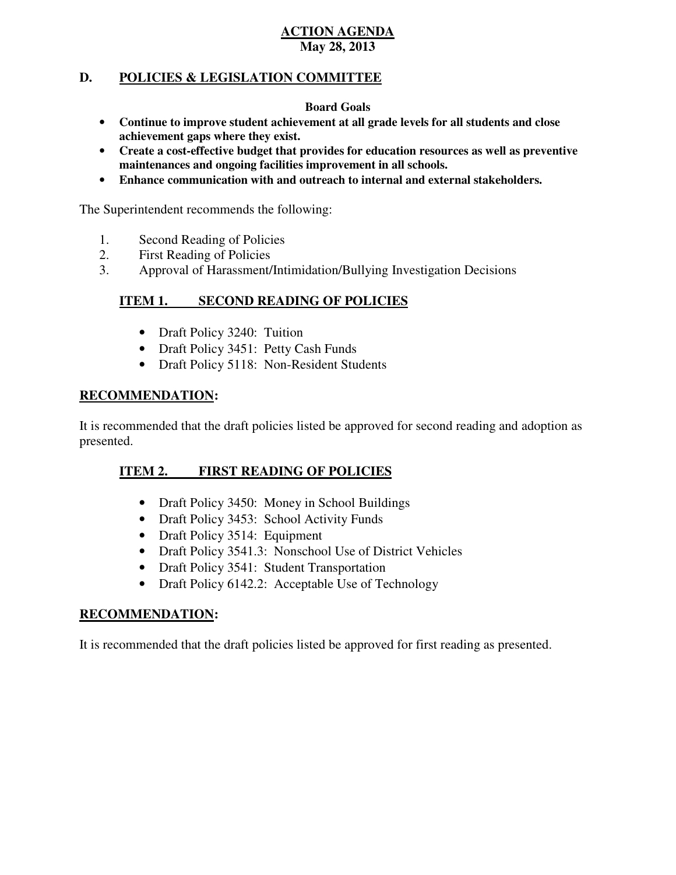### **D. POLICIES & LEGISLATION COMMITTEE**

#### **Board Goals**

- • **Continue to improve student achievement at all grade levels for all students and close achievement gaps where they exist.**
- • **Create a cost-effective budget that provides for education resources as well as preventive maintenances and ongoing facilities improvement in all schools.**
- • **Enhance communication with and outreach to internal and external stakeholders.**

The Superintendent recommends the following:

- 1. Second Reading of Policies
- 2. First Reading of Policies
- 3. Approval of Harassment/Intimidation/Bullying Investigation Decisions

#### **ITEM 1. ISECOND READING OF POLICIES**

- Draft Policy 3240: Tuition
- Draft Policy 3451: Petty Cash Funds
- Draft Policy 5118: Non-Resident Students

### **RECOMMENDATION:**

 It is recommended that the draft policies listed be approved for second reading and adoption as presented.

#### **ITEM 2. FIRST READING OF POLICIES**

- Draft Policy 3450: Money in School Buildings
- Draft Policy 3453: School Activity Funds
- Draft Policy 3514: Equipment
- Draft Policy 3541.3: Nonschool Use of District Vehicles
- Draft Policy 3541: Student Transportation
- Draft Policy 6142.2: Acceptable Use of Technology

### **RECOMMENDATION:**

It is recommended that the draft policies listed be approved for first reading as presented.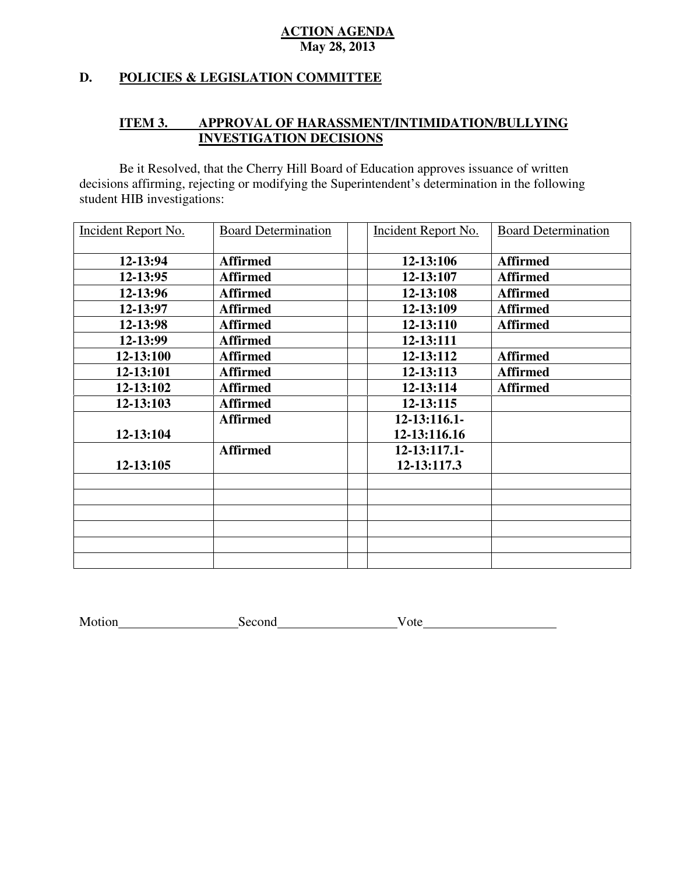# **D. POLICIES & LEGISLATION COMMITTEE**

# **ITEM 3. APPROVAL OF HARASSMENT/INTIMIDATION/BULLYING INVESTIGATION DECISIONS**

 decisions affirming, rejecting or modifying the Superintendent's determination in the following student HIB investigations: Be it Resolved, that the Cherry Hill Board of Education approves issuance of written

| Incident Report No. | <b>Board Determination</b> | Incident Report No. | <b>Board Determination</b> |
|---------------------|----------------------------|---------------------|----------------------------|
| 12-13:94            | <b>Affirmed</b>            | 12-13:106           | <b>Affirmed</b>            |
| 12-13:95            | <b>Affirmed</b>            | 12-13:107           | <b>Affirmed</b>            |
| 12-13:96            | <b>Affirmed</b>            | 12-13:108           | <b>Affirmed</b>            |
| 12-13:97            | <b>Affirmed</b>            | 12-13:109           | <b>Affirmed</b>            |
| 12-13:98            | <b>Affirmed</b>            | 12-13:110           | <b>Affirmed</b>            |
| 12-13:99            | <b>Affirmed</b>            | 12-13:111           |                            |
| 12-13:100           | <b>Affirmed</b>            | 12-13:112           | <b>Affirmed</b>            |
| 12-13:101           | <b>Affirmed</b>            | 12-13:113           | <b>Affirmed</b>            |
| 12-13:102           | <b>Affirmed</b>            | 12-13:114           | <b>Affirmed</b>            |
| 12-13:103           | <b>Affirmed</b>            | 12-13:115           |                            |
|                     | <b>Affirmed</b>            | $12 - 13:116.1$     |                            |
| 12-13:104           |                            | 12-13:116.16        |                            |
|                     | <b>Affirmed</b>            | $12 - 13:117.1 -$   |                            |
| 12-13:105           |                            | 12-13:117.3         |                            |
|                     |                            |                     |                            |
|                     |                            |                     |                            |
|                     |                            |                     |                            |
|                     |                            |                     |                            |
|                     |                            |                     |                            |
|                     |                            |                     |                            |

Motion Second Vote